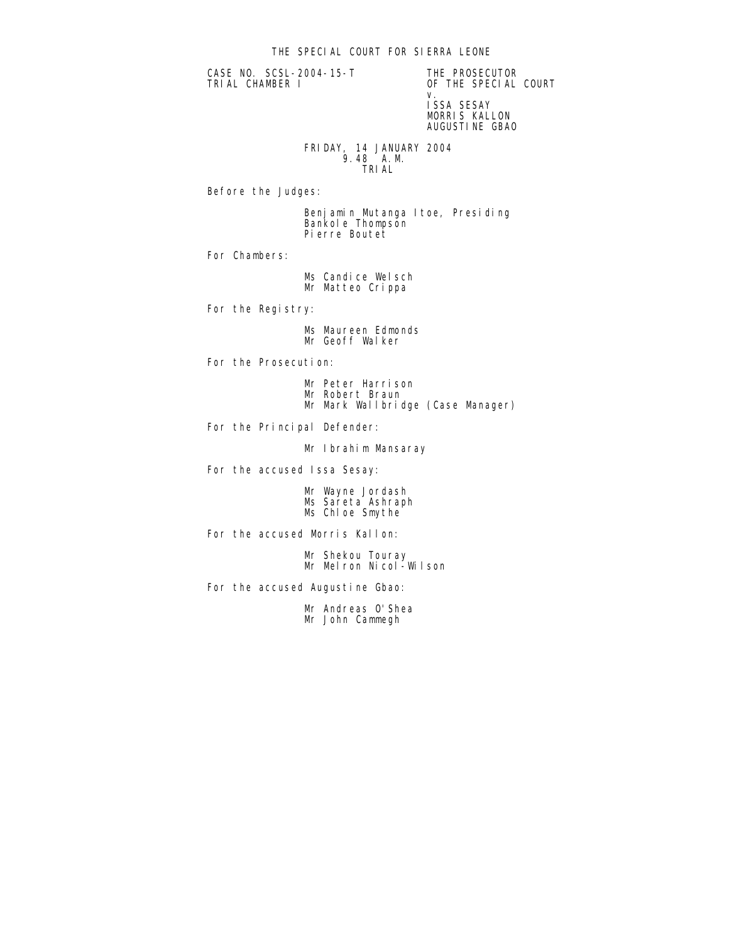CASE NO. SCSL-2004-15-T THE PROSECUTOR<br>TRIAL CHAMBER I OF THE SPECIAL

OF THE SPECIAL COURT<br>V. v. ISSA SESAY MORRIS KALLON AUGUSTINE GBAO

 FRIDAY, 14 JANUARY 2004 9.48 A.M. TRIAL

Before the Judges:

 Benjamin Mutanga Itoe, Presiding Bankole Thompson Pierre Boutet

For Chambers:

Ms Candice Welsch Mr Matteo Crippa

For the Registry:

 Ms Maureen Edmonds Mr Geoff Walker

For the Prosecution:

Mr Peter Harrison

**Mr Robert Braun** Mr Robert Braun Mr Mark Wallbridge (Case Manager)

For the Principal Defender:

Mr Ibrahim Mansaray

For the accused Issa Sesay:

 Mr Wayne Jordash Ms Sareta Ashraph Ms Chloe Smythe Ms Chloe Smythe

For the accused Morris Kallon:

 Mr Shekou Touray Mr Melron Nicol-Wilson

For the accused Augustine Gbao:

 Mr Andreas O'Shea Mr John Cammegh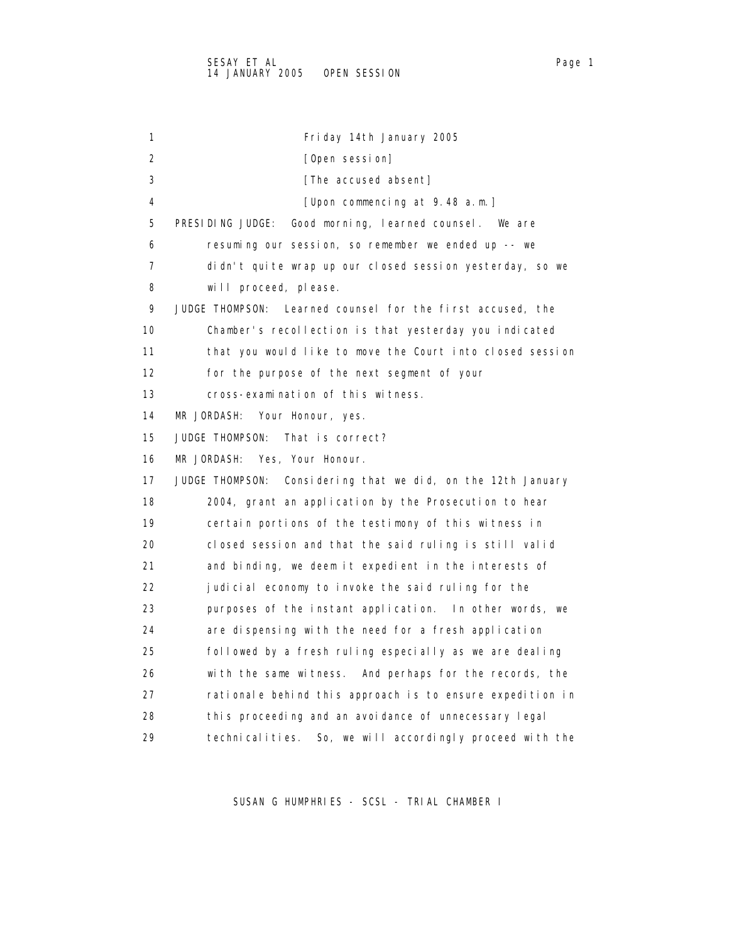1 Friday 14th January 2005 2 [Open session] 3 **[The accused absent]**  4 [Upon commencing at 9.48 a.m.] 5 PRESIDING JUDGE: Good morning, learned counsel. We are 6 resuming our session, so remember we ended up -- we 7 didn't quite wrap up our closed session yesterday, so we 8 will proceed, please. 9 JUDGE THOMPSON: Learned counsel for the first accused, the 10 Chamber's recollection is that yesterday you indicated 11 that you would like to move the Court into closed session 12 for the purpose of the next segment of your 13 cross-examination of this witness. 14 MR JORDASH: Your Honour, yes. 15 JUDGE THOMPSON: That is correct? 16 MR JORDASH: Yes, Your Honour. 17 JUDGE THOMPSON: Considering that we did, on the 12th January 18 2004, grant an application by the Prosecution to hear 19 certain portions of the testimony of this witness in 20 closed session and that the said ruling is still valid 21 and binding, we deem it expedient in the interests of 22 judicial economy to invoke the said ruling for the 23 purposes of the instant application. In other words, we 24 are dispensing with the need for a fresh application 25 followed by a fresh ruling especially as we are dealing 26 with the same witness. And perhaps for the records, the 27 rationale behind this approach is to ensure expedition in 28 this proceeding and an avoidance of unnecessary legal 29 technicalities. So, we will accordingly proceed with the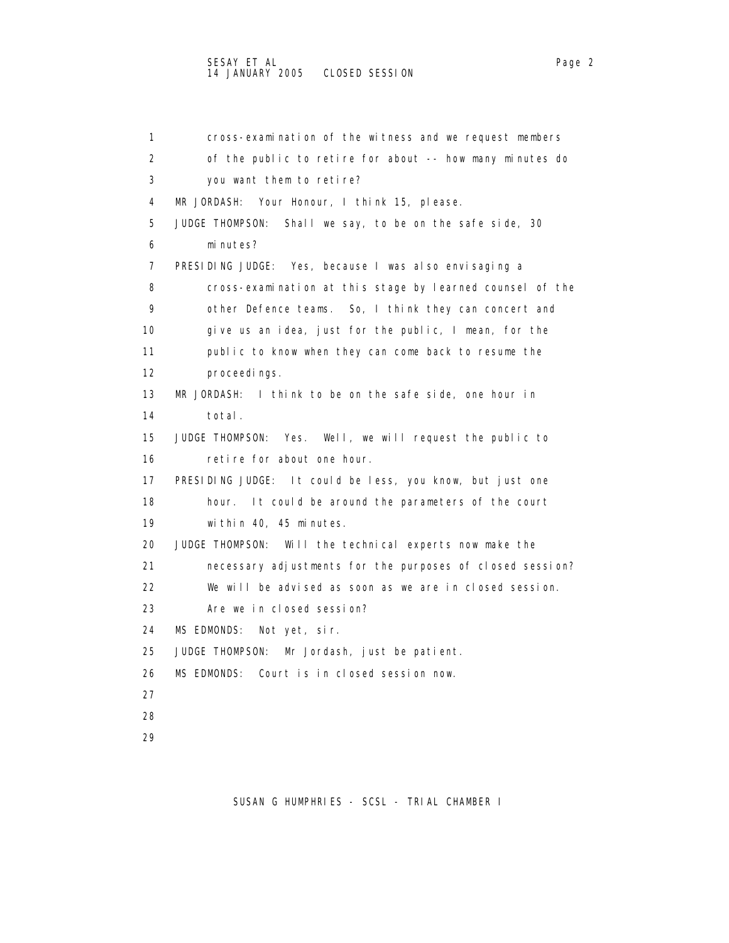1 cross-examination of the witness and we request members 2 of the public to retire for about -- how many minutes do 3 you want them to retire? 4 MR JORDASH: Your Honour, I think 15, please. 5 JUDGE THOMPSON: Shall we say, to be on the safe side, 30 6 minutes? 7 PRESIDING JUDGE: Yes, because I was also envisaging a 8 cross-examination at this stage by learned counsel of the 9 other Defence teams. So, I think they can concert and 10 give us an idea, just for the public, I mean, for the 11 public to know when they can come back to resume the 12 proceedings. 13 MR JORDASH: I think to be on the safe side, one hour in 14 total. 15 JUDGE THOMPSON: Yes. Well, we will request the public to 16 retire for about one hour. 17 PRESIDING JUDGE: It could be less, you know, but just one 18 hour. It could be around the parameters of the court 19 within 40, 45 minutes. 20 JUDGE THOMPSON: Will the technical experts now make the 21 necessary adjustments for the purposes of closed session? 22 We will be advised as soon as we are in closed session. 23 Are we in closed session? 24 MS EDMONDS: Not yet, sir. 25 JUDGE THOMPSON: Mr Jordash, just be patient. 26 MS EDMONDS: Court is in closed session now. 27 28 29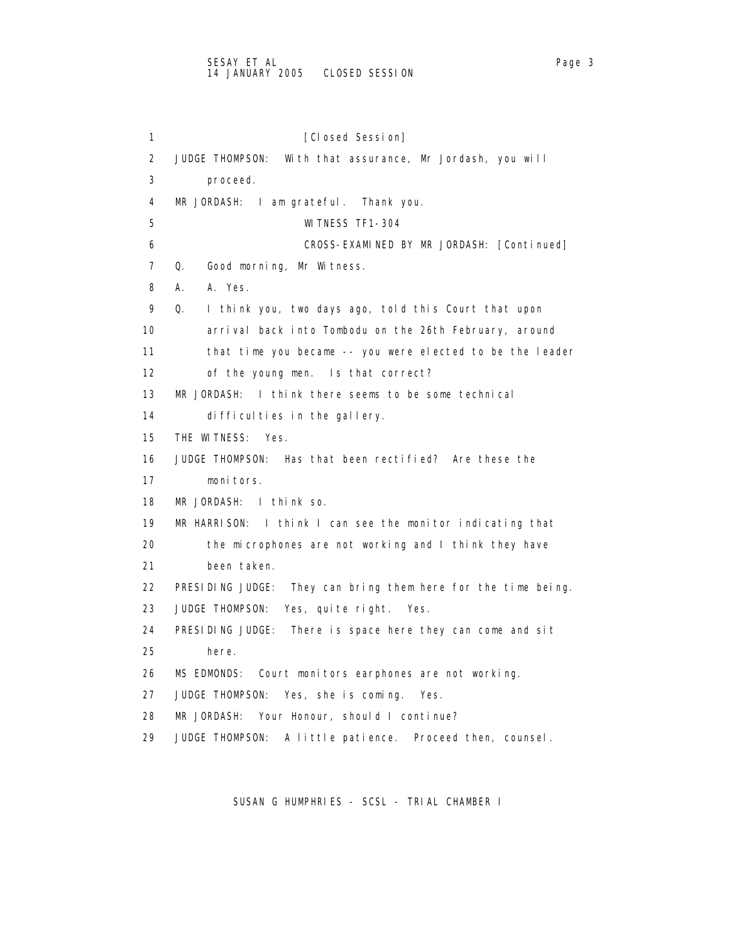1 **1** [Closed Session] 2 JUDGE THOMPSON: With that assurance, Mr Jordash, you will 3 proceed. 4 MR JORDASH: I am grateful. Thank you. 5 WITNESS TF1-304 6 CROSS-EXAMINED BY MR JORDASH: [Continued] 7 Q. Good morning, Mr Witness. 8 A. A. Yes. 9 Q. I think you, two days ago, told this Court that upon 10 arrival back into Tombodu on the 26th February, around 11 that time you became -- you were elected to be the leader 12 of the young men. Is that correct? 13 MR JORDASH: I think there seems to be some technical 14 difficulties in the gallery. 15 THE WITNESS: Yes. 16 JUDGE THOMPSON: Has that been rectified? Are these the 17 monitors. 18 MR JORDASH: I think so. 19 MR HARRISON: I think I can see the monitor indicating that 20 the microphones are not working and I think they have 21 been taken. 22 PRESIDING JUDGE: They can bring them here for the time being. 23 JUDGE THOMPSON: Yes, quite right. Yes. 24 PRESIDING JUDGE: There is space here they can come and sit 25 here. 26 MS EDMONDS: Court monitors earphones are not working. 27 JUDGE THOMPSON: Yes, she is coming. Yes. 28 MR JORDASH: Your Honour, should I continue? 29 JUDGE THOMPSON: A little patience. Proceed then, counsel.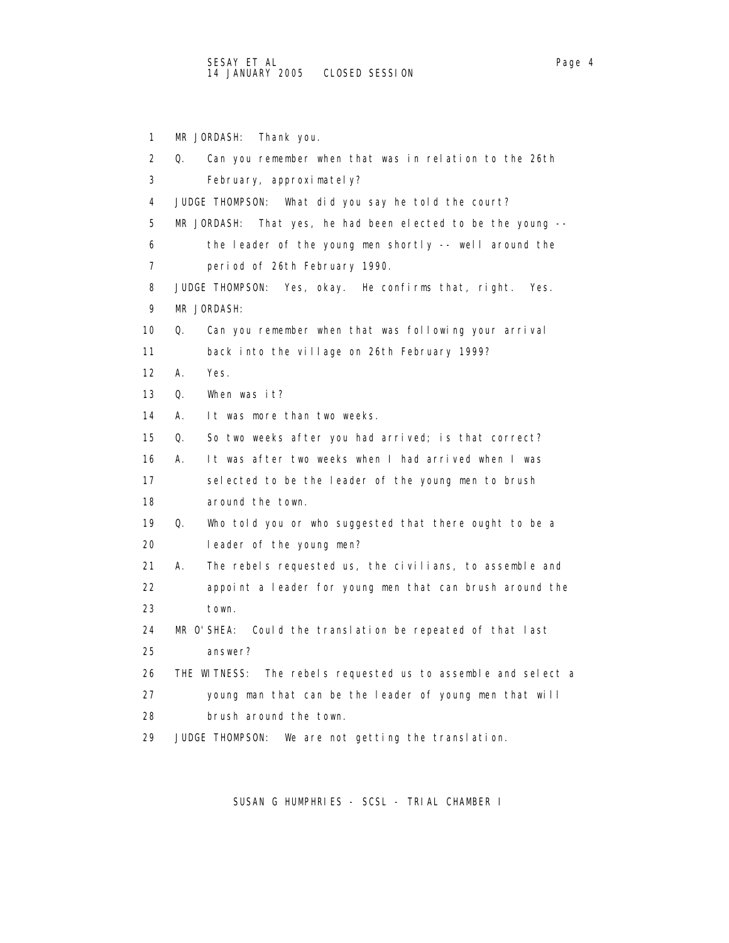## SESAY ET AL Page 4 14 JANUARY 2005 CLOSED SESSION

 1 MR JORDASH: Thank you. 2 Q. Can you remember when that was in relation to the 26th 3 February, approximately? 4 JUDGE THOMPSON: What did you say he told the court? 5 MR JORDASH: That yes, he had been elected to be the young -- 6 the leader of the young men shortly -- well around the 7 period of 26th February 1990. 8 JUDGE THOMPSON: Yes, okay. He confirms that, right. Yes. 9 MR JORDASH: 10 Q. Can you remember when that was following your arrival 11 back into the village on 26th February 1999? 12 A. Yes. 13 Q. When was it? 14 A. It was more than two weeks. 15 Q. So two weeks after you had arrived; is that correct? 16 A. It was after two weeks when I had arrived when I was 17 selected to be the leader of the young men to brush 18 around the town. 19 Q. Who told you or who suggested that there ought to be a 20 leader of the young men? 21 A. The rebels requested us, the civilians, to assemble and 22 appoint a leader for young men that can brush around the 23 town. 24 MR O'SHEA: Could the translation be repeated of that last 25 answer? 26 THE WITNESS: The rebels requested us to assemble and select a 27 young man that can be the leader of young men that will 28 brush around the town. 29 JUDGE THOMPSON: We are not getting the translation.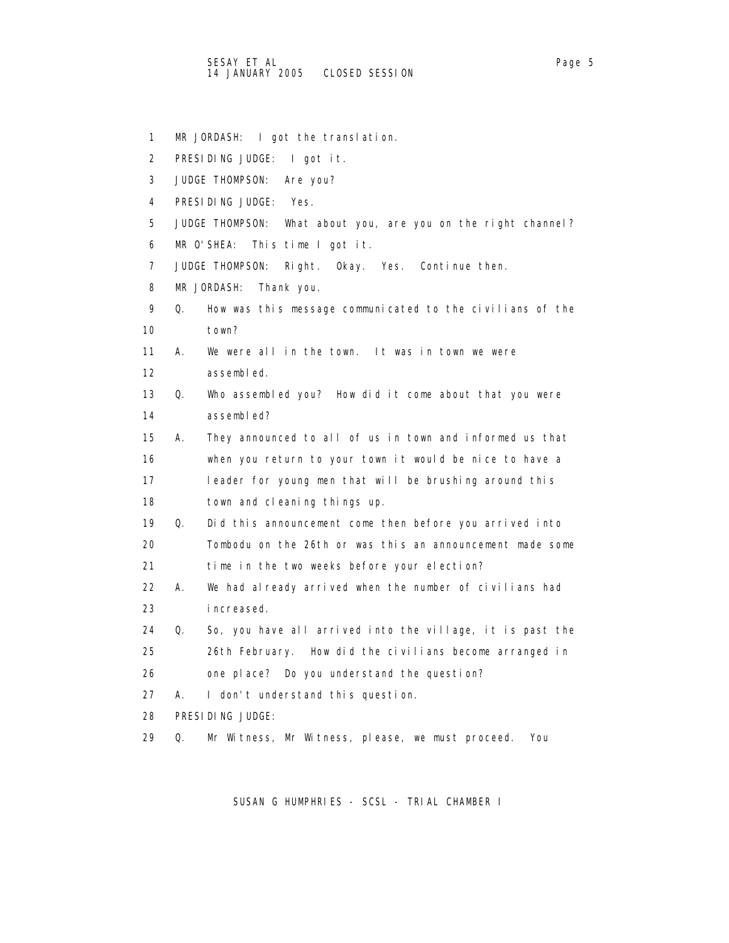1 MR JORDASH: I got the translation. 2 PRESIDING JUDGE: I got it. 3 JUDGE THOMPSON: Are you? 4 PRESIDING JUDGE: Yes. 5 JUDGE THOMPSON: What about you, are you on the right channel? 6 MR O'SHEA: This time I got it. 7 JUDGE THOMPSON: Right. Okay. Yes. Continue then. 8 MR JORDASH: Thank you. 9 Q. How was this message communicated to the civilians of the 10 town? 11 A. We were all in the town. It was in town we were 12 assembled. 13 Q. Who assembled you? How did it come about that you were 14 assembled? 15 A. They announced to all of us in town and informed us that 16 when you return to your town it would be nice to have a 17 leader for young men that will be brushing around this 18 town and cleaning things up. 19 Q. Did this announcement come then before you arrived into 20 Tombodu on the 26th or was this an announcement made some 21 time in the two weeks before your election? 22 A. We had already arrived when the number of civilians had 23 increased. 24 Q. So, you have all arrived into the village, it is past the 25 26th February. How did the civilians become arranged in 26 one place? Do you understand the question? 27 A. I don't understand this question. 28 PRESIDING JUDGE: 29 Q. Mr Witness, Mr Witness, please, we must proceed. You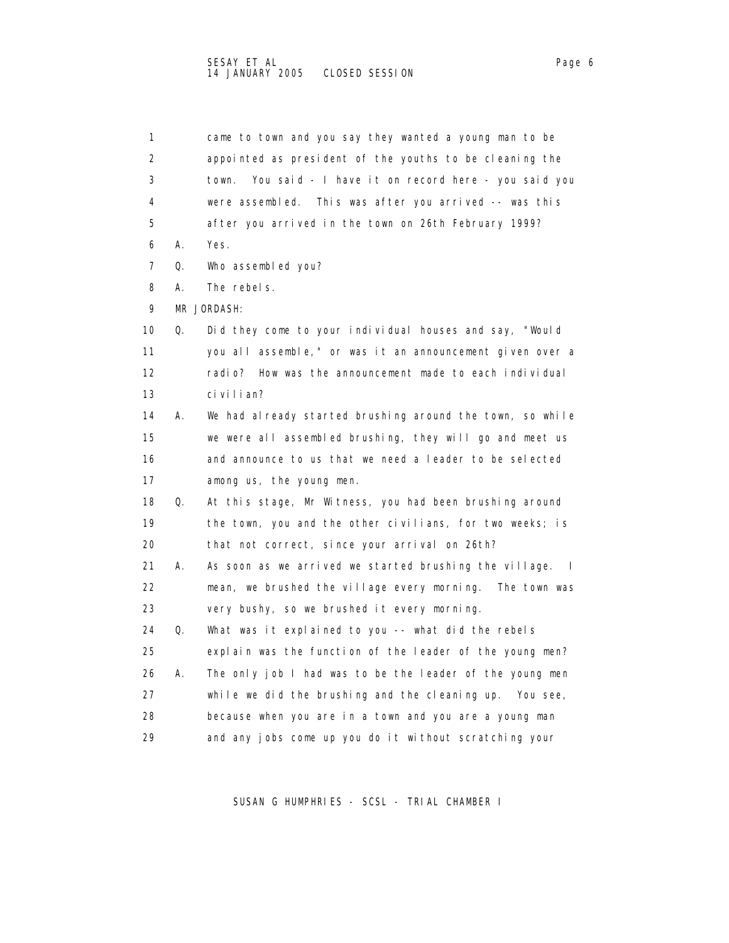1 came to town and you say they wanted a young man to be 2 appointed as president of the youths to be cleaning the 3 town. You said - I have it on record here - you said you 4 were assembled. This was after you arrived -- was this 5 after you arrived in the town on 26th February 1999? 6 A. Yes. 7 Q. Who assembled you? 8 A. The rebels. 9 MR JORDASH: 10 Q. Did they come to your individual houses and say, "Would 11 you all assemble," or was it an announcement given over a 12 radio? How was the announcement made to each individual 13 civilian? 14 A. We had already started brushing around the town, so while 15 we were all assembled brushing, they will go and meet us 16 and announce to us that we need a leader to be selected 17 among us, the young men. 18 Q. At this stage, Mr Witness, you had been brushing around 19 the town, you and the other civilians, for two weeks; is 20 that not correct, since your arrival on 26th? 21 A. As soon as we arrived we started brushing the village. I 22 mean, we brushed the village every morning. The town was 23 very bushy, so we brushed it every morning. 24 Q. What was it explained to you -- what did the rebels 25 explain was the function of the leader of the young men? 26 A. The only job I had was to be the leader of the young men 27 while we did the brushing and the cleaning up. You see, 28 because when you are in a town and you are a young man 29 and any jobs come up you do it without scratching your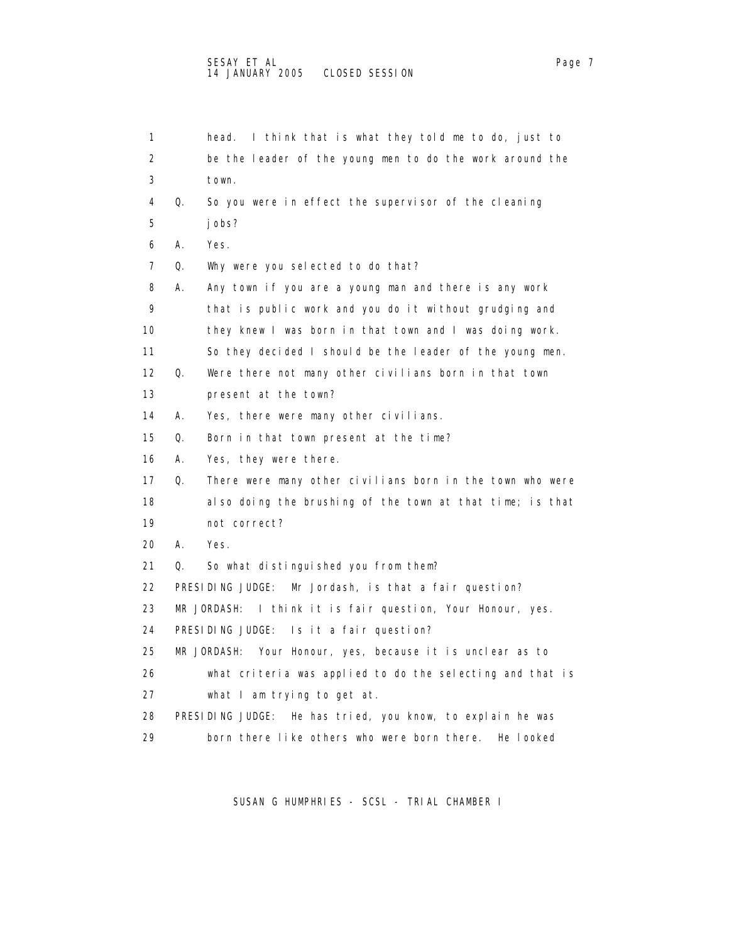| 1                 |    | head. I think that is what they told me to do, just to       |
|-------------------|----|--------------------------------------------------------------|
| 2                 |    | be the leader of the young men to do the work around the     |
| 3                 |    | town.                                                        |
| 4                 | Q. | So you were in effect the supervisor of the cleaning         |
| 5                 |    | j obs?                                                       |
| 6                 | Α. | Yes.                                                         |
| 7                 | Q. | Why were you selected to do that?                            |
| 8                 | А. | Any town if you are a young man and there is any work        |
| 9                 |    | that is public work and you do it without grudging and       |
| 10                |    | they knew I was born in that town and I was doing work.      |
| 11                |    | So they decided I should be the leader of the young men.     |
| $12 \overline{ }$ | Q. | Were there not many other civilians born in that town        |
| 13                |    | present at the town?                                         |
| 14                | А. | Yes, there were many other civilians.                        |
| 15                | Q. | Born in that town present at the time?                       |
| 16                | Α. | Yes, they were there.                                        |
| 17                | Q. | There were many other civilians born in the town who were    |
| 18                |    | also doing the brushing of the town at that time; is that    |
| 19                |    | not correct?                                                 |
| 20                | А. | Yes.                                                         |
| 21                | Q. | So what distinguished you from them?                         |
| 22                |    | PRESIDING JUDGE:<br>Mr Jordash, is that a fair question?     |
| 23                |    | MR JORDASH: I think it is fair question, Your Honour, yes.   |
| 24                |    | PRESIDING JUDGE:<br>Is it a fair question?                   |
| 25                |    | MR JORDASH:<br>Your Honour, yes, because it is unclear as to |
| 26                |    | what criteria was applied to do the selecting and that is    |
| 27                |    | what I am trying to get at.                                  |
| 28                |    | PRESIDING JUDGE: He has tried, you know, to explain he was   |
| 29                |    | born there like others who were born there.<br>He I ooked    |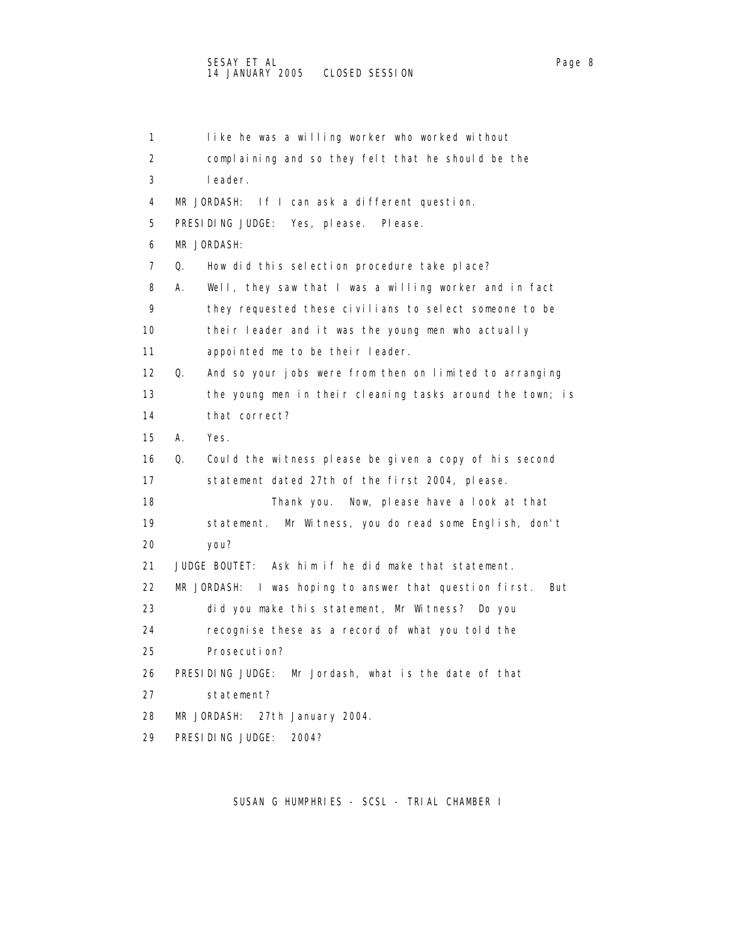| 1                 | like he was a willing worker who worked without                |
|-------------------|----------------------------------------------------------------|
| 2                 | complaining and so they felt that he should be the             |
| 3                 | leader.                                                        |
| 4                 | MR JORDASH:<br>If I can ask a different question.              |
| 5                 | PRESIDING JUDGE: Yes, please.<br>PI ease.                      |
| 6                 | MR JORDASH:                                                    |
| 7                 | Q.<br>How did this selection procedure take place?             |
| 8                 | А.<br>Well, they saw that I was a willing worker and in fact   |
| 9                 | they requested these civilians to select someone to be         |
| 10                | their leader and it was the young men who actually             |
| 11                | appointed me to be their leader.                               |
| $12 \overline{ }$ | Q.<br>And so your jobs were from then on limited to arranging  |
| 13                | the young men in their cleaning tasks around the town; is      |
| 14                | that correct?                                                  |
| 15                | Yes.<br>А.                                                     |
| 16                | Q.<br>Could the witness please be given a copy of his second   |
| 17                | statement dated 27th of the first 2004, please.                |
| 18                | Thank you.<br>Now, please have a look at that                  |
| 19                | Mr Witness, you do read some English, don't<br>statement.      |
| 20                | you?                                                           |
| 21                | Ask him if he did make that statement.<br>JUDGE BOUTET:        |
| 22                | MR JORDASH: I was hoping to answer that question first.<br>But |
| 23                | did you make this statement, Mr Witness? Do you                |
| 24                | recognise these as a record of what you told the               |
| 25                | Prosecution?                                                   |
| 26                | PRESIDING JUDGE: Mr Jordash, what is the date of that          |
| 27                | statement?                                                     |
| 28                | MR JORDASH:<br>27th January 2004.                              |
| 29                | PRESIDING JUDGE:<br>2004?                                      |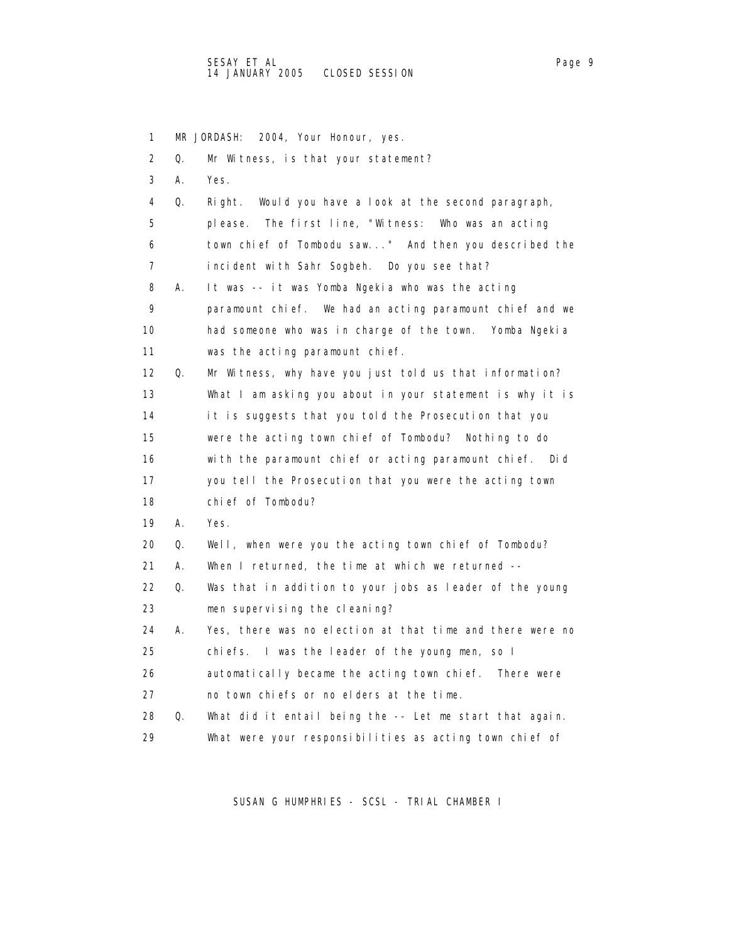1 MR JORDASH: 2004, Your Honour, yes. 2 Q. Mr Witness, is that your statement? 3 A. Yes. 4 Q. Right. Would you have a look at the second paragraph, 5 please. The first line, "Witness: Who was an acting 6 town chief of Tombodu saw..." And then you described the 7 incident with Sahr Sogbeh. Do you see that? 8 A. It was -- it was Yomba Ngekia who was the acting 9 paramount chief. We had an acting paramount chief and we 10 had someone who was in charge of the town. Yomba Ngekia 11 was the acting paramount chief. 12 Q. Mr Witness, why have you just told us that information? 13 What I am asking you about in your statement is why it is 14 it is suggests that you told the Prosecution that you 15 were the acting town chief of Tombodu? Nothing to do 16 with the paramount chief or acting paramount chief. Did 17 you tell the Prosecution that you were the acting town 18 chief of Tombodu? 19 A. Yes. 20 Q. Well, when were you the acting town chief of Tombodu? 21 A. When I returned, the time at which we returned -- 22 Q. Was that in addition to your jobs as leader of the young 23 men supervising the cleaning? 24 A. Yes, there was no election at that time and there were no 25 chiefs. I was the leader of the young men, so I 26 automatically became the acting town chief. There were 27 no town chiefs or no elders at the time. 28 Q. What did it entail being the -- Let me start that again. 29 What were your responsibilities as acting town chief of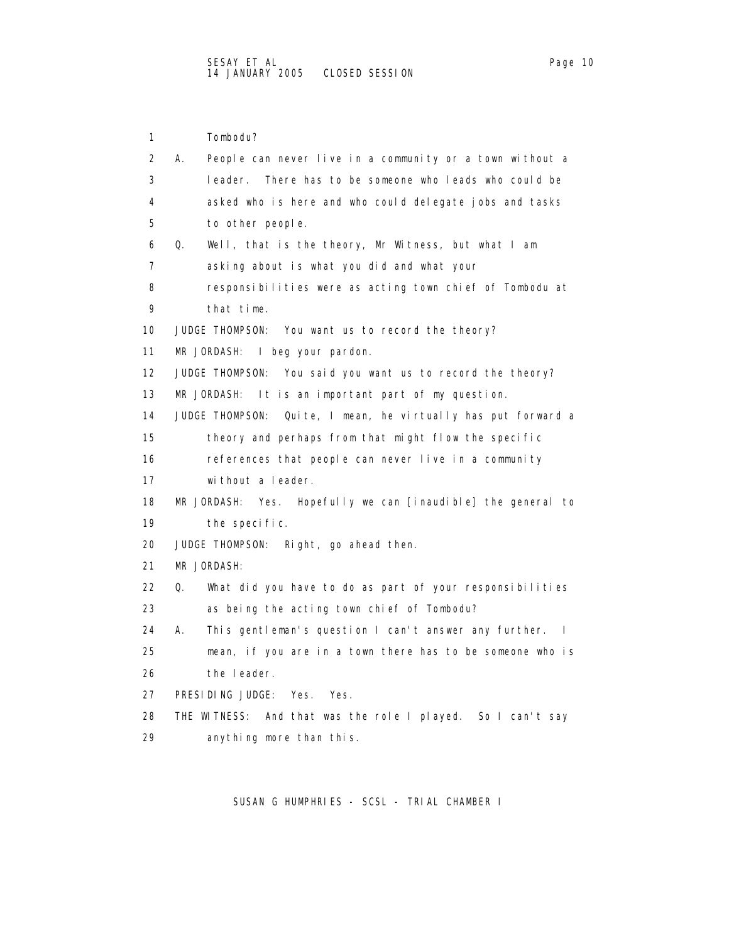1 Tombodu? 2 A. People can never live in a community or a town without a 3 leader. There has to be someone who leads who could be 4 asked who is here and who could delegate jobs and tasks 5 to other people. 6 Q. Well, that is the theory, Mr Witness, but what I am 7 asking about is what you did and what your 8 responsibilities were as acting town chief of Tombodu at 9 that time. 10 JUDGE THOMPSON: You want us to record the theory? 11 MR JORDASH: I beg your pardon. 12 JUDGE THOMPSON: You said you want us to record the theory? 13 MR JORDASH: It is an important part of my question. 14 JUDGE THOMPSON: Quite, I mean, he virtually has put forward a 15 theory and perhaps from that might flow the specific 16 references that people can never live in a community 17 without a leader. 18 MR JORDASH: Yes. Hopefully we can [inaudible] the general to 19 the specific. 20 JUDGE THOMPSON: Right, go ahead then. 21 MR JORDASH: 22 Q. What did you have to do as part of your responsibilities 23 as being the acting town chief of Tombodu? 24 A. This gentleman's question I can't answer any further. I 25 mean, if you are in a town there has to be someone who is 26 the leader. 27 PRESIDING JUDGE: Yes. Yes. 28 THE WITNESS: And that was the role I played. So I can't say 29 anything more than this.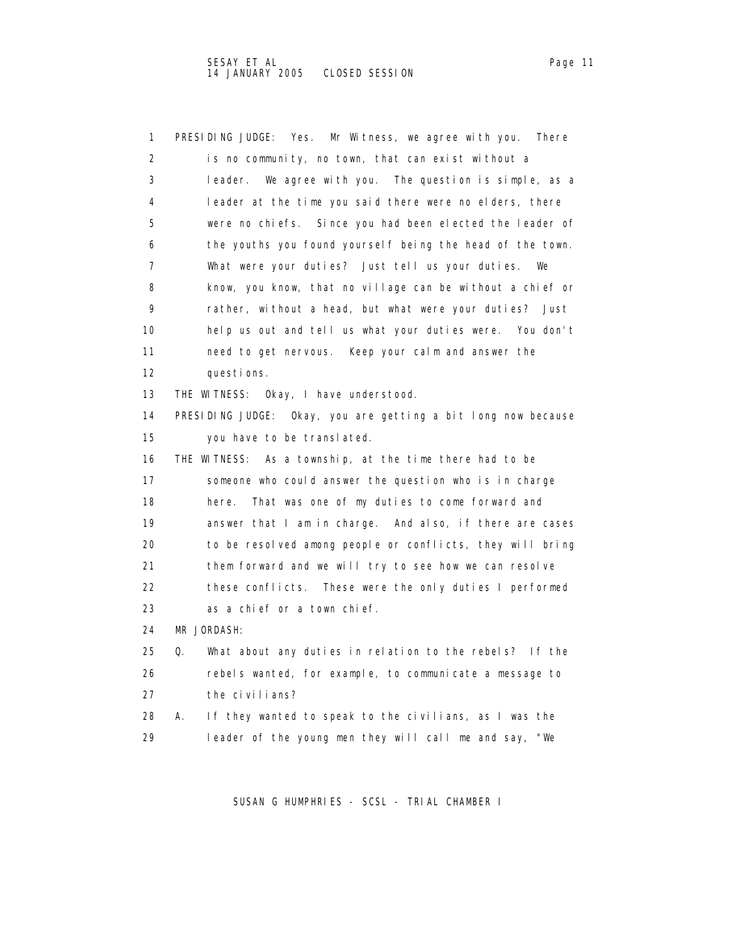1 PRESIDING JUDGE: Yes. Mr Witness, we agree with you. There 2 is no community, no town, that can exist without a 3 leader. We agree with you. The question is simple, as a 4 leader at the time you said there were no elders, there 5 were no chiefs. Since you had been elected the leader of 6 the youths you found yourself being the head of the town. 7 What were your duties? Just tell us your duties. We 8 know, you know, that no village can be without a chief or 9 rather, without a head, but what were your duties? Just 10 help us out and tell us what your duties were. You don't 11 need to get nervous. Keep your calm and answer the 12 questions. 13 THE WITNESS: Okay, I have understood. 14 PRESIDING JUDGE: Okay, you are getting a bit long now because 15 you have to be translated. 16 THE WITNESS: As a township, at the time there had to be 17 someone who could answer the question who is in charge 18 here. That was one of my duties to come forward and 19 answer that I am in charge. And also, if there are cases 20 to be resolved among people or conflicts, they will bring 21 them forward and we will try to see how we can resolve 22 these conflicts. These were the only duties I performed 23 as a chief or a town chief. 24 MR JORDASH: 25 Q. What about any duties in relation to the rebels? If the 26 rebels wanted, for example, to communicate a message to 27 the civilians? 28 A. If they wanted to speak to the civilians, as I was the 29 leader of the young men they will call me and say, "We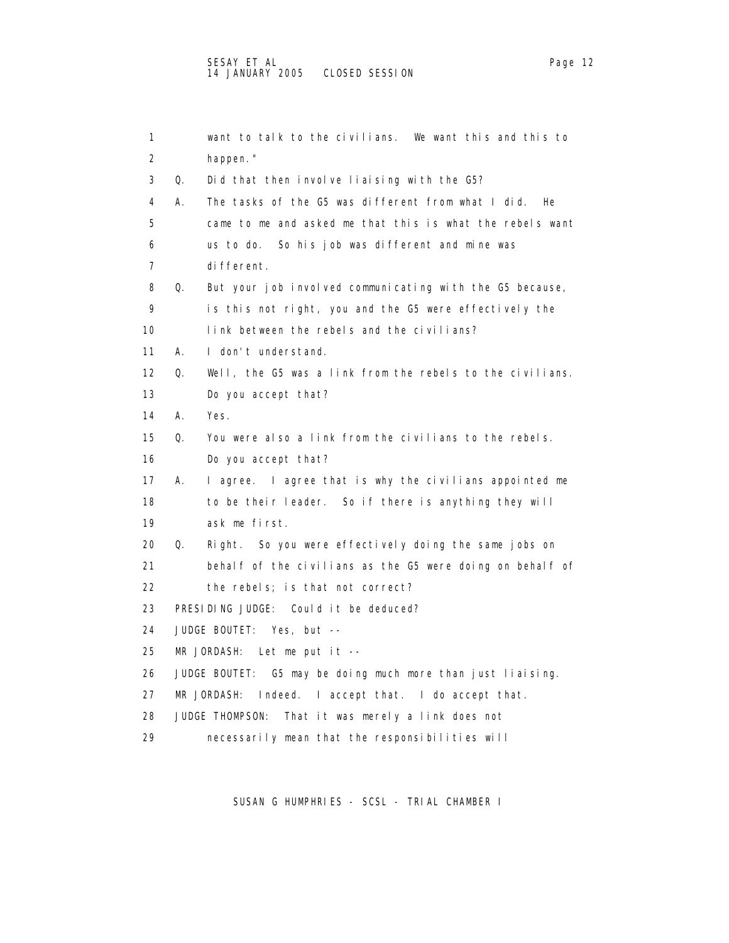| $\mathbf{1}$ |    | want to talk to the civilians. We want this and this to   |
|--------------|----|-----------------------------------------------------------|
| 2            |    | happen."                                                  |
| 3            | Q. | Did that then involve liaising with the G5?               |
| 4            | А. | The tasks of the G5 was different from what I did.<br>He  |
| 5            |    | came to me and asked me that this is what the rebels want |
| 6            |    | us to do. So his job was different and mine was           |
| 7            |    | di fferent.                                               |
| 8            | Q. | But your job involved communicating with the G5 because,  |
| 9            |    | is this not right, you and the G5 were effectively the    |
| 10           |    | link between the rebels and the civilians?                |
| 11           | А. | I don't understand.                                       |
| 12           | Q. | Well, the G5 was a link from the rebels to the civilians. |
| 13           |    | Do you accept that?                                       |
| 14           | А. | Yes.                                                      |
| 15           | Q. | You were also a link from the civilians to the rebels.    |
| 16           |    | Do you accept that?                                       |
| 17           | А. | I agree. I agree that is why the civilians appointed me   |
| 18           |    | to be their leader. So if there is anything they will     |
| 19           |    | ask me first.                                             |
| 20           | Q. | Right. So you were effectively doing the same jobs on     |
| 21           |    | behalf of the civilians as the G5 were doing on behalf of |

- 22 the rebels; is that not correct?
- 23 PRESIDING JUDGE: Could it be deduced?
- 24 JUDGE BOUTET: Yes, but --
- 25 MR JORDASH: Let me put it --
- 26 JUDGE BOUTET: G5 may be doing much more than just liaising.
- 27 MR JORDASH: Indeed. I accept that. I do accept that.
- 28 JUDGE THOMPSON: That it was merely a link does not
- 29 necessarily mean that the responsibilities will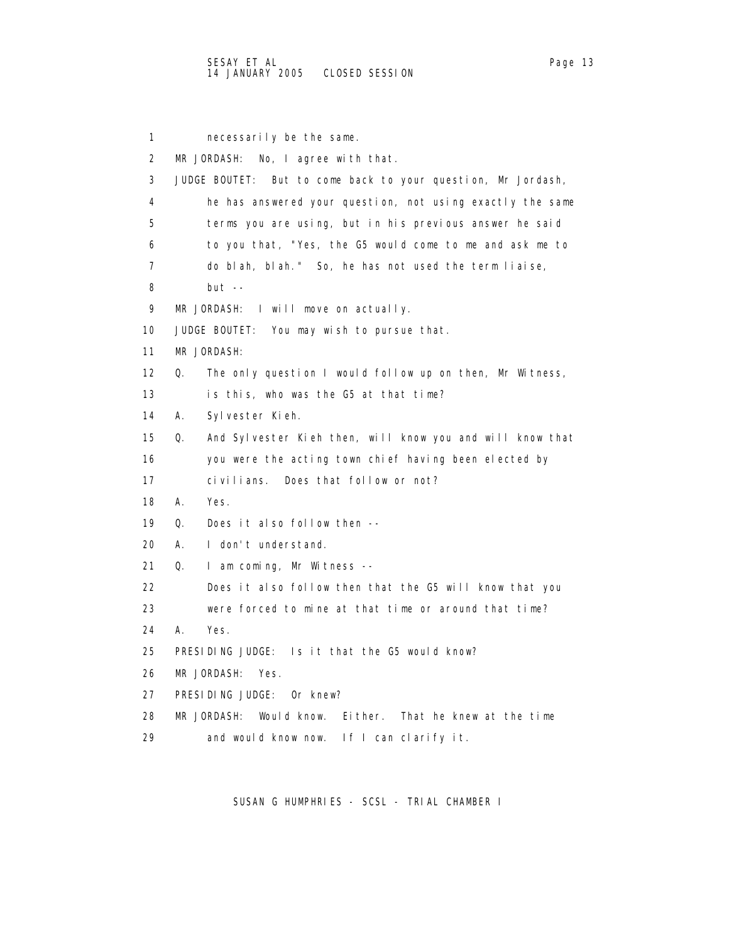1 necessarily be the same. 2 MR JORDASH: No, I agree with that. 3 JUDGE BOUTET: But to come back to your question, Mr Jordash, 4 he has answered your question, not using exactly the same 5 terms you are using, but in his previous answer he said 6 to you that, "Yes, the G5 would come to me and ask me to 7 do blah, blah." So, he has not used the term liaise, 8 but -- 9 MR JORDASH: I will move on actually. 10 JUDGE BOUTET: You may wish to pursue that. 11 MR JORDASH: 12 Q. The only question I would follow up on then, Mr Witness, 13 is this, who was the G5 at that time? 14 A. Sylvester Kieh. 15 Q. And Sylvester Kieh then, will know you and will know that 16 you were the acting town chief having been elected by 17 civilians. Does that follow or not? 18 A. Yes. 19 Q. Does it also follow then -- 20 A. I don't understand. 21 Q. I am coming, Mr Witness -- 22 Does it also follow then that the G5 will know that you 23 were forced to mine at that time or around that time? 24 A. Yes. 25 PRESIDING JUDGE: Is it that the G5 would know? 26 MR JORDASH: Yes. 27 PRESIDING JUDGE: Or knew? 28 MR JORDASH: Would know. Either. That he knew at the time 29 and would know now. If I can clarify it.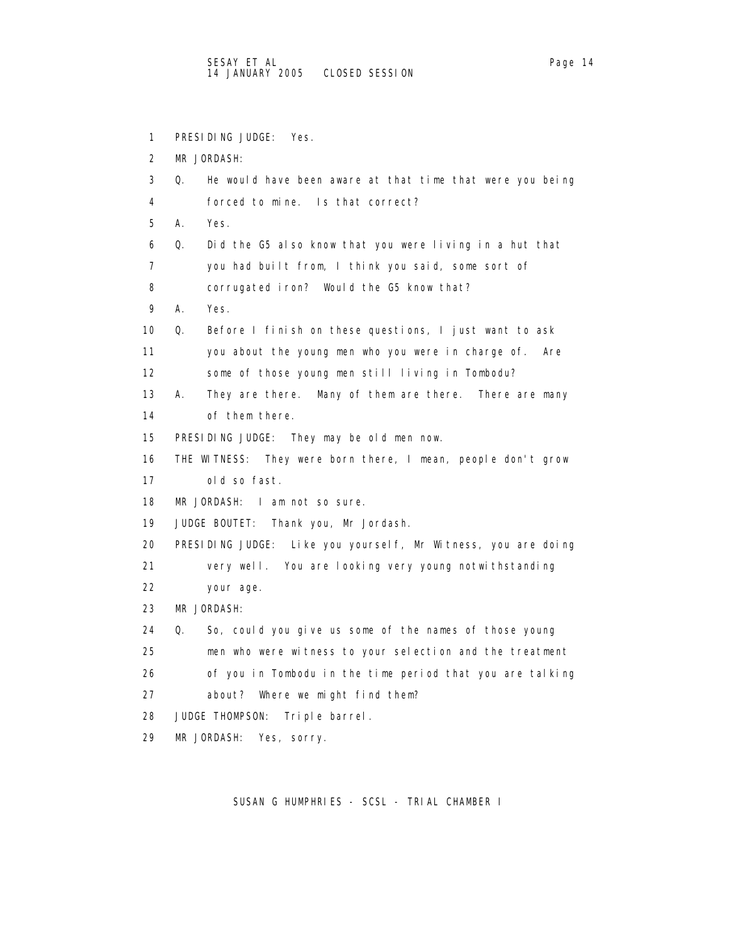1 PRESIDING JUDGE: Yes. 2 MR JORDASH: 3 Q. He would have been aware at that time that were you being 4 forced to mine. Is that correct? 5 A. Yes. 6 Q. Did the G5 also know that you were living in a hut that 7 you had built from, I think you said, some sort of 8 corrugated iron? Would the G5 know that? 9 A. Yes. 10 Q. Before I finish on these questions, I just want to ask 11 you about the young men who you were in charge of. Are 12 some of those young men still living in Tombodu? 13 A. They are there. Many of them are there. There are many 14 of them there. 15 PRESIDING JUDGE: They may be old men now. 16 THE WITNESS: They were born there, I mean, people don't grow 17 old so fast. 18 MR JORDASH: I am not so sure. 19 JUDGE BOUTET: Thank you, Mr Jordash. 20 PRESIDING JUDGE: Like you yourself, Mr Witness, you are doing 21 very well. You are looking very young notwithstanding 22 your age. 23 MR JORDASH: 24 Q. So, could you give us some of the names of those young 25 men who were witness to your selection and the treatment 26 of you in Tombodu in the time period that you are talking 27 about? Where we might find them? 28 JUDGE THOMPSON: Triple barrel. 29 MR JORDASH: Yes, sorry.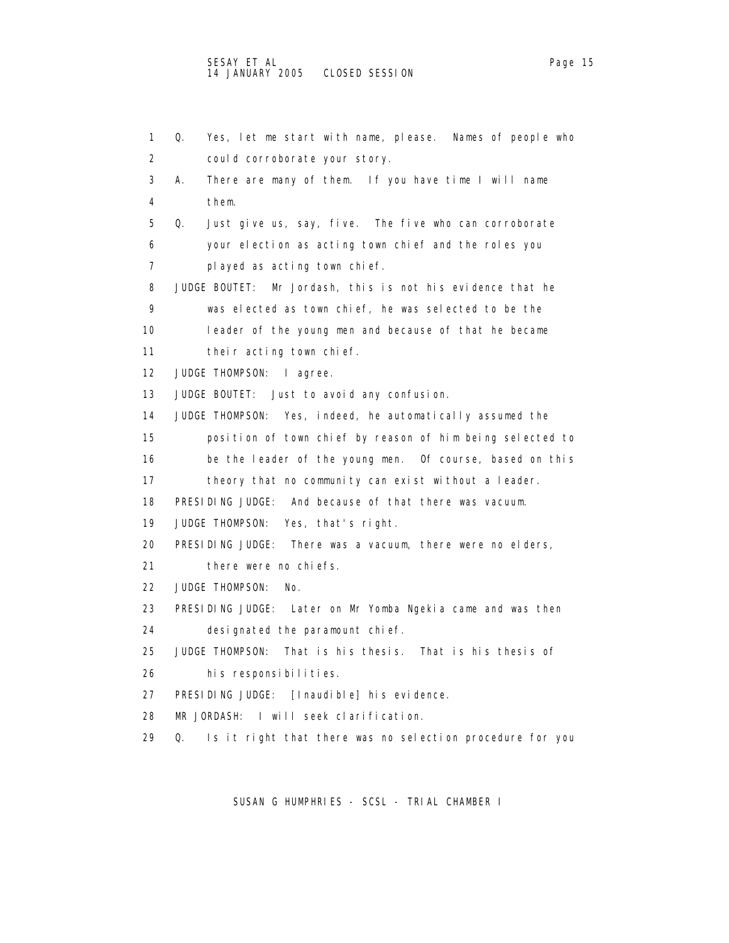| 1                 | Q.<br>Yes, let me start with name, please. Names of people who  |
|-------------------|-----------------------------------------------------------------|
| 2                 | could corroborate your story.                                   |
| 3                 | There are many of them. If you have time I will name<br>А.      |
| 4                 | them.                                                           |
| 5                 | Q.<br>Just give us, say, five. The five who can corroborate     |
| 6                 | your election as acting town chief and the roles you            |
| 7                 | played as acting town chief.                                    |
| 8                 | JUDGE BOUTET:<br>Mr Jordash, this is not his evidence that he   |
| 9                 | was elected as town chief, he was selected to be the            |
| 10                | leader of the young men and because of that he became           |
| 11                | their acting town chief.                                        |
| $12 \overline{ }$ | JUDGE THOMPSON: I agree.                                        |
| 13                | JUDGE BOUTET: Just to avoid any confusion.                      |
| 14                | JUDGE THOMPSON: Yes, indeed, he automatically assumed the       |
| 15                | position of town chief by reason of him being selected to       |
| 16                | be the leader of the young men. Of course, based on this        |
| 17                | theory that no community can exist without a leader.            |
| 18                | PRESIDING JUDGE: And because of that there was vacuum.          |
| 19                | JUDGE THOMPSON: Yes, that's right.                              |
| 20                | PRESIDING JUDGE:<br>There was a vacuum, there were no elders,   |
| 21                | there were no chiefs.                                           |
| 22                | <b>JUDGE THOMPSON:</b><br>No.                                   |
| 23                | PRESIDING JUDGE: Later on Mr Yomba Ngekia came and was then     |
| 24                | designated the paramount chief.                                 |
| 25                | JUDGE THOMPSON:<br>That is his thesis. That is his thesis of    |
| 26                | his responsibilities.                                           |
| 27                | PRESIDING JUDGE: [Inaudible] his evidence.                      |
| 28                | MR JORDASH: I will seek clarification.                          |
| 29                | Q.<br>Is it right that there was no selection procedure for you |
|                   |                                                                 |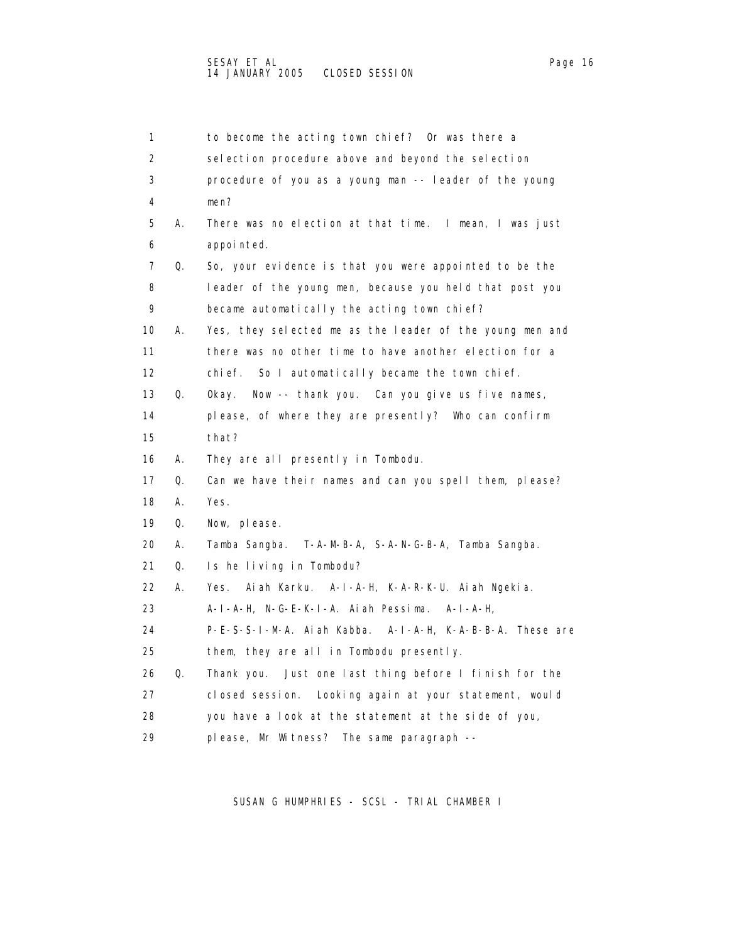| 1  |    | to become the acting town chief? Or was there a          |
|----|----|----------------------------------------------------------|
| 2  |    | selection procedure above and beyond the selection       |
| 3  |    | procedure of you as a young man -- leader of the young   |
| 4  |    | men?                                                     |
| 5  | А. | There was no election at that time. I mean, I was just   |
| 6  |    | appointed.                                               |
| 7  | Q. | So, your evidence is that you were appointed to be the   |
| 8  |    | leader of the young men, because you held that post you  |
| 9  |    | became automatically the acting town chief?              |
| 10 | А. | Yes, they selected me as the leader of the young men and |
| 11 |    | there was no other time to have another election for a   |
| 12 |    | chi ef.<br>So I automatically became the town chief.     |
| 13 | Q. | Now -- thank you. Can you give us five names,<br>0kay.   |
| 14 |    | please, of where they are presently? Who can confirm     |
| 15 |    | that?                                                    |
| 16 | А. | They are all presently in Tombodu.                       |
| 17 | Q. | Can we have their names and can you spell them, please?  |
| 18 | Α. | Yes.                                                     |
| 19 | Q. | Now, please.                                             |
| 20 | А. | Tamba Sangba. T-A-M-B-A, S-A-N-G-B-A, Tamba Sangba.      |
| 21 | Q. | Is he living in Tombodu?                                 |
| 22 | А. | Ai ah Karku. A-I-A-H, K-A-R-K-U. Ai ah Ngeki a.<br>Yes.  |
| 23 |    | A-I-A-H, N-G-E-K-I-A. Aiah Pessima. A-I-A-H,             |
| 24 |    | P-E-S-S-I-M-A. Aiah Kabba. A-I-A-H, K-A-B-B-A. These are |
| 25 |    | them, they are all in Tombodu presently.                 |
| 26 | Q. | Thank you. Just one last thing before I finish for the   |
| 27 |    | closed session. Looking again at your statement, would   |
| 28 |    | you have a look at the statement at the side of you,     |
| 29 |    | please, Mr Witness? The same paragraph --                |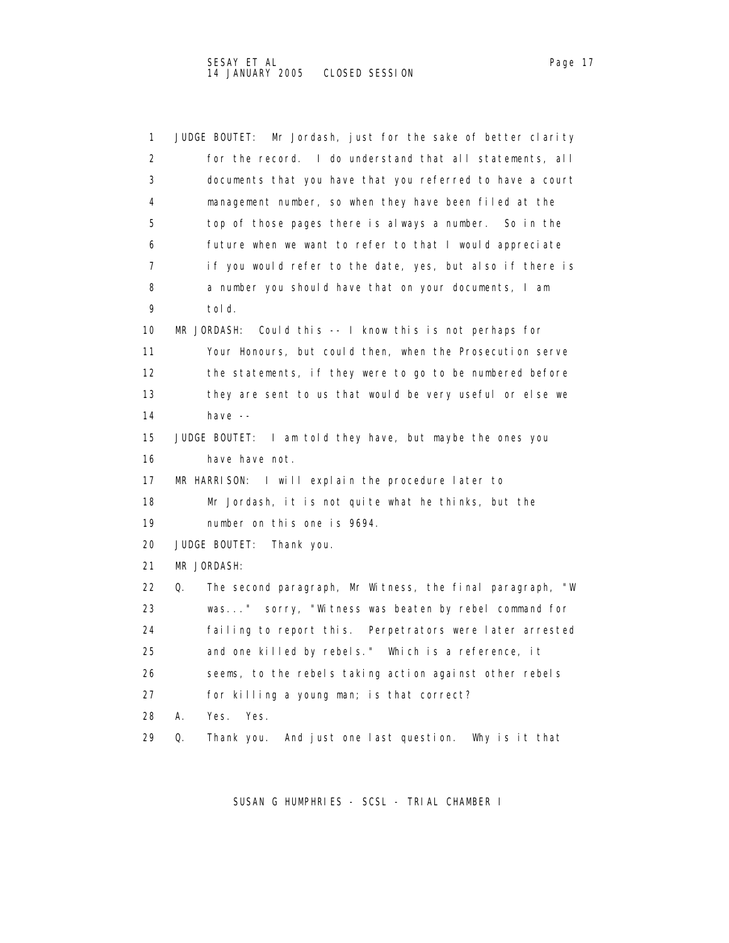| 1                 | JUDGE BOUTET: Mr Jordash, just for the sake of better clarity   |
|-------------------|-----------------------------------------------------------------|
| 2                 | for the record. I do understand that all statements, all        |
| 3                 | documents that you have that you referred to have a court       |
| 4                 | management number, so when they have been filed at the          |
| 5                 | top of those pages there is always a number. So in the          |
| 6                 | future when we want to refer to that I would appreciate         |
| 7                 | if you would refer to the date, yes, but also if there is       |
| 8                 | a number you should have that on your documents, I am           |
| 9                 | tol d.                                                          |
| 10                | MR JORDASH: Could this -- I know this is not perhaps for        |
| 11                | Your Honours, but could then, when the Prosecution serve        |
| $12 \overline{ }$ | the statements, if they were to go to be numbered before        |
| 13                | they are sent to us that would be very useful or else we        |
| 14                | have $-$                                                        |
| 15                | JUDGE BOUTET: I am told they have, but maybe the ones you       |
| 16                | have have not.                                                  |
| 17                | MR HARRISON: I will explain the procedure later to              |
| 18                | Mr Jordash, it is not quite what he thinks, but the             |
| 19                | number on this one is 9694.                                     |
| 20                | JUDGE BOUTET:<br>Thank you.                                     |
| 21                | MR JORDASH:                                                     |
| 22                | The second paragraph, Mr Witness, the final paragraph, "W<br>0. |
| 23                | was" sorry, "Witness was beaten by rebel command for            |
| 24                | failing to report this. Perpetrators were later arrested        |
| 25                | and one killed by rebels." Which is a reference, it             |
| 26                | seems, to the rebels taking action against other rebels         |
| 27                | for killing a young man; is that correct?                       |
| 28                | А.<br>Yes. Yes.                                                 |
| 29                | Thank you. And just one last question. Why is it that<br>Q.     |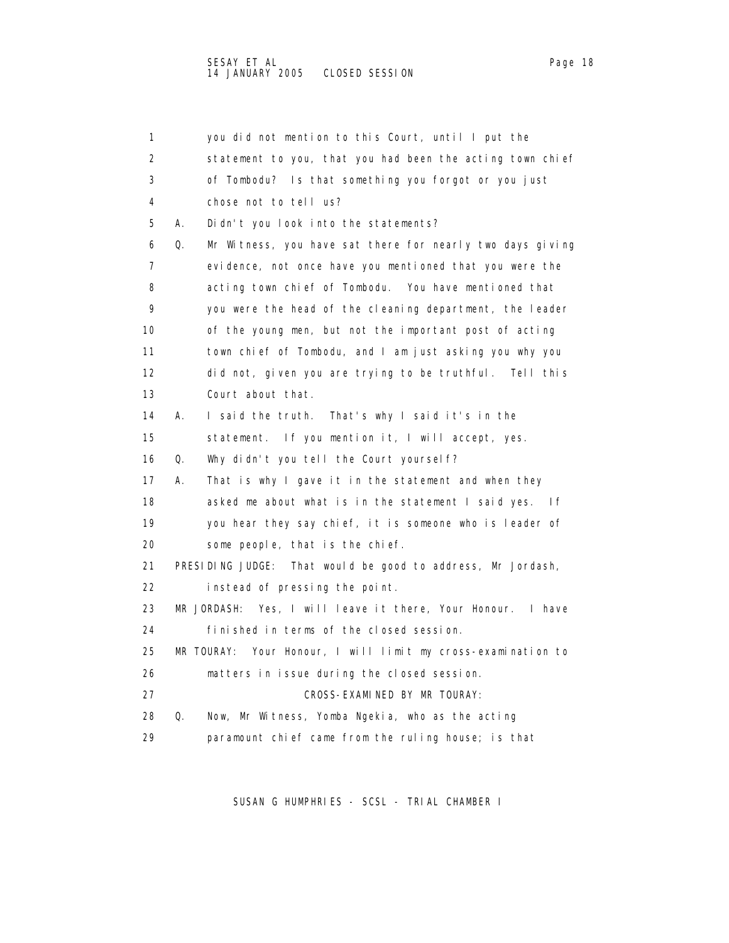| Page |  |
|------|--|
|------|--|

 1 you did not mention to this Court, until I put the 2 statement to you, that you had been the acting town chief 3 of Tombodu? Is that something you forgot or you just 4 chose not to tell us? 5 A. Didn't you look into the statements? 6 Q. Mr Witness, you have sat there for nearly two days giving 7 evidence, not once have you mentioned that you were the 8 acting town chief of Tombodu. You have mentioned that 9 you were the head of the cleaning department, the leader 10 of the young men, but not the important post of acting 11 town chief of Tombodu, and I am just asking you why you 12 did not, given you are trying to be truthful. Tell this 13 Court about that. 14 A. I said the truth. That's why I said it's in the 15 statement. If you mention it, I will accept, yes. 16 Q. Why didn't you tell the Court yourself? 17 A. That is why I gave it in the statement and when they 18 asked me about what is in the statement I said yes. If 19 you hear they say chief, it is someone who is leader of 20 some people, that is the chief. 21 PRESIDING JUDGE: That would be good to address, Mr Jordash, 22 instead of pressing the point. 23 MR JORDASH: Yes, I will leave it there, Your Honour. I have 24 finished in terms of the closed session. 25 MR TOURAY: Your Honour, I will limit my cross-examination to 26 matters in issue during the closed session. 27 CROSS-EXAMINED BY MR TOURAY: 28 Q. Now, Mr Witness, Yomba Ngekia, who as the acting 29 paramount chief came from the ruling house; is that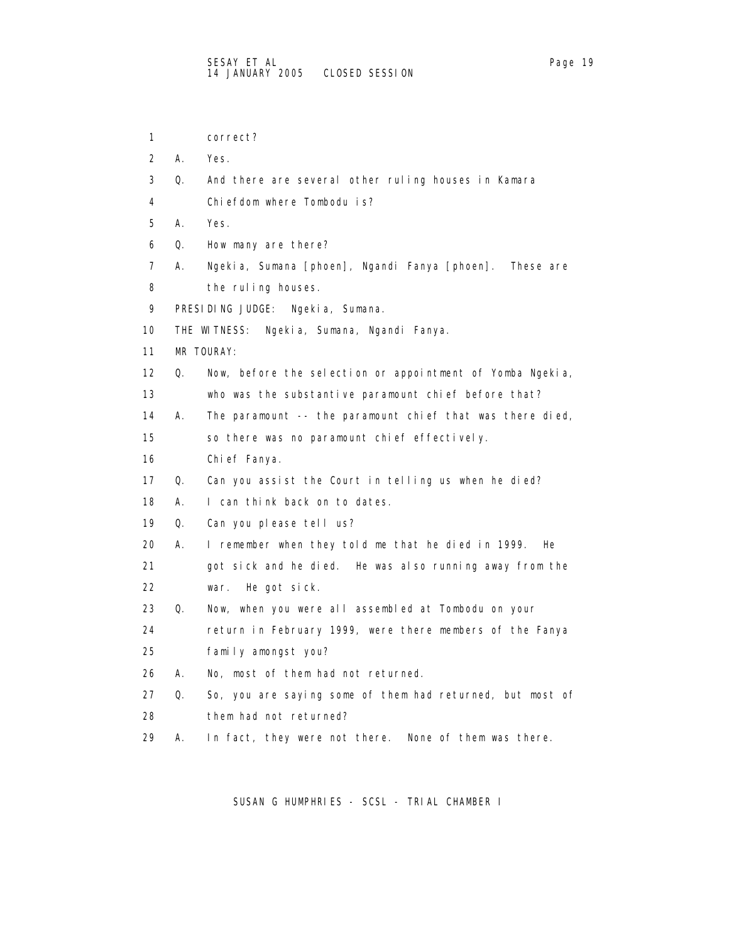- 1 correct? 2 A. Yes. 3 Q. And there are several other ruling houses in Kamara 4 Chiefdom where Tombodu is? 5 A. Yes. 6 Q. How many are there? 7 A. Ngekia, Sumana [phoen], Ngandi Fanya [phoen]. These are 8 the ruling houses. 9 PRESIDING JUDGE: Ngekia, Sumana. 10 THE WITNESS: Ngekia, Sumana, Ngandi Fanya. 11 MR TOURAY: 12 Q. Now, before the selection or appointment of Yomba Ngekia, 13 who was the substantive paramount chief before that? 14 A. The paramount -- the paramount chief that was there died, 15 so there was no paramount chief effectively. 16 Chief Fanya. 17 Q. Can you assist the Court in telling us when he died? 18 A. I can think back on to dates. 19 Q. Can you please tell us? 20 A. I remember when they told me that he died in 1999. He 21 got sick and he died. He was also running away from the 22 war. He got sick. 23 Q. Now, when you were all assembled at Tombodu on your 24 return in February 1999, were there members of the Fanya 25 family amongst you?
- 26 A. No, most of them had not returned.
- 27 Q. So, you are saying some of them had returned, but most of 28 them had not returned?
- 29 A. In fact, they were not there. None of them was there.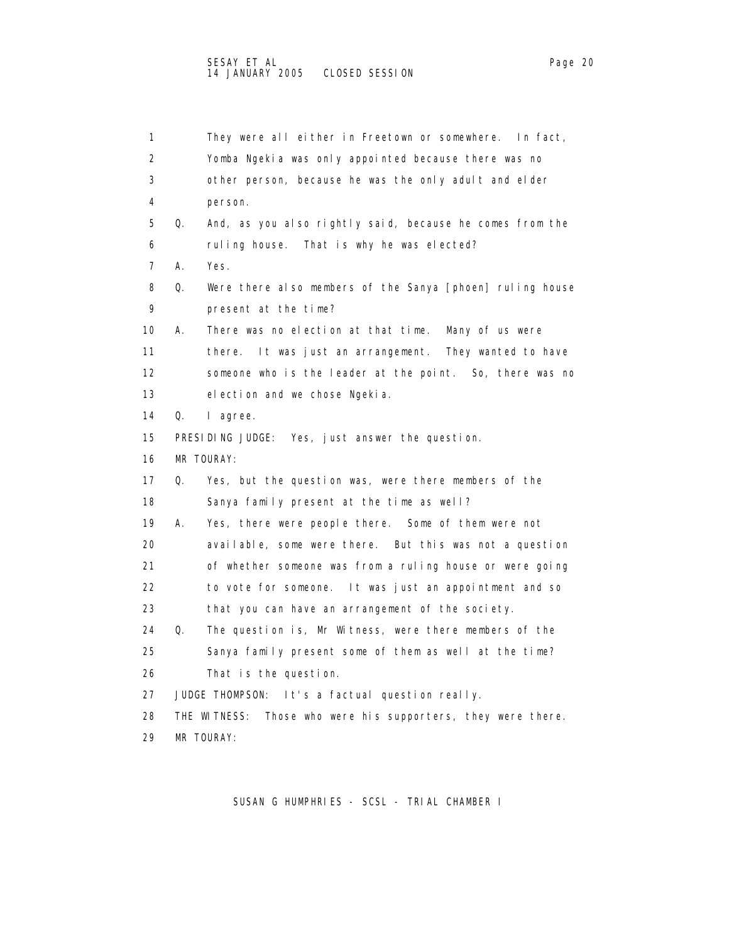| 1                 | They were all either in Freetown or somewhere. In fact,         |
|-------------------|-----------------------------------------------------------------|
| 2                 | Yomba Ngekia was only appointed because there was no            |
| 3                 | other person, because he was the only adult and elder           |
| 4                 |                                                                 |
|                   | person.                                                         |
| 5                 | And, as you also rightly said, because he comes from the<br>Q.  |
| 6                 | That is why he was elected?<br>ruling house.                    |
| $\overline{7}$    | Yes.<br>А.                                                      |
| 8                 | Q.<br>Were there also members of the Sanya [phoen] ruling house |
| 9                 | present at the time?                                            |
| 10                | А.<br>There was no election at that time. Many of us were       |
| 11                | there.<br>It was just an arrangement. They wanted to have       |
| $12 \overline{ }$ | someone who is the leader at the point. So, there was no        |
| 13                | election and we chose Ngekia.                                   |
| 14                | Q.<br>l agree.                                                  |
| 15                | PRESIDING JUDGE: Yes, just answer the question.                 |
| 16                | MR TOURAY:                                                      |
| 17                | Q.<br>Yes, but the question was, were there members of the      |
| 18                | Sanya family present at the time as well?                       |
| 19                | Yes, there were people there. Some of them were not<br>А.       |
| 20                | available, some were there. But this was not a question         |
| 21                | of whether someone was from a ruling house or were going        |
| 22                | to vote for someone. It was just an appointment and so          |
| 23                | that you can have an arrangement of the society.                |
| 24                | Q.<br>The question is, Mr Witness, were there members of the    |
| 25                | Sanya family present some of them as well at the time?          |
| 26                | That is the question.                                           |
| 27                | JUDGE THOMPSON: It's a factual question really.                 |
| 28                | THE WITNESS:<br>Those who were his supporters, they were there. |
| 29                | MR TOURAY:                                                      |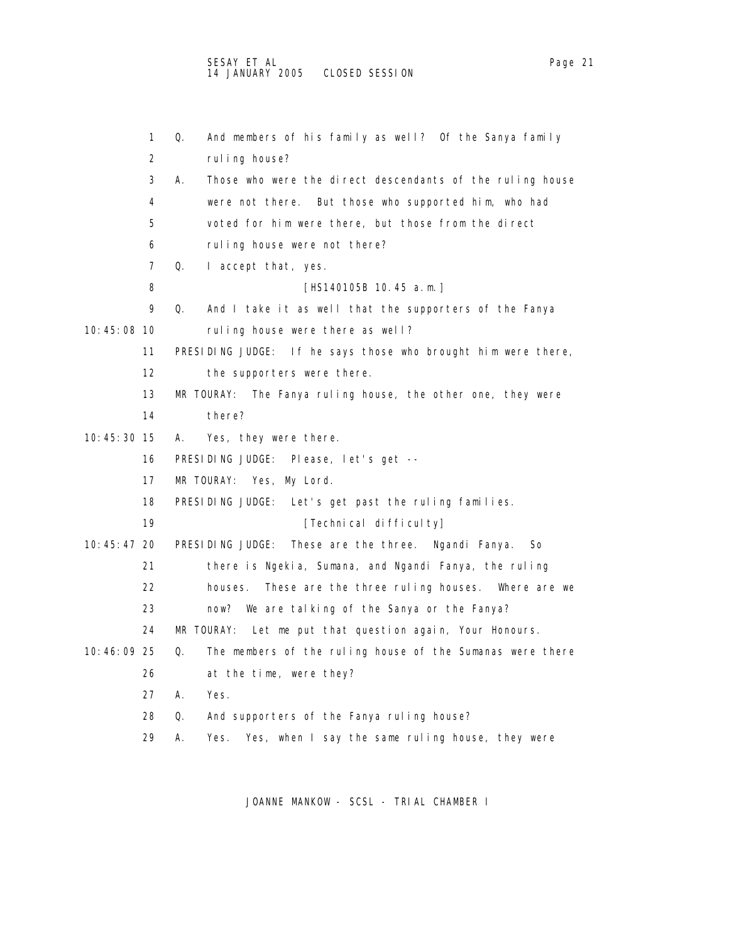1 Q. And members of his family as well? Of the Sanya family 3 A. Those who were the direct descendants of the ruling house 4 were not there. But those who supported him, who had 5 voted for him were there, but those from the direct 6 ruling house were not there?

7 Q. I accept that, yes.

2 ruling house?

- 8 [HS140105B 10.45 a.m.]
- 9 Q. And I take it as well that the supporters of the Fanya
- 10:45:08 10 ruling house were there as well?
	- 11 PRESIDING JUDGE: If he says those who brought him were there,
	- 12 the supporters were there.
	- 13 MR TOURAY: The Fanya ruling house, the other one, they were
	- 14 there?
- 10:45:30 15 A. Yes, they were there.
	- 16 PRESIDING JUDGE: Please, let's get --
	- 17 MR TOURAY: Yes, My Lord.
	- 18 PRESIDING JUDGE: Let's get past the ruling families.
	- 19 **[Technical difficulty]**
- 10:45:47 20 PRESIDING JUDGE: These are the three. Ngandi Fanya. So
	- 21 there is Ngekia, Sumana, and Ngandi Fanya, the ruling
	- 22 houses. These are the three ruling houses. Where are we
	- 23 now? We are talking of the Sanya or the Fanya?
	- 24 MR TOURAY: Let me put that question again, Your Honours.
- 10:46:09 25 Q. The members of the ruling house of the Sumanas were there
	- 26 at the time, were they?
	- 27 A. Yes.
	- 28 Q. And supporters of the Fanya ruling house?
	- 29 A. Yes. Yes, when I say the same ruling house, they were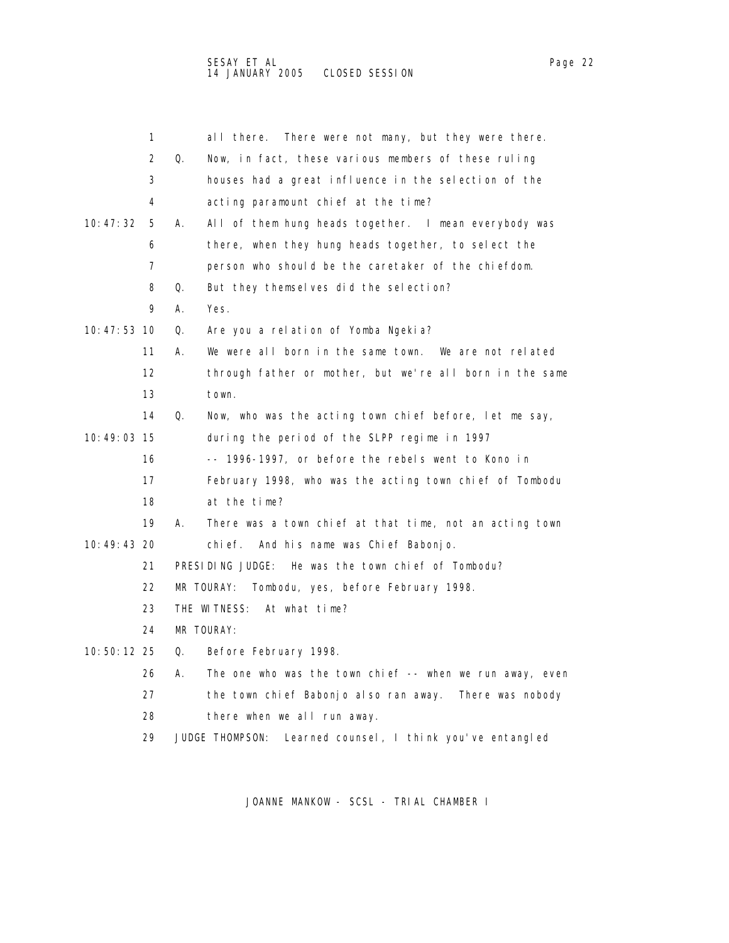|             | 1  |    | There were not many, but they were there.<br>all there.  |
|-------------|----|----|----------------------------------------------------------|
|             | 2  | Q. | Now, in fact, these various members of these ruling      |
|             | 3  |    | houses had a great influence in the selection of the     |
|             | 4  |    | acting paramount chief at the time?                      |
| 10:47:32    | 5  | А. | All of them hung heads together. I mean everybody was    |
|             | 6  |    | there, when they hung heads together, to select the      |
|             | 7  |    | person who should be the caretaker of the chiefdom.      |
|             | 8  | Q. | But they themselves did the selection?                   |
|             | 9  | A. | Yes.                                                     |
| 10:47:53 10 |    | Q. | Are you a relation of Yomba Ngekia?                      |
|             | 11 | А. | We were all born in the same town. We are not related    |
|             | 12 |    | through father or mother, but we're all born in the same |
|             | 13 |    | town.                                                    |
|             | 14 | Q. | Now, who was the acting town chief before, let me say,   |
| 10:49:03 15 |    |    | during the period of the SLPP regime in 1997             |
|             | 16 |    | -- 1996-1997, or before the rebels went to Kono in       |
|             | 17 |    | February 1998, who was the acting town chief of Tombodu  |
|             | 18 |    | at the time?                                             |
|             | 19 | А. | There was a town chief at that time, not an acting town  |
| 10:49:43 20 |    |    | chief. And his name was Chief Babonjo.                   |
|             | 21 |    | PRESIDING JUDGE: He was the town chief of Tombodu?       |
|             | 22 |    | MR TOURAY: Tombodu, yes, before February 1998.           |
|             | 23 |    | THE WITNESS:<br>At what time?                            |
|             | 24 |    | MR TOURAY:                                               |

- 10:50:12 25 Q. Before February 1998.
	- 26 A. The one who was the town chief -- when we run away, even
	- 27 the town chief Babonjo also ran away. There was nobody
	- 28 there when we all run away.
	- 29 JUDGE THOMPSON: Learned counsel, I think you've entangled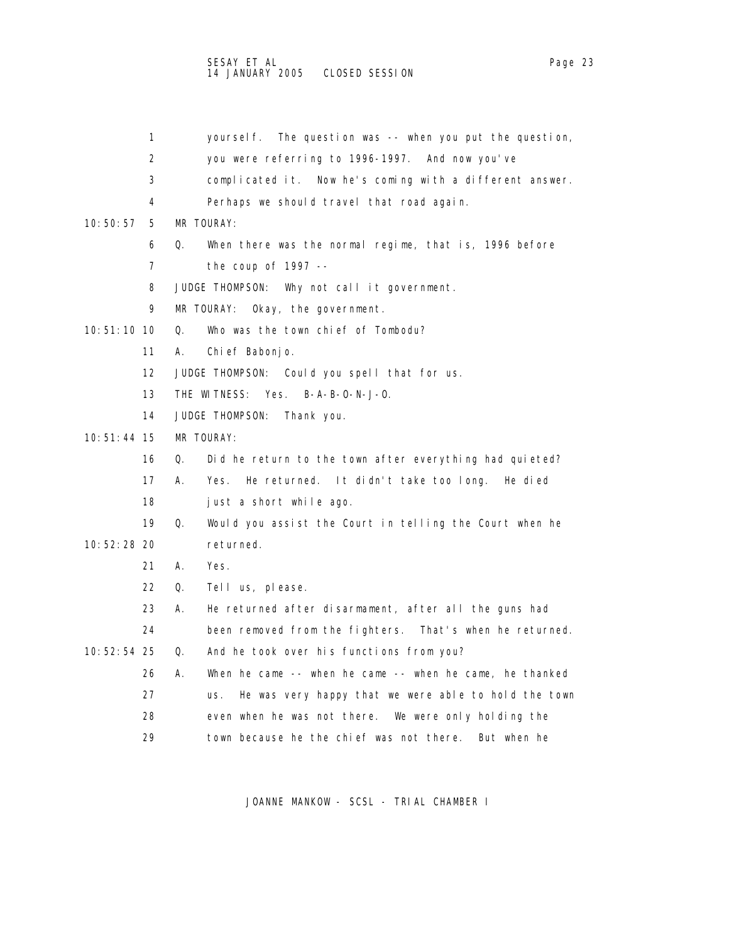- 1 yourself. The question was -- when you put the question,
- 2 you were referring to 1996-1997. And now you've
- 3 complicated it. Now he's coming with a different answer.
- 4 Perhaps we should travel that road again.
- 10:50:57 5 MR TOURAY:
	- 6 Q. When there was the normal regime, that is, 1996 before
	- 7 the coup of 1997 --
	- 8 JUDGE THOMPSON: Why not call it government.
	- 9 MR TOURAY: Okay, the government.
- 10:51:10 10 Q. Who was the town chief of Tombodu?
	- 11 A. Chief Babonjo.
	- 12 JUDGE THOMPSON: Could you spell that for us.
	- 13 THE WITNESS: Yes. B-A-B-O-N-J-O.
	- 14 JUDGE THOMPSON: Thank you.

10:51:44 15 MR TOURAY:

- 16 Q. Did he return to the town after everything had quieted?
- 17 A. Yes. He returned. It didn't take too long. He died
- 18 just a short while ago.
- 19 Q. Would you assist the Court in telling the Court when he 10:52:28 20 returned.
	- 21 A. Yes.
	- 22 Q. Tell us, please.
	- 23 A. He returned after disarmament, after all the guns had
	- 24 been removed from the fighters. That's when he returned.
- 10:52:54 25 Q. And he took over his functions from you?
	- 26 A. When he came -- when he came -- when he came, he thanked
	- 27 us. He was very happy that we were able to hold the town
	- 28 even when he was not there. We were only holding the
	- 29 town because he the chief was not there. But when he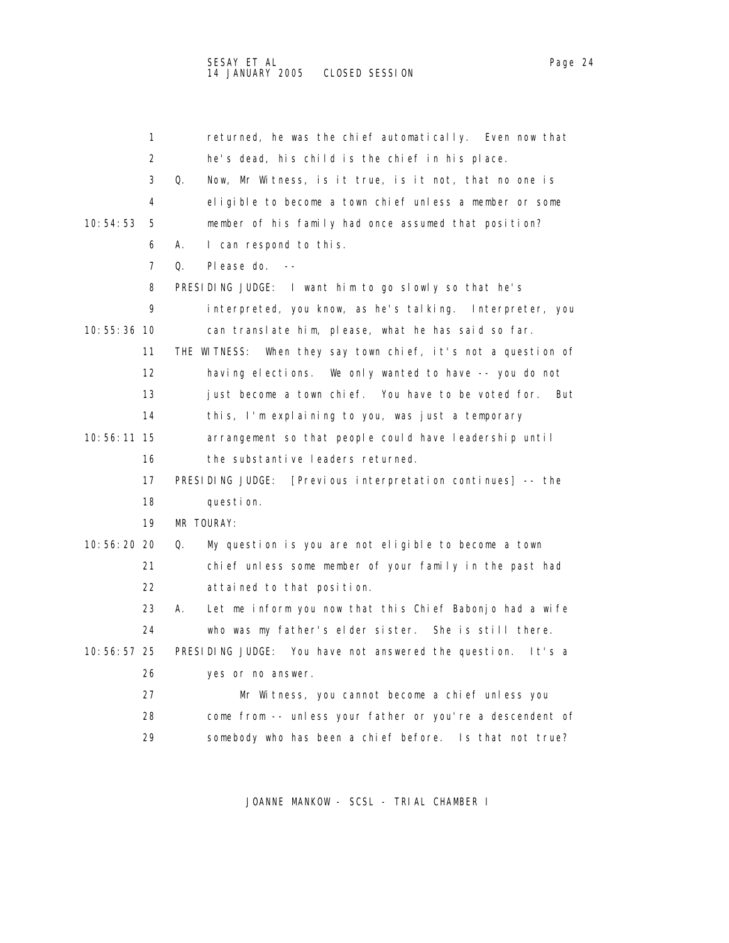1 returned, he was the chief automatically. Even now that 2 he's dead, his child is the chief in his place. 3 Q. Now, Mr Witness, is it true, is it not, that no one is 4 eligible to become a town chief unless a member or some 10:54:53 5 member of his family had once assumed that position? 6 A. I can respond to this. 7 Q. Please do. -- 8 PRESIDING JUDGE: I want him to go slowly so that he's 9 interpreted, you know, as he's talking. Interpreter, you 10:55:36 10 can translate him, please, what he has said so far. 11 THE WITNESS: When they say town chief, it's not a question of 12 having elections. We only wanted to have -- you do not 13 just become a town chief. You have to be voted for. But 14 this, I'm explaining to you, was just a temporary 10:56:11 15 arrangement so that people could have leadership until 16 the substantive leaders returned. 17 PRESIDING JUDGE: [Previous interpretation continues] -- the 18 question. 19 MR TOURAY: 10:56:20 20 Q. My question is you are not eligible to become a town 21 chief unless some member of your family in the past had 22 attained to that position. 23 A. Let me inform you now that this Chief Babonjo had a wife 24 who was my father's elder sister. She is still there. 10:56:57 25 PRESIDING JUDGE: You have not answered the question. It's a 26 yes or no answer. 27 Mr Witness, you cannot become a chief unless you 28 come from -- unless your father or you're a descendent of 29 somebody who has been a chief before. Is that not true?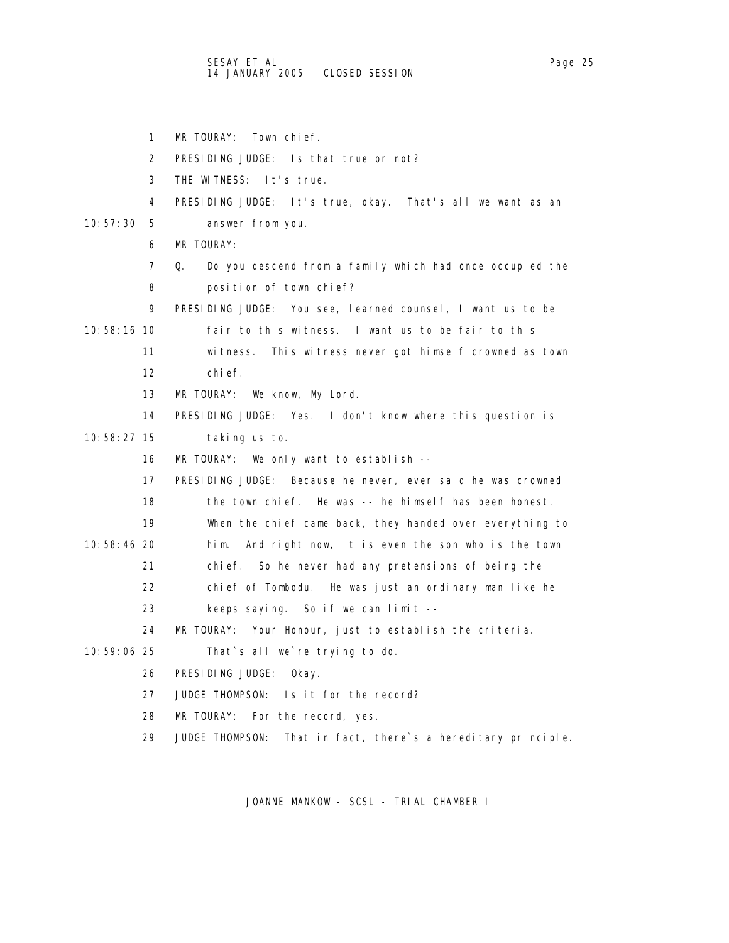1 MR TOURAY: Town chief. 2 PRESIDING JUDGE: Is that true or not? 3 THE WITNESS: It's true. 4 PRESIDING JUDGE: It's true, okay. That's all we want as an 10:57:30 5 answer from you. 6 MR TOURAY: 7 Q. Do you descend from a family which had once occupied the 8 position of town chief? 9 PRESIDING JUDGE: You see, learned counsel, I want us to be 10:58:16 10 fair to this witness. I want us to be fair to this 11 witness. This witness never got himself crowned as town 12 chief. 13 MR TOURAY: We know, My Lord. 14 PRESIDING JUDGE: Yes. I don't know where this question is 10:58:27 15 taking us to. 16 MR TOURAY: We only want to establish -- 17 PRESIDING JUDGE: Because he never, ever said he was crowned 18 the town chief. He was -- he himself has been honest. 19 When the chief came back, they handed over everything to 10:58:46 20 him. And right now, it is even the son who is the town 21 chief. So he never had any pretensions of being the 22 chief of Tombodu. He was just an ordinary man like he 23 keeps saying. So if we can limit -- 24 MR TOURAY: Your Honour, just to establish the criteria. 10:59:06 25 That`s all we`re trying to do. 26 PRESIDING JUDGE: Okay. 27 JUDGE THOMPSON: Is it for the record? 28 MR TOURAY: For the record, yes.

29 JUDGE THOMPSON: That in fact, there's a hereditary principle.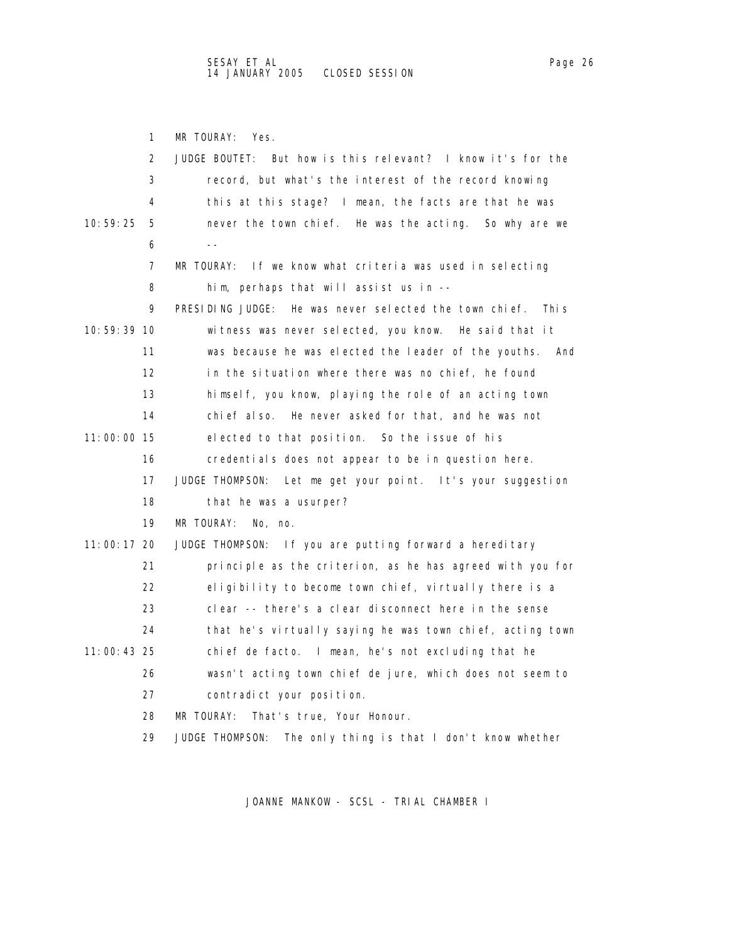1 MR TOURAY: Yes. 2 JUDGE BOUTET: But how is this relevant? I know it's for the 3 record, but what's the interest of the record knowing 4 this at this stage? I mean, the facts are that he was 10:59:25 5 never the town chief. He was the acting. So why are we  $6 - -$  7 MR TOURAY: If we know what criteria was used in selecting 8 him, perhaps that will assist us in -- 9 PRESIDING JUDGE: He was never selected the town chief. This 10:59:39 10 witness was never selected, you know. He said that it 11 was because he was elected the leader of the youths. And 12 in the situation where there was no chief, he found 13 himself, you know, playing the role of an acting town 14 chief also. He never asked for that, and he was not 11:00:00 15 elected to that position. So the issue of his 16 credentials does not appear to be in question here. 17 JUDGE THOMPSON: Let me get your point. It's your suggestion 18 that he was a usurper? 19 MR TOURAY: No, no. 11:00:17 20 JUDGE THOMPSON: If you are putting forward a hereditary 21 principle as the criterion, as he has agreed with you for 22 eligibility to become town chief, virtually there is a 23 clear -- there's a clear disconnect here in the sense 24 that he's virtually saying he was town chief, acting town 11:00:43 25 chief de facto. I mean, he's not excluding that he 26 wasn't acting town chief de jure, which does not seem to 27 contradict your position. 28 MR TOURAY: That's true, Your Honour.

29 JUDGE THOMPSON: The only thing is that I don't know whether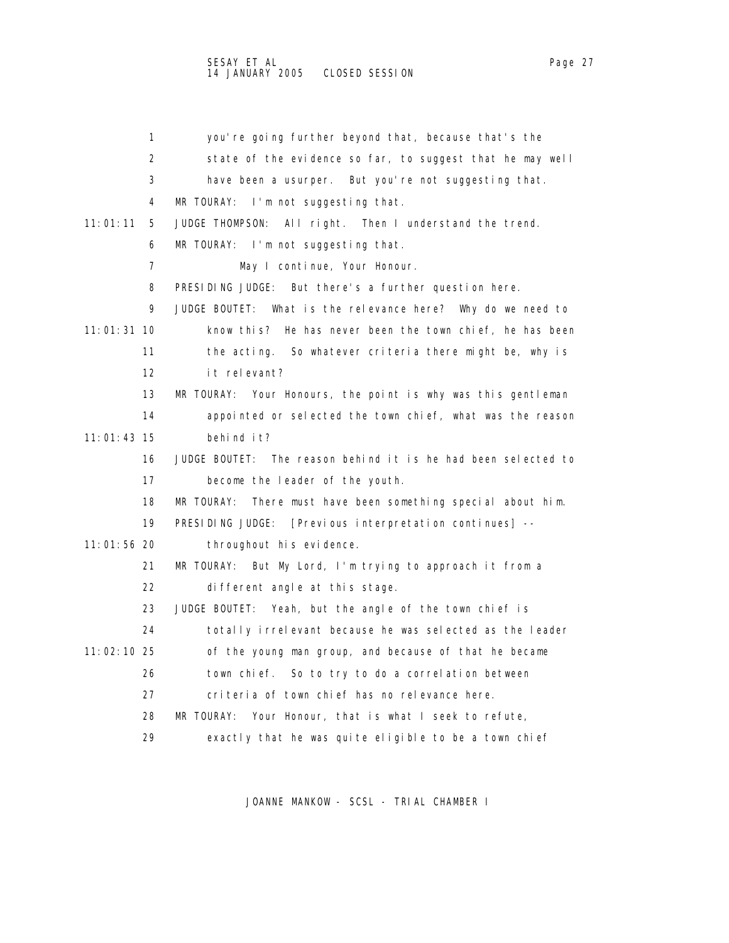1 you're going further beyond that, because that's the 2 state of the evidence so far, to suggest that he may well 3 have been a usurper. But you're not suggesting that. 4 MR TOURAY: I'm not suggesting that. 11:01:11 5 JUDGE THOMPSON: All right. Then I understand the trend. 6 MR TOURAY: I'm not suggesting that. 7 May I continue, Your Honour. 8 PRESIDING JUDGE: But there's a further question here. 9 JUDGE BOUTET: What is the relevance here? Why do we need to 11:01:31 10 know this? He has never been the town chief, he has been 11 the acting. So whatever criteria there might be, why is 12 it relevant? 13 MR TOURAY: Your Honours, the point is why was this gentleman 14 appointed or selected the town chief, what was the reason 11:01:43 15 behind it? 16 JUDGE BOUTET: The reason behind it is he had been selected to 17 become the leader of the youth. 18 MR TOURAY: There must have been something special about him. 19 PRESIDING JUDGE: [Previous interpretation continues] -- 11:01:56 20 throughout his evidence. 21 MR TOURAY: But My Lord, I'm trying to approach it from a 22 different angle at this stage. 23 JUDGE BOUTET: Yeah, but the angle of the town chief is 24 totally irrelevant because he was selected as the leader 11:02:10 25 of the young man group, and because of that he became 26 town chief. So to try to do a correlation between 27 criteria of town chief has no relevance here. 28 MR TOURAY: Your Honour, that is what I seek to refute, 29 exactly that he was quite eligible to be a town chief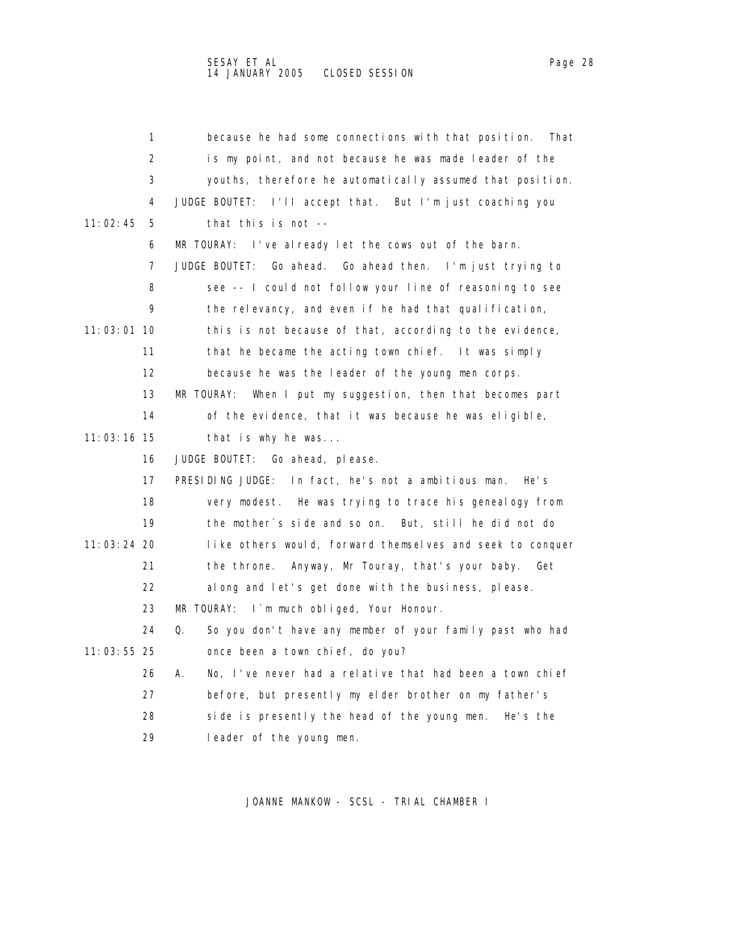| 1             | because he had some connections with that position.<br>That    |
|---------------|----------------------------------------------------------------|
| 2             | is my point, and not because he was made leader of the         |
| 3             | youths, therefore he automatically assumed that position.      |
| 4             | JUDGE BOUTET: I'll accept that. But I'm just coaching you      |
| 11:02:45<br>5 | that this is not $-$                                           |
| 6             | MR TOURAY: I've already let the cows out of the barn.          |
| 7             | JUDGE BOUTET: Go ahead. Go ahead then. I'm just trying to      |
| 8             | see -- I could not follow your line of reasoning to see        |
| 9             | the relevancy, and even if he had that qualification,          |
| 11:03:01 10   | this is not because of that, according to the evidence,        |
| 11            | that he became the acting town chief. It was simply            |
| 12            | because he was the leader of the young men corps.              |
| 13            | MR TOURAY:<br>When I put my suggestion, then that becomes part |
| 14            | of the evidence, that it was because he was eligible,          |
| 11:03:16 15   | that is why he was                                             |
| 16            | JUDGE BOUTET: Go ahead, please.                                |
| 17            | PRESIDING JUDGE: In fact, he's not a ambitious man.<br>He's    |
| 18            | very modest. He was trying to trace his genealogy from         |
| 19            | the mother's side and so on. But, still he did not do          |
| 11:03:24 20   | like others would, forward themselves and seek to conquer      |
| 21            | the throne. Anyway, Mr Touray, that's your baby.<br>Get        |
| 22            | along and let's get done with the business, please.            |
| 23            | MR TOURAY: I'm much obliged, Your Honour.                      |
| 24            | Q.<br>So you don't have any member of your family past who had |
| 11:03:55 25   | once been a town chief, do you?                                |
| 26            | No, I've never had a relative that had been a town chief<br>А. |
| 27            | before, but presently my elder brother on my father's          |
| 28            | side is presently the head of the young men. He's the          |
| 29            | leader of the young men.                                       |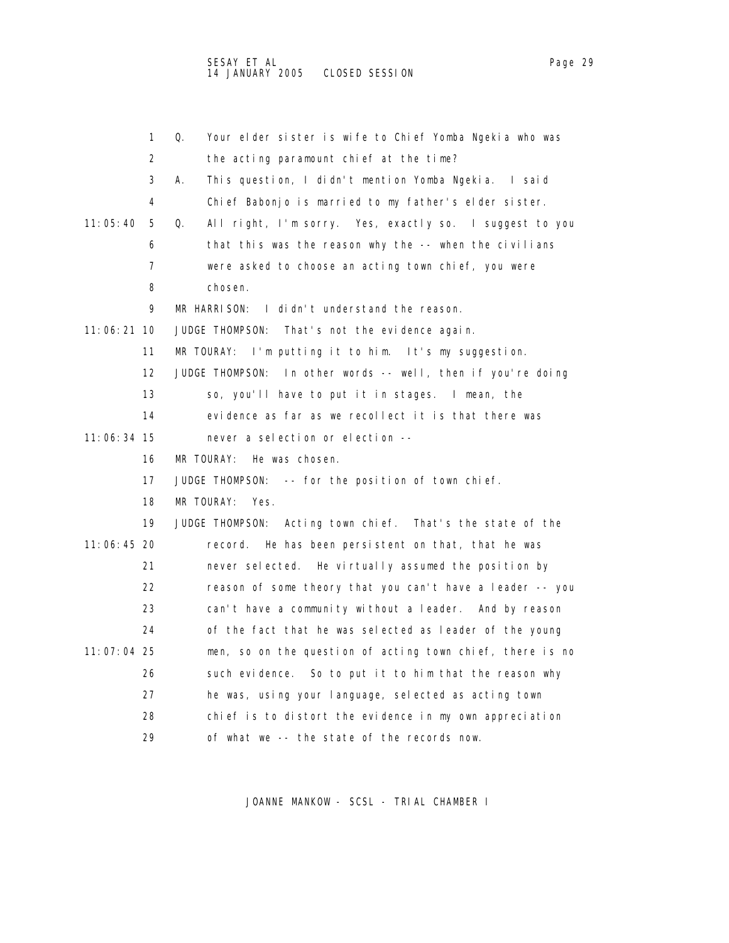|               | 1                 | Q.<br>Your elder sister is wife to Chief Yomba Ngekia who was |
|---------------|-------------------|---------------------------------------------------------------|
|               | 2                 | the acting paramount chief at the time?                       |
|               | 3                 | This question, I didn't mention Yomba Ngekia. I said<br>А.    |
|               | 4                 | Chief Babonjo is married to my father's elder sister.         |
| 11:05:40      | 5                 | All right, I'm sorry. Yes, exactly so. I suggest to you<br>Q. |
|               | 6                 | that this was the reason why the -- when the civilians        |
|               | 7                 | were asked to choose an acting town chief, you were           |
|               | 8                 | chosen.                                                       |
|               | 9                 | MR HARRISON: I didn't understand the reason.                  |
| 11:06:21 10   |                   | JUDGE THOMPSON: That's not the evidence again.                |
|               | 11                | MR TOURAY: I'm putting it to him. It's my suggestion.         |
|               | $12 \overline{ }$ | JUDGE THOMPSON: In other words -- well, then if you're doing  |
|               | 13                | so, you'll have to put it in stages. I mean, the              |
|               | 14                | evidence as far as we recollect it is that there was          |
| 11:06:34 15   |                   | never a selection or election --                              |
|               | 16                | MR TOURAY:<br>He was chosen.                                  |
|               | 17                | JUDGE THOMPSON: -- for the position of town chief.            |
|               | 18                | MR TOURAY: Yes.                                               |
|               | 19                | JUDGE THOMPSON: Acting town chief. That's the state of the    |
| 11:06:45 20   |                   | record. He has been persistent on that, that he was           |
|               | 21                | never selected. He virtually assumed the position by          |
|               | 22                | reason of some theory that you can't have a leader -- you     |
|               | 23                | can't have a community without a leader. And by reason        |
|               | 24                | of the fact that he was selected as leader of the young       |
| $11:07:04$ 25 |                   | men, so on the question of acting town chief, there is no     |
|               | 26                | such evidence. So to put it to him that the reason why        |
|               | 27                | he was, using your language, selected as acting town          |
|               | 28                | chief is to distort the evidence in my own appreciation       |
|               | 29                | of what we -- the state of the records now.                   |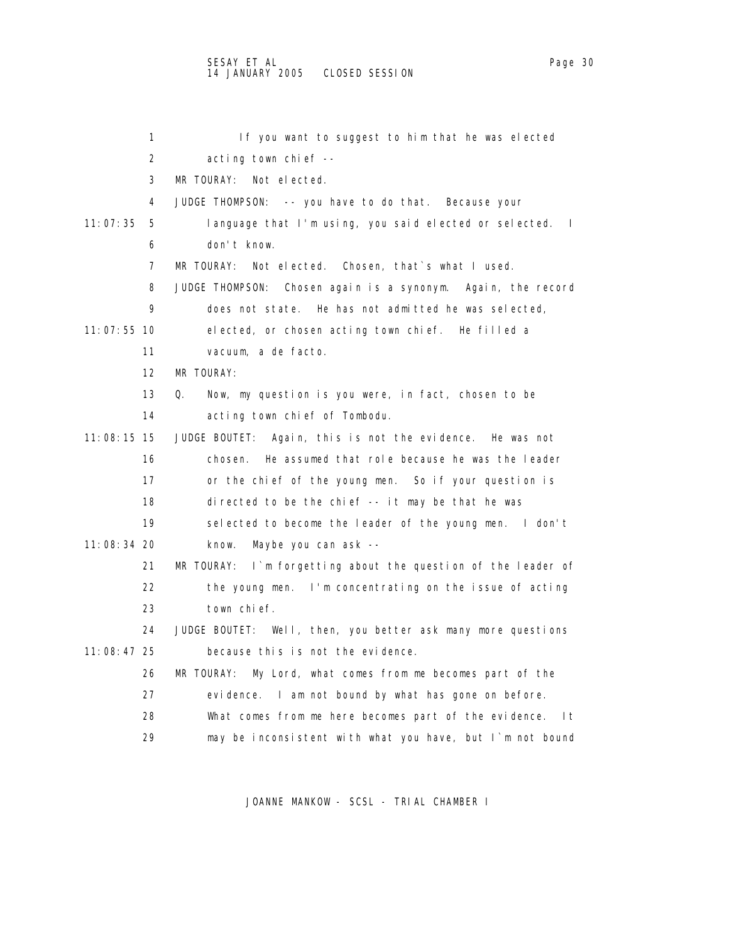## SESAY ET AL Page 30 and the set of the set of the set of the set of the set of the set of the set of the set o 14 JANUARY 2005 CLOSED SESSION

| 1             | If you want to suggest to him that he was elected                |
|---------------|------------------------------------------------------------------|
| 2             | acting town chief --                                             |
| 3             | MR TOURAY:<br>Not elected.                                       |
| 4             | JUDGE THOMPSON: -- you have to do that. Because your             |
| 11:07:35<br>5 | language that I'm using, you said elected or selected. I         |
| 6             | don't know.                                                      |
| 7             | MR TOURAY:<br>Not elected. Chosen, that's what I used.           |
| 8             | JUDGE THOMPSON: Chosen again is a synonym. Again, the record     |
| 9             | does not state. He has not admitted he was selected,             |
| 11:07:55 10   | elected, or chosen acting town chief. He filled a                |
| 11            | vacuum, a de facto.                                              |
| 12            | MR TOURAY:                                                       |
| 13            | Now, my question is you were, in fact, chosen to be<br>Q.        |
| 14            | acting town chief of Tombodu.                                    |
| 11:08:15 15   | JUDGE BOUTET: Again, this is not the evidence. He was not        |
| 16            | He assumed that role because he was the leader<br>chosen.        |
| 17            | or the chief of the young men. So if your question is            |
| 18            | directed to be the chief -- it may be that he was                |
| 19            | selected to become the leader of the young men. I don't          |
| 11:08:34 20   | know.<br>Maybe you can ask --                                    |
| 21            | MR TOURAY:<br>I'm forgetting about the question of the leader of |
| 22            | the young men. I'm concentrating on the issue of acting          |
| 23            | town chief.                                                      |
| 24            | JUDGE BOUTET: Well, then, you better ask many more questions     |
| $11:08:47$ 25 | because this is not the evidence.                                |
| 26            | MR TOURAY:<br>My Lord, what comes from me becomes part of the    |
| 27            | evidence. I am not bound by what has gone on before.             |
| 28            | What comes from me here becomes part of the evidence.<br>I t     |
| 29            | may be inconsistent with what you have, but I'm not bound        |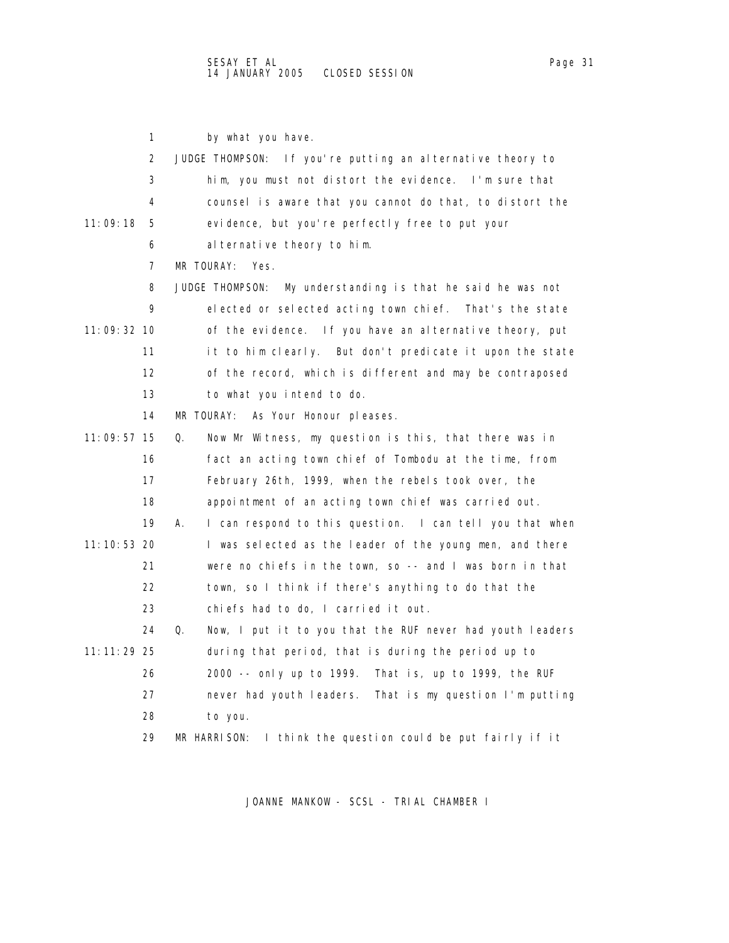1 by what you have. 2 JUDGE THOMPSON: If you're putting an alternative theory to 3 him, you must not distort the evidence. I'm sure that 4 counsel is aware that you cannot do that, to distort the 11:09:18 5 evidence, but you're perfectly free to put your 6 alternative theory to him. 7 MR TOURAY: Yes. 8 JUDGE THOMPSON: My understanding is that he said he was not 9 elected or selected acting town chief. That's the state 11:09:32 10 of the evidence. If you have an alternative theory, put 11 it to him clearly. But don't predicate it upon the state 12 of the record, which is different and may be contraposed 13 to what you intend to do. 14 MR TOURAY: As Your Honour pleases. 11:09:57 15 Q. Now Mr Witness, my question is this, that there was in 16 fact an acting town chief of Tombodu at the time, from 17 February 26th, 1999, when the rebels took over, the 18 appointment of an acting town chief was carried out. 19 A. I can respond to this question. I can tell you that when 11:10:53 20 I was selected as the leader of the young men, and there 21 were no chiefs in the town, so -- and I was born in that 22 town, so I think if there's anything to do that the 23 chiefs had to do, I carried it out. 24 Q. Now, I put it to you that the RUF never had youth leaders 11:11:29 25 during that period, that is during the period up to 26 2000 -- only up to 1999. That is, up to 1999, the RUF 27 never had youth leaders. That is my question I'm putting 28 to you. 29 MR HARRISON: I think the question could be put fairly if it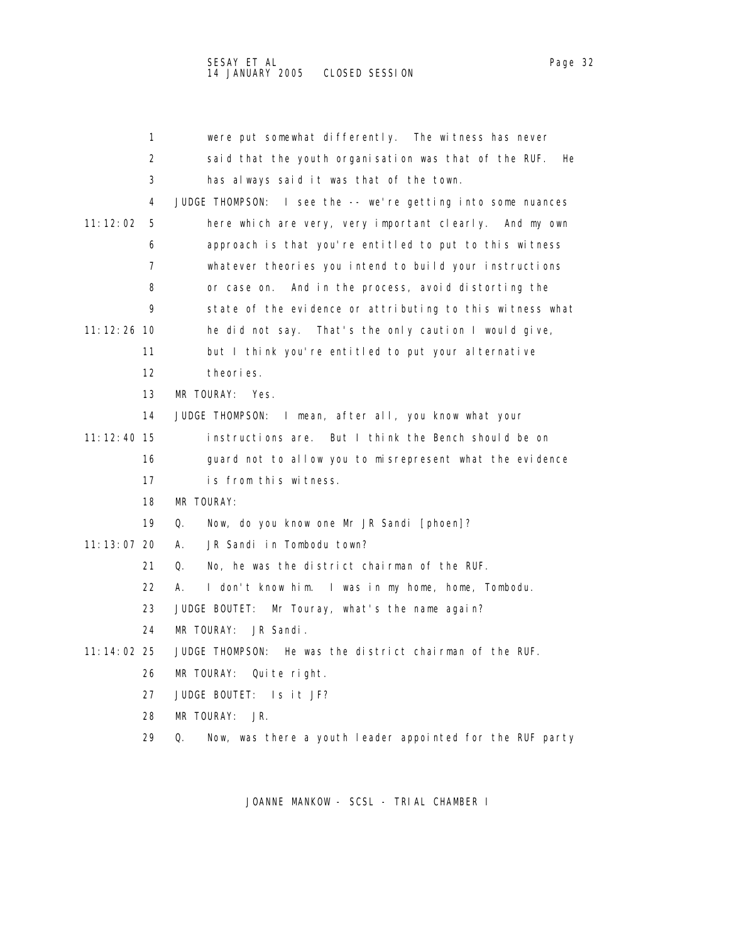|               | 1                 | were put somewhat differently. The witness has never            |
|---------------|-------------------|-----------------------------------------------------------------|
|               | 2                 | said that the youth organisation was that of the RUF.<br>He     |
|               | 3                 | has always said it was that of the town.                        |
|               | 4                 | JUDGE THOMPSON: I see the -- we're getting into some nuances    |
| 11:12:02      | 5                 | here which are very, very important clearly. And my own         |
|               | 6                 | approach is that you're entitled to put to this witness         |
|               | 7                 | whatever theories you intend to build your instructions         |
|               | 8                 | or case on. And in the process, avoid distorting the            |
|               | 9                 | state of the evidence or attributing to this witness what       |
| $11:12:26$ 10 |                   | he did not say. That's the only caution I would give,           |
|               | 11                | but I think you're entitled to put your alternative             |
|               | $12 \overline{ }$ | theories.                                                       |
|               | 13                | MR TOURAY:<br>Yes.                                              |
|               | 14                | JUDGE THOMPSON: I mean, after all, you know what your           |
| $11:12:40$ 15 |                   | instructions are. But I think the Bench should be on            |
|               | 16                | guard not to allow you to misrepresent what the evidence        |
|               | 17                | is from this witness.                                           |
|               | 18                | MR TOURAY:                                                      |
|               | 19                | Q.<br>Now, do you know one Mr JR Sandi [phoen]?                 |
| 11:13:07 20   |                   | JR Sandi in Tombodu town?<br>А.                                 |
|               | 21                | No, he was the district chairman of the RUF.<br>0.              |
|               | 22                | I don't know him. I was in my home, home, Tombodu.<br>А.        |
|               | 23                | JUDGE BOUTET:<br>Mr Touray, what's the name again?              |
|               | 24                | MR TOURAY:<br>JR Sandi.                                         |
| 11:14:02 25   |                   | JUDGE THOMPSON:<br>He was the district chairman of the RUF.     |
|               | 26                | MR TOURAY:<br>Quite right.                                      |
|               | 27                | JUDGE BOUTET: Is it JF?                                         |
|               | 28                | MR TOURAY:<br>JR.                                               |
|               | 29                | Now, was there a youth leader appointed for the RUF party<br>Q. |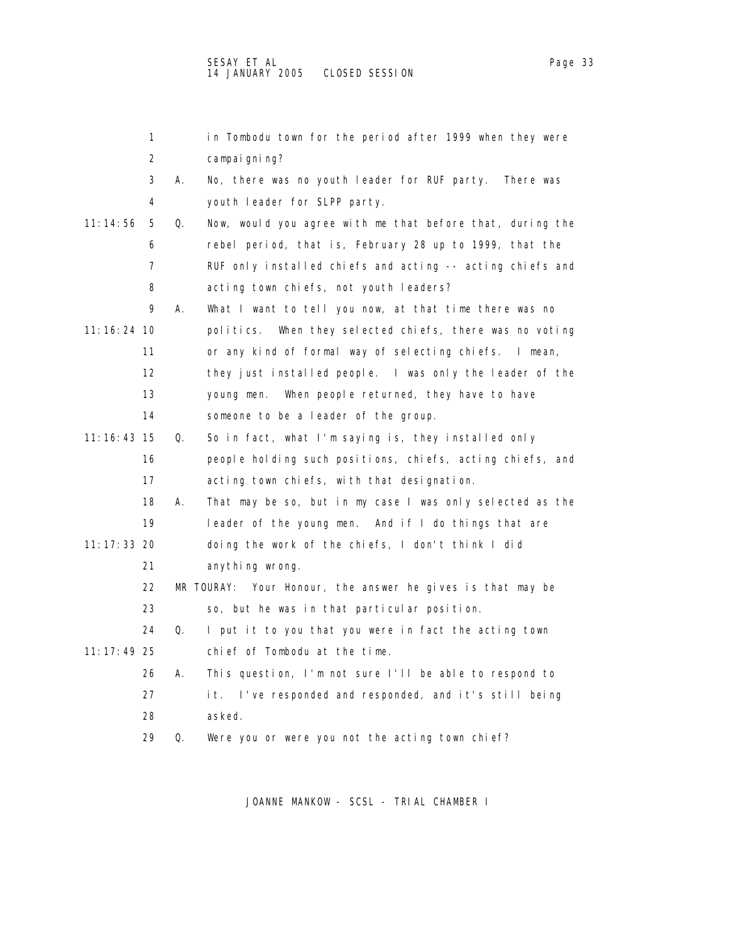|               | 1  |    | in Tombodu town for the period after 1999 when they were    |
|---------------|----|----|-------------------------------------------------------------|
|               | 2  |    | campai gni ng?                                              |
|               | 3  | А. | No, there was no youth leader for RUF party. There was      |
|               | 4  |    | youth leader for SLPP party.                                |
| 11:14:56      | 5  | Q. | Now, would you agree with me that before that, during the   |
|               | 6  |    | rebel period, that is, February 28 up to 1999, that the     |
|               | 7  |    | RUF only installed chiefs and acting -- acting chiefs and   |
|               | 8  |    | acting town chiefs, not youth leaders?                      |
|               | 9  | А. | What I want to tell you now, at that time there was no      |
| 11: 16: 24 10 |    |    | When they selected chiefs, there was no voting<br>politics. |
|               | 11 |    | or any kind of formal way of selecting chiefs. I mean,      |
|               | 12 |    | they just installed people. I was only the leader of the    |
|               | 13 |    | When people returned, they have to have<br>young men.       |
|               | 14 |    | someone to be a leader of the group.                        |
| 11: 16: 43 15 |    | Q. | So in fact, what I'm saying is, they installed only         |
|               | 16 |    | people holding such positions, chiefs, acting chiefs, and   |
|               | 17 |    | acting town chiefs, with that designation.                  |
|               | 18 | А. | That may be so, but in my case I was only selected as the   |
|               | 19 |    | leader of the young men. And if I do things that are        |
| 11: 17: 33 20 |    |    | doing the work of the chiefs, I don't think I did           |
|               | 21 |    | anything wrong.                                             |
|               | 22 |    | MR TOURAY: Your Honour, the answer he gives is that may be  |
|               | 23 |    | so, but he was in that particular position.                 |
|               | 24 | Q. | I put it to you that you were in fact the acting town       |
| 11: 17: 49 25 |    |    | chief of Tombodu at the time.                               |
|               | 26 | А. | This question, I'm not sure I'll be able to respond to      |
|               | 27 |    | I've responded and responded, and it's still being<br>it.   |
|               | 28 |    | asked.                                                      |
|               | 29 | Q. | Were you or were you not the acting town chief?             |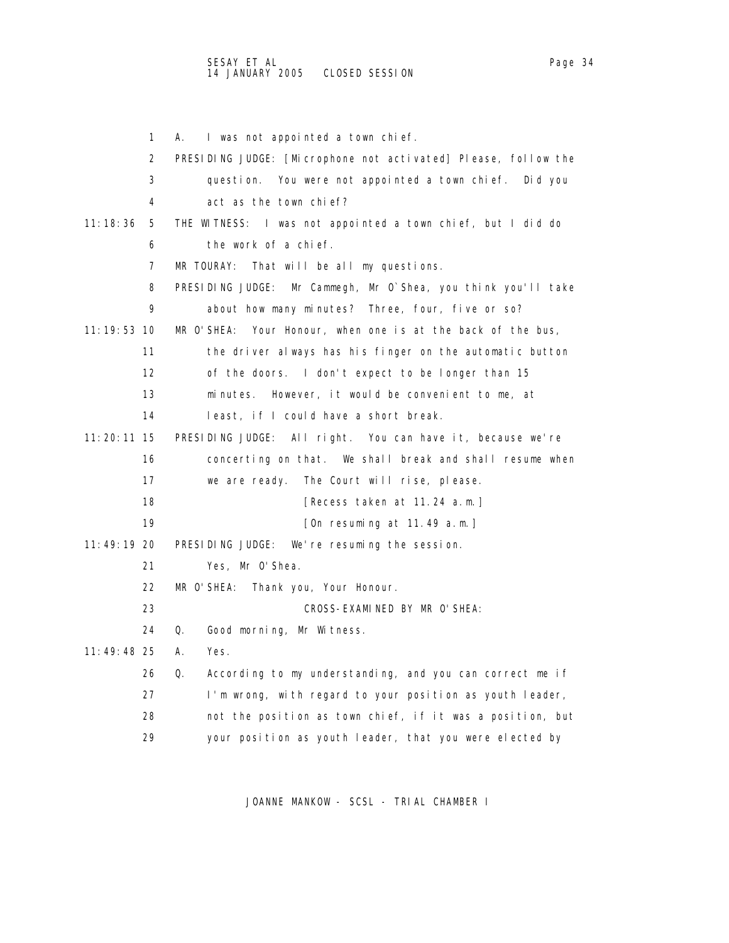1 A. I was not appointed a town chief. 2 PRESIDING JUDGE: [Microphone not activated] Please, follow the 3 question. You were not appointed a town chief. Did you 4 act as the town chief? 11:18:36 5 THE WITNESS: I was not appointed a town chief, but I did do 6 the work of a chief. 7 MR TOURAY: That will be all my questions. 8 PRESIDING JUDGE: Mr Cammegh, Mr O`Shea, you think you'll take 9 about how many minutes? Three, four, five or so? 11:19:53 10 MR O'SHEA: Your Honour, when one is at the back of the bus, 11 the driver always has his finger on the automatic button 12 of the doors. I don't expect to be longer than 15 13 minutes. However, it would be convenient to me, at 14 **least**, if I could have a short break. 11:20:11 15 PRESIDING JUDGE: All right. You can have it, because we're 16 concerting on that. We shall break and shall resume when 17 we are ready. The Court will rise, please. 18 **[Recess taken at 11.24 a.m.]** 19 **[On resuming at 11.49 a.m.]**  11:49:19 20 PRESIDING JUDGE: We're resuming the session. 21 Yes, Mr O'Shea. 22 MR O'SHEA: Thank you, Your Honour. 23 CROSS-EXAMINED BY MR O'SHEA: 24 Q. Good morning, Mr Witness. 11:49:48 25 A. Yes. 26 Q. According to my understanding, and you can correct me if 27 I'm wrong, with regard to your position as youth leader, 28 not the position as town chief, if it was a position, but 29 your position as youth leader, that you were elected by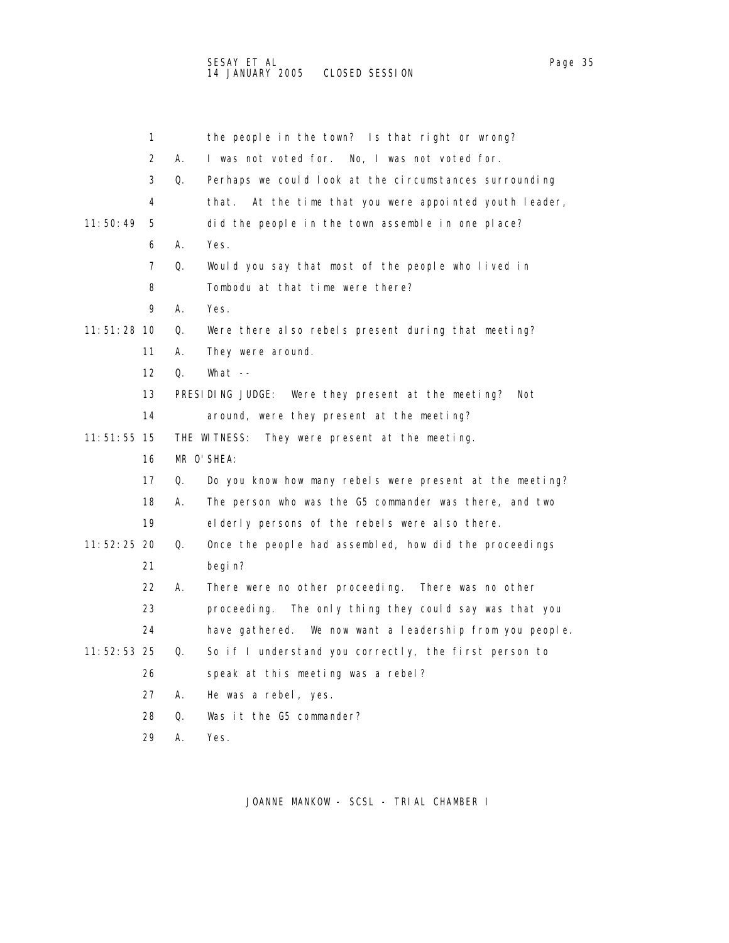|             | 1                 |    | the people in the town? Is that right or wrong?              |
|-------------|-------------------|----|--------------------------------------------------------------|
|             | 2                 | А. | I was not voted for. No, I was not voted for.                |
|             | 3                 | Q. | Perhaps we could look at the circumstances surrounding       |
|             | 4                 |    | At the time that you were appointed youth leader,<br>that.   |
| 11:50:49    | 5                 |    | did the people in the town assemble in one place?            |
|             | 6                 | А. | Yes.                                                         |
|             | 7                 | Q. | Would you say that most of the people who lived in           |
|             | 8                 |    | Tombodu at that time were there?                             |
|             | 9                 | А. | Yes.                                                         |
| 11:51:28 10 |                   | Q. | Were there also rebels present during that meeting?          |
|             | 11                | А. | They were around.                                            |
|             | $12 \overline{ }$ | Q. | What $--$                                                    |
|             | 13                |    | PRESIDING JUDGE:<br>Were they present at the meeting?<br>Not |
|             | 14                |    | around, were they present at the meeting?                    |
| 11:51:55 15 |                   |    | THE WITNESS:<br>They were present at the meeting.            |
|             | 16                |    | MR O'SHEA:                                                   |
|             | 17                | Q. | Do you know how many rebels were present at the meeting?     |
|             | 18                | А. | The person who was the G5 commander was there, and two       |
|             | 19                |    | elderly persons of the rebels were also there.               |
| 11:52:25 20 |                   | Q. | Once the people had assembled, how did the proceedings       |
|             | 21                |    | begi n?                                                      |
|             | 22                | А. | There were no other proceeding. There was no other           |
|             | 23                |    | The only thing they could say was that you<br>proceeding.    |
|             | 24                |    | have gathered. We now want a leadership from you people.     |
| 11:52:53 25 |                   | Q. | So if I understand you correctly, the first person to        |
|             | 26                |    | speak at this meeting was a rebel?                           |
|             | 27                | А. | He was a rebel, yes.                                         |
|             | 28                | Q. | Was it the G5 commander?                                     |
|             | 29                | А. | Yes.                                                         |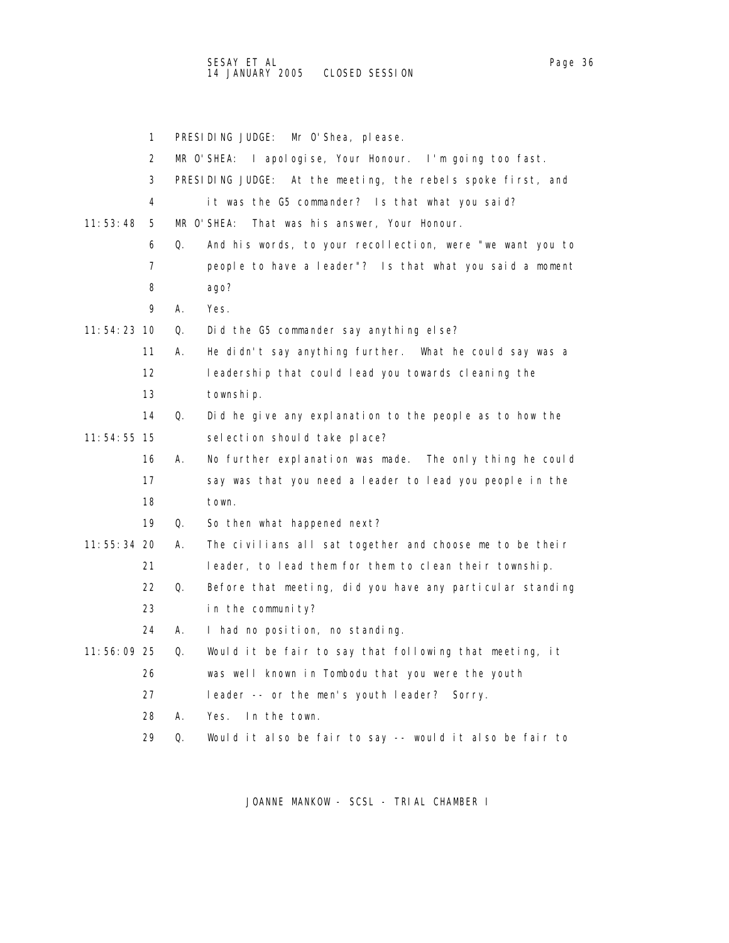## SESAY ET AL Page 36 and the set of the set of the set of the set of the set of the set of the set of the set o 14 JANUARY 2005 CLOSED SESSION

|             | 1                 |    | PRESIDING JUDGE:<br>Mr O'Shea, please.                       |
|-------------|-------------------|----|--------------------------------------------------------------|
|             | 2                 |    | MR O'SHEA: I apologise, Your Honour. I'm going too fast.     |
|             | 3                 |    | PRESIDING JUDGE: At the meeting, the rebels spoke first, and |
|             | 4                 |    | it was the G5 commander? Is that what you said?              |
| 11:53:48    | 5                 |    | MR O'SHEA:<br>That was his answer, Your Honour.              |
|             | 6                 | Q. | And his words, to your recollection, were "we want you to    |
|             | 7                 |    | people to have a leader"? Is that what you said a moment     |
|             | 8                 |    | ago?                                                         |
|             | 9                 | А. | Yes.                                                         |
| 11:54:23 10 |                   | Q. | Did the G5 commander say anything else?                      |
|             | 11                | А. | He didn't say anything further. What he could say was a      |
|             | $12 \overline{ }$ |    | leadership that could lead you towards cleaning the          |
|             | 13                |    | township.                                                    |
|             | 14                | Q. | Did he give any explanation to the people as to how the      |
| 11:54:55 15 |                   |    | selection should take place?                                 |
|             | 16                | А. | No further explanation was made. The only thing he could     |
|             | 17                |    | say was that you need a leader to lead you people in the     |
|             | 18                |    | town.                                                        |
|             | 19                | Q. | So then what happened next?                                  |
| 11:55:34 20 |                   | А. | The civilians all sat together and choose me to be their     |
|             | 21                |    | leader, to lead them for them to clean their township.       |
|             | 22                | Q. | Before that meeting, did you have any particular standing    |
|             | 23                |    | in the community?                                            |
|             | 24                | А. | I had no position, no standing.                              |
| 11:56:09 25 |                   | Q. | Would it be fair to say that following that meeting, it      |
|             | 26                |    | was well known in Tombodu that you were the youth            |
|             | 27                |    | leader -- or the men's youth leader? Sorry.                  |
|             | 28                | А. | Yes.<br>In the town.                                         |
|             | 29                | Q. | Would it also be fair to say -- would it also be fair to     |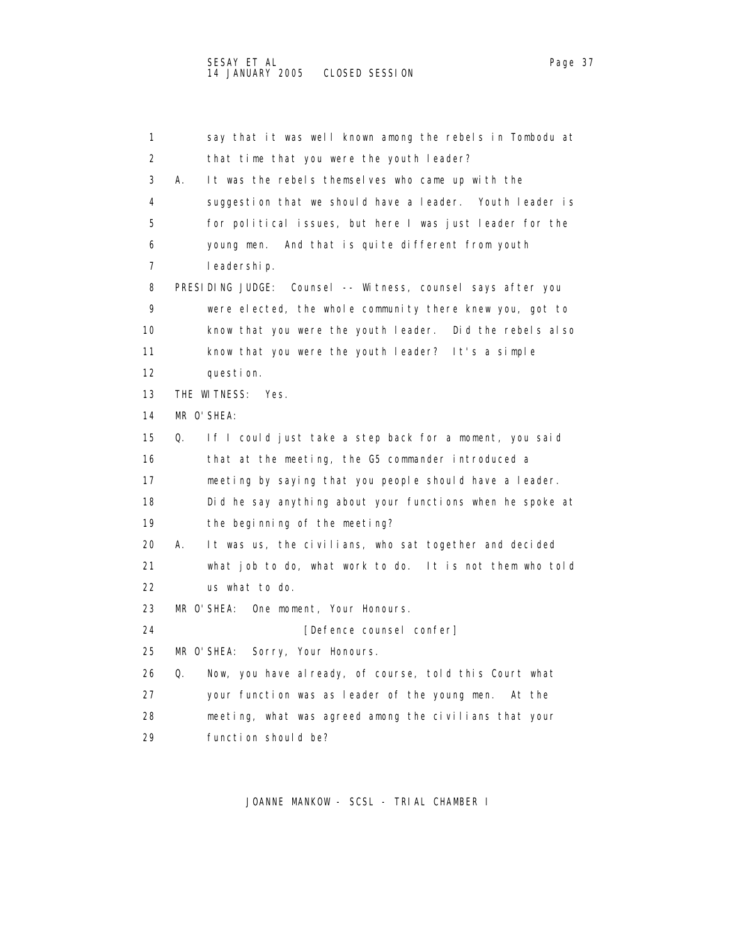1 say that it was well known among the rebels in Tombodu at 2 that time that you were the youth leader? 3 A. It was the rebels themselves who came up with the 4 suggestion that we should have a leader. Youth leader is 5 for political issues, but here I was just leader for the 6 young men. And that is quite different from youth 7 leadership. 8 PRESIDING JUDGE: Counsel -- Witness, counsel says after you 9 were elected, the whole community there knew you, got to 10 know that you were the youth leader. Did the rebels also 11 know that you were the youth leader? It's a simple 12 question. 13 THE WITNESS: Yes. 14 MR O'SHEA: 15 Q. If I could just take a step back for a moment, you said 16 that at the meeting, the G5 commander introduced a 17 meeting by saying that you people should have a leader. 18 Did he say anything about your functions when he spoke at 19 the beginning of the meeting? 20 A. It was us, the civilians, who sat together and decided 21 what job to do, what work to do. It is not them who told 22 us what to do. 23 MR O'SHEA: One moment, Your Honours. 24 *Defence counsel confer*  25 MR O'SHEA: Sorry, Your Honours. 26 Q. Now, you have already, of course, told this Court what 27 your function was as leader of the young men. At the 28 meeting, what was agreed among the civilians that your 29 function should be?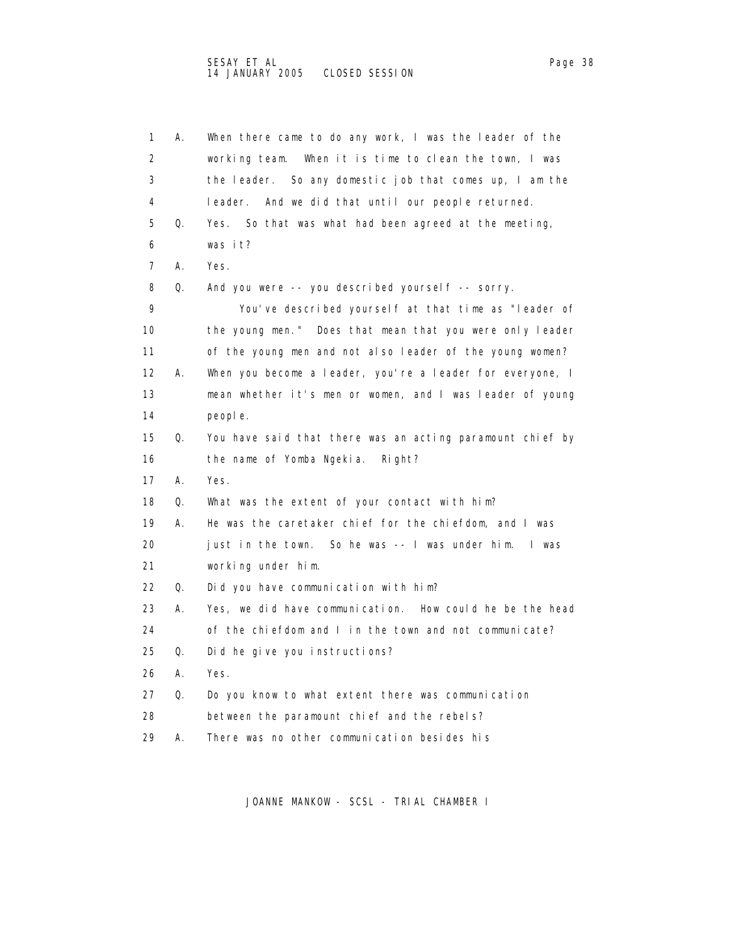| 1  | А. | When there came to do any work, I was the leader of the   |
|----|----|-----------------------------------------------------------|
| 2  |    | working team. When it is time to clean the town, I was    |
| 3  |    | the leader. So any domestic job that comes up, I am the   |
| 4  |    | And we did that until our people returned.<br>leader.     |
| 5  | Q. | So that was what had been agreed at the meeting,<br>Yes.  |
| 6  |    | was it?                                                   |
| 7  | А. | Yes.                                                      |
| 8  | Q. | And you were -- you described yourself -- sorry.          |
| 9  |    | You've described yourself at that time as "leader of      |
| 10 |    | the young men." Does that mean that you were only leader  |
| 11 |    | of the young men and not also leader of the young women?  |
| 12 | А. | When you become a leader, you're a leader for everyone, I |
| 13 |    | mean whether it's men or women, and I was leader of young |
| 14 |    | people.                                                   |
| 15 | Q. | You have said that there was an acting paramount chief by |
| 16 |    | the name of Yomba Ngekia.<br>Right?                       |
| 17 | А. | Yes.                                                      |
| 18 | Q. | What was the extent of your contact with him?             |
| 19 | А. | He was the caretaker chief for the chiefdom, and I was    |
| 20 |    | just in the town. So he was -- I was under him.<br>l was  |
| 21 |    | working under him.                                        |
| 22 | Q. | Did you have communication with him?                      |
| 23 | А. | Yes, we did have communication. How could he be the head  |
| 24 |    | of the chiefdom and I in the town and not communicate?    |
| 25 | Q. | Did he give you instructions?                             |
| 26 | А. | Yes.                                                      |
| 27 | Q. | Do you know to what extent there was communication        |
| 28 |    | between the paramount chief and the rebels?               |
| 29 | А. | There was no other communication besides his              |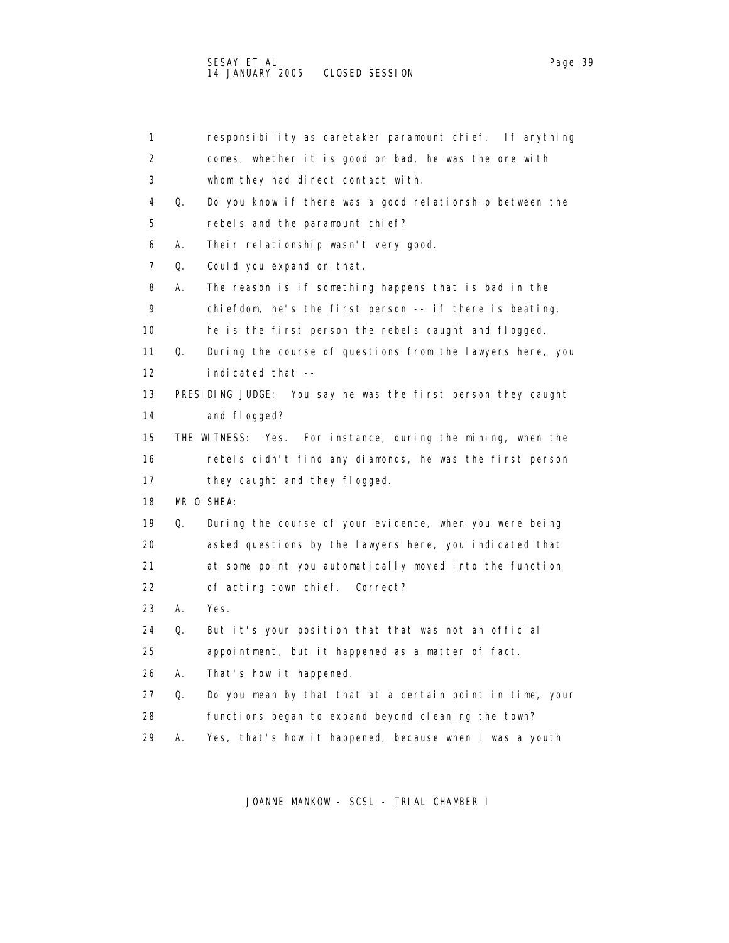| 1  |    | responsibility as caretaker paramount chief. If anything     |
|----|----|--------------------------------------------------------------|
| 2  |    | comes, whether it is good or bad, he was the one with        |
| 3  |    | whom they had direct contact with.                           |
| 4  | Q. | Do you know if there was a good relationship between the     |
| 5  |    | rebels and the paramount chief?                              |
| 6  | А. | Their relationship wasn't very good.                         |
| 7  | Q. | Could you expand on that.                                    |
| 8  | А. | The reason is if something happens that is bad in the        |
| 9  |    | chiefdom, he's the first person $-$ if there is beating,     |
| 10 |    | he is the first person the rebels caught and flogged.        |
| 11 | Q. | During the course of questions from the lawyers here, you    |
| 12 |    | indicated that --                                            |
| 13 |    | PRESIDING JUDGE: You say he was the first person they caught |
| 14 |    | and flogged?                                                 |
| 15 |    | THE WITNESS: Yes. For instance, during the mining, when the  |
| 16 |    | rebels didn't find any diamonds, he was the first person     |
| 17 |    | they caught and they flogged.                                |
| 18 |    | MR O'SHEA:                                                   |
| 19 | Q. | During the course of your evidence, when you were being      |
| 20 |    | asked questions by the lawyers here, you indicated that      |
| 21 |    | at some point you automatically moved into the function      |
| 22 |    | of acting town chief. Correct?                               |
| 23 | А. | Yes.                                                         |
| 24 | Q. | But it's your position that that was not an official         |
| 25 |    | appointment, but it happened as a matter of fact.            |
| 26 | А. | That's how it happened.                                      |
| 27 | Q. | Do you mean by that that at a certain point in time, your    |
| 28 |    | functions began to expand beyond cleaning the town?          |
| 29 | А. | Yes, that's how it happened, because when I was a youth      |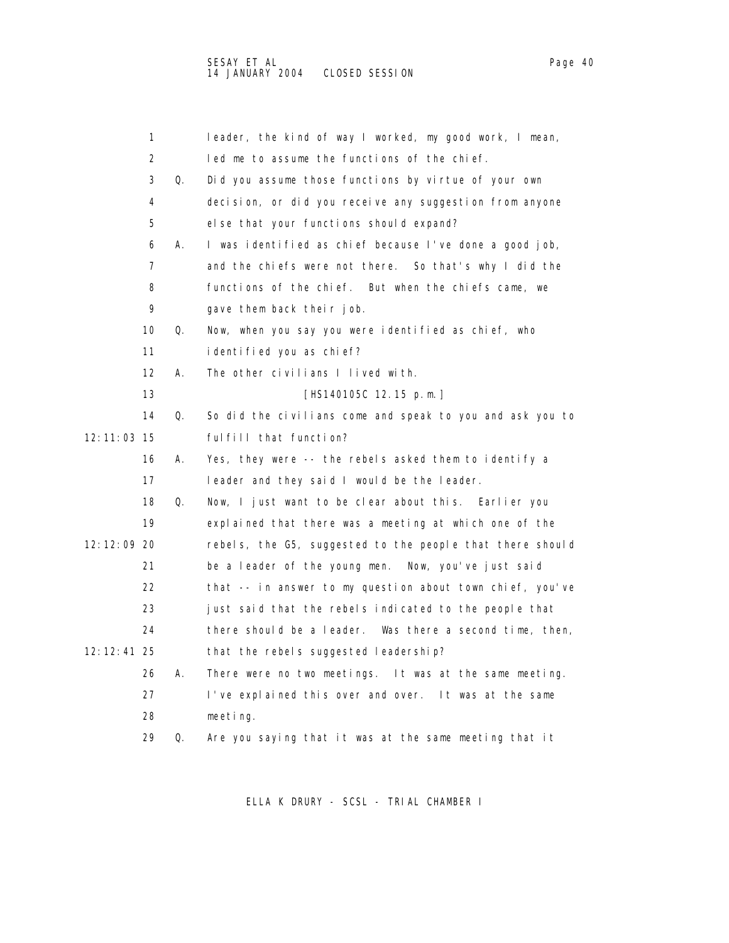|               | 1                 |    | leader, the kind of way I worked, my good work, I mean,   |
|---------------|-------------------|----|-----------------------------------------------------------|
|               | 2                 |    | led me to assume the functions of the chief.              |
|               | 3                 | Q. | Did you assume those functions by virtue of your own      |
|               | 4                 |    | decision, or did you receive any suggestion from anyone   |
|               | 5                 |    | else that your functions should expand?                   |
|               | 6                 | А. | I was identified as chief because I've done a good job,   |
|               | 7                 |    | and the chiefs were not there. So that's why I did the    |
|               | 8                 |    | functions of the chief. But when the chiefs came, we      |
|               | 9                 |    | gave them back their job.                                 |
|               | 10                | Q. | Now, when you say you were identified as chief, who       |
|               | 11                |    | i denti fi ed you as chi ef?                              |
|               | $12 \overline{ }$ | А. | The other civilians I lived with.                         |
|               | 13                |    | [HS140105C 12.15 p.m.]                                    |
|               | 14                | Q. | So did the civilians come and speak to you and ask you to |
| 12: 11: 03 15 |                   |    | fulfill that function?                                    |
|               | 16                | А. | Yes, they were -- the rebels asked them to identify a     |
|               | 17                |    | leader and they said I would be the leader.               |
|               | 18                | Q. | Now, I just want to be clear about this. Earlier you      |
|               | 19                |    | explained that there was a meeting at which one of the    |
| 12: 12: 09 20 |                   |    | rebels, the G5, suggested to the people that there should |
|               | 21                |    | be a leader of the young men. Now, you've just said       |
|               | 22                |    | that -- in answer to my question about town chief, you've |
|               | 23                |    | just said that the rebels indicated to the people that    |
|               | 24                |    | there should be a leader. Was there a second time, then,  |
| 12: 12: 41 25 |                   |    | that the rebels suggested leadership?                     |
|               | 26                | А. | There were no two meetings. It was at the same meeting.   |
|               | 27                |    | I've explained this over and over. It was at the same     |
|               | 28                |    | meeting.                                                  |
|               | 29                | Q. | Are you saying that it was at the same meeting that it    |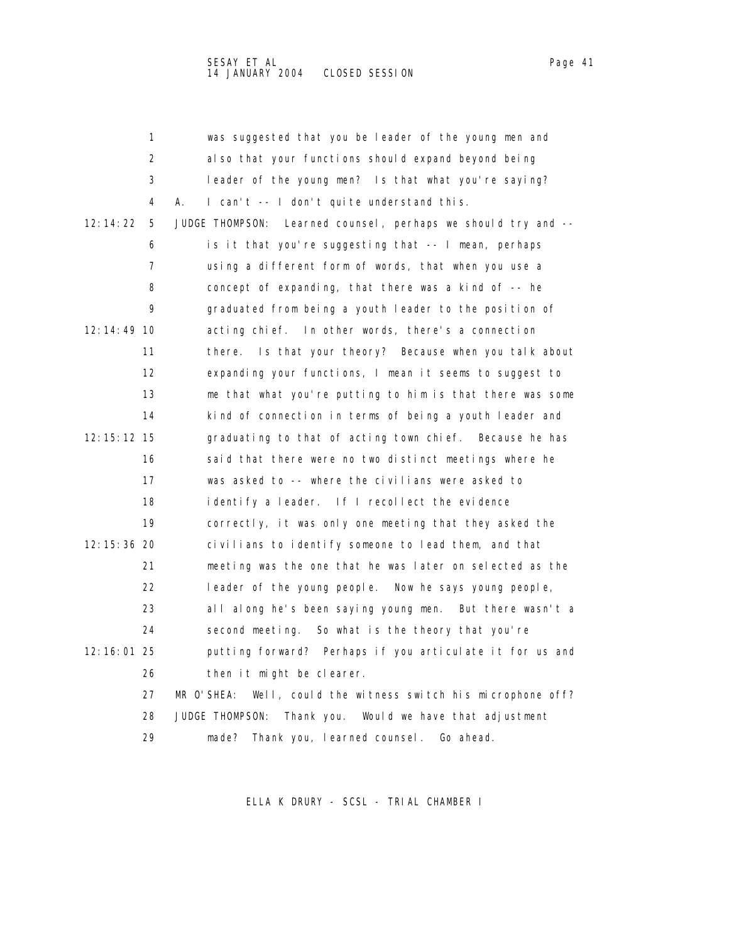|               | 1  | was suggested that you be leader of the young men and            |
|---------------|----|------------------------------------------------------------------|
|               | 2  | al so that your functions should expand beyond being             |
|               | 3  | leader of the young men? Is that what you're saying?             |
|               | 4  | I can't -- I don't quite understand this.<br>А.                  |
| 12:14:22      | 5  | JUDGE THOMPSON: Learned counsel, perhaps we should try and --    |
|               | 6  | is it that you're suggesting that -- I mean, perhaps             |
|               | 7  | using a different form of words, that when you use a             |
|               | 8  | concept of expanding, that there was a kind of -- he             |
|               | 9  | graduated from being a youth leader to the position of           |
| 12: 14: 49 10 |    | acting chief. In other words, there's a connection               |
|               | 11 | there. Is that your theory? Because when you talk about          |
|               | 12 | expanding your functions, I mean it seems to suggest to          |
|               | 13 | me that what you're putting to him is that there was some        |
|               | 14 | kind of connection in terms of being a youth leader and          |
| 12: 15: 12 15 |    | graduating to that of acting town chief. Because he has          |
|               | 16 | said that there were no two distinct meetings where he           |
|               | 17 | was asked to -- where the civilians were asked to                |
|               | 18 | identify a leader. If I recollect the evidence                   |
|               | 19 | correctly, it was only one meeting that they asked the           |
| 12: 15: 36 20 |    | civilians to identify someone to lead them, and that             |
|               | 21 | meeting was the one that he was later on selected as the         |
|               | 22 | leader of the young people. Now he says young people,            |
|               | 23 | all along he's been saying young men. But there wasn't a         |
|               | 24 | second meeting. So what is the theory that you're                |
| 12: 16: 01 25 |    | putting forward? Perhaps if you articulate it for us and         |
|               | 26 | then it might be clearer.                                        |
|               | 27 | MR O'SHEA:<br>Well, could the witness switch his microphone off? |
|               | 28 | JUDGE THOMPSON:<br>Thank you. Would we have that adjustment      |
|               | 29 | Thank you, I earned counsel.<br>made?<br>Go ahead.               |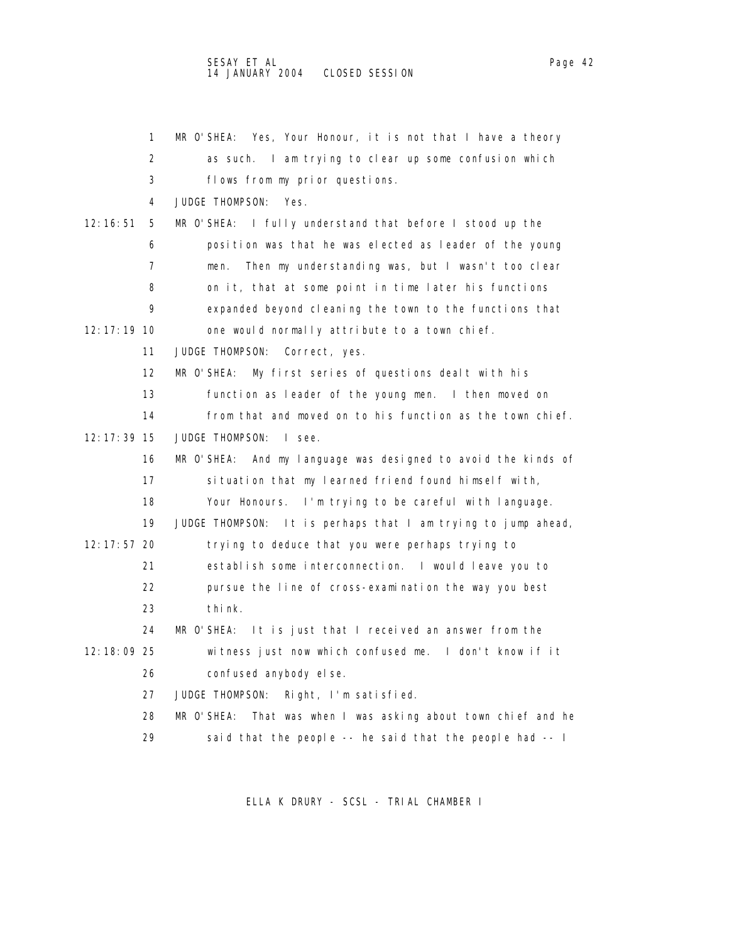|               | 1  | MR O'SHEA: Yes, Your Honour, it is not that I have a theory      |
|---------------|----|------------------------------------------------------------------|
|               | 2  | as such. I am trying to clear up some confusion which            |
|               | 3  | flows from my prior questions.                                   |
|               | 4  | <b>JUDGE THOMPSON:</b><br>Yes.                                   |
| 12: 16: 51    | 5  | MR O'SHEA: I fully understand that before I stood up the         |
|               | 6  | position was that he was elected as leader of the young          |
|               | 7  | Then my understanding was, but I wasn't too clear<br>men.        |
|               | 8  | on it, that at some point in time later his functions            |
|               | 9  | expanded beyond cleaning the town to the functions that          |
| 12: 17: 19 10 |    | one would normally attribute to a town chief.                    |
|               | 11 | JUDGE THOMPSON: Correct, yes.                                    |
|               | 12 | MR O'SHEA: My first series of questions dealt with his           |
|               | 13 | function as leader of the young men. I then moved on             |
|               | 14 | from that and moved on to his function as the town chief.        |
| 12: 17: 39 15 |    | JUDGE THOMPSON:<br>I see.                                        |
|               | 16 | MR O'SHEA: And my language was designed to avoid the kinds of    |
|               | 17 | situation that my learned friend found himself with,             |
|               | 18 | Your Honours. I'm trying to be careful with language.            |
|               | 19 | JUDGE THOMPSON: It is perhaps that I am trying to jump ahead,    |
| 12: 17: 57 20 |    | trying to deduce that you were perhaps trying to                 |
|               | 21 | establish some interconnection. I would leave you to             |
|               | 22 | pursue the line of cross-examination the way you best            |
|               | 23 | thi nk.                                                          |
|               | 24 | MR O'SHEA: It is just that I received an answer from the         |
| 12: 18: 09 25 |    | witness just now which confused me. I don't know if it           |
|               | 26 | confused anybody el se.                                          |
|               | 27 | JUDGE THOMPSON:<br>Right, I'm satisfied.                         |
|               | 28 | MR O'SHEA:<br>That was when I was asking about town chief and he |
|               | 29 | said that the people -- he said that the people had -- I         |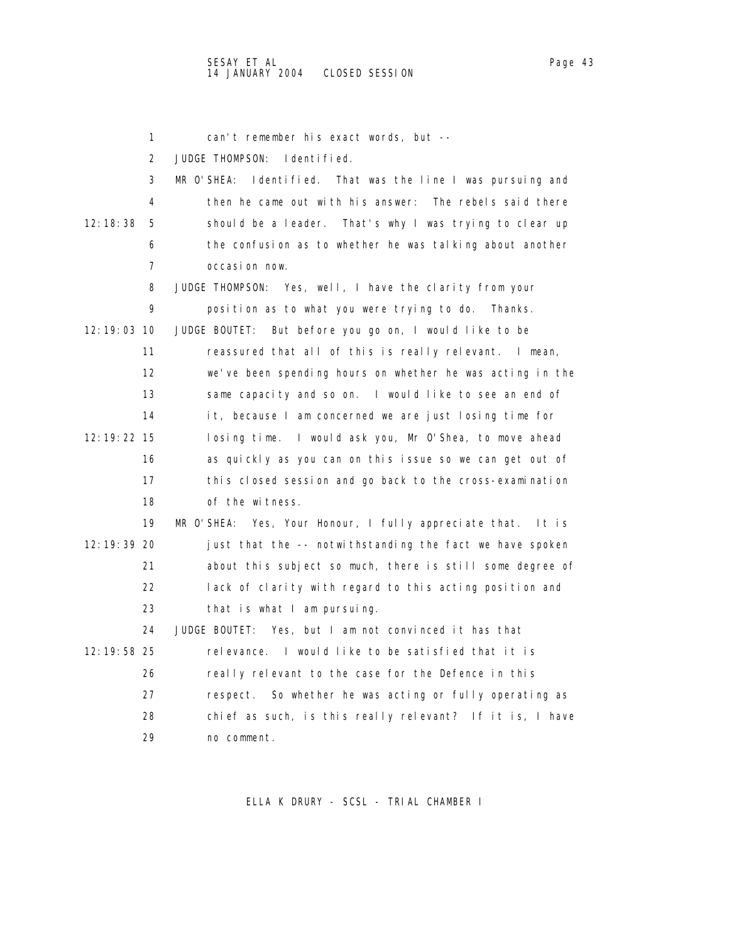1 can't remember his exact words, but -- 2 JUDGE THOMPSON: Identified. 3 MR O'SHEA: Identified. That was the line I was pursuing and 4 then he came out with his answer: The rebels said there 12:18:38 5 should be a leader. That's why I was trying to clear up 6 the confusion as to whether he was talking about another 7 occasion now. 8 JUDGE THOMPSON: Yes, well, I have the clarity from your 9 position as to what you were trying to do. Thanks. 12:19:03 10 JUDGE BOUTET: But before you go on, I would like to be 11 reassured that all of this is really relevant. I mean, 12 we've been spending hours on whether he was acting in the 13 same capacity and so on. I would like to see an end of 14 it, because I am concerned we are just losing time for 12:19:22 15 losing time. I would ask you, Mr O'Shea, to move ahead 16 as quickly as you can on this issue so we can get out of 17 this closed session and go back to the cross-examination 18 of the witness. 19 MR O'SHEA: Yes, Your Honour, I fully appreciate that. It is 12:19:39 20 just that the -- notwithstanding the fact we have spoken 21 about this subject so much, there is still some degree of 22 lack of clarity with regard to this acting position and 23 that is what I am pursuing. 24 JUDGE BOUTET: Yes, but I am not convinced it has that 12:19:58 25 relevance. I would like to be satisfied that it is 26 really relevant to the case for the Defence in this 27 respect. So whether he was acting or fully operating as 28 chief as such, is this really relevant? If it is, I have 29 no comment.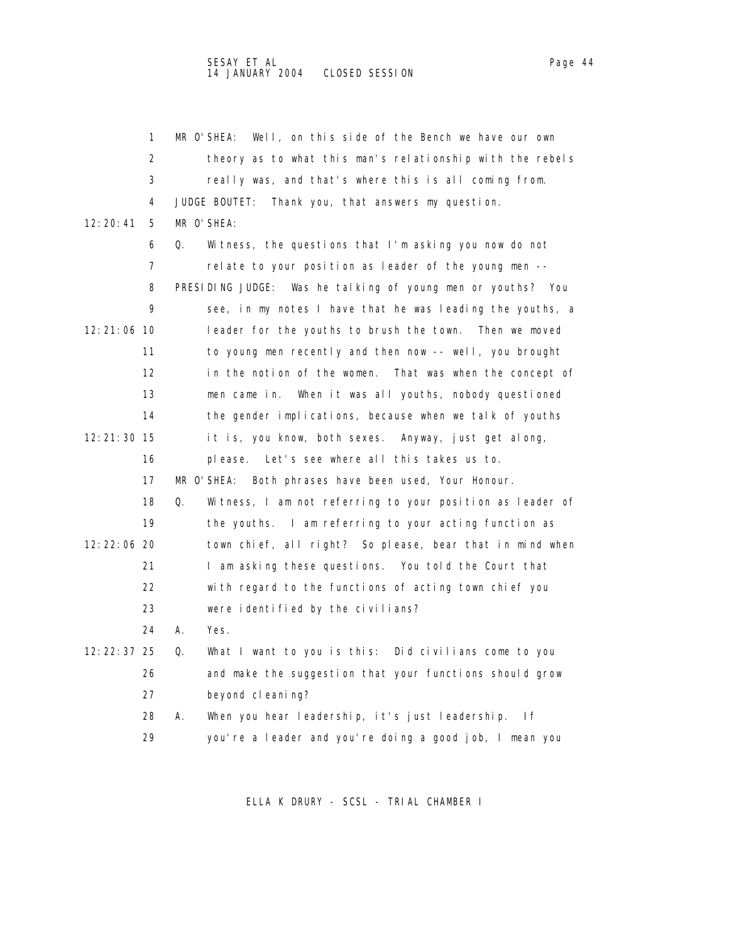## SESAY ET AL Page 44 14 JANUARY 2004 CLOSED SESSION

 1 MR O'SHEA: Well, on this side of the Bench we have our own 2 theory as to what this man's relationship with the rebels 3 really was, and that's where this is all coming from. 4 JUDGE BOUTET: Thank you, that answers my question. 12:20:41 5 MR O'SHEA: 6 Q. Witness, the questions that I'm asking you now do not 7 relate to your position as leader of the young men -- 8 PRESIDING JUDGE: Was he talking of young men or youths? You 9 see, in my notes I have that he was leading the youths, a 12:21:06 10 leader for the youths to brush the town. Then we moved 11 to young men recently and then now -- well, you brought 12 in the notion of the women. That was when the concept of 13 men came in. When it was all youths, nobody questioned 14 the gender implications, because when we talk of youths 12:21:30 15 it is, you know, both sexes. Anyway, just get along, 16 please. Let's see where all this takes us to. 17 MR O'SHEA: Both phrases have been used, Your Honour. 18 Q. Witness, I am not referring to your position as leader of 19 the youths. I am referring to your acting function as 12:22:06 20 town chief, all right? So please, bear that in mind when 21 I am asking these questions. You told the Court that 22 with regard to the functions of acting town chief you 23 were identified by the civilians? 24 A. Yes. 12:22:37 25 Q. What I want to you is this: Did civilians come to you 26 and make the suggestion that your functions should grow 27 beyond cleaning? 28 A. When you hear leadership, it's just leadership. If 29 you're a leader and you're doing a good job, I mean you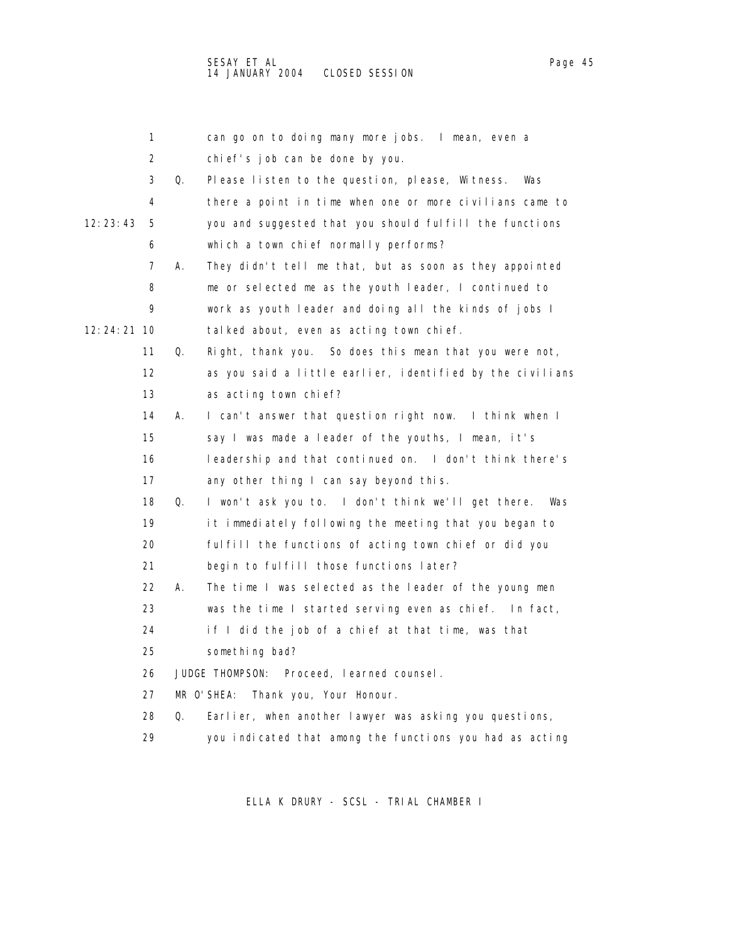|               | 1                 |    | can go on to doing many more jobs. I mean, even a         |
|---------------|-------------------|----|-----------------------------------------------------------|
|               | 2                 |    | chief's job can be done by you.                           |
|               | 3                 | Q. | Please listen to the question, please, Witness.<br>Was    |
|               | 4                 |    | there a point in time when one or more civilians came to  |
| 12:23:43      | 5                 |    | you and suggested that you should fulfill the functions   |
|               | 6                 |    | which a town chief normally performs?                     |
|               | 7                 | А. | They didn't tell me that, but as soon as they appointed   |
|               | 8                 |    | me or selected me as the youth leader, I continued to     |
|               | 9                 |    | work as youth leader and doing all the kinds of jobs I    |
| 12: 24: 21 10 |                   |    | talked about, even as acting town chief.                  |
|               | 11                | Q. | Right, thank you. So does this mean that you were not,    |
|               | $12 \overline{ }$ |    | as you said a little earlier, identified by the civilians |
|               | 13                |    | as acting town chief?                                     |
|               | 14                | А. | I can't answer that question right now. I think when I    |
|               | 15                |    | say I was made a leader of the youths, I mean, it's       |
|               | 16                |    | leadership and that continued on. I don't think there's   |
|               | 17                |    | any other thing I can say beyond this.                    |
|               | 18                | Q. | I won't ask you to. I don't think we'll get there.<br>Was |
|               | 19                |    | it immediately following the meeting that you began to    |
|               | 20                |    | fulfill the functions of acting town chief or did you     |
|               | 21                |    | begin to fulfill those functions later?                   |
|               | 22                | А. | The time I was selected as the leader of the young men    |
|               | 23                |    | was the time I started serving even as chief. In fact,    |
|               | 24                |    | if I did the job of a chief at that time, was that        |
|               | 25                |    | something bad?                                            |
|               | 26                |    | JUDGE THOMPSON: Proceed, learned counsel.                 |
|               | 27                |    | MR O' SHEA: Thank you, Your Honour.                       |
|               | 28                | Q. | Earlier, when another lawyer was asking you questions,    |
|               | 29                |    | you indicated that among the functions you had as acting  |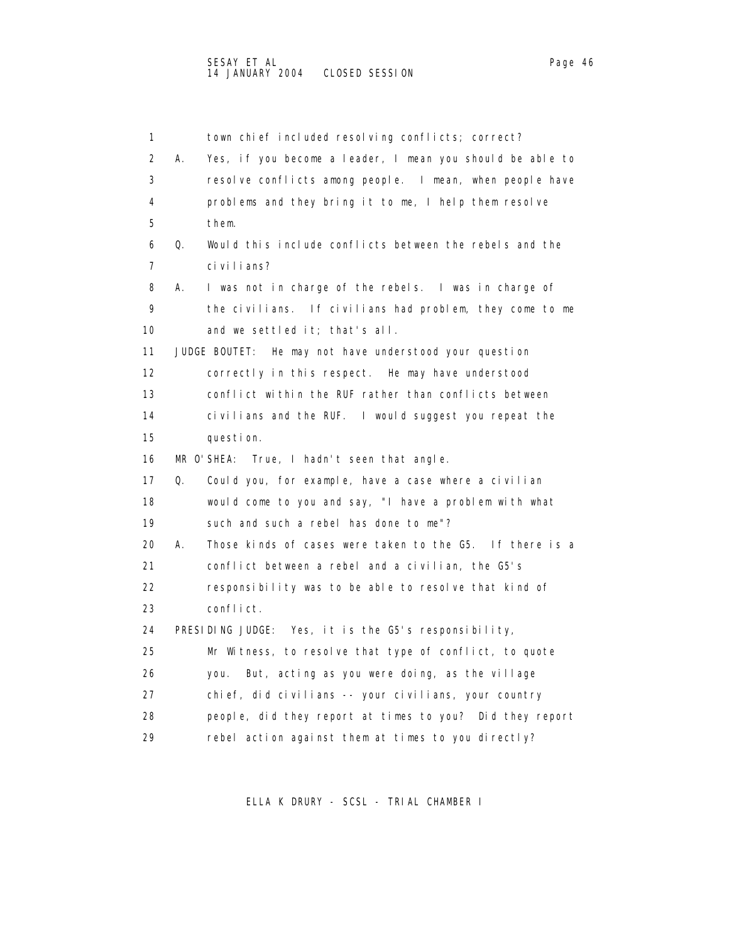1 town chief included resolving conflicts; correct? 2 A. Yes, if you become a leader, I mean you should be able to 3 resolve conflicts among people. I mean, when people have 4 problems and they bring it to me, I help them resolve 5 them. 6 Q. Would this include conflicts between the rebels and the 7 civilians? 8 A. I was not in charge of the rebels. I was in charge of 9 the civilians. If civilians had problem, they come to me 10 and we settled it; that's all. 11 JUDGE BOUTET: He may not have understood your question 12 correctly in this respect. He may have understood 13 conflict within the RUF rather than conflicts between 14 civilians and the RUF. I would suggest you repeat the 15 question. 16 MR O'SHEA: True, I hadn't seen that angle. 17 Q. Could you, for example, have a case where a civilian 18 would come to you and say, "I have a problem with what 19 such and such a rebel has done to me"? 20 A. Those kinds of cases were taken to the G5. If there is a 21 conflict between a rebel and a civilian, the G5's 22 responsibility was to be able to resolve that kind of 23 conflict. 24 PRESIDING JUDGE: Yes, it is the G5's responsibility, 25 Mr Witness, to resolve that type of conflict, to quote 26 you. But, acting as you were doing, as the village 27 chief, did civilians -- your civilians, your country 28 people, did they report at times to you? Did they report 29 rebel action against them at times to you directly?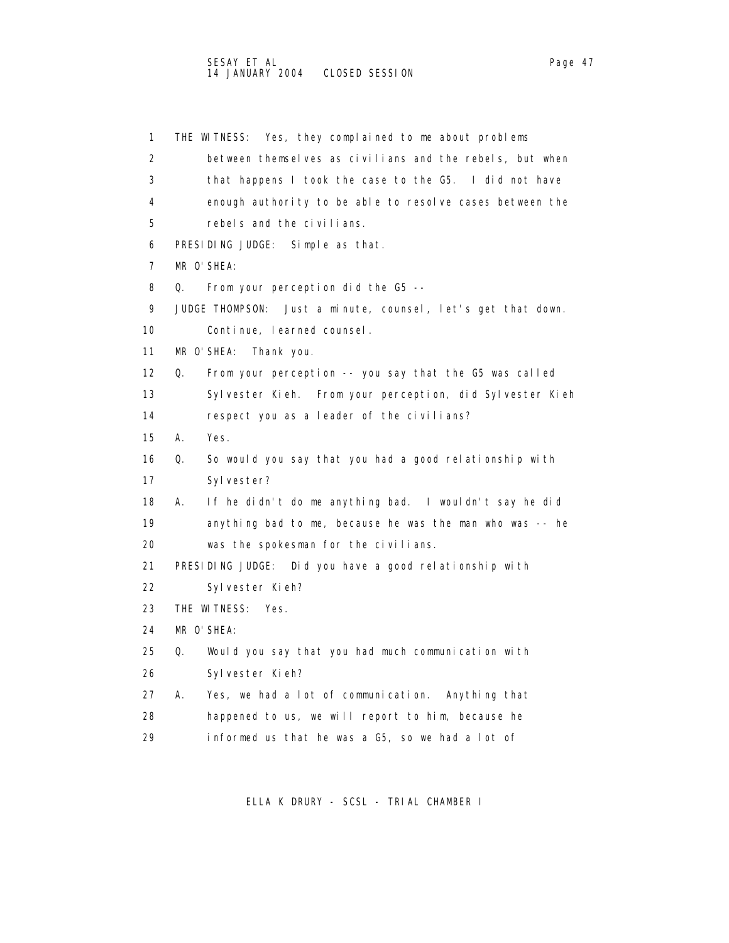1 THE WITNESS: Yes, they complained to me about problems 2 between themselves as civilians and the rebels, but when 3 that happens I took the case to the G5. I did not have 4 enough authority to be able to resolve cases between the 5 rebels and the civilians. 6 PRESIDING JUDGE: Simple as that. 7 MR O'SHEA: 8 Q. From your perception did the G5 -- 9 JUDGE THOMPSON: Just a minute, counsel, let's get that down. 10 Continue, learned counsel. 11 MR O'SHEA: Thank you. 12 Q. From your perception -- you say that the G5 was called 13 Sylvester Kieh. From your perception, did Sylvester Kieh 14 respect you as a leader of the civilians? 15 A. Yes. 16 Q. So would you say that you had a good relationship with 17 Sylvester? 18 A. If he didn't do me anything bad. I wouldn't say he did 19 anything bad to me, because he was the man who was -- he 20 was the spokesman for the civilians. 21 PRESIDING JUDGE: Did you have a good relationship with 22 Sylvester Kieh? 23 THE WITNESS: Yes. 24 MR O'SHEA: 25 Q. Would you say that you had much communication with 26 Sylvester Kieh? 27 A. Yes, we had a lot of communication. Anything that 28 happened to us, we will report to him, because he 29 informed us that he was a G5, so we had a lot of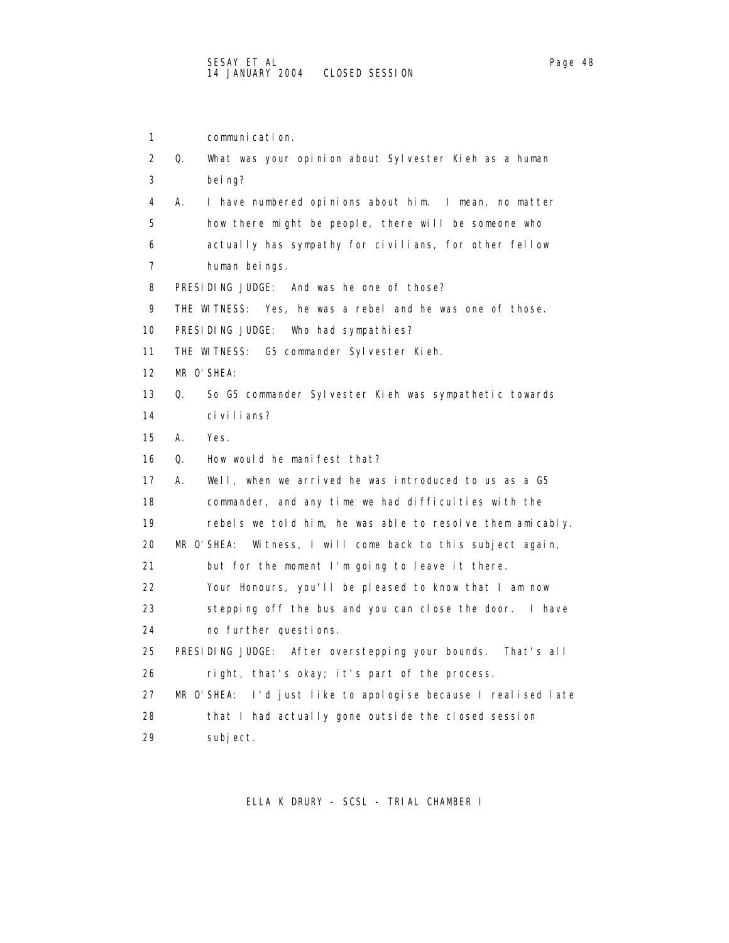1 communication. 2 Q. What was your opinion about Sylvester Kieh as a human 3 being? 4 A. I have numbered opinions about him. I mean, no matter 5 how there might be people, there will be someone who 6 actually has sympathy for civilians, for other fellow 7 human beings. 8 PRESIDING JUDGE: And was he one of those? 9 THE WITNESS: Yes, he was a rebel and he was one of those. 10 PRESIDING JUDGE: Who had sympathies? 11 THE WITNESS: G5 commander Sylvester Kieh. 12 MR O'SHEA: 13 Q. So G5 commander Sylvester Kieh was sympathetic towards 14 civilians? 15 A. Yes. 16 Q. How would he manifest that? 17 A. Well, when we arrived he was introduced to us as a G5 18 commander, and any time we had difficulties with the 19 rebels we told him, he was able to resolve them amicably. 20 MR O'SHEA: Witness, I will come back to this subject again, 21 but for the moment I'm going to leave it there. 22 Your Honours, you'll be pleased to know that I am now 23 stepping off the bus and you can close the door. I have 24 no further questions. 25 PRESIDING JUDGE: After overstepping your bounds. That's all 26 right, that's okay; it's part of the process. 27 MR O'SHEA: I'd just like to apologise because I realised late 28 that I had actually gone outside the closed session 29 subject.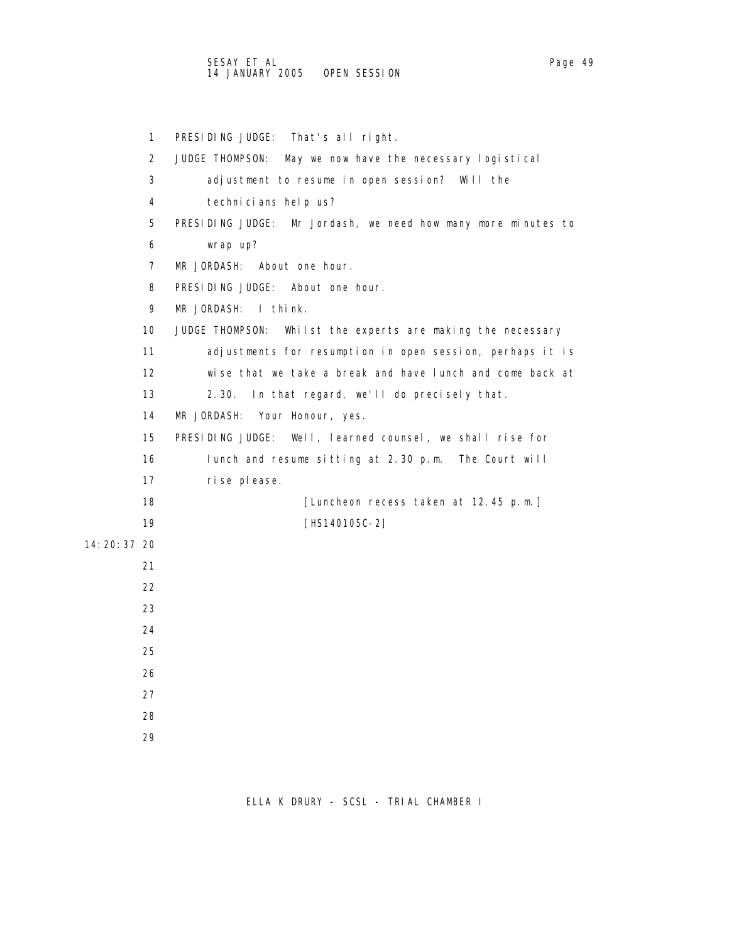## SESAY ET AL Page 49 14 JANUARY 2005 OPEN SESSION

 1 PRESIDING JUDGE: That's all right. 2 JUDGE THOMPSON: May we now have the necessary logistical 3 adjustment to resume in open session? Will the 4 technicians help us? 5 PRESIDING JUDGE: Mr Jordash, we need how many more minutes to 6 wrap up? 7 MR JORDASH: About one hour. 8 PRESIDING JUDGE: About one hour. 9 MR JORDASH: I think. 10 JUDGE THOMPSON: Whilst the experts are making the necessary 11 adjustments for resumption in open session, perhaps it is 12 wise that we take a break and have lunch and come back at 13 2.30. In that regard, we'll do precisely that. 14 MR JORDASH: Your Honour, yes. 15 PRESIDING JUDGE: Well, learned counsel, we shall rise for 16 lunch and resume sitting at 2.30 p.m. The Court will 17 rise please. 18 **[Luncheon recess taken at 12.45 p.m.]**  19 [HS140105C-2] 14:20:37 20 21 22 23 24 25 26 27 28 29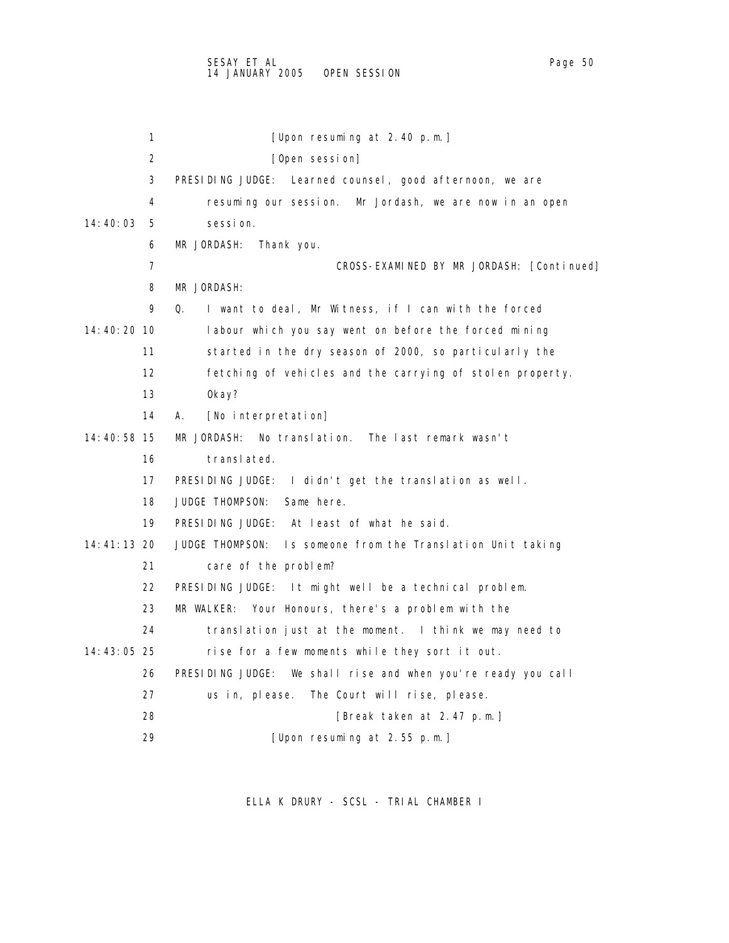| 1              | [Upon resuming at 2.40 p.m.]                                  |
|----------------|---------------------------------------------------------------|
| $\overline{2}$ | [Open session]                                                |
| 3              | PRESIDING JUDGE:<br>Learned counsel, good afternoon, we are   |
| 4              | resuming our session. Mr Jordash, we are now in an open       |
| 14:40:03<br>5  | sessi on.                                                     |
| 6              | MR JORDASH:<br>Thank you.                                     |
| 7              | CROSS-EXAMINED BY MR JORDASH: [Continued]                     |
| 8              | MR JORDASH:                                                   |
| 9              | Q.<br>I want to deal, Mr Witness, if I can with the forced    |
| 14:40:20 10    | labour which you say went on before the forced mining         |
| 11             | started in the dry season of 2000, so particularly the        |
| 12             | fetching of vehicles and the carrying of stolen property.     |
| 13             | 0kay?                                                         |
| 14             | А.<br>[No interpretation]                                     |
| 14:40:58 15    | MR JORDASH:<br>No translation. The last remark wasn't         |
| 16             | translated.                                                   |
| 17             | PRESIDING JUDGE: I didn't get the translation as well.        |
| 18             | JUDGE THOMPSON:<br>Same here.                                 |
| 19             | PRESIDING JUDGE: At least of what he said.                    |
| $14:41:13$ 20  | JUDGE THOMPSON: Is someone from the Translation Unit taking   |
| 21             | care of the problem?                                          |
| 22             | PRESIDING JUDGE: It might well be a technical problem.        |
| 23             | MR WALKER: Your Honours, there's a problem with the           |
| 24             | translation just at the moment. I think we may need to        |
| $14:43:05$ 25  | rise for a few moments while they sort it out.                |
| 26             | PRESIDING JUDGE: We shall rise and when you're ready you call |
| 27             | us in, please.<br>The Court will rise, please.                |
| 28             | [Break taken at 2.47 p.m.]                                    |
| 29             | [Upon resuming at 2.55 p.m.]                                  |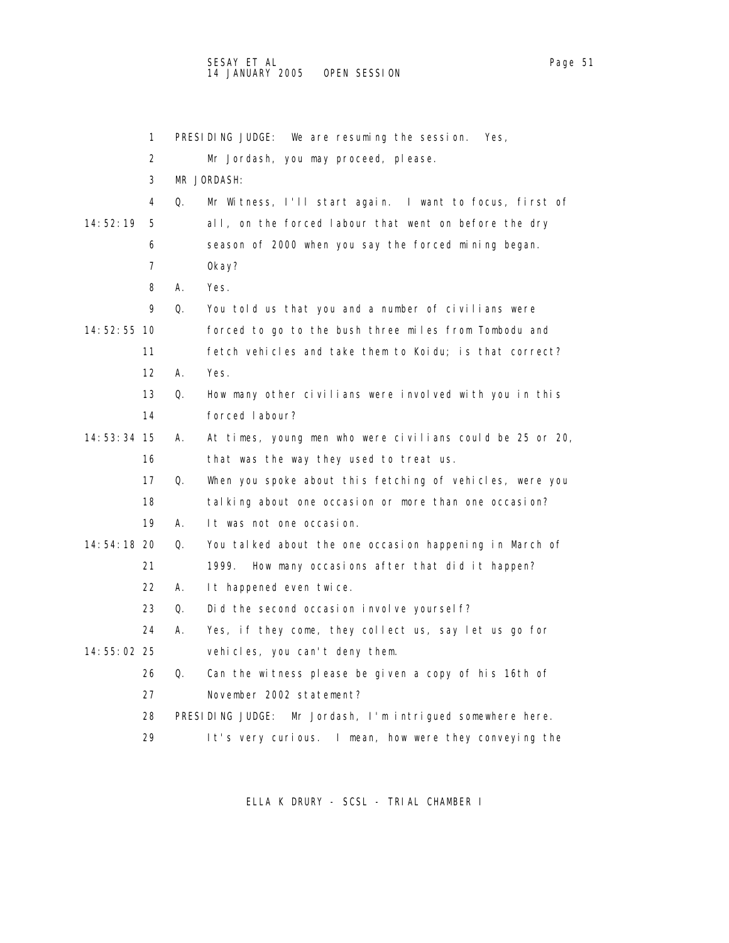1 PRESIDING JUDGE: We are resuming the session. Yes, 2 Mr Jordash, you may proceed, please. 3 MR JORDASH: 4 Q. Mr Witness, I'll start again. I want to focus, first of 14:52:19 5 all, on the forced labour that went on before the dry 6 season of 2000 when you say the forced mining began. 7 Okay? 8 A. Yes. 9 Q. You told us that you and a number of civilians were 14:52:55 10 forced to go to the bush three miles from Tombodu and 11 fetch vehicles and take them to Koidu; is that correct? 12 A. Yes. 13 Q. How many other civilians were involved with you in this 14 forced labour? 14:53:34 15 A. At times, young men who were civilians could be 25 or 20, 16 that was the way they used to treat us. 17 Q. When you spoke about this fetching of vehicles, were you 18 talking about one occasion or more than one occasion? 19 A. It was not one occasion. 14:54:18 20 Q. You talked about the one occasion happening in March of 21 1999. How many occasions after that did it happen? 22 A. It happened even twice. 23 Q. Did the second occasion involve yourself? 24 A. Yes, if they come, they collect us, say let us go for 14:55:02 25 vehicles, you can't deny them. 26 Q. Can the witness please be given a copy of his 16th of 27 November 2002 statement? 28 PRESIDING JUDGE: Mr Jordash, I'm intrigued somewhere here. 29 It's very curious. I mean, how were they conveying the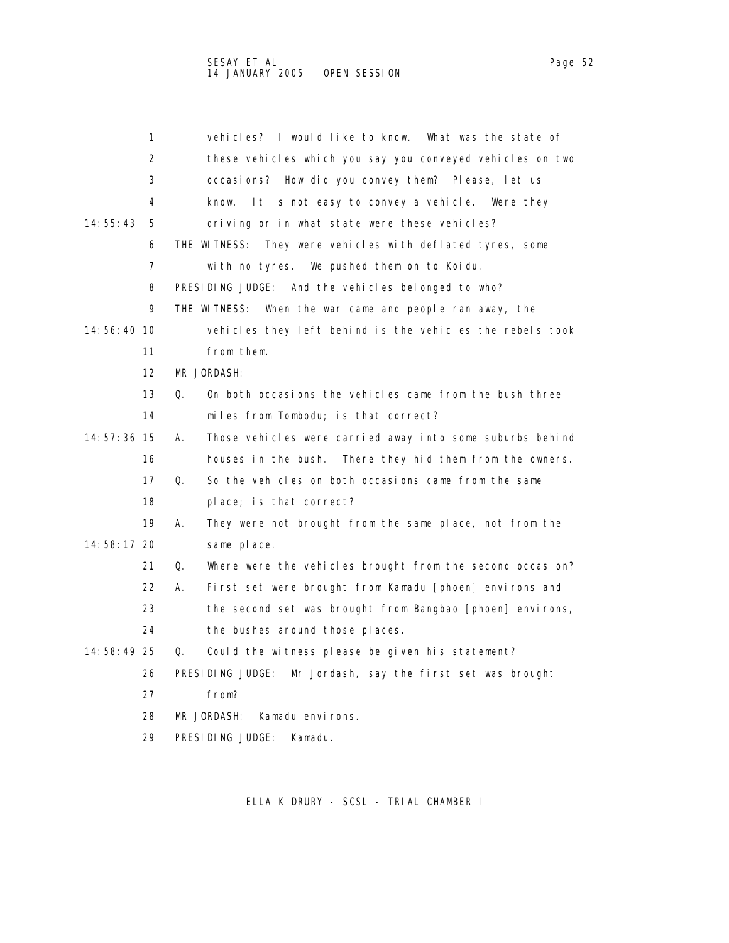|                   | 1  | vehicles? I would like to know. What was the state of      |
|-------------------|----|------------------------------------------------------------|
|                   | 2  | these vehicles which you say you conveyed vehicles on two  |
|                   | 3  | occasions? How did you convey them? Please, let us         |
|                   | 4  | It is not easy to convey a vehicle. Were they<br>know.     |
| 14: 55: 43        | 5  | driving or in what state were these vehicles?              |
|                   | 6  | THE WITNESS: They were vehicles with deflated tyres, some  |
|                   | 7  | with no tyres. We pushed them on to Koidu.                 |
|                   | 8  | PRESIDING JUDGE: And the vehicles belonged to who?         |
|                   | 9  | THE WITNESS:<br>When the war came and people ran away, the |
| 14:56:40 10       |    | vehicles they left behind is the vehicles the rebels took  |
| 11                |    | from them.                                                 |
| $12 \overline{ }$ |    | MR JORDASH:                                                |
| 13                | Q. | On both occasions the vehicles came from the bush three    |
| 14                |    | miles from Tombodu; is that correct?                       |
| 14:57:36 15       | А. | Those vehicles were carried away into some suburbs behind  |
| 16                |    | houses in the bush. There they hid them from the owners.   |
| 17                | Q. | So the vehicles on both occasions came from the same       |
| 18                |    | place; is that correct?                                    |
| 19                | А. | They were not brought from the same place, not from the    |
| 14:58:17 20       |    | same place.                                                |
| 21                | Q. | Where were the vehicles brought from the second occasion?  |
| 22                | А. | First set were brought from Kamadu [phoen] environs and    |
| 23                |    | the second set was brought from Bangbao [phoen] environs,  |
| 24                |    | the bushes around those places.                            |
| 14:58:49 25       | Q. | Could the witness please be given his statement?           |
| 26                |    | PRESIDING JUDGE: Mr Jordash, say the first set was brought |
| 27                |    | from?                                                      |
| 28                |    | MR JORDASH:<br>Kamadu environs.                            |
| 29                |    | PRESIDING JUDGE:<br>Kamadu.                                |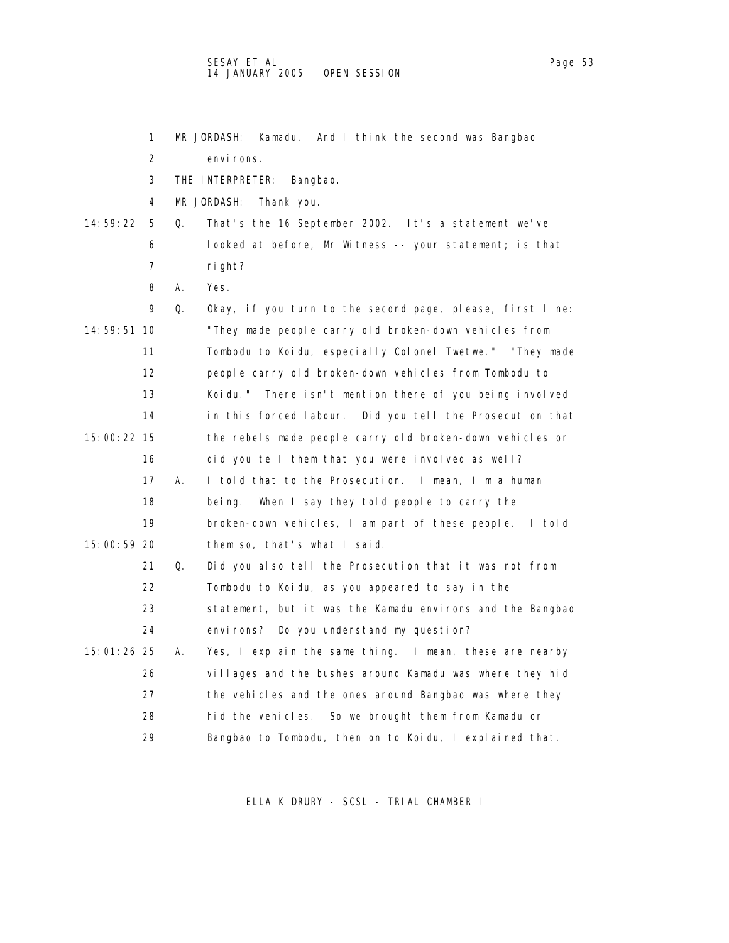|             | 1                 | MR JORDASH:<br>Kamadu.<br>And I think the second was Bangbao    |
|-------------|-------------------|-----------------------------------------------------------------|
|             | $\overline{2}$    | envi rons.                                                      |
|             | 3                 | THE INTERPRETER:<br>Bangbao.                                    |
|             | 4                 | MR JORDASH:<br>Thank you.                                       |
| 14: 59: 22  | 5                 | That's the 16 September 2002. It's a statement we've<br>0.      |
|             | 6                 | looked at before, Mr Witness -- your statement; is that         |
|             | 7                 | right?                                                          |
|             | 8                 | А.<br>Yes.                                                      |
|             | 9                 | Q.<br>Okay, if you turn to the second page, please, first line: |
| 14:59:51 10 |                   | "They made people carry old broken-down vehicles from           |
|             | 11                | Tombodu to Koidu, especially Colonel Twetwe." "They made        |
|             | $12 \overline{ }$ | people carry old broken-down vehicles from Tombodu to           |
|             | 13                | Koidu." There isn't mention there of you being involved         |
|             | 14                | in this forced labour. Did you tell the Prosecution that        |
| 15:00:22 15 |                   | the rebels made people carry old broken-down vehicles or        |
|             | 16                | did you tell them that you were involved as well?               |
|             | 17                | I told that to the Prosecution. I mean, I'm a human<br>А.       |
|             | 18                | When I say they told people to carry the<br>bei ng.             |
|             | 19                | broken-down vehicles, I am part of these people. I told         |
| 15:00:59 20 |                   | them so, that's what I said.                                    |
|             | 21                | Did you also tell the Prosecution that it was not from<br>Q.    |
|             | 22                | Tombodu to Koidu, as you appeared to say in the                 |
|             | 23                | statement, but it was the Kamadu environs and the Bangbao       |
|             | 24                | environs? Do you understand my question?                        |
| 15:01:26 25 |                   | Yes, I explain the same thing. I mean, these are nearby<br>А.   |
|             | 26                | villages and the bushes around Kamadu was where they hid        |
|             | 27                | the vehicles and the ones around Bangbao was where they         |
|             | 28                | hid the vehicles. So we brought them from Kamadu or             |
|             | 29                | Bangbao to Tombodu, then on to Koidu, I explained that.         |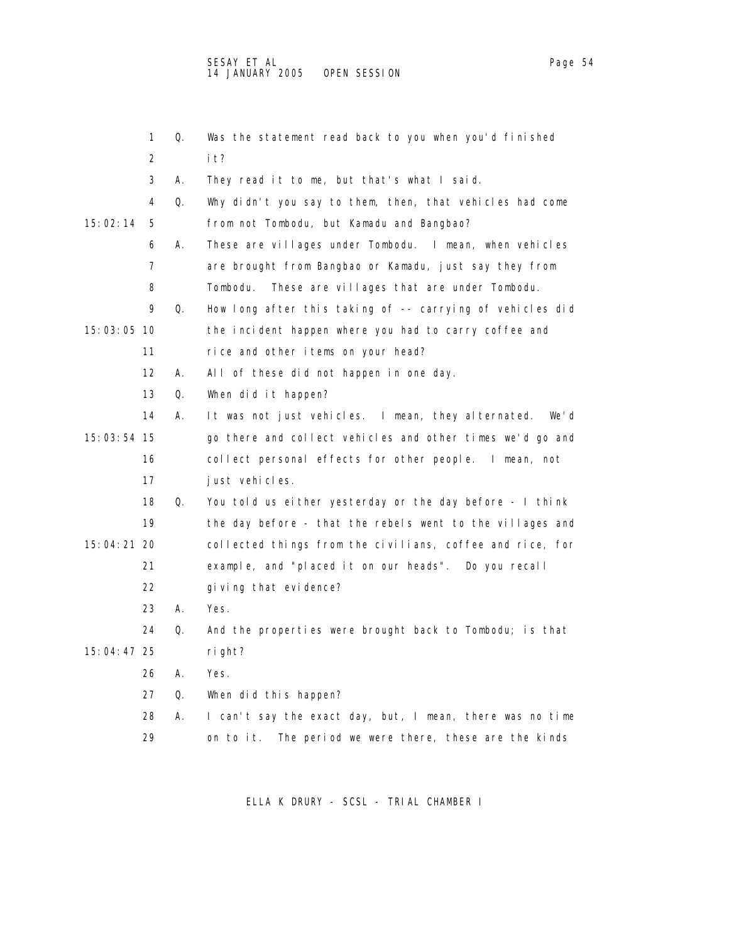1 Q. Was the statement read back to you when you'd finished 2 it? 3 A. They read it to me, but that's what I said. 4 Q. Why didn't you say to them, then, that vehicles had come 15:02:14 5 from not Tombodu, but Kamadu and Bangbao? 6 A. These are villages under Tombodu. I mean, when vehicles 7 are brought from Bangbao or Kamadu, just say they from 8 Tombodu. These are villages that are under Tombodu. 9 Q. How long after this taking of -- carrying of vehicles did 15:03:05 10 the incident happen where you had to carry coffee and 11 rice and other items on your head? 12 A. All of these did not happen in one day. 13 Q. When did it happen? 14 A. It was not just vehicles. I mean, they alternated. We'd 15:03:54 15 go there and collect vehicles and other times we'd go and 16 collect personal effects for other people. I mean, not 17 just vehicles. 18 Q. You told us either yesterday or the day before - I think 19 the day before - that the rebels went to the villages and 15:04:21 20 collected things from the civilians, coffee and rice, for 21 example, and "placed it on our heads". Do you recall 22 giving that evidence? 23 A. Yes. 24 Q. And the properties were brought back to Tombodu; is that 15:04:47 25 right? 26 A. Yes. 27 Q. When did this happen? 28 A. I can't say the exact day, but, I mean, there was no time 29 on to it. The period we were there, these are the kinds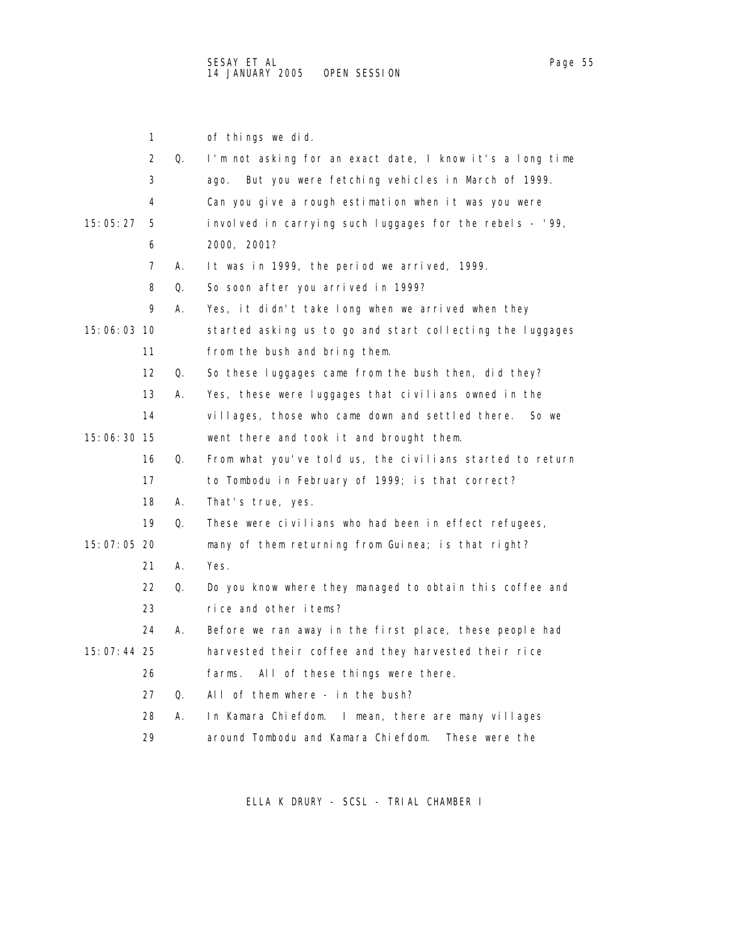|             | 1                 |    | of things we did.                                         |
|-------------|-------------------|----|-----------------------------------------------------------|
|             | 2                 | Q. | I'm not asking for an exact date, I know it's a long time |
|             | 3                 |    | But you were fetching vehicles in March of 1999.<br>ago.  |
|             | 4                 |    | Can you give a rough estimation when it was you were      |
|             |                   |    |                                                           |
| 15:05:27    | 5                 |    | involved in carrying such luggages for the rebels - '99,  |
|             | 6                 |    | 2000, 2001?                                               |
|             | 7                 | А. | It was in 1999, the period we arrived, 1999.              |
|             | 8                 | Q. | So soon after you arrived in 1999?                        |
|             | 9                 | А. | Yes, it didn't take long when we arrived when they        |
| 15:06:03 10 |                   |    | started asking us to go and start collecting the luggages |
|             | 11                |    | from the bush and bring them.                             |
|             | $12 \overline{ }$ | Q. | So these luggages came from the bush then, did they?      |
|             | 13                | А. | Yes, these were luggages that civilians owned in the      |
|             | 14                |    | villages, those who came down and settled there.<br>So we |
| 15:06:30 15 |                   |    | went there and took it and brought them.                  |
|             | 16                | Q. | From what you've told us, the civilians started to return |
|             | 17                |    | to Tombodu in February of 1999; is that correct?          |
|             | 18                | А. | That's true, yes.                                         |
|             | 19                | Q. | These were civilians who had been in effect refugees,     |
| 15:07:05 20 |                   |    | many of them returning from Guinea; is that right?        |
|             | 21                | А. | Yes.                                                      |
|             | 22                | Q. | Do you know where they managed to obtain this coffee and  |
|             | 23                |    | rice and other items?                                     |
|             | 24                | А. | Before we ran away in the first place, these people had   |
| 15:07:44 25 |                   |    | harvested their coffee and they harvested their rice      |
|             | 26                |    | All of these things were there.<br>farms.                 |
|             | 27                | Q. | All of them where - in the bush?                          |
|             | 28                | А. | In Kamara Chiefdom. I mean, there are many villages       |
|             | 29                |    | around Tombodu and Kamara Chiefdom.<br>These were the     |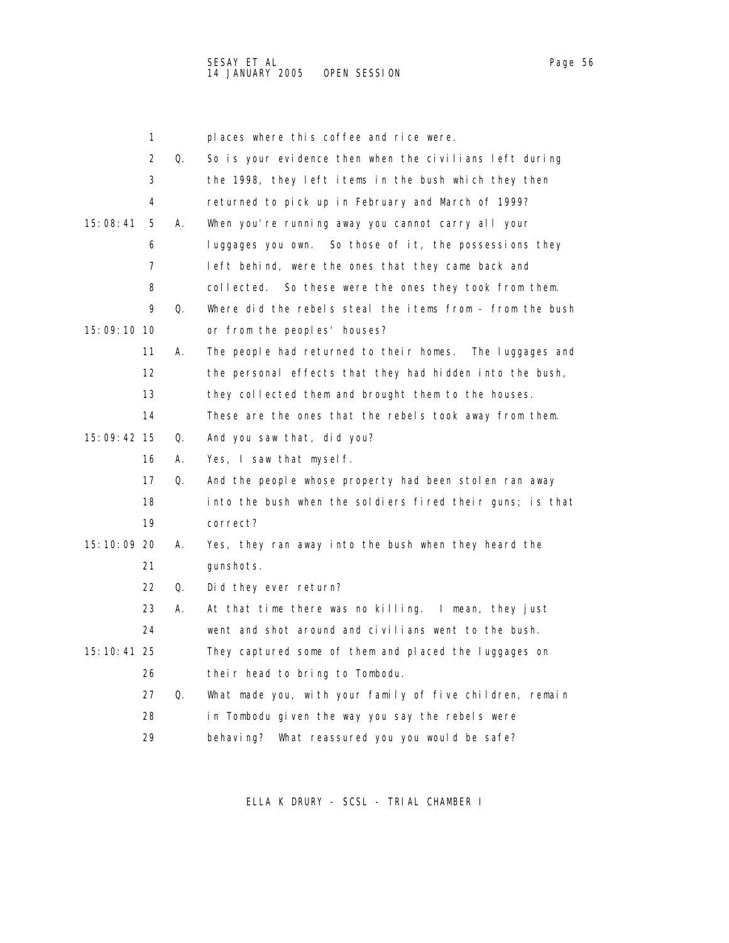|               | 1  |    | places where this coffee and rice were.                   |
|---------------|----|----|-----------------------------------------------------------|
|               | 2  | Q. | So is your evidence then when the civilians left during   |
|               | 3  |    | the 1998, they left items in the bush which they then     |
|               | 4  |    | returned to pick up in February and March of 1999?        |
| 15:08:41      | 5  | А. | When you're running away you cannot carry all your        |
|               | 6  |    | luggages you own. So those of it, the possessions they    |
|               | 7  |    | left behind, were the ones that they came back and        |
|               | 8  |    | collected. So these were the ones they took from them.    |
|               | 9  | Q. | Where did the rebels steal the items from - from the bush |
| 15:09:10 10   |    |    | or from the peoples' houses?                              |
|               | 11 | А. | The people had returned to their homes. The luggages and  |
|               | 12 |    | the personal effects that they had hidden into the bush,  |
|               | 13 |    | they collected them and brought them to the houses.       |
|               | 14 |    | These are the ones that the rebels took away from them.   |
| 15:09:42 15   |    | Q. | And you saw that, did you?                                |
|               | 16 | А. | Yes, I saw that myself.                                   |
|               | 17 | Q. | And the people whose property had been stolen ran away    |
|               | 18 |    | into the bush when the soldiers fired their guns; is that |
|               | 19 |    | correct?                                                  |
| 15:10:09 20   |    | А. | Yes, they ran away into the bush when they heard the      |
|               | 21 |    | qunshots.                                                 |
|               | 22 | 0. | Did they ever return?                                     |
|               | 23 | А. | At that time there was no killing. I mean, they just      |
|               | 24 |    | went and shot around and civilians went to the bush.      |
| 15: 10: 41 25 |    |    | They captured some of them and placed the luggages on     |
|               | 26 |    | their head to bring to Tombodu.                           |
|               | 27 | Q. | What made you, with your family of five children, remain  |
|               | 28 |    | in Tombodu given the way you say the rebels were          |
|               | 29 |    | behaving? What reassured you you would be safe?           |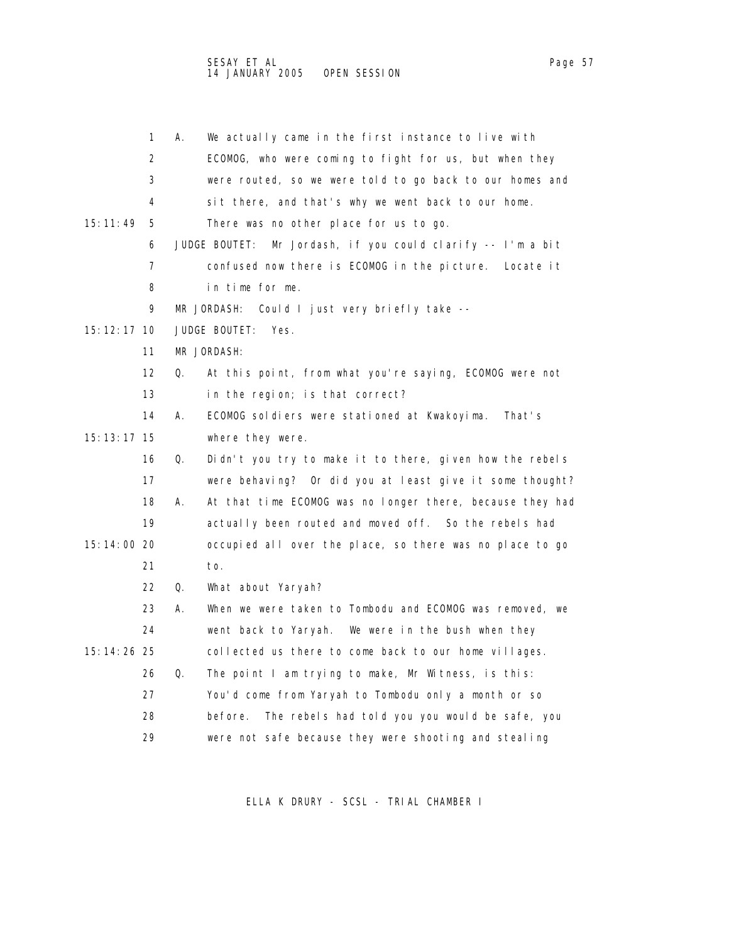|               | 1  | Α. | We actually came in the first instance to live with            |
|---------------|----|----|----------------------------------------------------------------|
|               | 2  |    | ECOMOG, who were coming to fight for us, but when they         |
|               | 3  |    | were routed, so we were told to go back to our homes and       |
|               | 4  |    | sit there, and that's why we went back to our home.            |
| 15: 11: 49    | 5  |    | There was no other place for us to go.                         |
|               | 6  |    | JUDGE BOUTET:<br>Mr Jordash, if you could clarify -- I'm a bit |
|               | 7  |    | confused now there is ECOMOG in the picture. Locate it         |
|               | 8  |    | in time for me.                                                |
|               | 9  |    | MR JORDASH:<br>Could I just very briefly take --               |
| 15: 12: 17 10 |    |    | JUDGE BOUTET:<br>Yes.                                          |
|               | 11 |    | MR JORDASH:                                                    |
|               | 12 | Q. | At this point, from what you're saying, ECOMOG were not        |
|               | 13 |    | in the region; is that correct?                                |
|               | 14 | А. | ECOMOG soldiers were stationed at Kwakoyima.<br>That's         |
| 15: 13: 17 15 |    |    | where they were.                                               |
|               | 16 | Q. | Didn't you try to make it to there, given how the rebels       |
|               | 17 |    | were behaving? Or did you at least give it some thought?       |
|               | 18 | А. | At that time ECOMOG was no longer there, because they had      |
|               | 19 |    | actually been routed and moved off. So the rebels had          |
| 15:14:00 20   |    |    | occupied all over the place, so there was no place to go       |
|               | 21 |    | to.                                                            |
|               | 22 | Q. | What about Yaryah?                                             |
|               | 23 | Α. | When we were taken to Tombodu and ECOMOG was removed, we       |
|               | 24 |    | went back to Yaryah. We were in the bush when they             |
| 15: 14: 26 25 |    |    | collected us there to come back to our home villages.          |
|               | 26 | Q. | The point I am trying to make, Mr Witness, is this:            |
|               | 27 |    | You'd come from Yaryah to Tombodu only a month or so           |
|               | 28 |    | The rebels had told you you would be safe, you<br>before.      |
|               | 29 |    | were not safe because they were shooting and stealing          |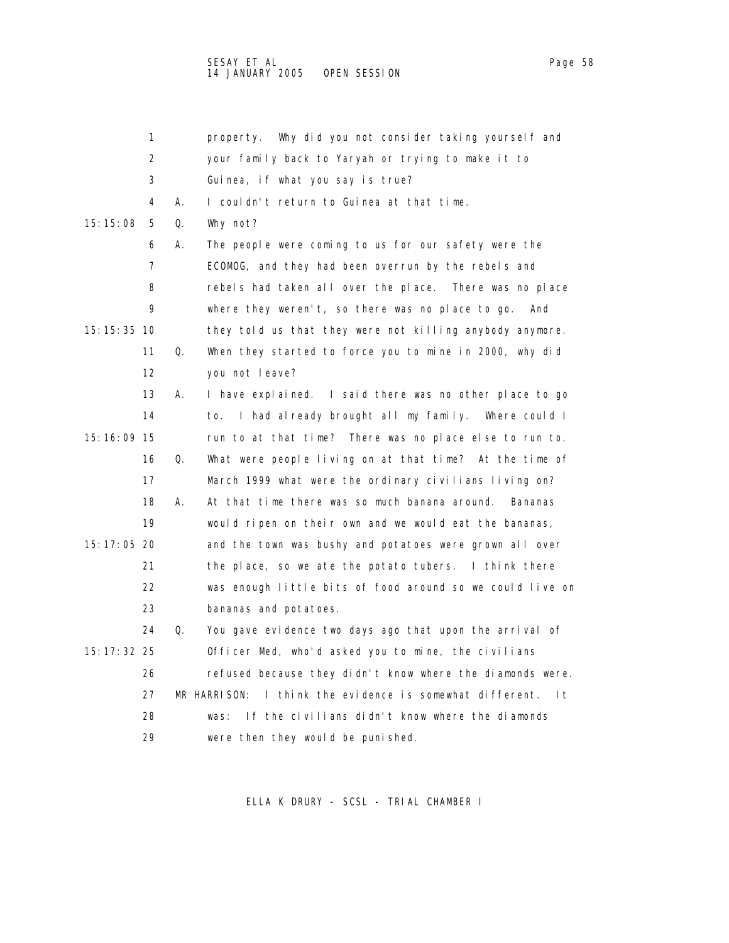|               | 1                 |    | property. Why did you not consider taking yourself and              |
|---------------|-------------------|----|---------------------------------------------------------------------|
|               | 2                 |    | your family back to Yaryah or trying to make it to                  |
|               | 3                 |    | Guinea, if what you say is true?                                    |
|               | 4                 | А. | I couldn't return to Guinea at that time.                           |
| 15: 15: 08    | 5                 | Q. | Why not?                                                            |
|               | 6                 | А. | The people were coming to us for our safety were the                |
|               | 7                 |    | ECOMOG, and they had been overrun by the rebels and                 |
|               | 8                 |    | rebels had taken all over the place. There was no place             |
|               | 9                 |    | where they weren't, so there was no place to go.<br>And             |
| 15: 15: 35 10 |                   |    | they told us that they were not killing anybody anymore.            |
|               | 11                | Q. | When they started to force you to mine in 2000, why did             |
|               | $12 \overline{ }$ |    | you not leave?                                                      |
|               | 13                | А. | I have explained. I said there was no other place to go             |
|               | 14                |    | to. I had already brought all my family. Where could I              |
| 15:16:09 15   |                   |    | run to at that time? There was no place else to run to.             |
|               | 16                | Q. | What were people living on at that time? At the time of             |
|               | 17                |    | March 1999 what were the ordinary civilians living on?              |
|               | 18                | А. | At that time there was so much banana around. Bananas               |
|               | 19                |    | would ripen on their own and we would eat the bananas,              |
| 15:17:05 20   |                   |    | and the town was bushy and potatoes were grown all over             |
|               | 21                |    | the place, so we ate the potato tubers. I think there               |
|               | 22                |    | was enough little bits of food around so we could live on           |
|               | 23                |    | bananas and potatoes.                                               |
|               | 24                | Q. | You gave evidence two days ago that upon the arrival of             |
| 15: 17: 32 25 |                   |    | Officer Med, who'd asked you to mine, the civilians                 |
|               | 26                |    | refused because they didn't know where the diamonds were.           |
|               | 27                |    | MR HARRISON:<br>I think the evidence is somewhat different.<br>-l t |
|               | 28                |    | If the civilians didn't know where the diamonds<br>was:             |
|               | 29                |    | were then they would be punished.                                   |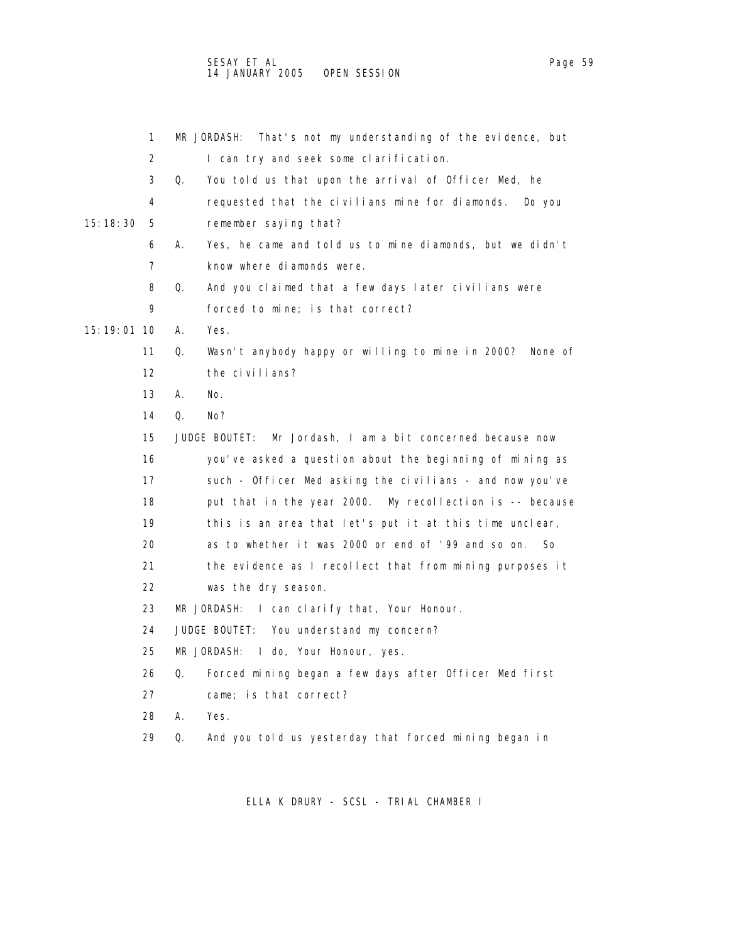| 1               | MR JORDASH:<br>That's not my understanding of the evidence, but |
|-----------------|-----------------------------------------------------------------|
| 2               | I can try and seek some clarification.                          |
| 3               | Q.<br>You told us that upon the arrival of Officer Med, he      |
| 4               | requested that the civilians mine for diamonds. Do you          |
| 15: 18: 30<br>5 | remember saying that?                                           |
| 6               | А.<br>Yes, he came and told us to mine diamonds, but we didn't  |
| 7               | know where diamonds were.                                       |
| 8               | Q.<br>And you claimed that a few days later civilians were      |
| 9               | forced to mine; is that correct?                                |
| 15:19:01 10     | Yes.<br>А.                                                      |
| 11              | Q.<br>Wasn't anybody happy or willing to mine in 2000? None of  |
| 12              | the civilians?                                                  |
| 13              | No.<br>А.                                                       |
| 14              | Q.<br>No?                                                       |
| 15              | JUDGE BOUTET:<br>Mr Jordash, I am a bit concerned because now   |
| 16              | you've asked a question about the beginning of mining as        |
| 17              | such - Officer Med asking the civilians - and now you've        |
| 18              | put that in the year 2000. My recollection is -- because        |
| 19              | this is an area that let's put it at this time unclear,         |
| 20              | as to whether it was 2000 or end of '99 and so on.<br>So        |
| 21              | the evidence as I recollect that from mining purposes it        |
| 22              | was the dry season.                                             |
| 23              | I can clarify that, Your Honour.<br>MR JORDASH:                 |
| 24              | JUDGE BOUTET:<br>You understand my concern?                     |
| 25              | MR JORDASH:<br>I do, Your Honour, yes.                          |
| 26              | Q.<br>Forced mining began a few days after Officer Med first    |
| 27              | came; is that correct?                                          |
| 28              | А.<br>Yes.                                                      |
| 29              | And you told us yesterday that forced mining began in<br>Q.     |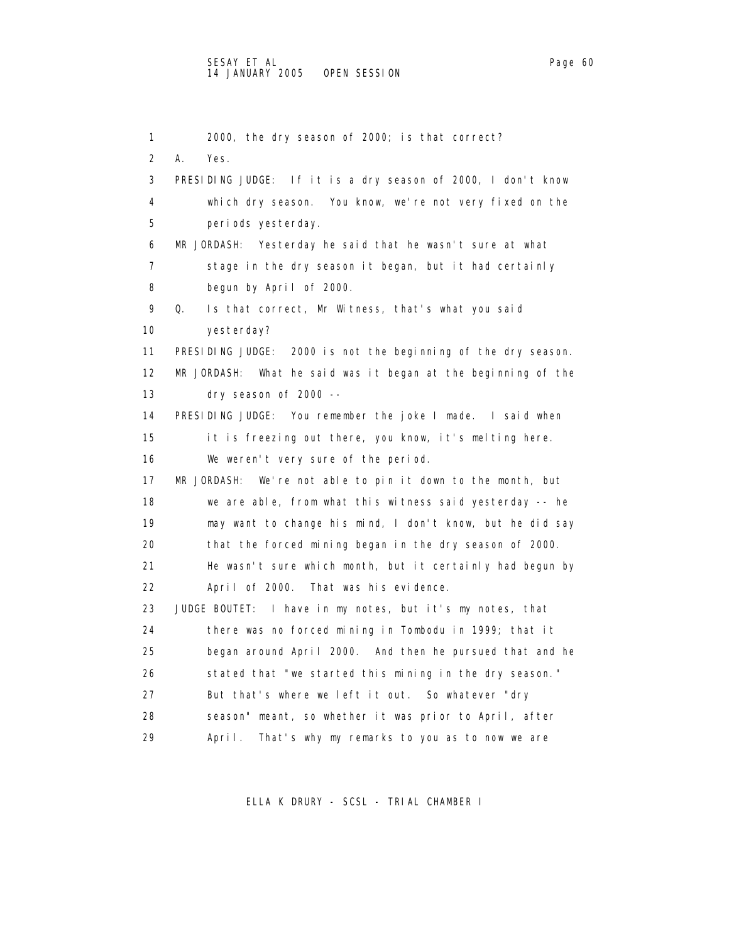```
 1 2000, the dry season of 2000; is that correct? 
 2 A. Yes. 
 3 PRESIDING JUDGE: If it is a dry season of 2000, I don't know 
 4 which dry season. You know, we're not very fixed on the 
 5 periods yesterday. 
 6 MR JORDASH: Yesterday he said that he wasn't sure at what 
7 stage in the dry season it began, but it had certainly
 8 begun by April of 2000. 
 9 Q. Is that correct, Mr Witness, that's what you said 
 10 yesterday? 
 11 PRESIDING JUDGE: 2000 is not the beginning of the dry season. 
 12 MR JORDASH: What he said was it began at the beginning of the 
 13 dry season of 2000 -- 
 14 PRESIDING JUDGE: You remember the joke I made. I said when 
 15 it is freezing out there, you know, it's melting here. 
 16 We weren't very sure of the period. 
 17 MR JORDASH: We're not able to pin it down to the month, but 
 18 we are able, from what this witness said yesterday -- he 
 19 may want to change his mind, I don't know, but he did say 
 20 that the forced mining began in the dry season of 2000. 
 21 He wasn't sure which month, but it certainly had begun by 
 22 April of 2000. That was his evidence. 
 23 JUDGE BOUTET: I have in my notes, but it's my notes, that 
 24 there was no forced mining in Tombodu in 1999; that it 
 25 began around April 2000. And then he pursued that and he 
 26 stated that "we started this mining in the dry season." 
 27 But that's where we left it out. So whatever "dry 
 28 season" meant, so whether it was prior to April, after 
 29 April. That's why my remarks to you as to now we are
```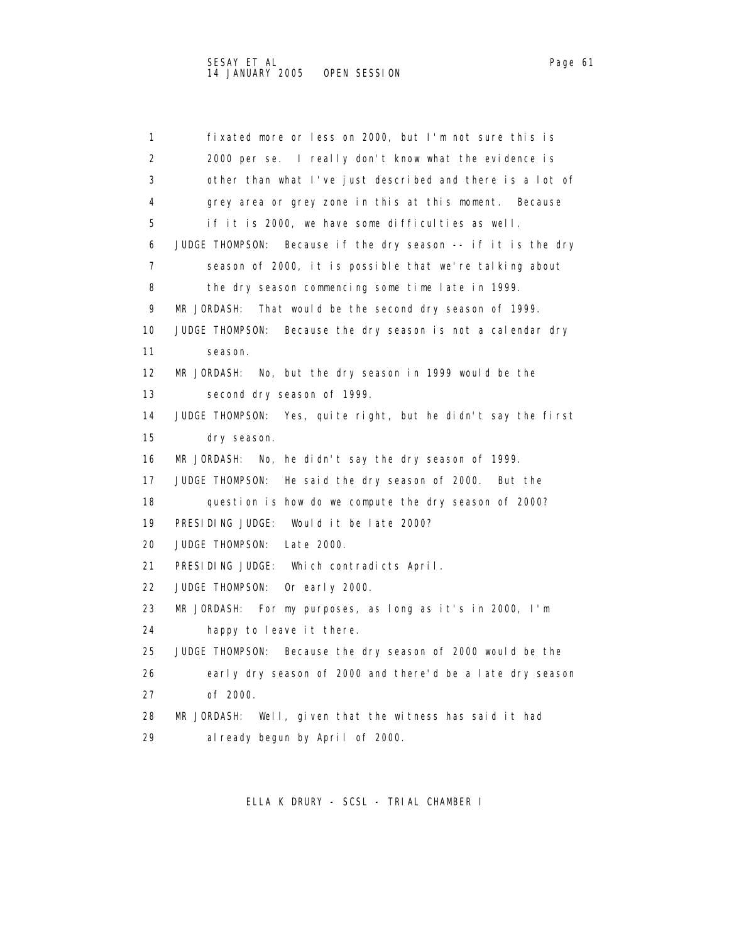1 fixated more or less on 2000, but I'm not sure this is 2 2000 per se. I really don't know what the evidence is 3 other than what I've just described and there is a lot of 4 grey area or grey zone in this at this moment. Because 5 if it is 2000, we have some difficulties as well. 6 JUDGE THOMPSON: Because if the dry season -- if it is the dry 7 season of 2000, it is possible that we're talking about 8 the dry season commencing some time late in 1999. 9 MR JORDASH: That would be the second dry season of 1999. 10 JUDGE THOMPSON: Because the dry season is not a calendar dry 11 season. 12 MR JORDASH: No, but the dry season in 1999 would be the 13 second dry season of 1999. 14 JUDGE THOMPSON: Yes, quite right, but he didn't say the first 15 dry season. 16 MR JORDASH: No, he didn't say the dry season of 1999. 17 JUDGE THOMPSON: He said the dry season of 2000. But the 18 question is how do we compute the dry season of 2000? 19 PRESIDING JUDGE: Would it be late 2000? 20 JUDGE THOMPSON: Late 2000. 21 PRESIDING JUDGE: Which contradicts April. 22 JUDGE THOMPSON: Or early 2000. 23 MR JORDASH: For my purposes, as long as it's in 2000, I'm 24 happy to leave it there. 25 JUDGE THOMPSON: Because the dry season of 2000 would be the 26 early dry season of 2000 and there'd be a late dry season 27 of 2000. 28 MR JORDASH: Well, given that the witness has said it had 29 already begun by April of 2000.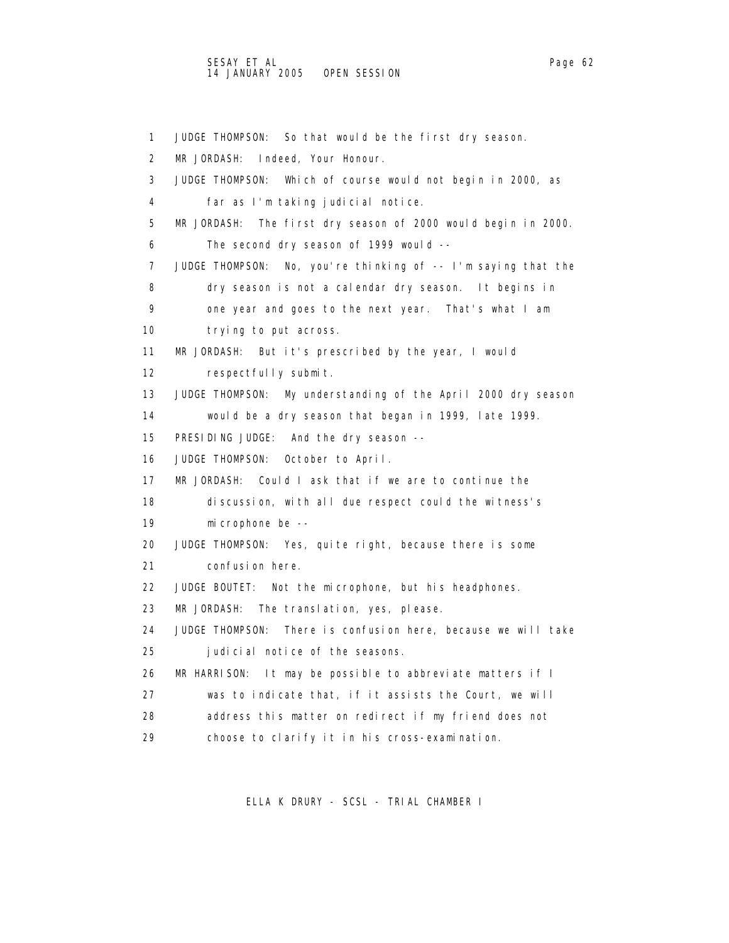1 JUDGE THOMPSON: So that would be the first dry season. 2 MR JORDASH: Indeed, Your Honour. 3 JUDGE THOMPSON: Which of course would not begin in 2000, as 4 far as I'm taking judicial notice. 5 MR JORDASH: The first dry season of 2000 would begin in 2000. 6 The second dry season of 1999 would -- 7 JUDGE THOMPSON: No, you're thinking of -- I'm saying that the 8 dry season is not a calendar dry season. It begins in 9 one year and goes to the next year. That's what I am 10 trying to put across. 11 MR JORDASH: But it's prescribed by the year, I would 12 respectfully submit. 13 JUDGE THOMPSON: My understanding of the April 2000 dry season 14 would be a dry season that began in 1999, late 1999. 15 PRESIDING JUDGE: And the dry season -- 16 JUDGE THOMPSON: October to April. 17 MR JORDASH: Could I ask that if we are to continue the 18 discussion, with all due respect could the witness's 19 microphone be -- 20 JUDGE THOMPSON: Yes, quite right, because there is some 21 confusion here. 22 JUDGE BOUTET: Not the microphone, but his headphones. 23 MR JORDASH: The translation, yes, please. 24 JUDGE THOMPSON: There is confusion here, because we will take 25 judicial notice of the seasons. 26 MR HARRISON: It may be possible to abbreviate matters if I 27 was to indicate that, if it assists the Court, we will 28 address this matter on redirect if my friend does not 29 choose to clarify it in his cross-examination.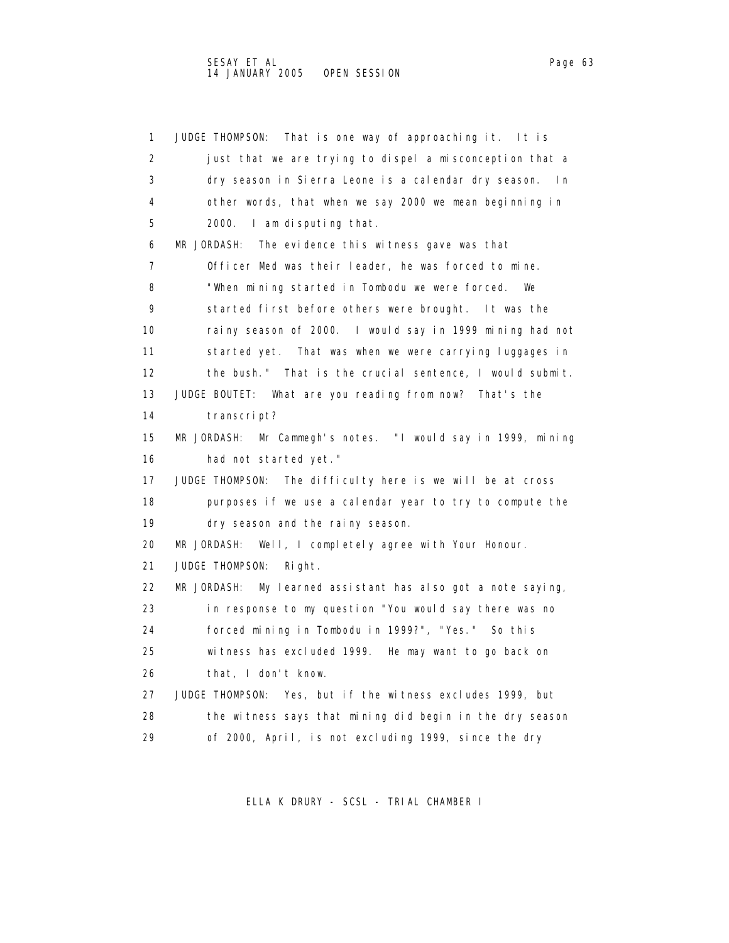1 JUDGE THOMPSON: That is one way of approaching it. It is 2 just that we are trying to dispel a misconception that a 3 dry season in Sierra Leone is a calendar dry season. In 4 other words, that when we say 2000 we mean beginning in 5 2000. I am disputing that. 6 MR JORDASH: The evidence this witness gave was that 7 Officer Med was their leader, he was forced to mine. 8 "When mining started in Tombodu we were forced. We 9 started first before others were brought. It was the 10 rainy season of 2000. I would say in 1999 mining had not 11 started yet. That was when we were carrying luggages in 12 the bush." That is the crucial sentence, I would submit. 13 JUDGE BOUTET: What are you reading from now? That's the 14 transcript? 15 MR JORDASH: Mr Cammegh's notes. "I would say in 1999, mining 16 had not started yet." 17 JUDGE THOMPSON: The difficulty here is we will be at cross 18 **purposes if we use a calendar year to try to compute the**  19 dry season and the rainy season. 20 MR JORDASH: Well, I completely agree with Your Honour. 21 JUDGE THOMPSON: Right. 22 MR JORDASH: My learned assistant has also got a note saying, 23 in response to my question "You would say there was no 24 forced mining in Tombodu in 1999?", "Yes." So this 25 witness has excluded 1999. He may want to go back on 26 that, I don't know. 27 JUDGE THOMPSON: Yes, but if the witness excludes 1999, but 28 the witness says that mining did begin in the dry season 29 of 2000, April, is not excluding 1999, since the dry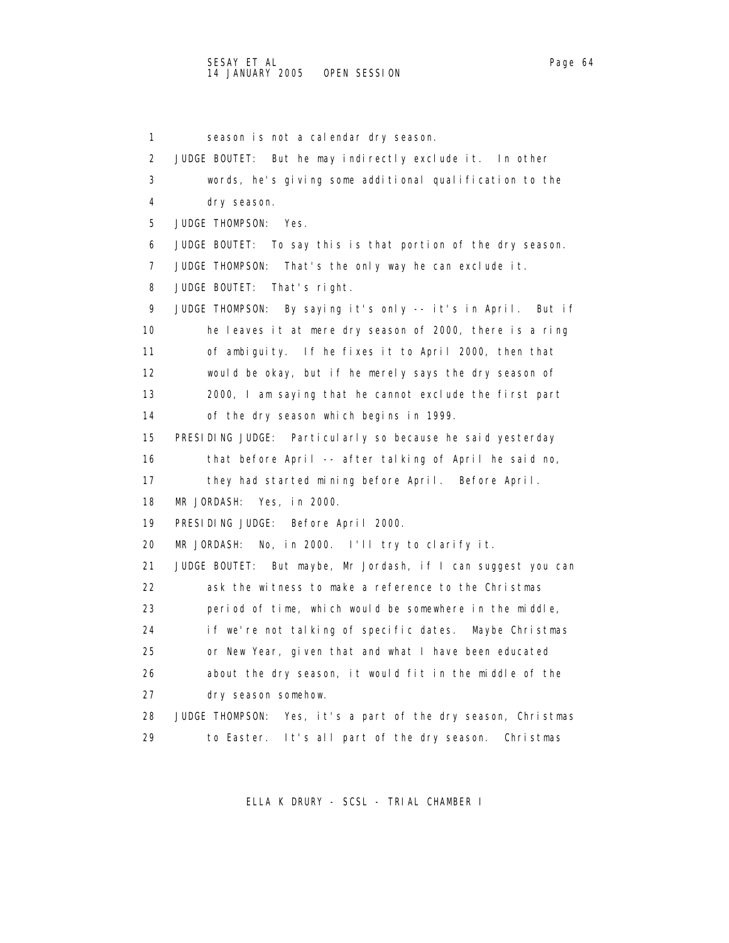1 season is not a calendar dry season. 2 JUDGE BOUTET: But he may indirectly exclude it. In other 3 words, he's giving some additional qualification to the 4 dry season. 5 JUDGE THOMPSON: Yes. 6 JUDGE BOUTET: To say this is that portion of the dry season. 7 JUDGE THOMPSON: That's the only way he can exclude it. 8 JUDGE BOUTET: That's right. 9 JUDGE THOMPSON: By saying it's only -- it's in April. But if 10 he leaves it at mere dry season of 2000, there is a ring 11 of ambiguity. If he fixes it to April 2000, then that 12 would be okay, but if he merely says the dry season of 13 2000, I am saying that he cannot exclude the first part 14 of the dry season which begins in 1999. 15 PRESIDING JUDGE: Particularly so because he said yesterday 16 that before April -- after talking of April he said no, 17 they had started mining before April. Before April. 18 MR JORDASH: Yes, in 2000. 19 PRESIDING JUDGE: Before April 2000. 20 MR JORDASH: No, in 2000. I'll try to clarify it. 21 JUDGE BOUTET: But maybe, Mr Jordash, if I can suggest you can 22 ask the witness to make a reference to the Christmas 23 period of time, which would be somewhere in the middle, 24 if we're not talking of specific dates. Maybe Christmas 25 or New Year, given that and what I have been educated 26 about the dry season, it would fit in the middle of the 27 dry season somehow. 28 JUDGE THOMPSON: Yes, it's a part of the dry season, Christmas 29 to Easter. It's all part of the dry season. Christmas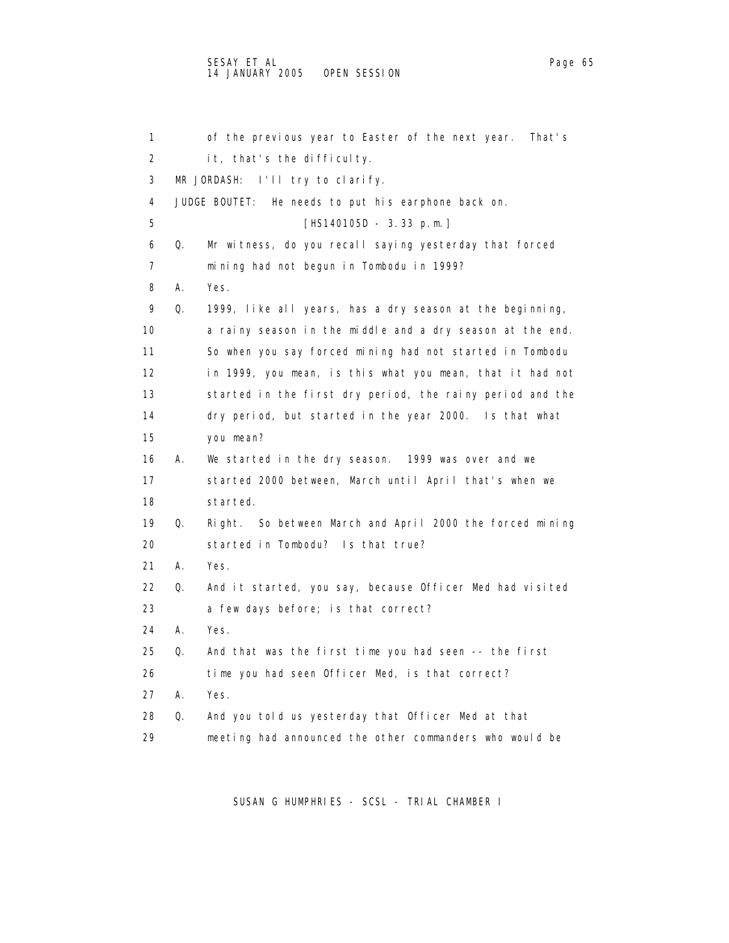1 of the previous year to Easter of the next year. That's 2 it, that's the difficulty. 3 MR JORDASH: I'll try to clarify. 4 JUDGE BOUTET: He needs to put his earphone back on. 5 [HS140105D - 3.33 p.m.] 6 Q. Mr witness, do you recall saying yesterday that forced 7 mining had not begun in Tombodu in 1999? 8 A. Yes. 9 Q. 1999, like all years, has a dry season at the beginning, 10 a rainy season in the middle and a dry season at the end. 11 So when you say forced mining had not started in Tombodu 12 in 1999, you mean, is this what you mean, that it had not 13 started in the first dry period, the rainy period and the 14 dry period, but started in the year 2000. Is that what 15 you mean? 16 A. We started in the dry season. 1999 was over and we 17 started 2000 between, March until April that's when we 18 started. 19 Q. Right. So between March and April 2000 the forced mining 20 started in Tombodu? Is that true? 21 A. Yes. 22 Q. And it started, you say, because Officer Med had visited 23 a few days before; is that correct? 24 A. Yes. 25 Q. And that was the first time you had seen -- the first 26 time you had seen Officer Med, is that correct? 27 A. Yes. 28 Q. And you told us yesterday that Officer Med at that 29 meeting had announced the other commanders who would be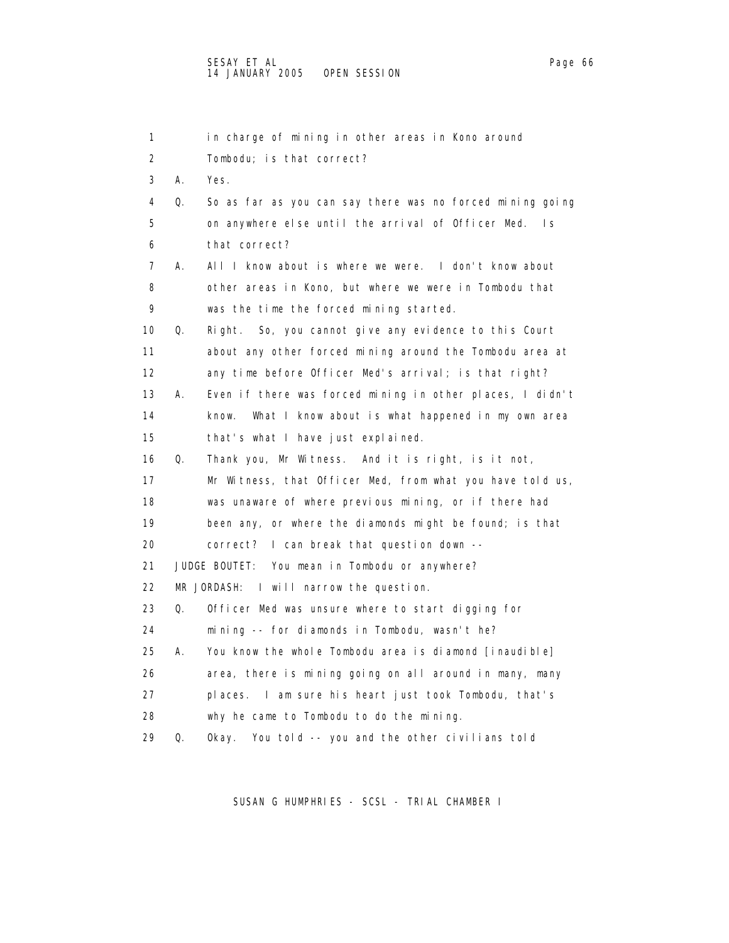| 1  |    | in charge of mining in other areas in Kono around          |
|----|----|------------------------------------------------------------|
| 2  |    | Tombodu; is that correct?                                  |
| 3  | А. | Yes.                                                       |
| 4  | Q. | So as far as you can say there was no forced mining going  |
| 5  |    | on anywhere else until the arrival of Officer Med.<br>Is.  |
| 6  |    | that correct?                                              |
| 7  | А. | All I know about is where we were. I don't know about      |
| 8  |    | other areas in Kono, but where we were in Tombodu that     |
| 9  |    | was the time the forced mining started.                    |
| 10 | Q. | So, you cannot give any evidence to this Court<br>Right.   |
| 11 |    | about any other forced mining around the Tombodu area at   |
| 12 |    | any time before Officer Med's arrival; is that right?      |
| 13 | А. | Even if there was forced mining in other places, I didn't  |
| 14 |    | What I know about is what happened in my own area<br>know. |
| 15 |    | that's what I have just explained.                         |
| 16 | Q. | Thank you, Mr Witness. And it is right, is it not,         |
| 17 |    | Mr Witness, that Officer Med, from what you have told us,  |
| 18 |    | was unaware of where previous mining, or if there had      |
| 19 |    | been any, or where the diamonds might be found; is that    |
| 20 |    | correct? I can break that question down --                 |
| 21 |    | JUDGE BOUTET: You mean in Tombodu or anywhere?             |
| 22 |    | $MR$ JORDASH: I will narrow the question.                  |
| 23 | Q. | Officer Med was unsure where to start digging for          |
| 24 |    | mining -- for diamonds in Tombodu, wasn't he?              |
| 25 | А. | You know the whole Tombodu area is diamond [inaudible]     |
| 26 |    | area, there is mining going on all around in many, many    |
| 27 |    | places. I am sure his heart just took Tombodu, that's      |
| 28 |    | why he came to Tombodu to do the mining.                   |
| 29 | Q. | You told -- you and the other civilians told<br>0kay.      |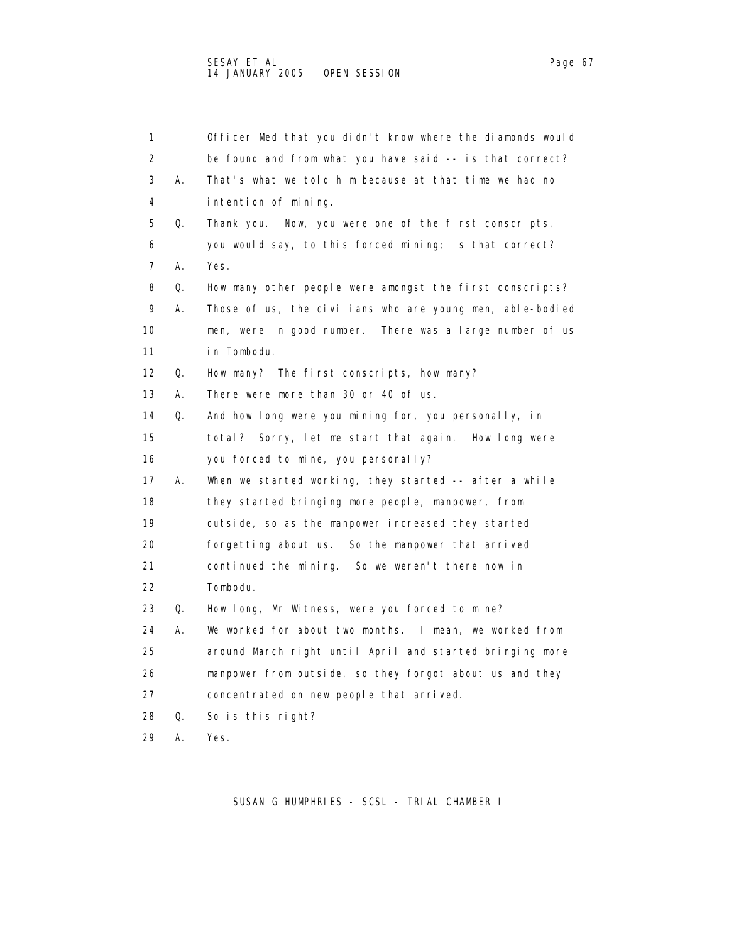| 1  |    | Officer Med that you didn't know where the diamonds would |
|----|----|-----------------------------------------------------------|
| 2  |    | be found and from what you have said -- is that correct?  |
| 3  | А. | That's what we told him because at that time we had no    |
| 4  |    | intention of mining.                                      |
| 5  | Q. | Now, you were one of the first conscripts,<br>Thank you.  |
| 6  |    | you would say, to this forced mining; is that correct?    |
| 7  | Α. | Yes.                                                      |
| 8  | Q. | How many other people were amongst the first conscripts?  |
| 9  | А. | Those of us, the civilians who are young men, able-bodied |
| 10 |    | men, were in good number. There was a large number of us  |
| 11 |    | in Tombodu.                                               |
| 12 | Q. | How many? The first conscripts, how many?                 |
| 13 | А. | There were more than 30 or 40 of us.                      |
| 14 | Q. | And how long were you mining for, you personally, in      |
| 15 |    | total? Sorry, let me start that again.<br>How long were   |
| 16 |    | you forced to mine, you personally?                       |
| 17 | А. | When we started working, they started -- after a while    |
| 18 |    | they started bringing more people, manpower, from         |
| 19 |    | outside, so as the manpower increased they started        |
| 20 |    | forgetting about us. So the manpower that arrived         |
| 21 |    | continued the mining. So we weren't there now in          |
| 22 |    | Tombodu.                                                  |
| 23 | Q. | How long, Mr Witness, were you forced to mine?            |
| 24 | А. | We worked for about two months. I mean, we worked from    |
| 25 |    | around March right until April and started bringing more  |
| 26 |    | manpower from outside, so they forgot about us and they   |
| 27 |    | concentrated on new people that arrived.                  |
| 28 | Q. | So is this right?                                         |
| 29 | А. | Yes.                                                      |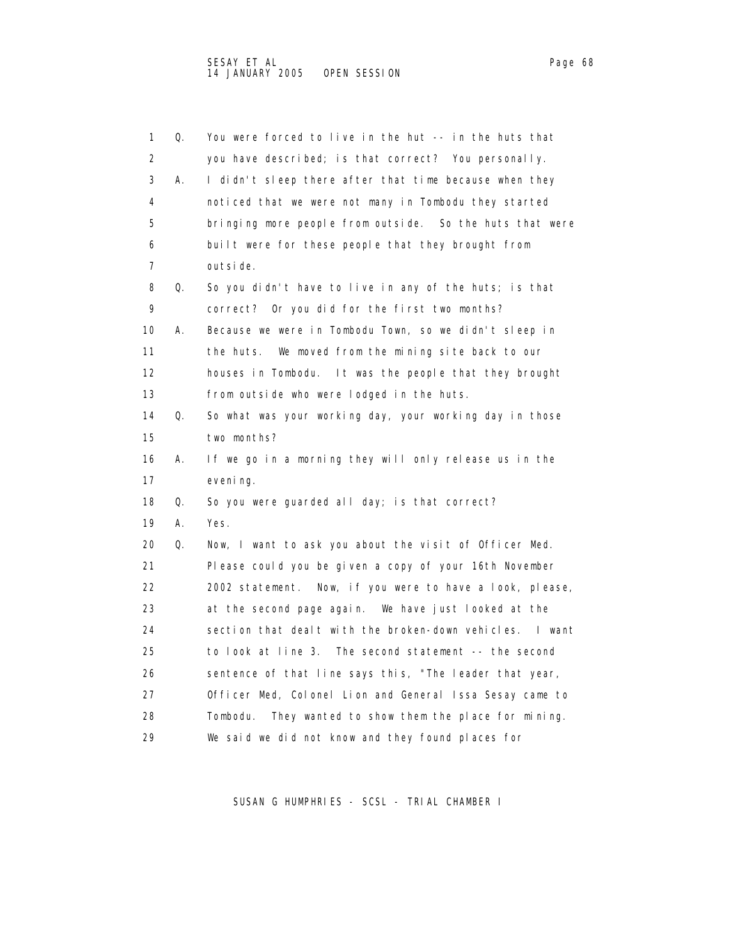| 1                 | Q. | You were forced to live in the hut -- in the huts that     |
|-------------------|----|------------------------------------------------------------|
| 2                 |    | you have described; is that correct? You personally.       |
| 3                 | А. | I didn't sleep there after that time because when they     |
| 4                 |    | noticed that we were not many in Tombodu they started      |
| 5                 |    | bringing more people from outside. So the huts that were   |
| 6                 |    | built were for these people that they brought from         |
| 7                 |    | outsi de.                                                  |
| 8                 | Q. | So you didn't have to live in any of the huts; is that     |
| 9                 |    | correct? Or you did for the first two months?              |
| 10                | А. | Because we were in Tombodu Town, so we didn't sleep in     |
| 11                |    | We moved from the mining site back to our<br>the huts.     |
| $12 \overline{ }$ |    | houses in Tombodu. It was the people that they brought     |
| 13                |    | from outside who were lodged in the huts.                  |
| 14                | Q. | So what was your working day, your working day in those    |
| 15                |    | two months?                                                |
| 16                | А. | If we go in a morning they will only release us in the     |
| 17                |    | eveni ng.                                                  |
| 18                | Q. | So you were guarded all day; is that correct?              |
| 19                | А. | Yes.                                                       |
| 20                | Q. | Now, I want to ask you about the visit of Officer Med.     |
| 21                |    | Please could you be given a copy of your 16th November     |
| 22                |    | 2002 statement. Now, if you were to have a look, please,   |
| 23                |    | at the second page again. We have just looked at the       |
| 24                |    | section that dealt with the broken-down vehicles. I want   |
| 25                |    | to look at line 3. The second statement -- the second      |
| 26                |    | sentence of that line says this, "The leader that year,    |
| 27                |    | Officer Med, Colonel Lion and General Issa Sesay came to   |
| 28                |    | They wanted to show them the place for mining.<br>Tombodu. |
| 29                |    | We said we did not know and they found places for          |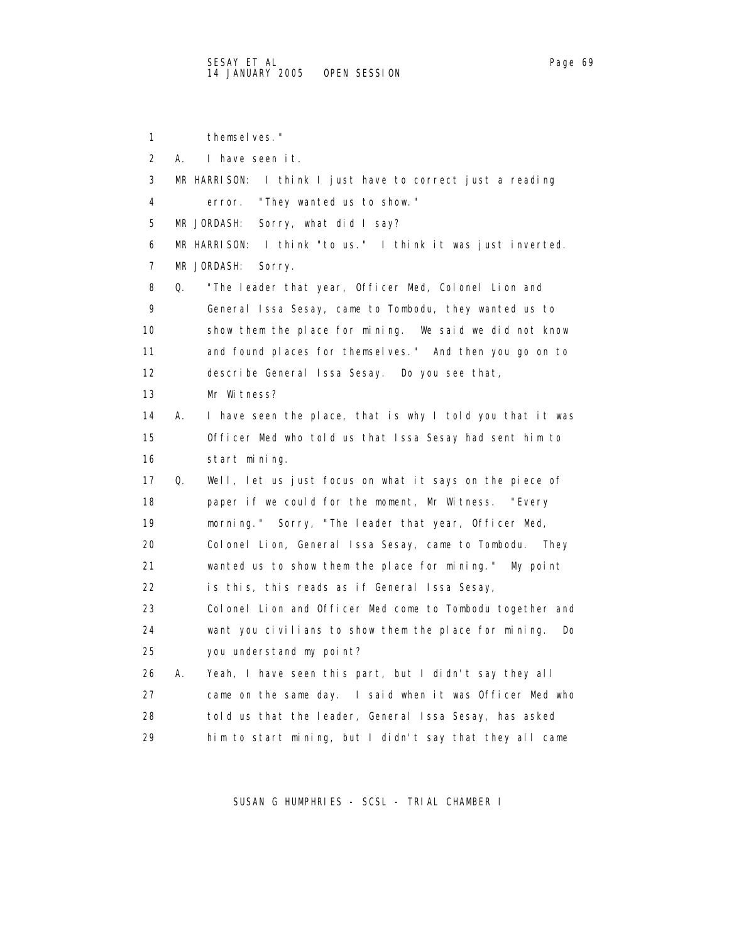1 themselves." 2 A. I have seen it. 3 MR HARRISON: I think I just have to correct just a reading 4 error. "They wanted us to show." 5 MR JORDASH: Sorry, what did I say? 6 MR HARRISON: I think "to us." I think it was just inverted. 7 MR JORDASH: Sorry. 8 Q. "The leader that year, Officer Med, Colonel Lion and 9 General Issa Sesay, came to Tombodu, they wanted us to 10 show them the place for mining. We said we did not know 11 and found places for themselves." And then you go on to 12 describe General Issa Sesay. Do you see that, 13 Mr Witness? 14 A. I have seen the place, that is why I told you that it was 15 Officer Med who told us that Issa Sesay had sent him to 16 start mining. 17 Q. Well, let us just focus on what it says on the piece of 18 paper if we could for the moment, Mr Witness. "Every 19 morning." Sorry, "The leader that year, Officer Med, 20 Colonel Lion, General Issa Sesay, came to Tombodu. They 21 wanted us to show them the place for mining." My point 22 is this, this reads as if General Issa Sesay, 23 Colonel Lion and Officer Med come to Tombodu together and 24 want you civilians to show them the place for mining. Do 25 you understand my point? 26 A. Yeah, I have seen this part, but I didn't say they all 27 came on the same day. I said when it was Officer Med who 28 told us that the leader, General Issa Sesay, has asked 29 him to start mining, but I didn't say that they all came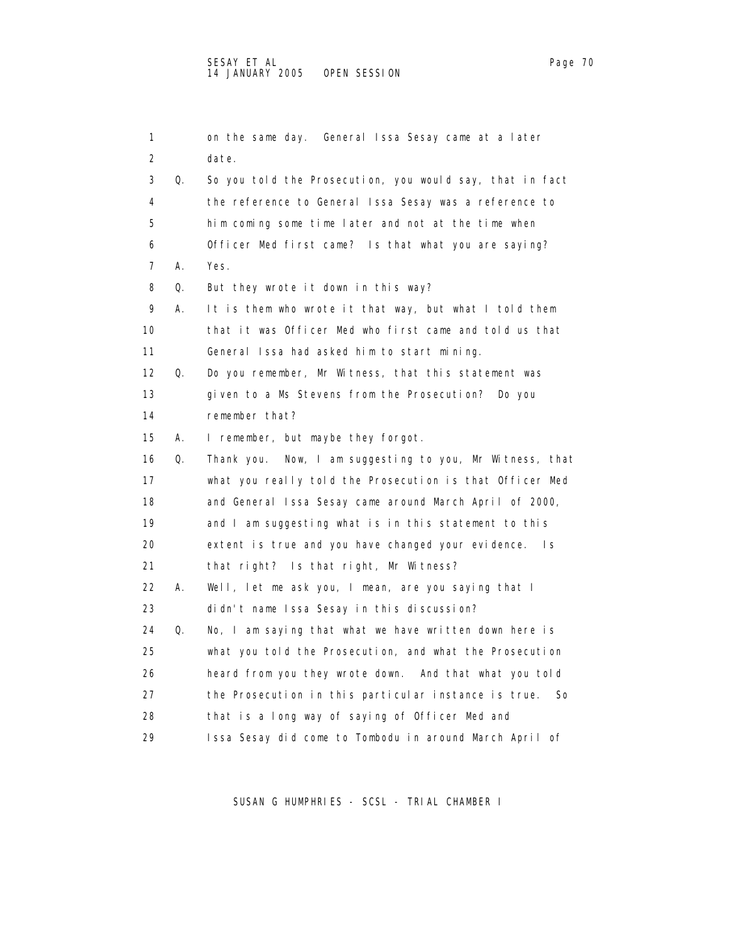| 1                 |    | on the same day. General Issa Sesay came at a later         |
|-------------------|----|-------------------------------------------------------------|
| $\overline{2}$    |    | date.                                                       |
| 3                 | Q. | So you told the Prosecution, you would say, that in fact    |
| 4                 |    | the reference to General Issa Sesay was a reference to      |
| 5                 |    | him coming some time later and not at the time when         |
| 6                 |    | Officer Med first came? Is that what you are saying?        |
| 7                 | А. | Yes.                                                        |
| 8                 | Q. | But they wrote it down in this way?                         |
| 9                 | Α. | It is them who wrote it that way, but what I told them      |
| 10                |    | that it was Officer Med who first came and told us that     |
| 11                |    | General Issa had asked him to start mining.                 |
| $12 \overline{ }$ | Q. | Do you remember, Mr Witness, that this statement was        |
| 13                |    | given to a Ms Stevens from the Prosecution? Do you          |
| 14                |    | remember that?                                              |
| 15                | А. | I remember, but maybe they forgot.                          |
| 16                | Q. | Now, I am suggesting to you, Mr Witness, that<br>Thank you. |
| 17                |    | what you really told the Prosecution is that Officer Med    |
| 18                |    | and General Issa Sesay came around March April of 2000,     |
| 19                |    | and I am suggesting what is in this statement to this       |
| 20                |    | extent is true and you have changed your evidence. Is       |
| 21                |    | that right? Is that right, Mr Witness?                      |
| 22                | А. | Well, let me ask you, I mean, are you saying that I         |
| 23                |    | didn't name Issa Sesay in this discussion?                  |
| 24                | Q. | No, I am saying that what we have written down here is      |
| 25                |    | what you told the Prosecution, and what the Prosecution     |
| 26                |    | heard from you they wrote down. And that what you told      |
| 27                |    | the Prosecution in this particular instance is true.<br>So  |
| 28                |    | that is a long way of saying of Officer Med and             |
| 29                |    | Issa Sesay did come to Tombodu in around March April of     |
|                   |    |                                                             |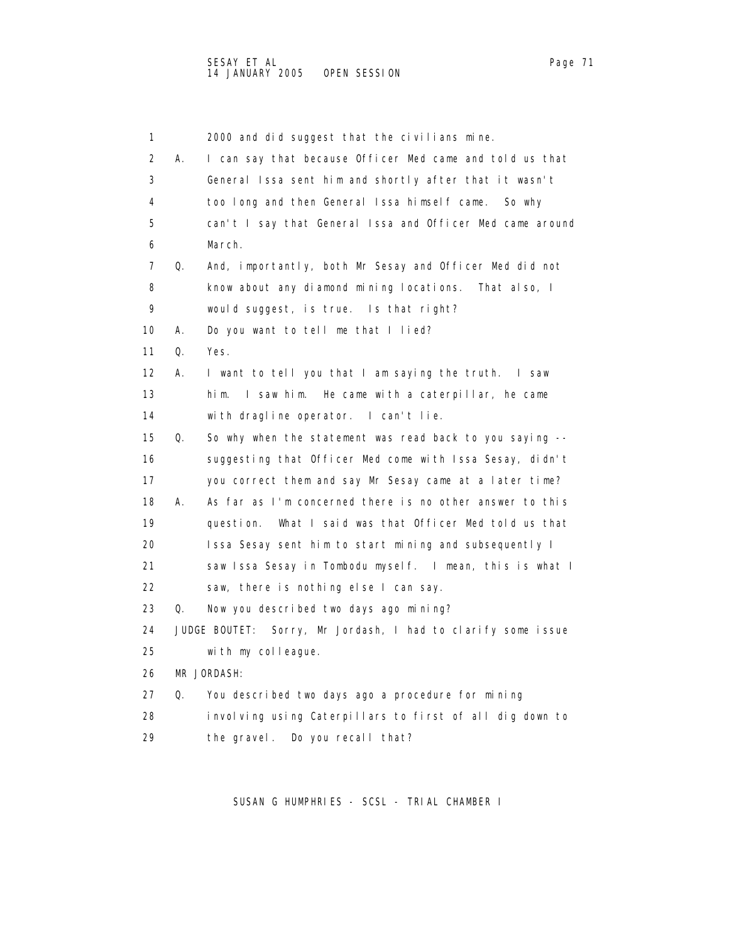1 2000 and did suggest that the civilians mine. 2 A. I can say that because Officer Med came and told us that 3 General Issa sent him and shortly after that it wasn't 4 too long and then General Issa himself came. So why 5 can't I say that General Issa and Officer Med came around 6 March. 7 Q. And, importantly, both Mr Sesay and Officer Med did not 8 know about any diamond mining locations. That also, I 9 would suggest, is true. Is that right? 10 A. Do you want to tell me that I lied? 11 Q. Yes. 12 A. I want to tell you that I am saying the truth. I saw 13 him. I saw him. He came with a caterpillar, he came 14 with dragline operator. I can't lie. 15 Q. So why when the statement was read back to you saying -- 16 suggesting that Officer Med come with Issa Sesay, didn't 17 you correct them and say Mr Sesay came at a later time? 18 A. As far as I'm concerned there is no other answer to this 19 question. What I said was that Officer Med told us that 20 Issa Sesay sent him to start mining and subsequently I 21 saw Issa Sesay in Tombodu myself. I mean, this is what I 22 saw, there is nothing else I can say. 23 Q. Now you described two days ago mining? 24 JUDGE BOUTET: Sorry, Mr Jordash, I had to clarify some issue 25 with my colleague. 26 MR JORDASH: 27 Q. You described two days ago a procedure for mining 28 involving using Caterpillars to first of all dig down to 29 the gravel. Do you recall that?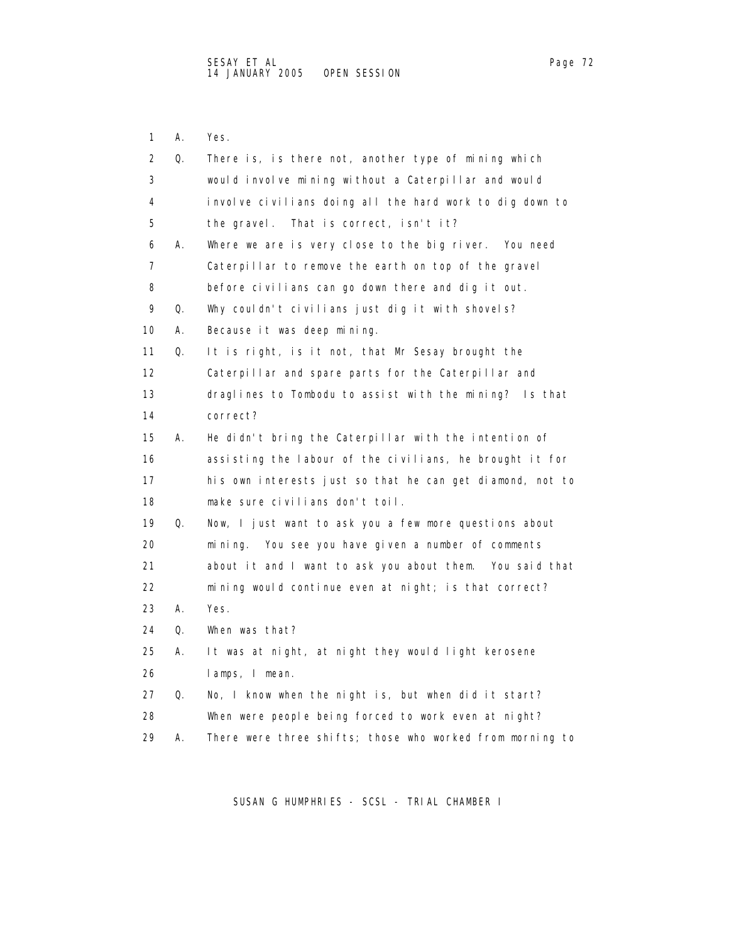1 A. Yes. 2 Q. There is, is there not, another type of mining which 3 would involve mining without a Caterpillar and would 4 involve civilians doing all the hard work to dig down to 5 the gravel. That is correct, isn't it? 6 A. Where we are is very close to the big river. You need 7 Caterpillar to remove the earth on top of the gravel 8 before civilians can go down there and dig it out. 9 Q. Why couldn't civilians just dig it with shovels? 10 A. Because it was deep mining. 11 Q. It is right, is it not, that Mr Sesay brought the 12 Caterpillar and spare parts for the Caterpillar and 13 draglines to Tombodu to assist with the mining? Is that 14 correct? 15 A. He didn't bring the Caterpillar with the intention of 16 assisting the labour of the civilians, he brought it for 17 his own interests just so that he can get diamond, not to 18 make sure civilians don't toil. 19 Q. Now, I just want to ask you a few more questions about 20 mining. You see you have given a number of comments 21 about it and I want to ask you about them. You said that 22 mining would continue even at night; is that correct? 23 A. Yes. 24 Q. When was that? 25 A. It was at night, at night they would light kerosene 26 lamps, I mean. 27 Q. No, I know when the night is, but when did it start? 28 When were people being forced to work even at night? 29 A. There were three shifts; those who worked from morning to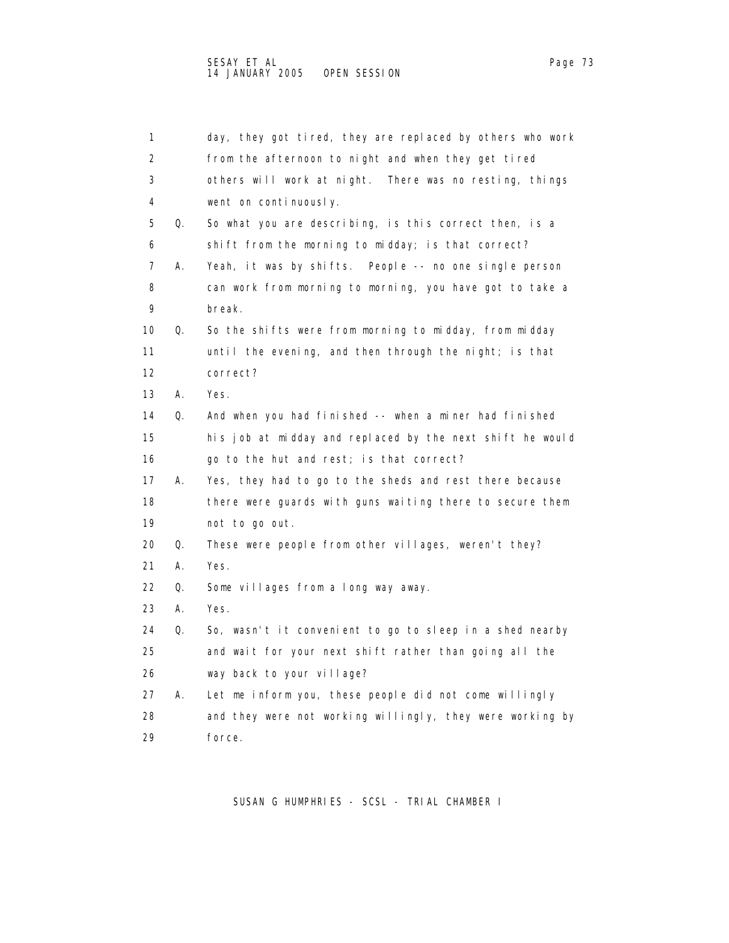| ۔ ت |  |
|-----|--|
|     |  |
|     |  |
|     |  |
|     |  |
|     |  |
|     |  |
|     |  |
|     |  |
|     |  |
|     |  |

| 1  |    | day, they got tired, they are replaced by others who work |
|----|----|-----------------------------------------------------------|
| 2  |    | from the afternoon to night and when they get tired       |
| 3  |    | others will work at night. There was no resting, things   |
| 4  |    | went on continuously.                                     |
| 5  | Q. | So what you are describing, is this correct then, is a    |
| 6  |    | shift from the morning to midday; is that correct?        |
| 7  | А. | Yeah, it was by shifts. People -- no one single person    |
| 8  |    | can work from morning to morning, you have got to take a  |
| 9  |    | break.                                                    |
| 10 | Q. | So the shifts were from morning to midday, from midday    |
| 11 |    | until the evening, and then through the night; is that    |
| 12 |    | correct?                                                  |
| 13 | А. | Yes.                                                      |
| 14 | Q. | And when you had finished -- when a miner had finished    |
| 15 |    | his job at midday and replaced by the next shift he would |
| 16 |    | go to the hut and rest; is that correct?                  |
| 17 | А. | Yes, they had to go to the sheds and rest there because   |
| 18 |    | there were guards with guns waiting there to secure them  |
| 19 |    | not to go out.                                            |
| 20 | Q. | These were people from other villages, weren't they?      |
| 21 | А. | Yes.                                                      |
| 22 | Q. | Some villages from a long way away.                       |
| 23 | А. | Yes.                                                      |
| 24 | Q. | So, wasn't it convenient to go to sleep in a shed nearby  |
| 25 |    | and wait for your next shift rather than going all the    |
| 26 |    | way back to your village?                                 |
| 27 | А. | Let me inform you, these people did not come willingly    |
| 28 |    | and they were not working willingly, they were working by |
| 29 |    | force.                                                    |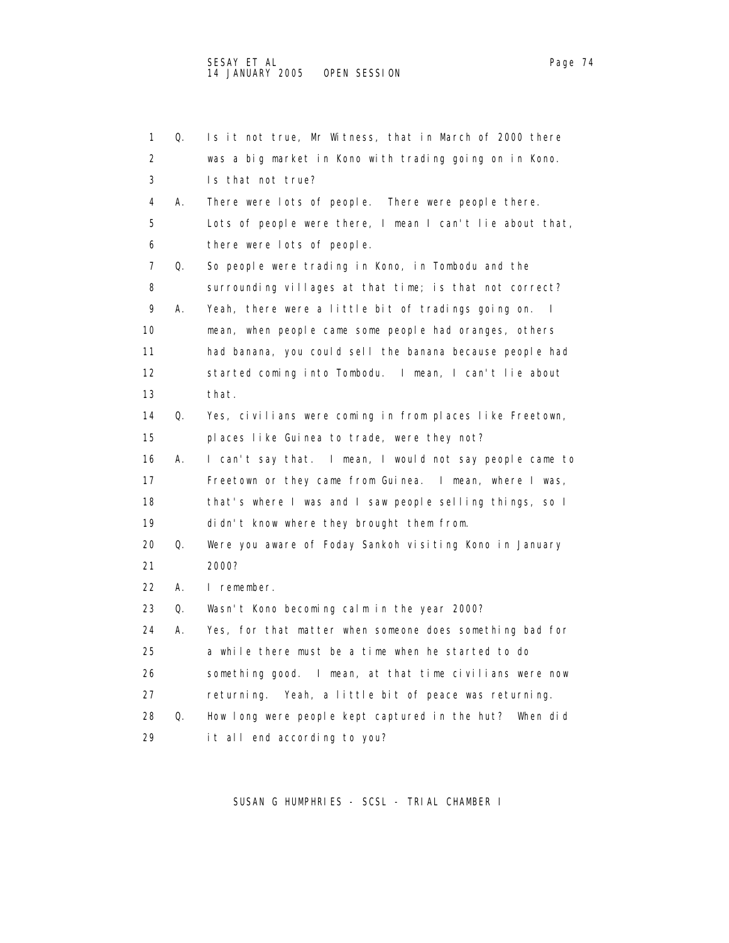| 1  | Q. | Is it not true, Mr Witness, that in March of 2000 there               |
|----|----|-----------------------------------------------------------------------|
| 2  |    | was a big market in Kono with trading going on in Kono.               |
| 3  |    | Is that not true?                                                     |
| 4  | А. | There were lots of people. There were people there.                   |
| 5  |    | Lots of people were there, I mean I can't lie about that,             |
| 6  |    | there were lots of people.                                            |
| 7  | Q. | So people were trading in Kono, in Tombodu and the                    |
| 8  |    | surrounding villages at that time; is that not correct?               |
| 9  | А. | Yeah, there were a little bit of tradings going on.<br>$\blacksquare$ |
| 10 |    | mean, when people came some people had oranges, others                |
| 11 |    | had banana, you could sell the banana because people had              |
| 12 |    | started coming into Tombodu. I mean, I can't lie about                |
| 13 |    | that.                                                                 |
| 14 | Q. | Yes, civilians were coming in from places like Freetown,              |
| 15 |    | places like Guinea to trade, were they not?                           |
| 16 | Α. | I can't say that. I mean, I would not say people came to              |
| 17 |    | Freetown or they came from Guinea. I mean, where I was,               |
| 18 |    | that's where I was and I saw people selling things, so I              |
| 19 |    | didn't know where they brought them from.                             |
| 20 | Q. | Were you aware of Foday Sankoh visiting Kono in January               |
| 21 |    | 2000?                                                                 |
| 22 | А. | I remember.                                                           |
| 23 | Q. | Wasn't Kono becoming calm in the year 2000?                           |
| 24 | А. | Yes, for that matter when someone does something bad for              |
| 25 |    | a while there must be a time when he started to do                    |
| 26 |    | something good. I mean, at that time civilians were now               |
| 27 |    | Yeah, a little bit of peace was returning.<br>returni ng.             |
| 28 | Q. | How long were people kept captured in the hut? When did               |
| 29 |    | it all end according to you?                                          |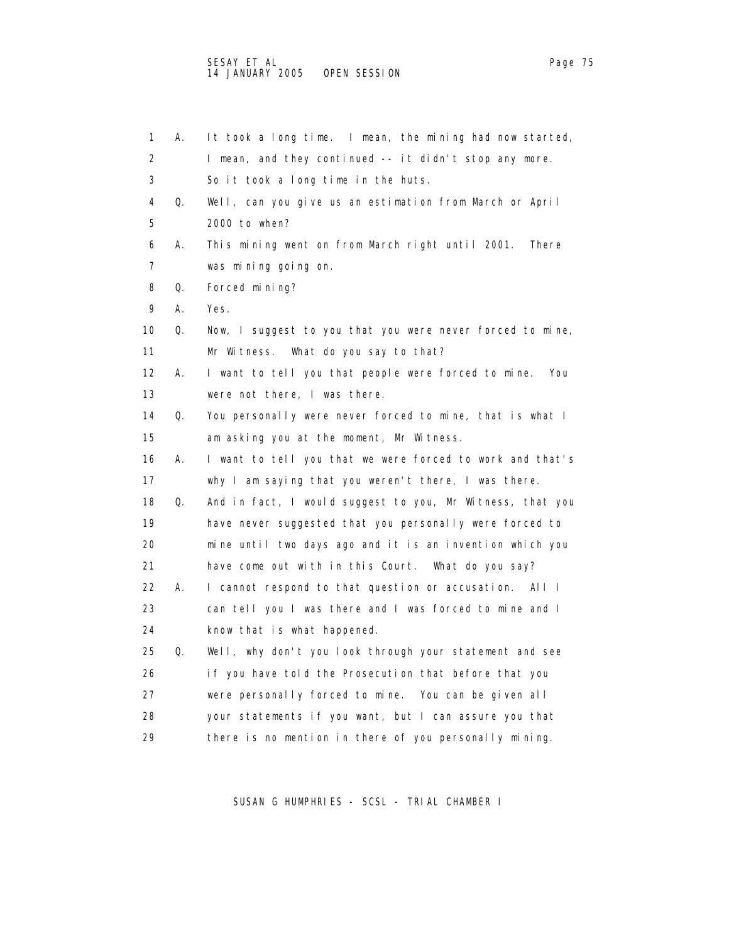1 A. It took a long time. I mean, the mining had now started, 2 I mean, and they continued -- it didn't stop any more. 3 So it took a long time in the huts. 4 Q. Well, can you give us an estimation from March or April 5 2000 to when? 6 A. This mining went on from March right until 2001. There 7 was mining going on. 8 Q. Forced mining? 9 A. Yes. 10 Q. Now, I suggest to you that you were never forced to mine, 11 Mr Witness. What do you say to that? 12 A. I want to tell you that people were forced to mine. You 13 were not there, I was there. 14 Q. You personally were never forced to mine, that is what I 15 am asking you at the moment, Mr Witness. 16 A. I want to tell you that we were forced to work and that's 17 why I am saying that you weren't there, I was there. 18 Q. And in fact, I would suggest to you, Mr Witness, that you 19 have never suggested that you personally were forced to 20 mine until two days ago and it is an invention which you 21 have come out with in this Court. What do you say? 22 A. I cannot respond to that question or accusation. All I 23 can tell you I was there and I was forced to mine and I 24 know that is what happened. 25 Q. Well, why don't you look through your statement and see 26 if you have told the Prosecution that before that you 27 were personally forced to mine. You can be given all 28 your statements if you want, but I can assure you that 29 there is no mention in there of you personally mining.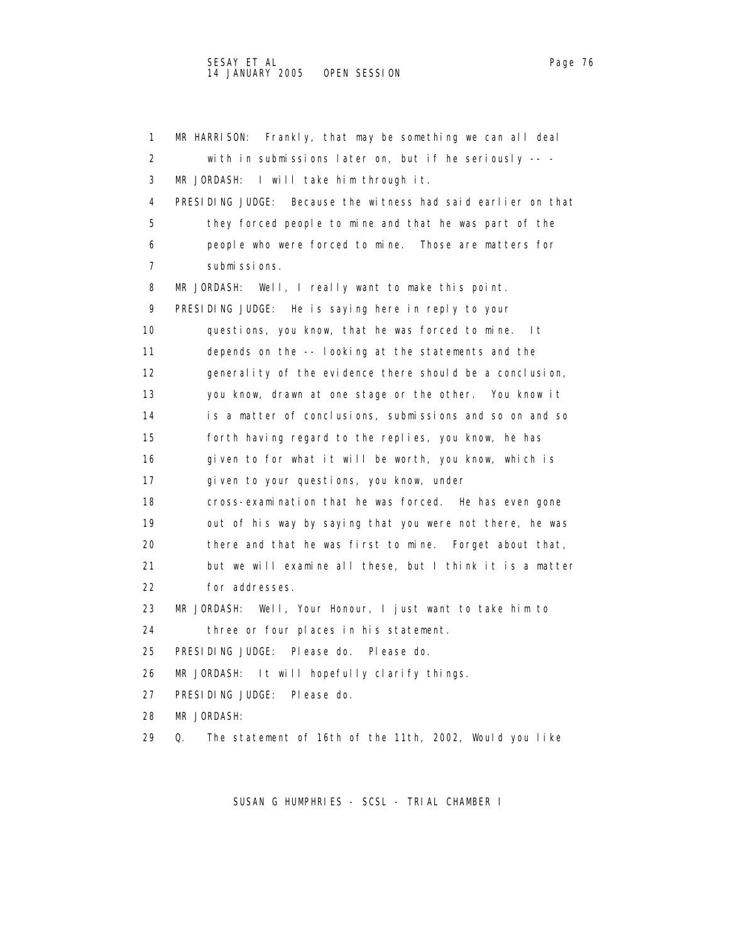1 MR HARRISON: Frankly, that may be something we can all deal 2 with in submissions later on, but if he seriously -- - 3 MR JORDASH: I will take him through it. 4 PRESIDING JUDGE: Because the witness had said earlier on that 5 they forced people to mine and that he was part of the 6 people who were forced to mine. Those are matters for 7 submissions. 8 MR JORDASH: Well, I really want to make this point. 9 PRESIDING JUDGE: He is saying here in reply to your 10 questions, you know, that he was forced to mine. It 11 depends on the -- looking at the statements and the 12 generality of the evidence there should be a conclusion, 13 you know, drawn at one stage or the other. You know it 14 is a matter of conclusions, submissions and so on and so 15 forth having regard to the replies, you know, he has 16 given to for what it will be worth, you know, which is 17 given to your questions, you know, under 18 cross-examination that he was forced. He has even gone 19 out of his way by saying that you were not there, he was 20 there and that he was first to mine. Forget about that, 21 but we will examine all these, but I think it is a matter 22 for addresses. 23 MR JORDASH: Well, Your Honour, I just want to take him to 24 three or four places in his statement. 25 PRESIDING JUDGE: Please do. Please do. 26 MR JORDASH: It will hopefully clarify things. 27 PRESIDING JUDGE: Please do. 28 MR JORDASH:

29 Q. The statement of 16th of the 11th, 2002, Would you like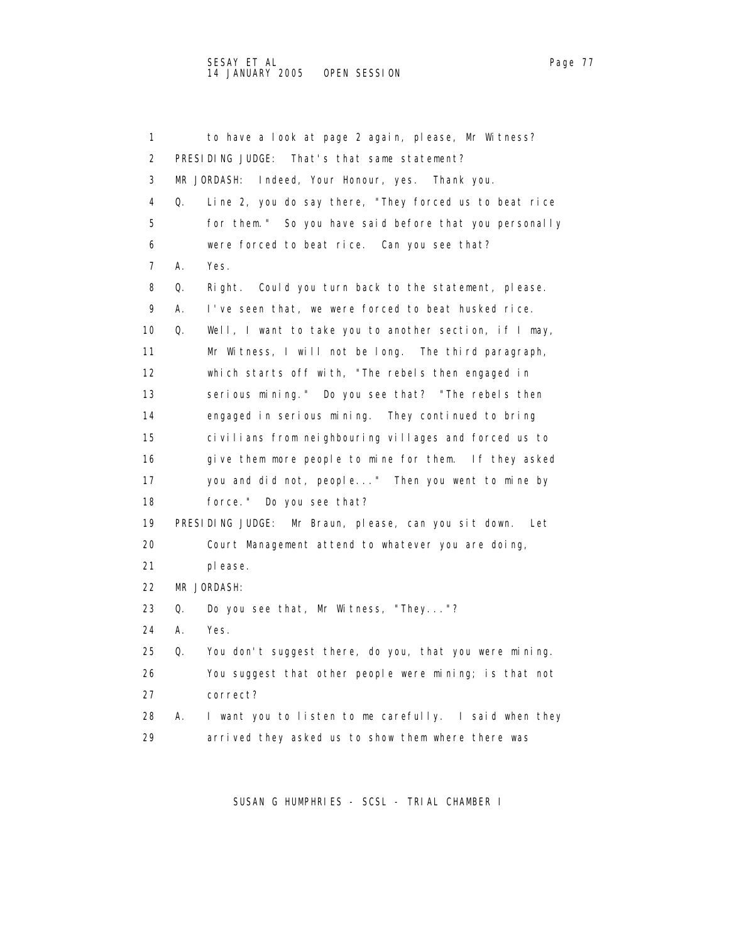1 to have a look at page 2 again, please, Mr Witness? 2 PRESIDING JUDGE: That's that same statement? 3 MR JORDASH: Indeed, Your Honour, yes. Thank you. 4 Q. Line 2, you do say there, "They forced us to beat rice 5 for them." So you have said before that you personally 6 were forced to beat rice. Can you see that? 7 A. Yes. 8 Q. Right. Could you turn back to the statement, please. 9 A. I've seen that, we were forced to beat husked rice. 10 Q. Well, I want to take you to another section, if I may, 11 Mr Witness, I will not be long. The third paragraph, 12 which starts off with, "The rebels then engaged in 13 serious mining." Do you see that? "The rebels then 14 engaged in serious mining. They continued to bring 15 civilians from neighbouring villages and forced us to 16 give them more people to mine for them. If they asked 17 you and did not, people..." Then you went to mine by 18 force." Do you see that? 19 PRESIDING JUDGE: Mr Braun, please, can you sit down. Let 20 Court Management attend to whatever you are doing, 21 please. 22 MR JORDASH: 23 Q. Do you see that, Mr Witness, "They..."? 24 A. Yes. 25 Q. You don't suggest there, do you, that you were mining. 26 You suggest that other people were mining; is that not 27 correct? 28 A. I want you to listen to me carefully. I said when they 29 arrived they asked us to show them where there was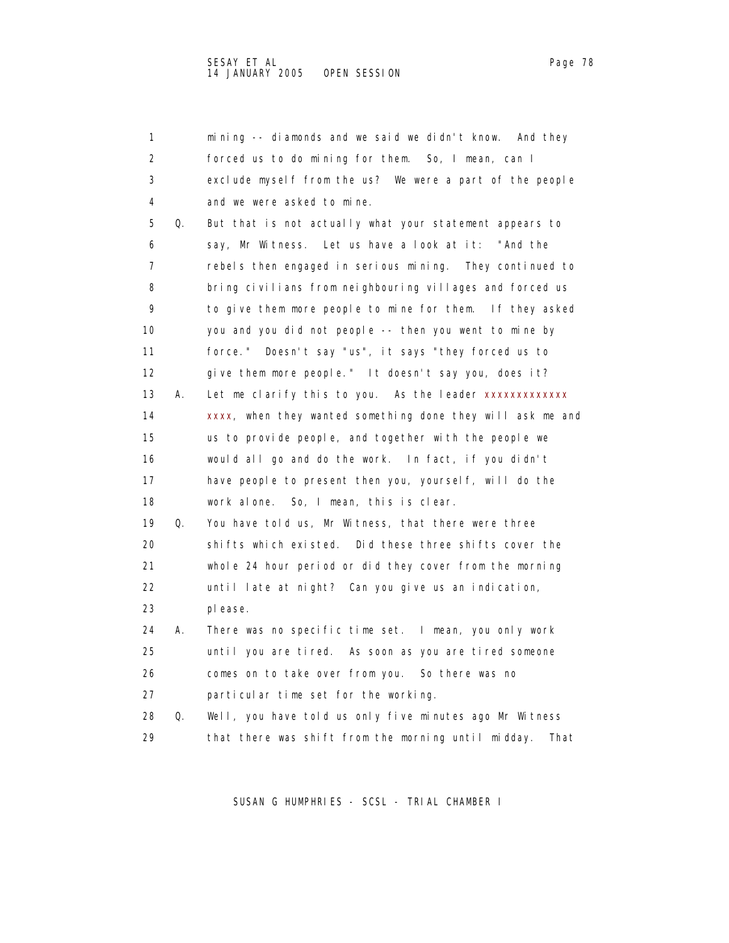| 'ane |  |
|------|--|
|      |  |
|      |  |

|                   | 1       | mining -- diamonds and we said we didn't know. And they     |
|-------------------|---------|-------------------------------------------------------------|
|                   | 2       | forced us to do mining for them. So, I mean, can I          |
|                   | 3       | exclude myself from the us? We were a part of the people    |
|                   | 4       | and we were asked to mine.                                  |
|                   | 5<br>Q. | But that is not actually what your statement appears to     |
|                   | 6       | say, Mr Witness. Let us have a look at it:<br>"And the      |
|                   | 7       | rebels then engaged in serious mining. They continued to    |
|                   | 8       | bring civilians from neighbouring villages and forced us    |
|                   | 9       | to give them more people to mine for them. If they asked    |
| 10                |         | you and you did not people -- then you went to mine by      |
| 11                |         | force." Doesn't say "us", it says "they forced us to        |
| $12 \overline{ }$ |         | give them more people." It doesn't say you, does it?        |
| 13                | А.      | Let me clarify this to you. As the leader xxxxxxxxxxxxx     |
| 14                |         | xxxx, when they wanted something done they will ask me and  |
| 15                |         | us to provide people, and together with the people we       |
| 16                |         | would all go and do the work. In fact, if you didn't        |
| 17                |         | have people to present then you, yourself, will do the      |
| 18                |         | work alone. So, I mean, this is clear.                      |
| 19                | Q.      | You have told us, Mr Witness, that there were three         |
| 20                |         | shifts which existed. Did these three shifts cover the      |
| 21                |         | whole 24 hour period or did they cover from the morning     |
| 22                |         | until late at night? Can you give us an indication,         |
| 23                |         | pl ease.                                                    |
| 24                | А.      | There was no specific time set. I mean, you only work       |
| 25                |         | until you are tired. As soon as you are tired someone       |
| 26                |         | comes on to take over from you. So there was no             |
| 27                |         | particular time set for the working.                        |
| 28                | Q.      | Well, you have told us only five minutes ago Mr Witness     |
| 29                |         | that there was shift from the morning until midday.<br>That |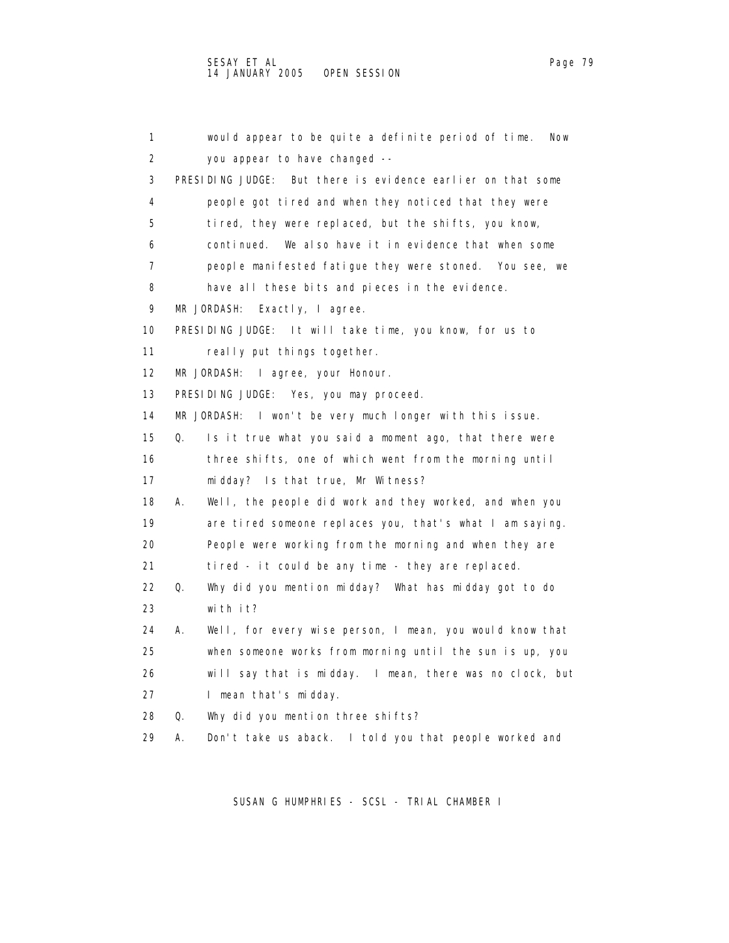| 1                 | would appear to be quite a definite period of time.<br><b>Now</b> |
|-------------------|-------------------------------------------------------------------|
| 2                 | you appear to have changed --                                     |
| 3                 | But there is evidence earlier on that some<br>PRESIDING JUDGE:    |
| 4                 | people got tired and when they noticed that they were             |
| 5                 | tired, they were replaced, but the shifts, you know,              |
| 6                 | continued. We also have it in evidence that when some             |
| 7                 | people manifested fatigue they were stoned. You see, we           |
| 8                 | have all these bits and pieces in the evidence.                   |
| 9                 | MR JORDASH:<br>Exactly, I agree.                                  |
| 10                | PRESIDING JUDGE: It will take time, you know, for us to           |
| 11                | really put things together.                                       |
| $12 \overline{ }$ | MR JORDASH: I agree, your Honour.                                 |
| 13                | PRESIDING JUDGE: Yes, you may proceed.                            |
| 14                | MR JORDASH: I won't be very much longer with this issue.          |
| 15                | Is it true what you said a moment ago, that there were<br>Q.      |
| 16                | three shifts, one of which went from the morning until            |
| 17                | midday? Is that true, Mr Witness?                                 |
| 18                | А.<br>Well, the people did work and they worked, and when you     |
| 19                | are tired someone replaces you, that's what I am saying.          |
| 20                | People were working from the morning and when they are            |
| 21                | tired - it could be any time - they are replaced.                 |
| 22                | Q.<br>Why did you mention midday? What has midday got to do       |
| 23                | with it?                                                          |
| 24                | Well, for every wise person, I mean, you would know that<br>А.    |
| 25                | when someone works from morning until the sun is up, you          |
| 26                | will say that is midday. I mean, there was no clock, but          |
| 27                | I mean that's midday.                                             |
| 28                | Why did you mention three shifts?<br>Q.                           |
| 29                | Don't take us aback. I told you that people worked and<br>А.      |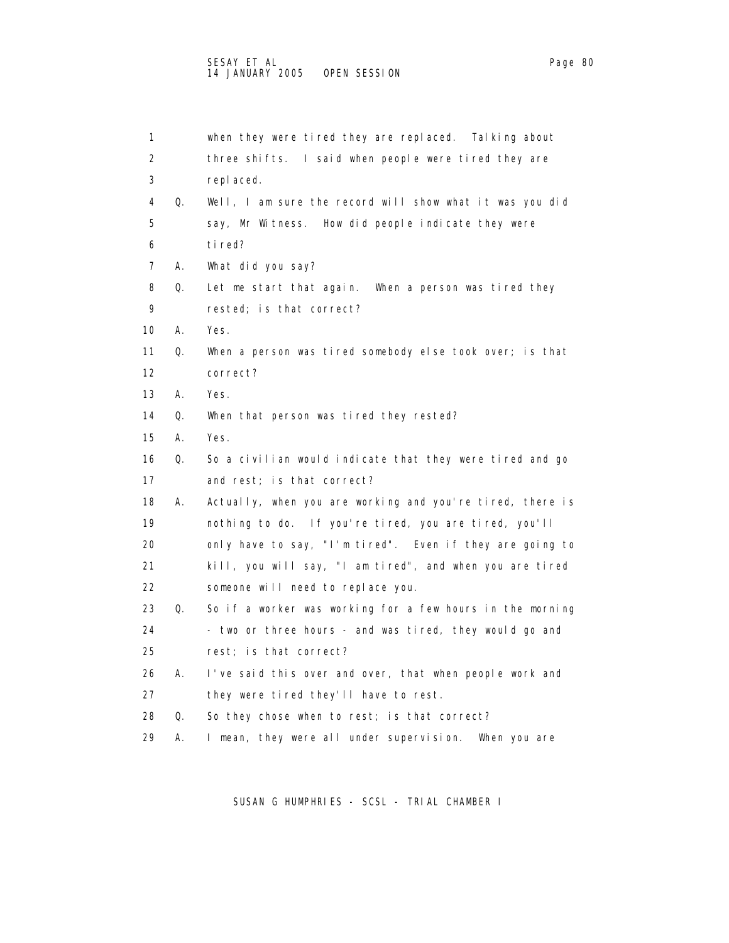| 1              |    | when they were tired they are replaced. Talking about     |
|----------------|----|-----------------------------------------------------------|
| $\overline{2}$ |    | three shifts. I said when people were tired they are      |
| 3              |    | repl aced.                                                |
| 4              | Q. | Well, I am sure the record will show what it was you did  |
| 5              |    | say, Mr Witness. How did people indicate they were        |
| 6              |    | ti red?                                                   |
| 7              | А. | What did you say?                                         |
| 8              | 0. | Let me start that again. When a person was tired they     |
| 9              |    | rested; is that correct?                                  |
| 10             | Α. | Yes.                                                      |
| 11             | Q. | When a person was tired somebody else took over; is that  |
| 12             |    | correct?                                                  |
| 13             | Α. | Yes.                                                      |
| 14             | Q. | When that person was tired they rested?                   |
| 15             | А. | Yes.                                                      |
| 16             | Q. | So a civilian would indicate that they were tired and go  |
| 17             |    | and rest; is that correct?                                |
| 18             | А. | Actually, when you are working and you're tired, there is |
| 19             |    | nothing to do. If you're tired, you are tired, you'll     |
| 20             |    | only have to say, "I'm tired". Even if they are going to  |
| 21             |    | kill, you will say, "I am tired", and when you are tired  |
| 22             |    | someone will need to replace you.                         |
| 23             | Q. | So if a worker was working for a few hours in the morning |
| 24             |    | - two or three hours - and was tired, they would go and   |
| 25             |    | rest; is that correct?                                    |
| 26             | А. | I've said this over and over, that when people work and   |
| 27             |    | they were tired they'll have to rest.                     |
| 28             | Q. | So they chose when to rest; is that correct?              |
| 29             | А. | I mean, they were all under supervision.<br>When you are  |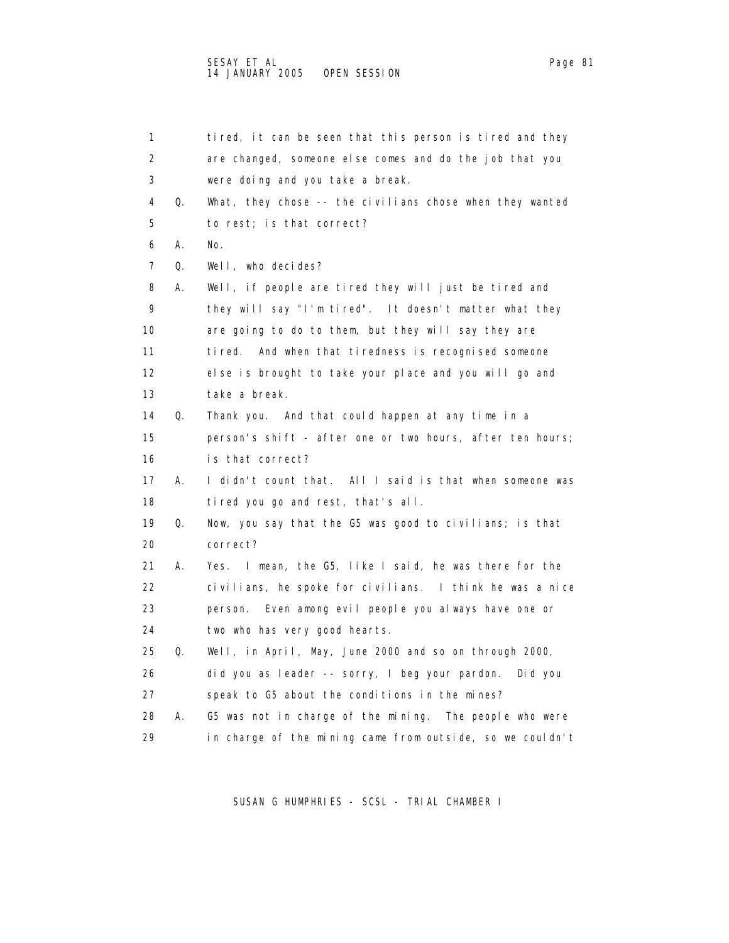| 1                 |    | tired, it can be seen that this person is tired and they  |
|-------------------|----|-----------------------------------------------------------|
| 2                 |    | are changed, someone else comes and do the job that you   |
| 3                 |    | were doing and you take a break.                          |
| 4                 | Q. | What, they chose -- the civilians chose when they wanted  |
| 5                 |    | to rest; is that correct?                                 |
| 6                 | Α. | No.                                                       |
| 7                 | Q. | Well, who decides?                                        |
| 8                 | Α. | Well, if people are tired they will just be tired and     |
| 9                 |    | they will say "I'm tired". It doesn't matter what they    |
| 10                |    | are going to do to them, but they will say they are       |
| 11                |    | And when that tiredness is recognised someone<br>ti red.  |
| $12 \overline{ }$ |    | else is brought to take your place and you will go and    |
| 13                |    | take a break.                                             |
| 14                | Q. | Thank you. And that could happen at any time in a         |
| 15                |    | person's shift - after one or two hours, after ten hours; |
| 16                |    | is that correct?                                          |
| 17                | А. | I didn't count that. All I said is that when someone was  |
| 18                |    | tired you go and rest, that's all.                        |
| 19                | Q. | Now, you say that the G5 was good to civilians; is that   |
| 20                |    | correct?                                                  |
| 21                | А. | I mean, the G5, like I said, he was there for the<br>Yes. |
| 22                |    | civilians, he spoke for civilians. I think he was a nice  |
| 23                |    | person.<br>Even among evil people you always have one or  |
| 24                |    | two who has very good hearts.                             |
| 25                | Q. | Well, in April, May, June 2000 and so on through 2000,    |
| 26                |    | did you as leader -- sorry, I beg your pardon. Did you    |
| 27                |    | speak to G5 about the conditions in the mines?            |
| 28                | А. | G5 was not in charge of the mining. The people who were   |
| 29                |    | in charge of the mining came from outside, so we couldn't |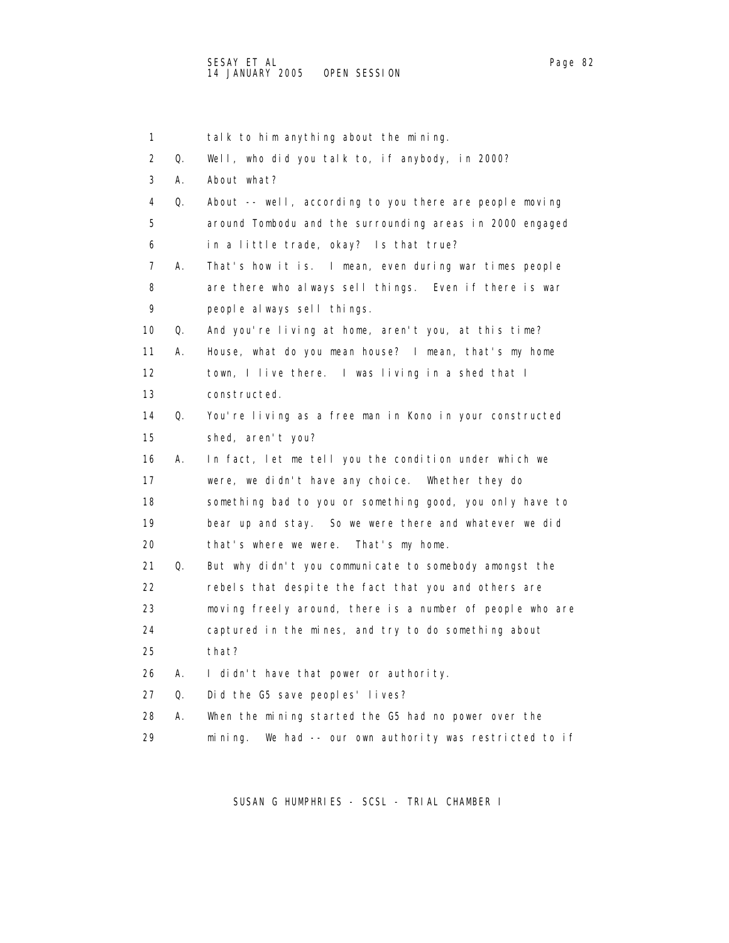1 talk to him anything about the mining. 2 Q. Well, who did you talk to, if anybody, in 2000? 3 A. About what? 4 Q. About -- well, according to you there are people moving 5 around Tombodu and the surrounding areas in 2000 engaged 6 in a little trade, okay? Is that true? 7 A. That's how it is. I mean, even during war times people 8 are there who always sell things. Even if there is war 9 people always sell things. 10 Q. And you're living at home, aren't you, at this time? 11 A. House, what do you mean house? I mean, that's my home 12 town, I live there. I was living in a shed that I 13 constructed. 14 Q. You're living as a free man in Kono in your constructed 15 shed, aren't you? 16 A. In fact, let me tell you the condition under which we 17 were, we didn't have any choice. Whether they do 18 something bad to you or something good, you only have to 19 bear up and stay. So we were there and whatever we did 20 that's where we were. That's my home. 21 Q. But why didn't you communicate to somebody amongst the 22 rebels that despite the fact that you and others are 23 moving freely around, there is a number of people who are 24 captured in the mines, and try to do something about 25 that? 26 A. I didn't have that power or authority. 27 Q. Did the G5 save peoples' lives? 28 A. When the mining started the G5 had no power over the 29 mining. We had -- our own authority was restricted to if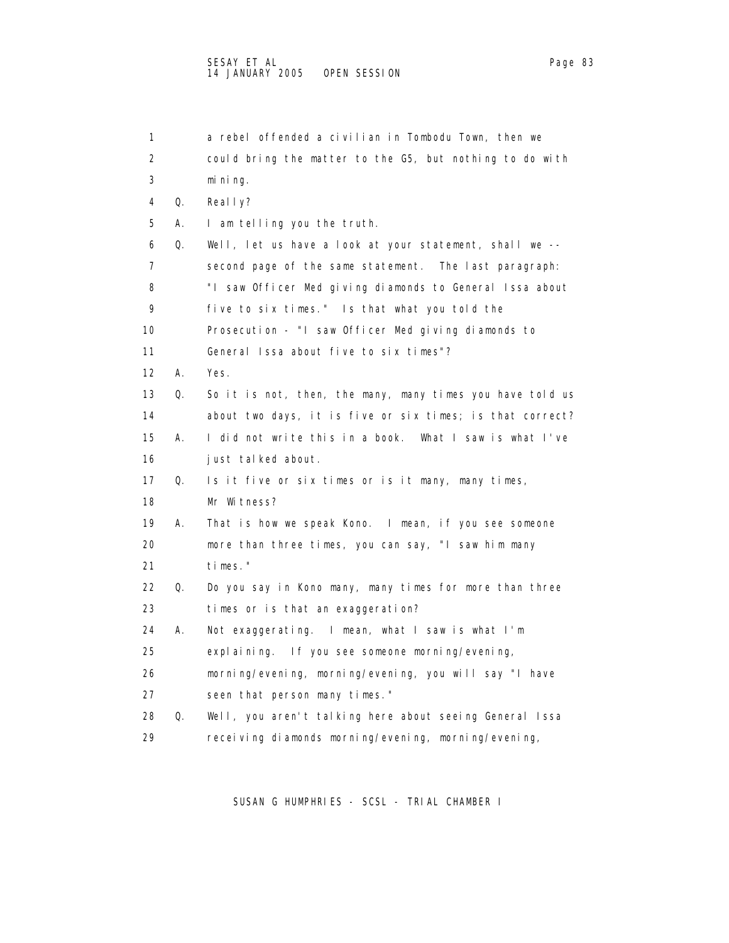1 a rebel offended a civilian in Tombodu Town, then we 2 could bring the matter to the G5, but nothing to do with 3 mining. 4 Q. Really? 5 A. I am telling you the truth. 6 Q. Well, let us have a look at your statement, shall we -- 7 second page of the same statement. The last paragraph: 8 "I saw Officer Med giving diamonds to General Issa about 9 five to six times." Is that what you told the 10 Prosecution - "I saw Officer Med giving diamonds to 11 General Issa about five to six times"? 12 A. Yes. 13 Q. So it is not, then, the many, many times you have told us 14 about two days, it is five or six times; is that correct? 15 A. I did not write this in a book. What I saw is what I've 16 just talked about. 17 Q. Is it five or six times or is it many, many times, 18 Mr Witness? 19 A. That is how we speak Kono. I mean, if you see someone 20 more than three times, you can say, "I saw him many 21 times." 22 Q. Do you say in Kono many, many times for more than three 23 times or is that an exaggeration? 24 A. Not exaggerating. I mean, what I saw is what I'm 25 explaining. If you see someone morning/evening, 26 morning/evening, morning/evening, you will say "I have 27 seen that person many times." 28 Q. Well, you aren't talking here about seeing General Issa 29 receiving diamonds morning/evening, morning/evening,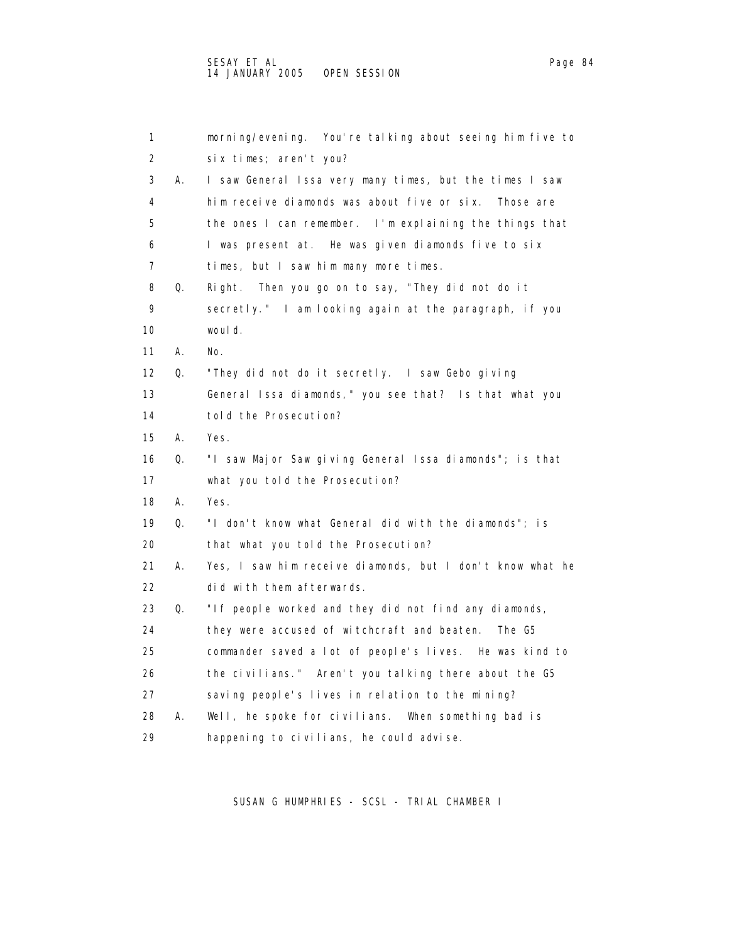| 1                 |    | morning/evening. You're talking about seeing him five to  |
|-------------------|----|-----------------------------------------------------------|
| 2                 |    | six times; aren't you?                                    |
| 3                 | А. | I saw General Issa very many times, but the times I saw   |
| 4                 |    | him receive diamonds was about five or six. Those are     |
| 5                 |    | the ones I can remember. I'm explaining the things that   |
| 6                 |    | I was present at. He was given diamonds five to six       |
| 7                 |    | times, but I saw him many more times.                     |
| 8                 | Q. | Then you go on to say, "They did not do it<br>Right.      |
| 9                 |    | secretly." I am looking again at the paragraph, if you    |
| 10                |    | woul d.                                                   |
| 11                | А. | No.                                                       |
| $12 \overline{ }$ | Q. | "They did not do it secretly. I saw Gebo giving           |
| 13                |    | General Issa diamonds, " you see that? Is that what you   |
| 14                |    | told the Prosecution?                                     |
| 15                | А. | Yes.                                                      |
| 16                | Q. | "I saw Major Saw giving General Issa diamonds"; is that   |
| 17                |    | what you told the Prosecution?                            |
| 18                | А. | Yes.                                                      |
| 19                | Q. | "I don't know what General did with the diamonds"; is     |
| 20                |    | that what you told the Prosecution?                       |
| 21                | А. | Yes, I saw him receive diamonds, but I don't know what he |
| 22                |    | did with them afterwards.                                 |
| 23                | Q. | "If people worked and they did not find any diamonds,     |
| 24                |    | they were accused of witchcraft and beaten. The G5        |
| 25                |    | commander saved a lot of people's lives. He was kind to   |
| 26                |    | the civilians." Aren't you talking there about the G5     |
| 27                |    | saving people's lives in relation to the mining?          |
| 28                | А. | Well, he spoke for civilians. When something bad is       |
| 29                |    | happening to civilians, he could advise.                  |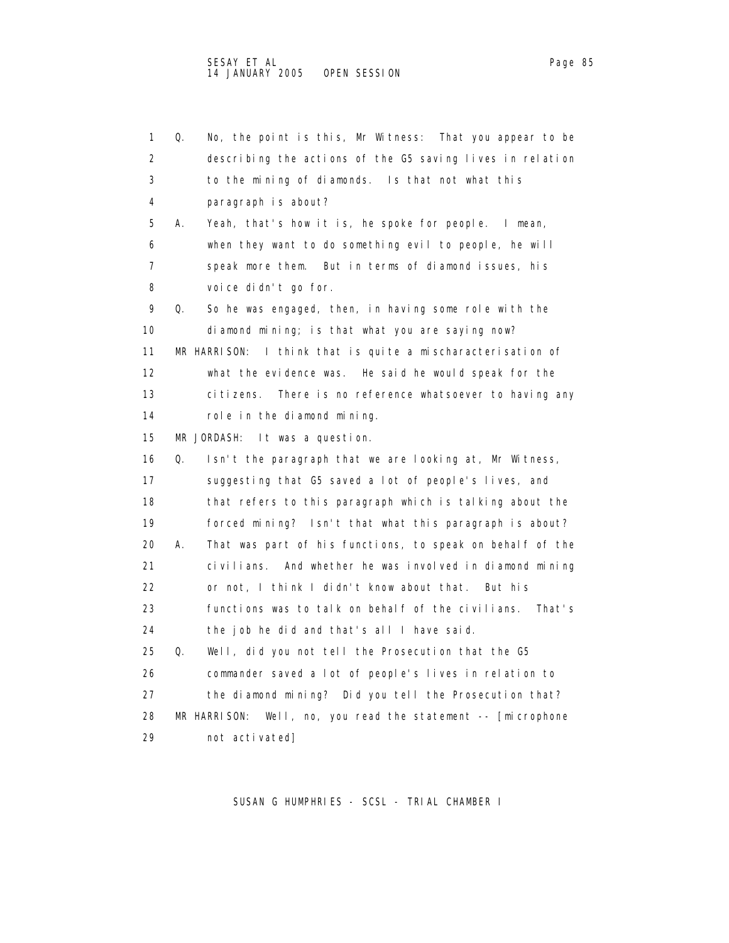1 Q. No, the point is this, Mr Witness: That you appear to be 2 describing the actions of the G5 saving lives in relation 3 to the mining of diamonds. Is that not what this 4 paragraph is about? 5 A. Yeah, that's how it is, he spoke for people. I mean, 6 when they want to do something evil to people, he will 7 speak more them. But in terms of diamond issues, his 8 voice didn't go for. 9 Q. So he was engaged, then, in having some role with the 10 diamond mining; is that what you are saying now? 11 MR HARRISON: I think that is quite a mischaracterisation of 12 what the evidence was. He said he would speak for the 13 citizens. There is no reference whatsoever to having any 14 role in the diamond mining. 15 MR JORDASH: It was a question. 16 Q. Isn't the paragraph that we are looking at, Mr Witness, 17 suggesting that G5 saved a lot of people's lives, and 18 that refers to this paragraph which is talking about the 19 forced mining? Isn't that what this paragraph is about? 20 A. That was part of his functions, to speak on behalf of the 21 civilians. And whether he was involved in diamond mining 22 or not, I think I didn't know about that. But his 23 functions was to talk on behalf of the civilians. That's 24 the job he did and that's all I have said. 25 Q. Well, did you not tell the Prosecution that the G5 26 commander saved a lot of people's lives in relation to 27 the diamond mining? Did you tell the Prosecution that? 28 MR HARRISON: Well, no, you read the statement -- [microphone 29 not activated]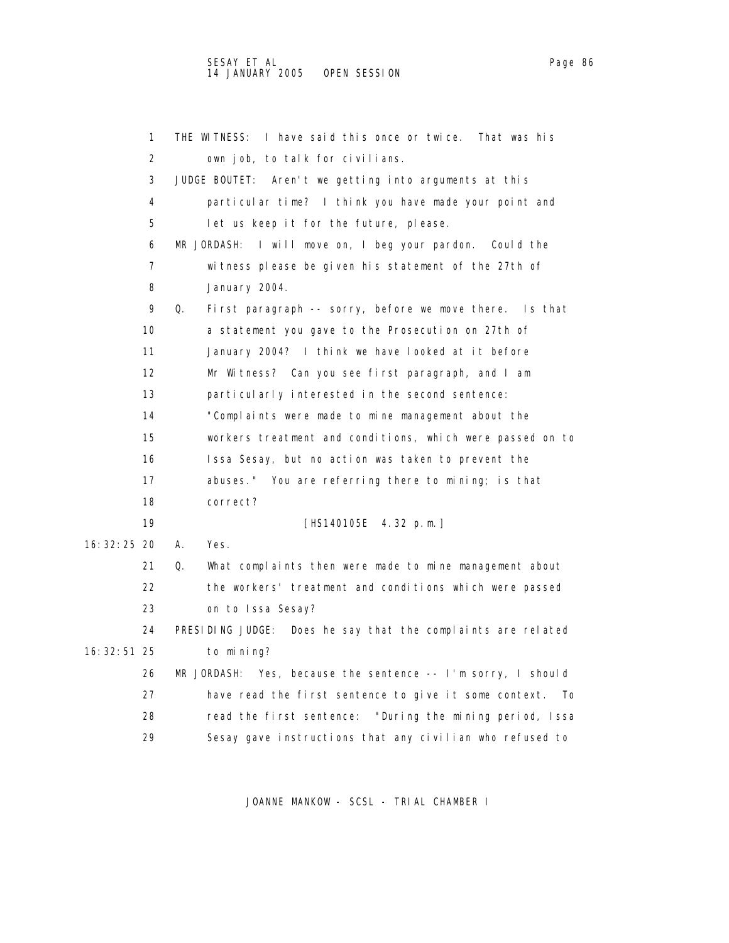1 THE WITNESS: I have said this once or twice. That was his 2 own job, to talk for civilians. 3 JUDGE BOUTET: Aren't we getting into arguments at this 4 particular time? I think you have made your point and 5 let us keep it for the future, please. 6 MR JORDASH: I will move on, I beg your pardon. Could the 7 witness please be given his statement of the 27th of 8 January 2004. 9 Q. First paragraph -- sorry, before we move there. Is that 10 a statement you gave to the Prosecution on 27th of 11 January 2004? I think we have looked at it before 12 Mr Witness? Can you see first paragraph, and I am 13 particularly interested in the second sentence: 14 "Complaints were made to mine management about the 15 workers treatment and conditions, which were passed on to 16 Issa Sesay, but no action was taken to prevent the 17 abuses." You are referring there to mining; is that 18 correct? 19 [HS140105E 4.32 p.m.] 16:32:25 20 A. Yes. 21 Q. What complaints then were made to mine management about 22 the workers' treatment and conditions which were passed 23 on to Issa Sesay? 24 PRESIDING JUDGE: Does he say that the complaints are related 16:32:51 25 to mining? 26 MR JORDASH: Yes, because the sentence -- I'm sorry, I should 27 have read the first sentence to give it some context. To 28 read the first sentence: "During the mining period, Issa 29 Sesay gave instructions that any civilian who refused to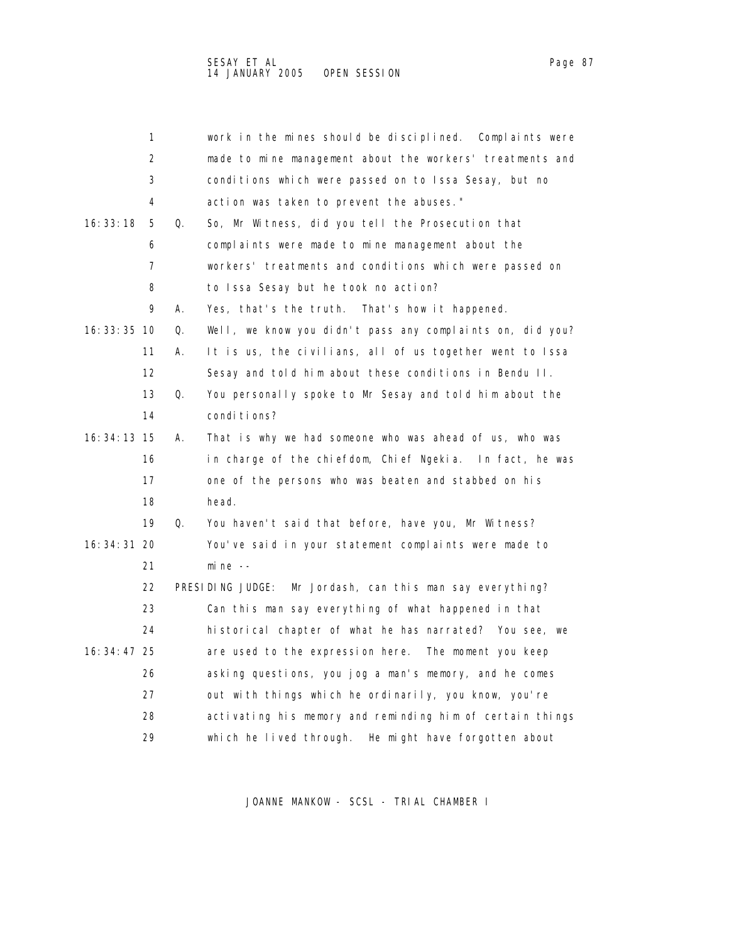|               | 1  |    | work in the mines should be disciplined. Complaints were    |
|---------------|----|----|-------------------------------------------------------------|
|               | 2  |    | made to mine management about the workers' treatments and   |
|               | 3  |    | conditions which were passed on to Issa Sesay, but no       |
|               | 4  |    | action was taken to prevent the abuses."                    |
| 16: 33: 18    | 5  | Q. | So, Mr Witness, did you tell the Prosecution that           |
|               | 6  |    | complaints were made to mine management about the           |
|               | 7  |    | workers' treatments and conditions which were passed on     |
|               | 8  |    | to Issa Sesay but he took no action?                        |
|               | 9  | А. | Yes, that's the truth. That's how it happened.              |
| 16: 33: 35 10 |    | Q. | Well, we know you didn't pass any complaints on, did you?   |
|               | 11 | А. | It is us, the civilians, all of us together went to Issa    |
|               | 12 |    | Sesay and told him about these conditions in Bendu II.      |
|               | 13 | Q. | You personally spoke to Mr Sesay and told him about the     |
|               | 14 |    | conditions?                                                 |
| 16: 34: 13 15 |    | А. | That is why we had someone who was ahead of us, who was     |
|               | 16 |    | in charge of the chiefdom, Chief Ngekia.<br>In fact, he was |
|               | 17 |    | one of the persons who was beaten and stabbed on his        |
|               | 18 |    | head.                                                       |
|               | 19 | Q. | You haven't said that before, have you, Mr Witness?         |
| 16: 34: 31 20 |    |    | You've said in your statement complaints were made to       |
|               | 21 |    | $min$ --                                                    |
|               | 22 |    | PRESIDING JUDGE: Mr Jordash, can this man say everything?   |
|               | 23 |    | Can this man say everything of what happened in that        |
|               | 24 |    | historical chapter of what he has narrated? You see, we     |
| 16: 34: 47 25 |    |    | are used to the expression here. The moment you keep        |
|               | 26 |    | asking questions, you jog a man's memory, and he comes      |
|               | 27 |    | out with things which he ordinarily, you know, you're       |
|               | 28 |    | activating his memory and reminding him of certain things   |
|               | 29 |    | which he lived through. He might have forgotten about       |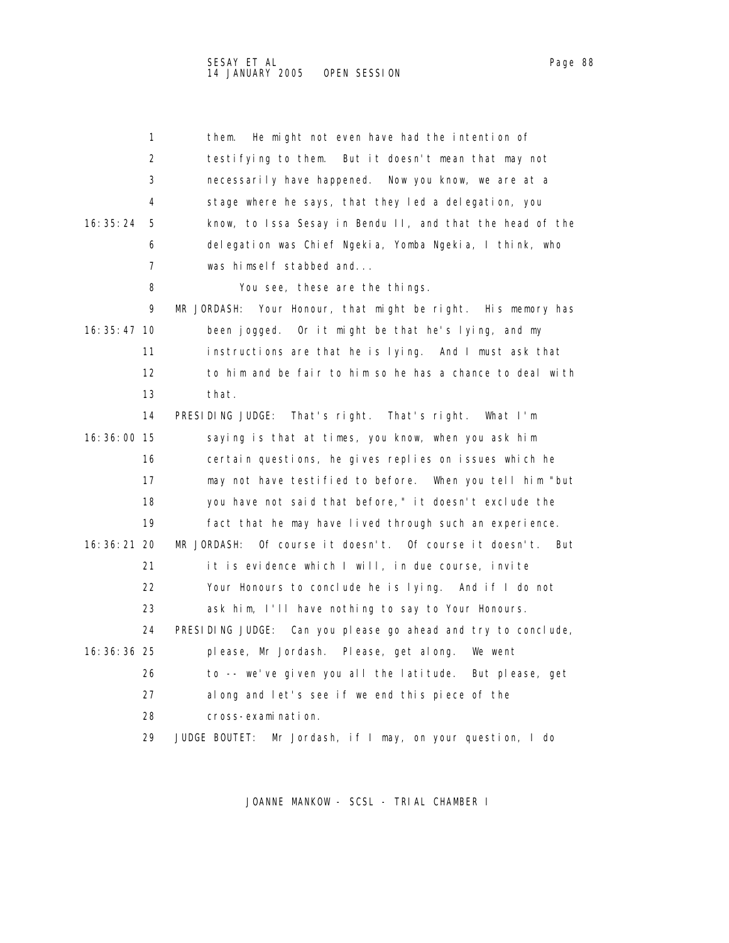| 1                 | He might not even have had the intention of<br>them.              |
|-------------------|-------------------------------------------------------------------|
| 2                 | testifying to them.<br>But it doesn't mean that may not           |
| 3                 | necessarily have happened. Now you know, we are at a              |
| 4                 | stage where he says, that they led a delegation, you              |
| 16: 35: 24<br>5   | know, to Issa Sesay in Bendu II, and that the head of the         |
| 6                 | delegation was Chief Ngekia, Yomba Ngekia, I think, who           |
| 7                 | was himself stabbed and                                           |
| 8                 | You see, these are the things.                                    |
| 9                 | MR JORDASH:<br>Your Honour, that might be right. His memory has   |
| 16: 35: 47 10     | been jogged. Or it might be that he's lying, and my               |
| 11                | instructions are that he is lying. And I must ask that            |
| $12 \overline{ }$ | to him and be fair to him so he has a chance to deal with         |
| 13                | that.                                                             |
| 14                | That's right.<br>PRESIDING JUDGE:<br>That's right.<br>What I'm    |
| 16: 36: 00 15     | saying is that at times, you know, when you ask him               |
| 16                | certain questions, he gives replies on issues which he            |
| 17                | may not have testified to before. When you tell him "but          |
| 18                | you have not said that before," it doesn't exclude the            |
| 19                | fact that he may have lived through such an experience.           |
| 16: 36: 21 20     | Of course it doesn't. Of course it doesn't.<br>MR JORDASH:<br>But |
| 21                | it is evidence which I will, in due course, invite                |
| 22                | Your Honours to conclude he is lying. And if I do not             |
| 23                | ask him, I'll have nothing to say to Your Honours.                |
| 24                | PRESIDING JUDGE: Can you please go ahead and try to conclude,     |
| 16: 36: 36 25     | please, Mr Jordash. Please, get along.<br>We went                 |
| 26                | to -- we've given you all the latitude.<br>But please, get        |
| 27                | along and let's see if we end this piece of the                   |
| 28                | cross-examination.                                                |
| 29                | Mr Jordash, if I may, on your question, I do<br>JUDGE BOUTET:     |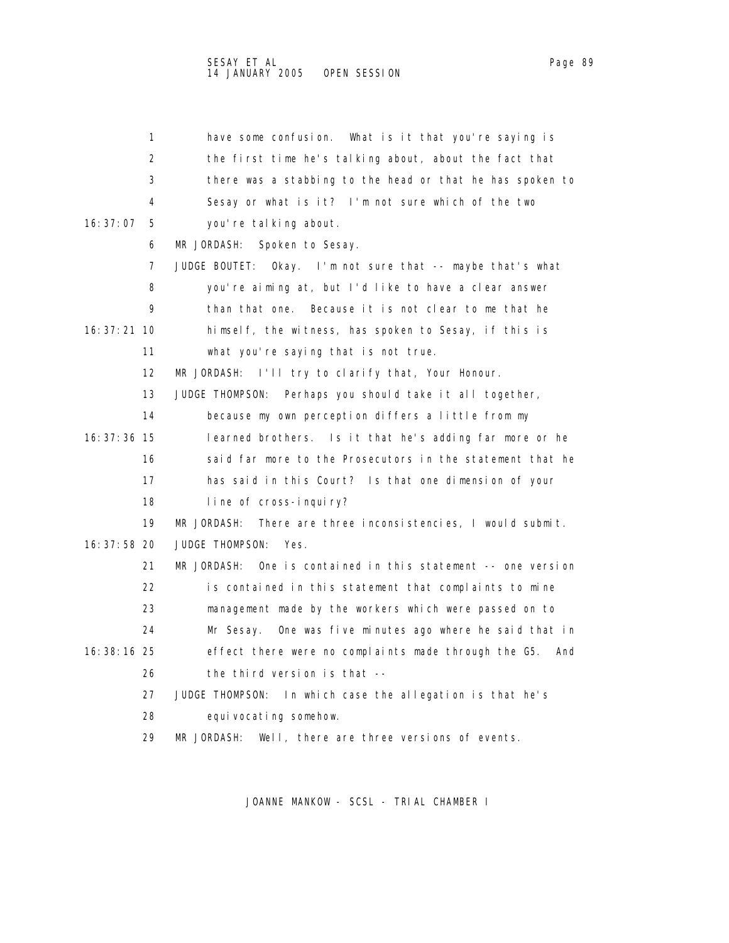1 have some confusion. What is it that you're saying is 2 the first time he's talking about, about the fact that 3 there was a stabbing to the head or that he has spoken to 4 Sesay or what is it? I'm not sure which of the two 16:37:07 5 you're talking about. 6 MR JORDASH: Spoken to Sesay. 7 JUDGE BOUTET: Okay. I'm not sure that -- maybe that's what 8 you're aiming at, but I'd like to have a clear answer 9 than that one. Because it is not clear to me that he 16:37:21 10 himself, the witness, has spoken to Sesay, if this is 11 what you're saying that is not true. 12 MR JORDASH: I'll try to clarify that, Your Honour. 13 JUDGE THOMPSON: Perhaps you should take it all together, 14 because my own perception differs a little from my 16:37:36 15 learned brothers. Is it that he's adding far more or he 16 said far more to the Prosecutors in the statement that he 17 has said in this Court? Is that one dimension of your 18 line of cross-inquiry? 19 MR JORDASH: There are three inconsistencies, I would submit. 16:37:58 20 JUDGE THOMPSON: Yes. 21 MR JORDASH: One is contained in this statement -- one version 22 is contained in this statement that complaints to mine 23 management made by the workers which were passed on to 24 Mr Sesay. One was five minutes ago where he said that in 16:38:16 25 effect there were no complaints made through the G5. And 26 the third version is that -- 27 JUDGE THOMPSON: In which case the allegation is that he's 28 equivocating somehow. 29 MR JORDASH: Well, there are three versions of events.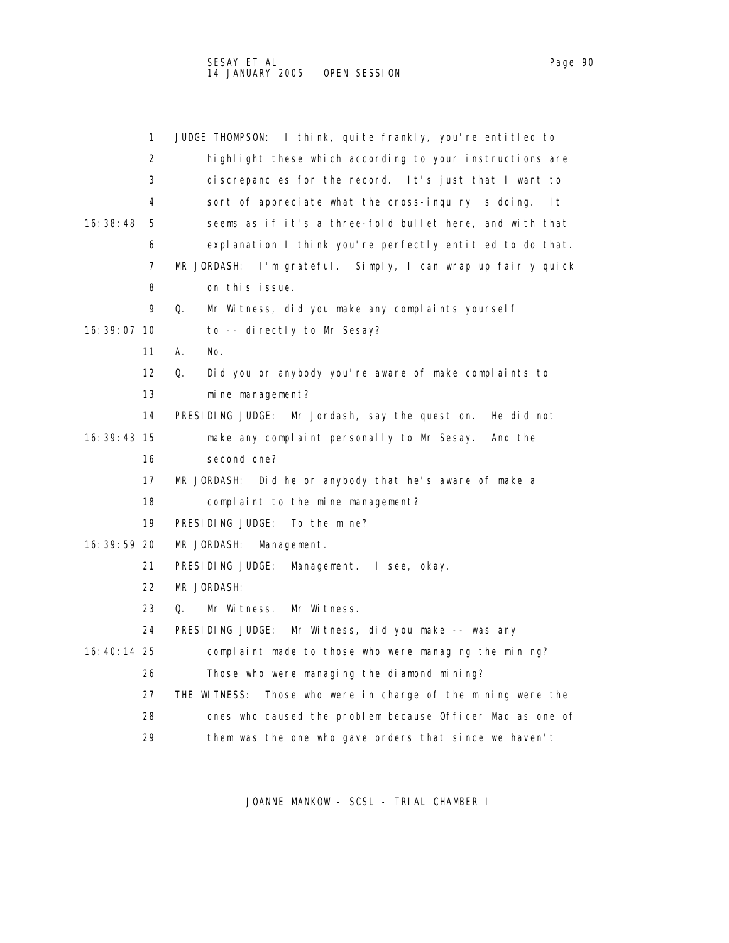1 JUDGE THOMPSON: I think, quite frankly, you're entitled to 2 highlight these which according to your instructions are 3 discrepancies for the record. It's just that I want to 4 sort of appreciate what the cross-inquiry is doing. It 16:38:48 5 seems as if it's a three-fold bullet here, and with that 6 explanation I think you're perfectly entitled to do that. 7 MR JORDASH: I'm grateful. Simply, I can wrap up fairly quick 8 on this issue. 9 Q. Mr Witness, did you make any complaints yourself 16:39:07 10 to -- directly to Mr Sesay? 11 A. No. 12 Q. Did you or anybody you're aware of make complaints to 13 mine management?

- 14 PRESIDING JUDGE: Mr Jordash, say the question. He did not 16:39:43 15 make any complaint personally to Mr Sesay. And the 16 second one?
	- 17 MR JORDASH: Did he or anybody that he's aware of make a
	- 18 complaint to the mine management?
	- 19 PRESIDING JUDGE: To the mine?
- 16:39:59 20 MR JORDASH: Management.
	- 21 PRESIDING JUDGE: Management. I see, okay.
	- 22 MR JORDASH:
	- 23 Q. Mr Witness. Mr Witness.
	- 24 PRESIDING JUDGE: Mr Witness, did you make -- was any
- 16:40:14 25 complaint made to those who were managing the mining?
	- 26 Those who were managing the diamond mining?
	- 27 THE WITNESS: Those who were in charge of the mining were the
	- 28 ones who caused the problem because Officer Mad as one of
	- 29 them was the one who gave orders that since we haven't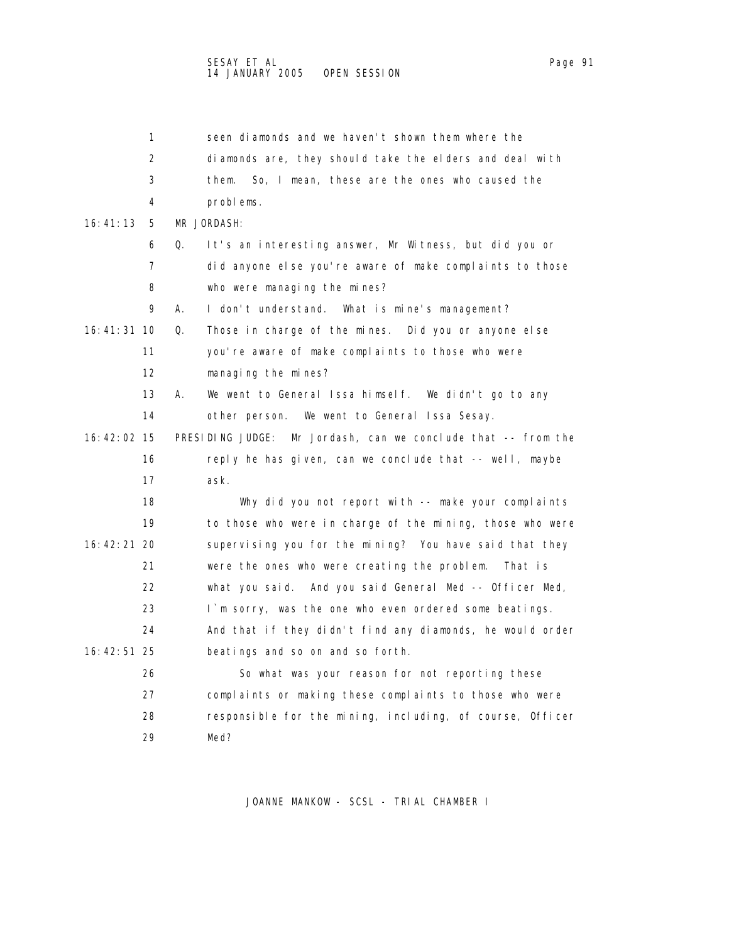1 seen diamonds and we haven't shown them where the 2 diamonds are, they should take the elders and deal with 3 them. So, I mean, these are the ones who caused the 4 problems. 16:41:13 5 MR JORDASH: 6 Q. It's an interesting answer, Mr Witness, but did you or 7 did anyone else you're aware of make complaints to those 8 who were managing the mines? 9 A. I don't understand. What is mine's management? 16:41:31 10 Q. Those in charge of the mines. Did you or anyone else 11 you're aware of make complaints to those who were 12 managing the mines? 13 A. We went to General Issa himself. We didn't go to any 14 other person. We went to General Issa Sesay. 16:42:02 15 PRESIDING JUDGE: Mr Jordash, can we conclude that -- from the 16 reply he has given, can we conclude that -- well, maybe 17 ask. 18 Why did you not report with -- make your complaints 19 to those who were in charge of the mining, those who were 16:42:21 20 supervising you for the mining? You have said that they 21 were the ones who were creating the problem. That is 22 what you said. And you said General Med -- Officer Med, 23 I`m sorry, was the one who even ordered some beatings. 24 And that if they didn't find any diamonds, he would order 16:42:51 25 beatings and so on and so forth.

 26 So what was your reason for not reporting these 27 complaints or making these complaints to those who were 28 responsible for the mining, including, of course, Officer 29 Med?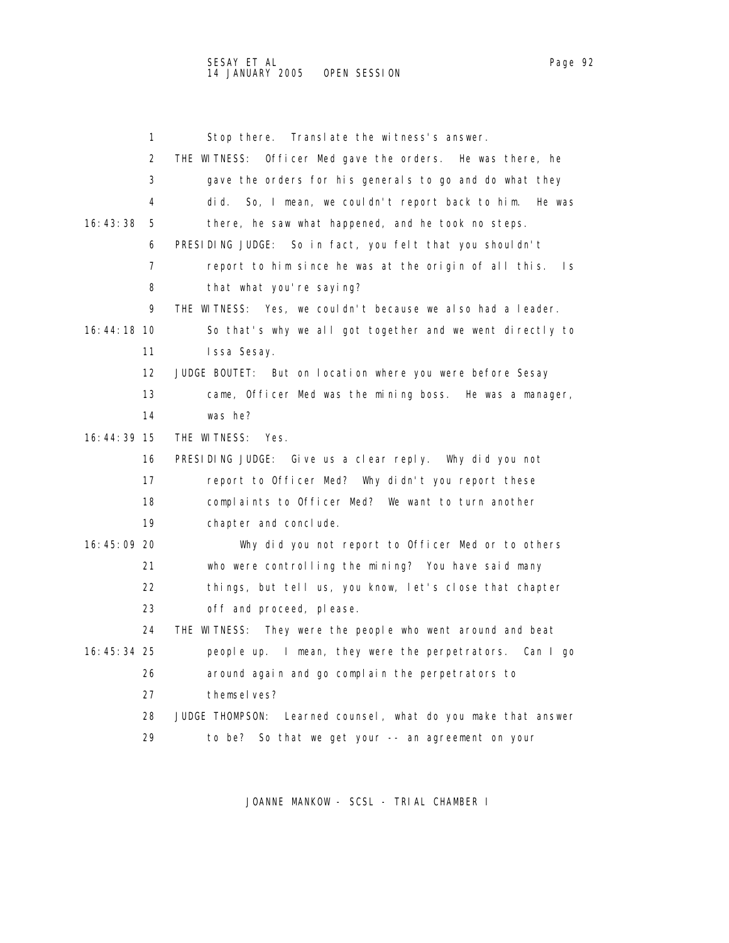1 Stop there. Translate the witness's answer. 2 THE WITNESS: Officer Med gave the orders. He was there, he 3 gave the orders for his generals to go and do what they 4 did. So, I mean, we couldn't report back to him. He was 16:43:38 5 there, he saw what happened, and he took no steps. 6 PRESIDING JUDGE: So in fact, you felt that you shouldn't 7 report to him since he was at the origin of all this. Is 8 that what you're saying? 9 THE WITNESS: Yes, we couldn't because we also had a leader. 16:44:18 10 So that's why we all got together and we went directly to 11 Issa Sesay. 12 JUDGE BOUTET: But on location where you were before Sesay 13 came, Officer Med was the mining boss. He was a manager, 14 was he? 16:44:39 15 THE WITNESS: Yes. 16 PRESIDING JUDGE: Give us a clear reply. Why did you not 17 report to Officer Med? Why didn't you report these 18 complaints to Officer Med? We want to turn another 19 chapter and conclude. 16:45:09 20 Why did you not report to Officer Med or to others 21 who were controlling the mining? You have said many 22 things, but tell us, you know, let's close that chapter 23 off and proceed, please. 24 THE WITNESS: They were the people who went around and beat 16:45:34 25 people up. I mean, they were the perpetrators. Can I go 26 around again and go complain the perpetrators to 27 themselves? 28 JUDGE THOMPSON: Learned counsel, what do you make that answer 29 to be? So that we get your -- an agreement on your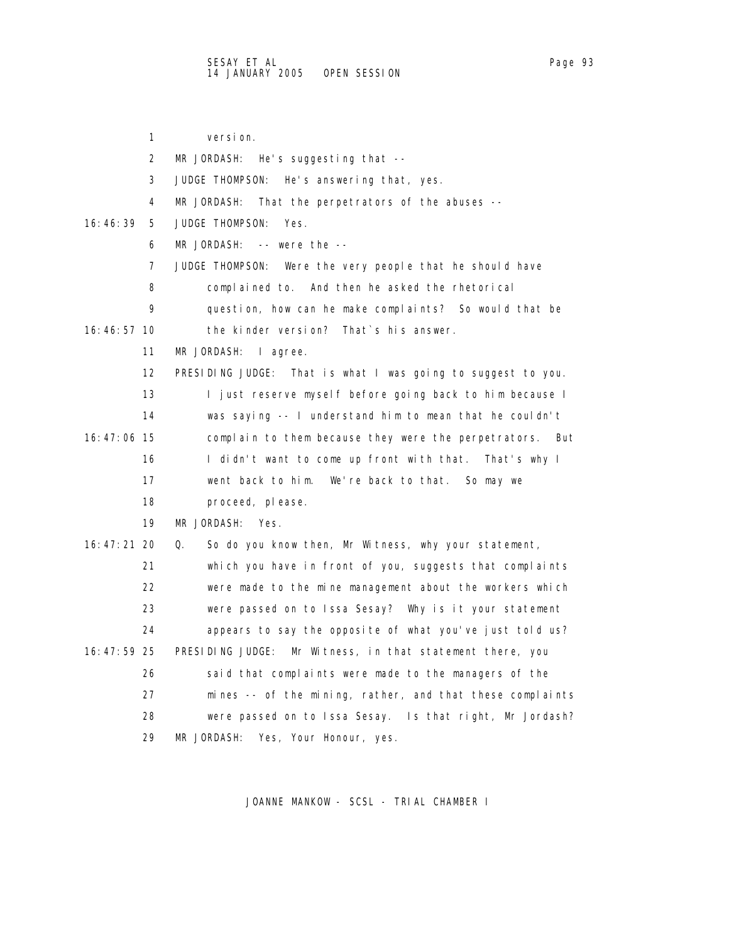1 version. 2 MR JORDASH: He's suggesting that -- 3 JUDGE THOMPSON: He's answering that, yes. 4 MR JORDASH: That the perpetrators of the abuses -- 16:46:39 5 JUDGE THOMPSON: Yes. 6 MR JORDASH: -- were the -- 7 JUDGE THOMPSON: Were the very people that he should have 8 complained to. And then he asked the rhetorical 9 question, how can he make complaints? So would that be 16:46:57 10 the kinder version? That`s his answer. 11 MR JORDASH: I agree. 12 PRESIDING JUDGE: That is what I was going to suggest to you. 13 I just reserve myself before going back to him because I 14 was saying -- I understand him to mean that he couldn't 16:47:06 15 complain to them because they were the perpetrators. But 16 I didn't want to come up front with that. That's why I 17 went back to him. We're back to that. So may we 18 **proceed**, please. 19 MR JORDASH: Yes. 16:47:21 20 Q. So do you know then, Mr Witness, why your statement, 21 which you have in front of you, suggests that complaints 22 were made to the mine management about the workers which 23 were passed on to Issa Sesay? Why is it your statement 24 appears to say the opposite of what you've just told us? 16:47:59 25 PRESIDING JUDGE: Mr Witness, in that statement there, you 26 said that complaints were made to the managers of the 27 mines -- of the mining, rather, and that these complaints 28 were passed on to Issa Sesay. Is that right, Mr Jordash? 29 MR JORDASH: Yes, Your Honour, yes.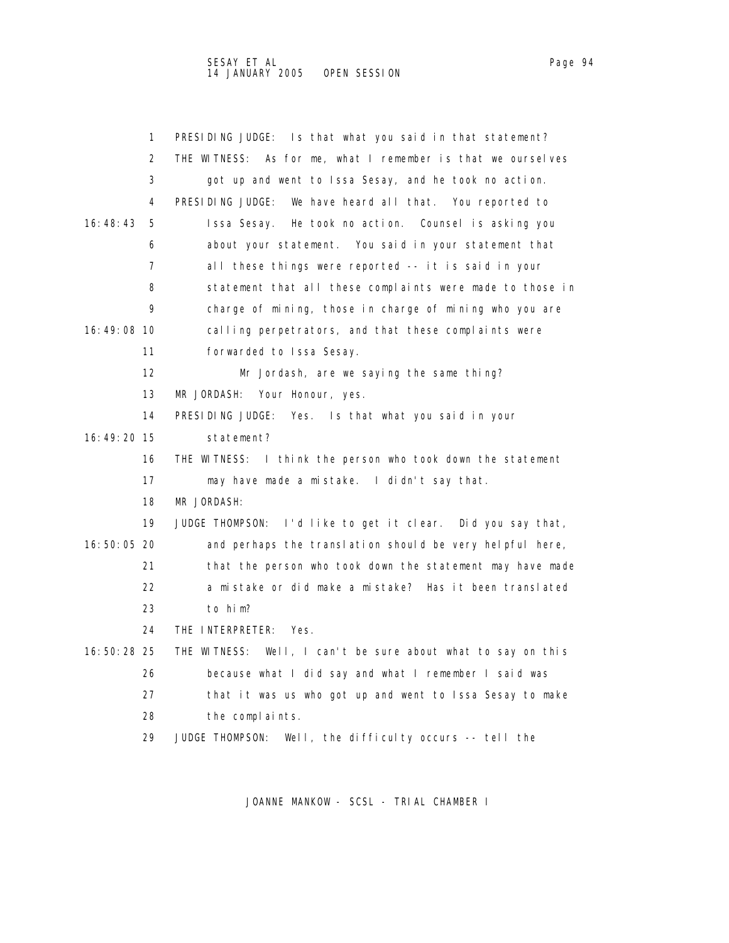|               | 1  | PRESIDING JUDGE: Is that what you said in that statement?    |
|---------------|----|--------------------------------------------------------------|
|               | 2  | THE WITNESS: As for me, what I remember is that we ourselves |
|               | 3  | got up and went to Issa Sesay, and he took no action.        |
|               | 4  | PRESIDING JUDGE:<br>We have heard all that. You reported to  |
| 16: 48: 43    | 5  | Issa Sesay. He took no action. Counsel is asking you         |
|               | 6  | about your statement. You said in your statement that        |
|               | 7  | all these things were reported -- it is said in your         |
|               | 8  | statement that all these complaints were made to those in    |
|               | 9  | charge of mining, those in charge of mining who you are      |
| 16:49:08 10   |    | calling perpetrators, and that these complaints were         |
|               | 11 | forwarded to Issa Sesay.                                     |
|               | 12 | Mr Jordash, are we saying the same thing?                    |
|               | 13 | MR JORDASH:<br>Your Honour, yes.                             |
|               | 14 | PRESIDING JUDGE:<br>Yes. Is that what you said in your       |
| 16:49:20 15   |    | statement?                                                   |
|               | 16 | THE WITNESS: I think the person who took down the statement  |
|               | 17 | may have made a mistake. I didn't say that.                  |
|               | 18 | MR JORDASH:                                                  |
|               | 19 | JUDGE THOMPSON: I'd like to get it clear. Did you say that,  |
| 16:50:05 20   |    | and perhaps the translation should be very helpful here,     |
|               | 21 | that the person who took down the statement may have made    |
|               | 22 | a mistake or did make a mistake? Has it been translated      |
|               | 23 | to him?                                                      |
|               | 24 | THE INTERPRETER:<br>Yes.                                     |
| 16: 50: 28 25 |    | THE WITNESS: Well, I can't be sure about what to say on this |
|               | 26 | because what I did say and what I remember I said was        |
|               | 27 | that it was us who got up and went to Issa Sesay to make     |
|               | 28 | the complaints.                                              |
|               | 29 | JUDGE THOMPSON:<br>Well, the difficulty occurs -- tell the   |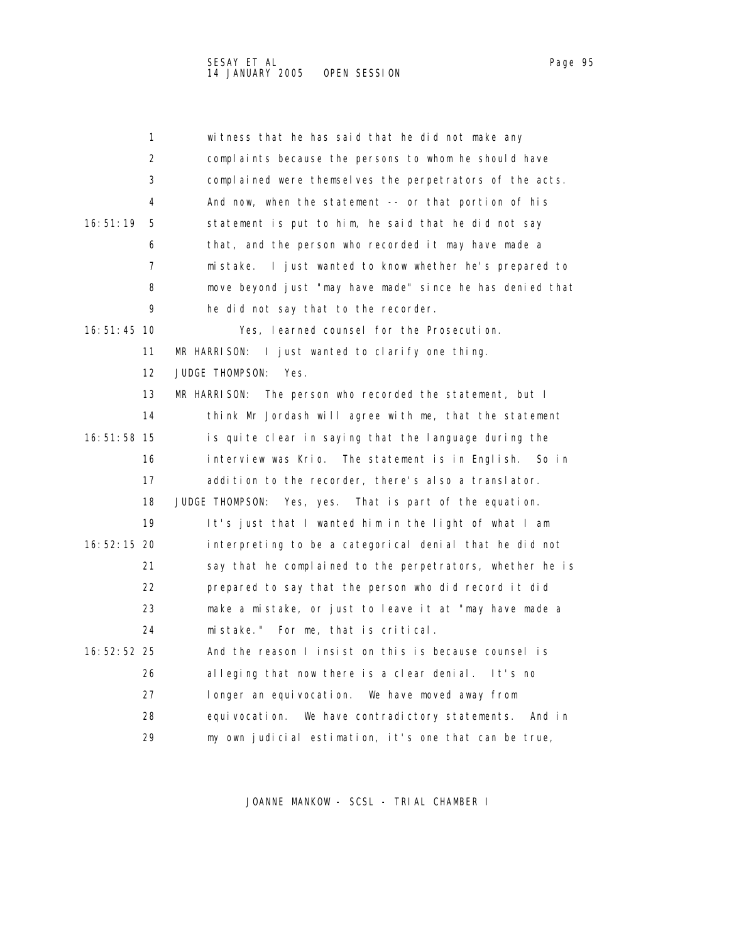1 witness that he has said that he did not make any 2 complaints because the persons to whom he should have 3 complained were themselves the perpetrators of the acts. 4 And now, when the statement -- or that portion of his 16:51:19 5 statement is put to him, he said that he did not say 6 that, and the person who recorded it may have made a 7 mistake. I just wanted to know whether he's prepared to 8 move beyond just "may have made" since he has denied that 9 he did not say that to the recorder. 16:51:45 10 Yes, learned counsel for the Prosecution. 11 MR HARRISON: I just wanted to clarify one thing. 12 JUDGE THOMPSON: Yes. 13 MR HARRISON: The person who recorded the statement, but I 14 think Mr Jordash will agree with me, that the statement 16:51:58 15 is quite clear in saying that the language during the 16 interview was Krio. The statement is in English. So in 17 addition to the recorder, there's also a translator. 18 JUDGE THOMPSON: Yes, yes. That is part of the equation. 19 It's just that I wanted him in the light of what I am 16:52:15 20 interpreting to be a categorical denial that he did not 21 say that he complained to the perpetrators, whether he is 22 prepared to say that the person who did record it did 23 make a mistake, or just to leave it at "may have made a 24 mistake." For me, that is critical. 16:52:52 25 And the reason I insist on this is because counsel is 26 alleging that now there is a clear denial. It's no 27 longer an equivocation. We have moved away from 28 equivocation. We have contradictory statements. And in 29 my own judicial estimation, it's one that can be true,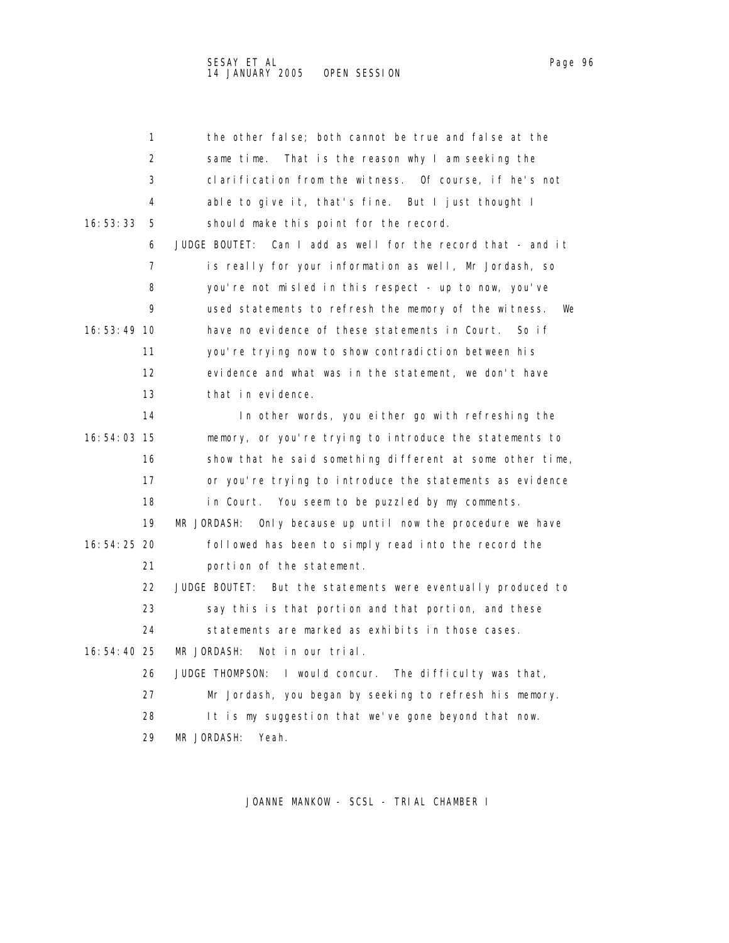| 1             | the other false; both cannot be true and false at the           |
|---------------|-----------------------------------------------------------------|
| 2             | same time. That is the reason why I am seeking the              |
| 3             | clarification from the witness. Of course, if he's not          |
| 4             | able to give it, that's fine. But I just thought I              |
| 16:53:33<br>5 | should make this point for the record.                          |
| 6             | Can I add as well for the record that - and it<br>JUDGE BOUTET: |
| 7             | is really for your information as well, Mr Jordash, so          |
| 8             | you're not misled in this respect - up to now, you've           |
| 9             | used statements to refresh the memory of the witness.<br>We     |
| 16:53:49 10   | have no evidence of these statements in Court.<br>Soif          |
| 11            | you're trying now to show contradiction between his             |
| 12            | evidence and what was in the statement, we don't have           |
| 13            | that in evidence.                                               |
| 14            | In other words, you either go with refreshing the               |
| 16:54:03 15   | memory, or you're trying to introduce the statements to         |
| 16            | show that he said something different at some other time,       |
| 17            | or you're trying to introduce the statements as evidence        |
| 18            | in Court. You seem to be puzzled by my comments.                |
| 19            | MR JORDASH:<br>Only because up until now the procedure we have  |
| 16:54:25 20   | followed has been to simply read into the record the            |
| 21            | portion of the statement.                                       |
| 22            | JUDGE BOUTET: But the statements were eventually produced to    |
| 23            | say this is that portion and that portion, and these            |
| 24            | statements are marked as exhibits in those cases.               |
| 16:54:40 25   | MR JORDASH:<br>Not in our trial.                                |
| 26            | I would concur. The difficulty was that,<br>JUDGE THOMPSON:     |
| 27            | Mr Jordash, you began by seeking to refresh his memory.         |
| 28            | It is my suggestion that we've gone beyond that now.            |
| 29            | MR JORDASH:<br>Yeah.                                            |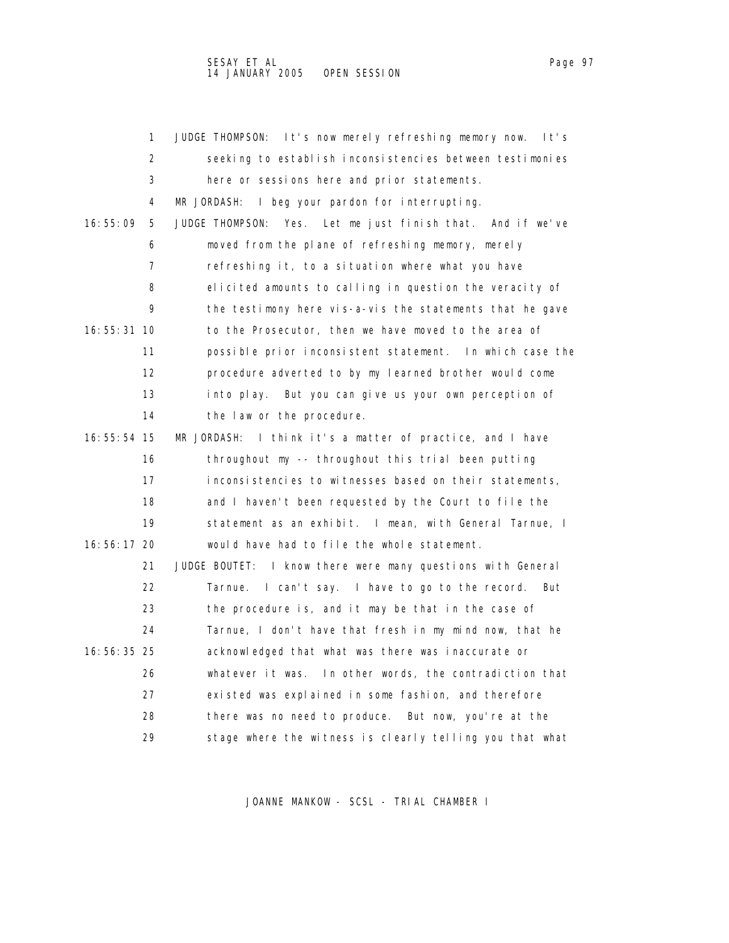1 JUDGE THOMPSON: It's now merely refreshing memory now. It's 2 seeking to establish inconsistencies between testimonies 3 here or sessions here and prior statements. 4 MR JORDASH: I beg your pardon for interrupting. 16:55:09 5 JUDGE THOMPSON: Yes. Let me just finish that. And if we've 6 moved from the plane of refreshing memory, merely 7 refreshing it, to a situation where what you have 8 elicited amounts to calling in question the veracity of 9 the testimony here vis-a-vis the statements that he gave 16:55:31 10 to the Prosecutor, then we have moved to the area of 11 possible prior inconsistent statement. In which case the 12 procedure adverted to by my learned brother would come 13 into play. But you can give us your own perception of 14 the law or the procedure. 16:55:54 15 MR JORDASH: I think it's a matter of practice, and I have 16 throughout my -- throughout this trial been putting 17 inconsistencies to witnesses based on their statements, 18 and I haven't been requested by the Court to file the 19 statement as an exhibit. I mean, with General Tarnue, I 16:56:17 20 would have had to file the whole statement. 21 JUDGE BOUTET: I know there were many questions with General

 22 Tarnue. I can't say. I have to go to the record. But 23 the procedure is, and it may be that in the case of 24 Tarnue, I don't have that fresh in my mind now, that he 16:56:35 25 acknowledged that what was there was inaccurate or 26 whatever it was. In other words, the contradiction that 27 existed was explained in some fashion, and therefore 28 there was no need to produce. But now, you're at the 29 stage where the witness is clearly telling you that what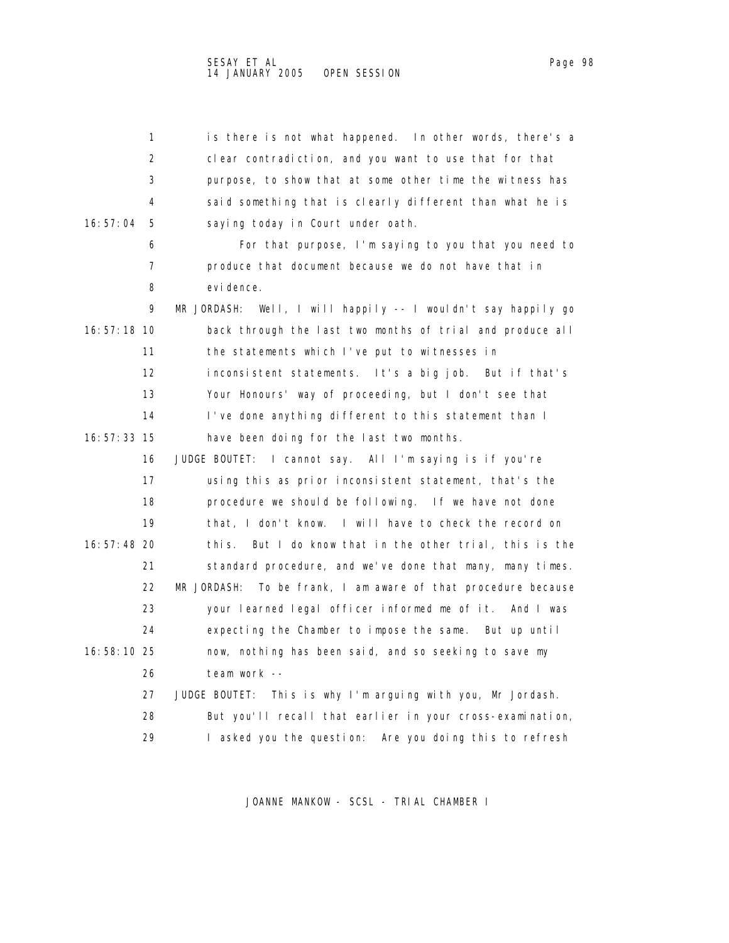|               | 1  | is there is not what happened. In other words, there's a      |
|---------------|----|---------------------------------------------------------------|
|               | 2  | clear contradiction, and you want to use that for that        |
|               | 3  | purpose, to show that at some other time the witness has      |
|               | 4  | said something that is clearly different than what he is      |
| 16:57:04      | 5  | saying today in Court under oath.                             |
|               | 6  | For that purpose, I'm saying to you that you need to          |
|               | 7  | produce that document because we do not have that in          |
|               | 8  | evi dence.                                                    |
|               | 9  | MR JORDASH: Well, I will happily -- I wouldn't say happily go |
| 16: 57: 18 10 |    | back through the last two months of trial and produce all     |
|               | 11 | the statements which I've put to witnesses in                 |
|               | 12 | inconsistent statements. It's a big job. But if that's        |
|               | 13 | Your Honours' way of proceeding, but I don't see that         |
|               | 14 | I've done anything different to this statement than I         |
| 16:57:33 15   |    | have been doing for the last two months.                      |
|               | 16 | JUDGE BOUTET: I cannot say. All I'm saying is if you're       |
|               | 17 | using this as prior inconsistent statement, that's the        |
|               | 18 | procedure we should be following. If we have not done         |
|               | 19 | that, I don't know. I will have to check the record on        |
| $16:57:48$ 20 |    | But I do know that in the other trial, this is the<br>thi s.  |
|               | 21 | standard procedure, and we've done that many, many times.     |
|               | 22 | MR JORDASH: To be frank, I am aware of that procedure because |
|               | 23 | your learned legal officer informed me of it. And I was       |
|               | 24 | expecting the Chamber to impose the same. But up until        |
| 16:58:10 25   |    | now, nothing has been said, and so seeking to save my         |
|               | 26 | team work --                                                  |
|               | 27 | JUDGE BOUTET: This is why I'm arguing with you, Mr Jordash.   |
|               | 28 | But you'll recall that earlier in your cross-examination,     |
|               | 29 | I asked you the question: Are you doing this to refresh       |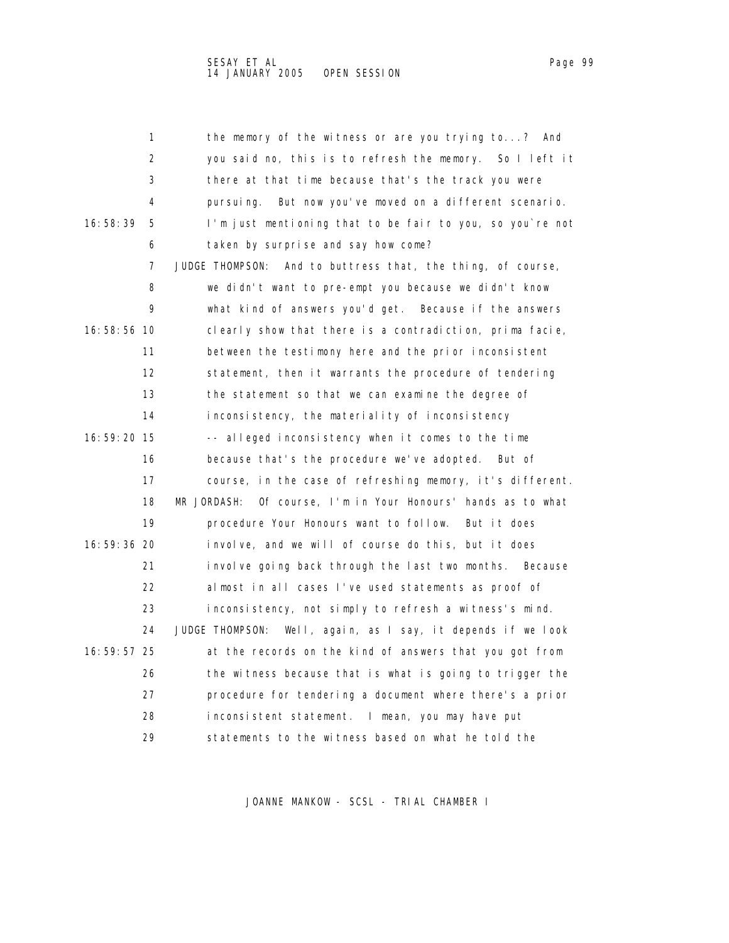1 the memory of the witness or are you trying to...? And 2 you said no, this is to refresh the memory. So I left it 3 there at that time because that's the track you were 4 pursuing. But now you've moved on a different scenario. 16:58:39 5 I'm just mentioning that to be fair to you, so you`re not 6 taken by surprise and say how come? 7 JUDGE THOMPSON: And to buttress that, the thing, of course, 8 we didn't want to pre-empt you because we didn't know 9 what kind of answers you'd get. Because if the answers 16:58:56 10 clearly show that there is a contradiction, prima facie, 11 between the testimony here and the prior inconsistent 12 statement, then it warrants the procedure of tendering 13 the statement so that we can examine the degree of 14 inconsistency, the materiality of inconsistency 16:59:20 15 -- alleged inconsistency when it comes to the time 16 because that's the procedure we've adopted. But of 17 course, in the case of refreshing memory, it's different. 18 MR JORDASH: Of course, I'm in Your Honours' hands as to what 19 procedure Your Honours want to follow. But it does 16:59:36 20 involve, and we will of course do this, but it does 21 involve going back through the last two months. Because 22 almost in all cases I've used statements as proof of 23 inconsistency, not simply to refresh a witness's mind. 24 JUDGE THOMPSON: Well, again, as I say, it depends if we look 16:59:57 25 at the records on the kind of answers that you got from 26 the witness because that is what is going to trigger the 27 procedure for tendering a document where there's a prior 28 inconsistent statement. I mean, you may have put 29 statements to the witness based on what he told the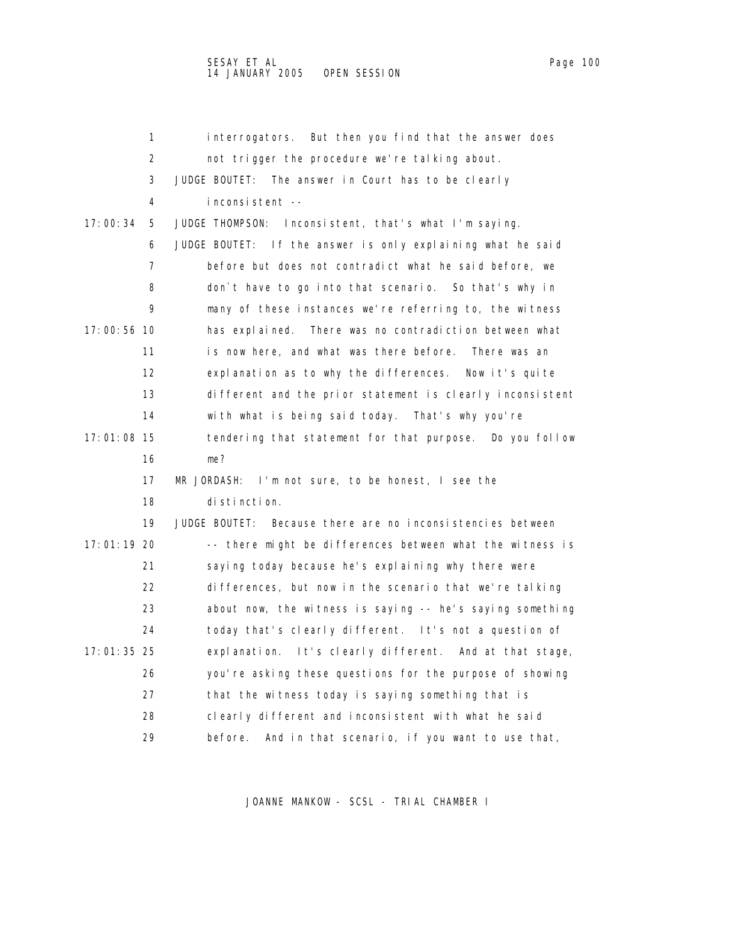1 interrogators. But then you find that the answer does 2 not trigger the procedure we're talking about. 3 JUDGE BOUTET: The answer in Court has to be clearly 4 inconsistent -- 17:00:34 5 JUDGE THOMPSON: Inconsistent, that's what I'm saying. 6 JUDGE BOUTET: If the answer is only explaining what he said 7 before but does not contradict what he said before, we 8 don`t have to go into that scenario. So that's why in 9 many of these instances we're referring to, the witness 17:00:56 10 has explained. There was no contradiction between what 11 is now here, and what was there before. There was an 12 explanation as to why the differences. Now it's quite 13 different and the prior statement is clearly inconsistent 14 with what is being said today. That's why you're 17:01:08 15 tendering that statement for that purpose. Do you follow 16 me? 17 MR JORDASH: I'm not sure, to be honest, I see the 18 distinction. 19 JUDGE BOUTET: Because there are no inconsistencies between 17:01:19 20 -- there might be differences between what the witness is 21 saying today because he's explaining why there were 22 differences, but now in the scenario that we're talking 23 about now, the witness is saying -- he's saying something 24 today that's clearly different. It's not a question of 17:01:35 25 explanation. It's clearly different. And at that stage, 26 you're asking these questions for the purpose of showing 27 that the witness today is saying something that is 28 clearly different and inconsistent with what he said 29 before. And in that scenario, if you want to use that,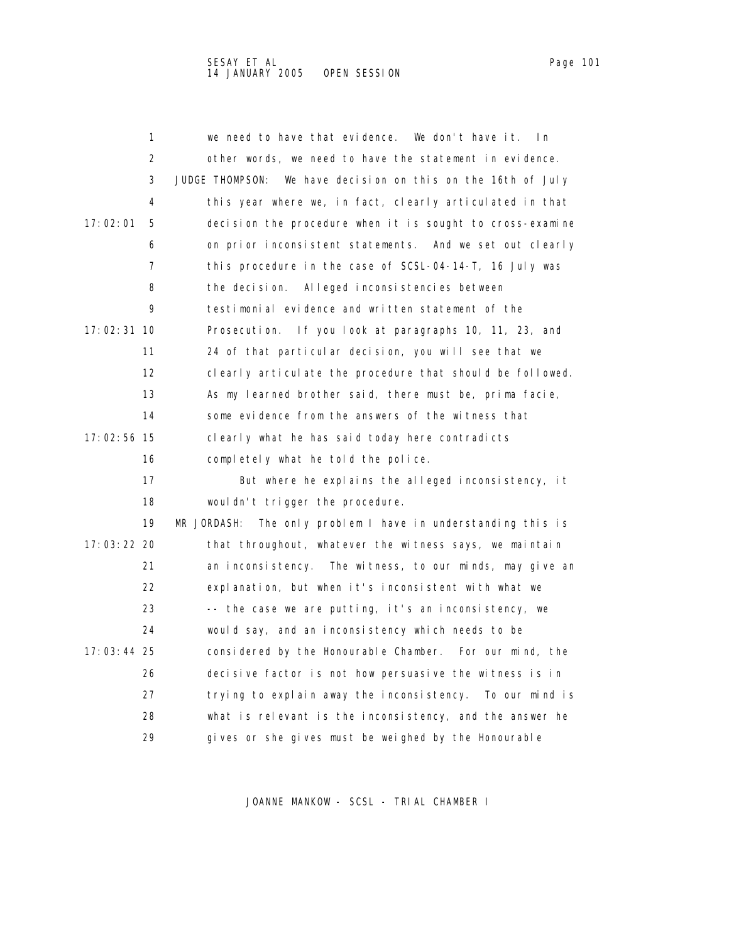1 we need to have that evidence. We don't have it. In 2 other words, we need to have the statement in evidence. 3 JUDGE THOMPSON: We have decision on this on the 16th of July 4 this year where we, in fact, clearly articulated in that 17:02:01 5 decision the procedure when it is sought to cross-examine 6 on prior inconsistent statements. And we set out clearly 7 this procedure in the case of SCSL-04-14-T, 16 July was 8 the decision. Alleged inconsistencies between 9 testimonial evidence and written statement of the 17:02:31 10 Prosecution. If you look at paragraphs 10, 11, 23, and 11 24 of that particular decision, you will see that we 12 clearly articulate the procedure that should be followed. 13 As my learned brother said, there must be, prima facie, 14 some evidence from the answers of the witness that 17:02:56 15 clearly what he has said today here contradicts 16 completely what he told the police. 17 But where he explains the alleged inconsistency, it 18 wouldn't trigger the procedure. 19 MR JORDASH: The only problem I have in understanding this is 17:03:22 20 that throughout, whatever the witness says, we maintain 21 an inconsistency. The witness, to our minds, may give an 22 explanation, but when it's inconsistent with what we 23 -- the case we are putting, it's an inconsistency, we 24 would say, and an inconsistency which needs to be

 17:03:44 25 considered by the Honourable Chamber. For our mind, the 26 decisive factor is not how persuasive the witness is in 27 trying to explain away the inconsistency. To our mind is 28 what is relevant is the inconsistency, and the answer he 29 gives or she gives must be weighed by the Honourable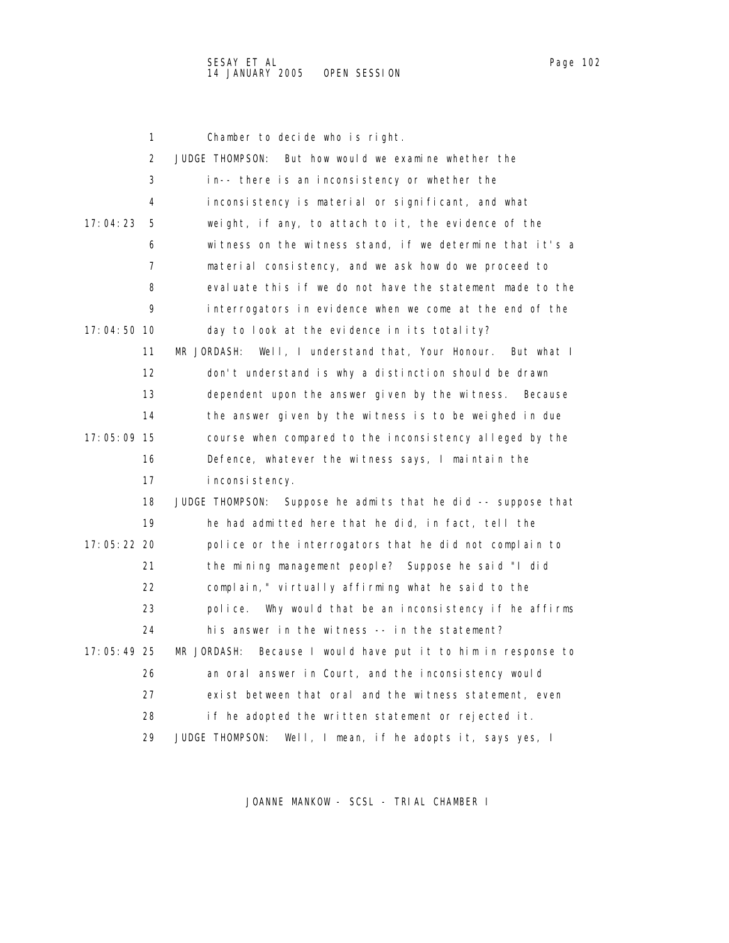|             | 1                 | Chamber to decide who is right.                                      |
|-------------|-------------------|----------------------------------------------------------------------|
|             | 2                 | JUDGE THOMPSON:<br>But how would we examine whether the              |
|             | 3                 | in-- there is an inconsistency or whether the                        |
|             | 4                 | inconsistency is material or significant, and what                   |
| 17:04:23    | 5                 | weight, if any, to attach to it, the evidence of the                 |
|             | 6                 | witness on the witness stand, if we determine that it's a            |
|             | $\overline{7}$    | material consistency, and we ask how do we proceed to                |
|             | 8                 | evaluate this if we do not have the statement made to the            |
|             | 9                 | interrogators in evidence when we come at the end of the             |
| 17:04:50 10 |                   | day to look at the evidence in its totality?                         |
|             | 11                | MR JORDASH: Well, I understand that, Your Honour. But what I         |
|             | $12 \overline{ }$ | don't understand is why a distinction should be drawn                |
|             | 13                | dependent upon the answer given by the witness.<br>Because           |
|             | 14                | the answer given by the witness is to be weighed in due              |
| 17:05:09 15 |                   | course when compared to the inconsistency alleged by the             |
|             | 16                | Defence, whatever the witness says, I maintain the                   |
|             | 17                | i nconsi stency.                                                     |
|             | 18                | JUDGE THOMPSON: Suppose he admits that he did -- suppose that        |
|             | 19                | he had admitted here that he did, in fact, tell the                  |
| 17:05:22 20 |                   | police or the interrogators that he did not complain to              |
|             | 21                | the mining management people? Suppose he said "I did                 |
|             | 22                | complain," virtually affirming what he said to the                   |
|             | 23                | police. Why would that be an inconsistency if he affirms             |
|             | 24                | his answer in the witness -- in the statement?                       |
| 17:05:49 25 |                   | MR JORDASH:<br>Because I would have put it to him in response to     |
|             | 26                | an oral answer in Court, and the inconsistency would                 |
|             | 27                | exist between that oral and the witness statement, even              |
|             | 28                | if he adopted the written statement or rejected it.                  |
|             | 29                | <b>JUDGE THOMPSON:</b><br>Well, I mean, if he adopts it, says yes, I |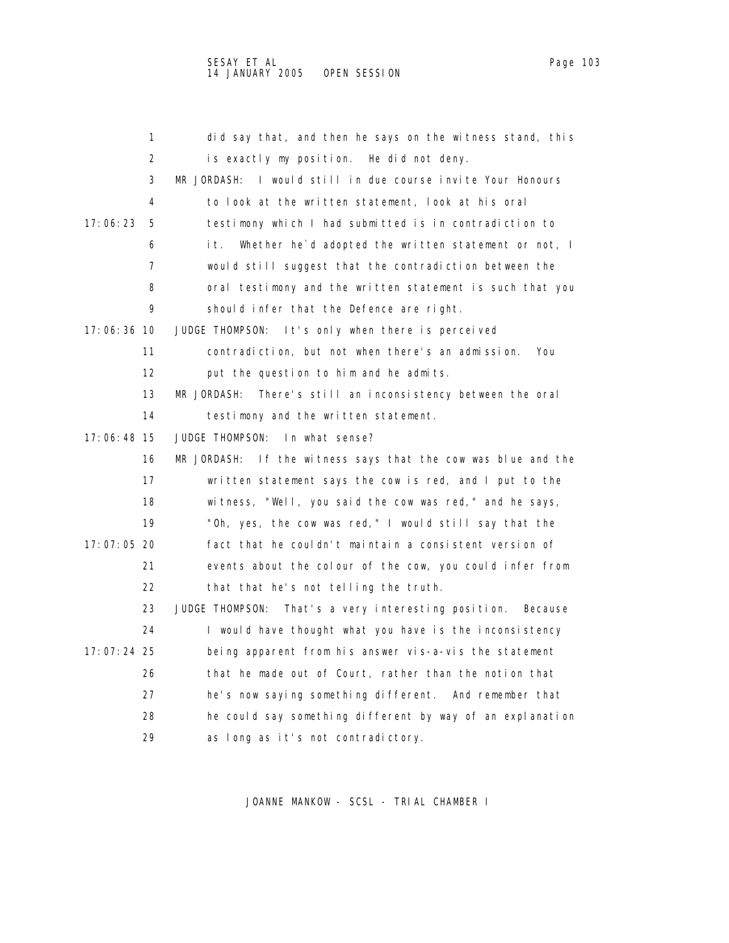| 1             | did say that, and then he says on the witness stand, this         |
|---------------|-------------------------------------------------------------------|
| 2             | is exactly my position. He did not deny.                          |
| 3             | MR JORDASH: I would still in due course invite Your Honours       |
| 4             | to look at the written statement, look at his oral                |
| 17:06:23<br>5 | testimony which I had submitted is in contradiction to            |
| 6             | Whether he'd adopted the written statement or not, I<br>it.       |
| 7             | would still suggest that the contradiction between the            |
| 8             | oral testimony and the written statement is such that you         |
| 9             | should infer that the Defence are right.                          |
| 17:06:36 10   | JUDGE THOMPSON: It's only when there is perceived                 |
| 11            | contradiction, but not when there's an admission.<br>You          |
| 12            | put the question to him and he admits.                            |
| 13            | MR JORDASH:<br>There's still an inconsistency between the oral    |
| 14            | testimony and the written statement.                              |
| $17:06:48$ 15 | JUDGE THOMPSON:<br>In what sense?                                 |
| 16            | MR JORDASH: If the witness says that the cow was blue and the     |
| 17            | written statement says the cow is red, and I put to the           |
| 18            | witness, "Well, you said the cow was red," and he says,           |
| 19            | "Oh, yes, the cow was red," I would still say that the            |
| $17:07:05$ 20 | fact that he couldn't maintain a consistent version of            |
| 21            | events about the colour of the cow, you could infer from          |
| 22            | that that he's not telling the truth.                             |
| 23            | JUDGE THOMPSON:<br>That's a very interesting position.<br>Because |
| 24            | I would have thought what you have is the inconsistency           |
| $17:07:24$ 25 | being apparent from his answer vis-a-vis the statement            |
| 26            | that he made out of Court, rather than the notion that            |
| 27            | he's now saying something different. And remember that            |
| 28            | he could say something different by way of an explanation         |
| 29            | as long as it's not contradictory.                                |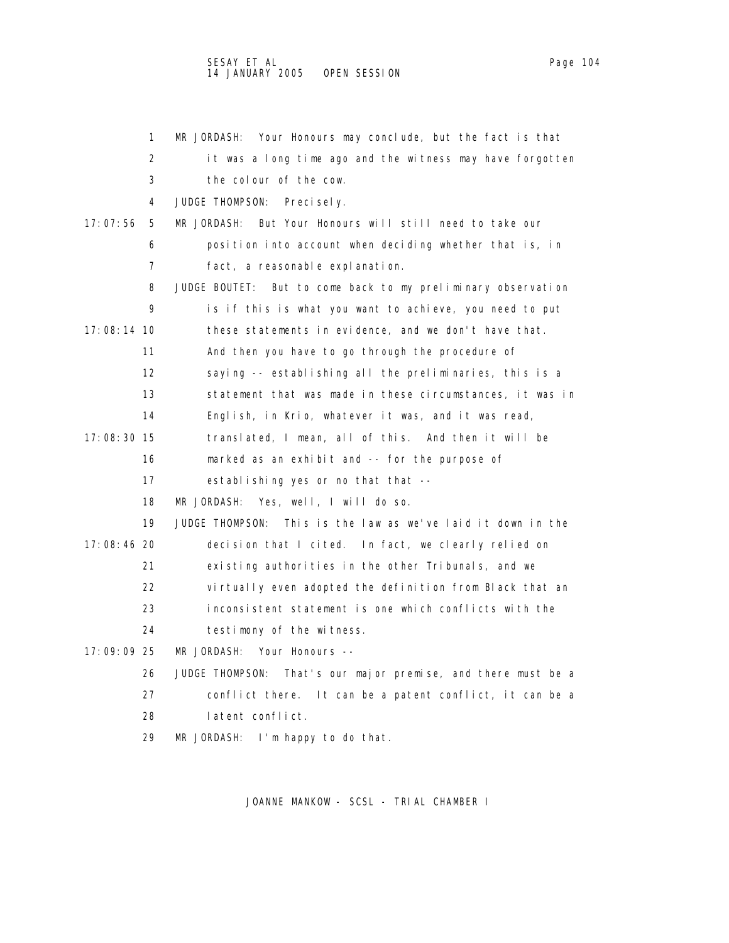|             | 1                 | MR JORDASH:<br>Your Honours may conclude, but the fact is that         |
|-------------|-------------------|------------------------------------------------------------------------|
|             | 2                 | it was a long time ago and the witness may have forgotten              |
|             | 3                 | the colour of the cow.                                                 |
|             | 4                 | JUDGE THOMPSON: Precisely.                                             |
| 17:07:56    | 5                 | But Your Honours will still need to take our<br>MR JORDASH:            |
|             | 6                 | position into account when deciding whether that is, in                |
|             | 7                 | fact, a reasonable explanation.                                        |
|             | 8                 | JUDGE BOUTET:<br>But to come back to my preliminary observation        |
|             | 9                 | is if this is what you want to achieve, you need to put                |
| 17:08:14 10 |                   | these statements in evidence, and we don't have that.                  |
|             | 11                | And then you have to go through the procedure of                       |
|             | $12 \overline{ }$ | saying -- establishing all the preliminaries, this is a                |
|             | 13                | statement that was made in these circumstances, it was in              |
|             | 14                | English, in Krio, whatever it was, and it was read,                    |
| 17:08:30 15 |                   | translated, I mean, all of this. And then it will be                   |
|             | 16                | marked as an exhibit and -- for the purpose of                         |
|             | 17                | establishing yes or no that that --                                    |
|             | 18                | MR JORDASH:<br>Yes, well, I will do so.                                |
|             | 19                | <b>JUDGE THOMPSON:</b><br>This is the law as we've laid it down in the |
| 17:08:46 20 |                   | decision that I cited. In fact, we clearly relied on                   |
|             | 21                | existing authorities in the other Tribunals, and we                    |
|             | 22                | virtually even adopted the definition from Black that an               |
|             | 23                | inconsistent statement is one which conflicts with the                 |
|             | 24                | testimony of the witness.                                              |
| 17:09:09 25 |                   | Your Honours --<br>MR JORDASH:                                         |
|             | 26                | JUDGE THOMPSON:<br>That's our major premise, and there must be a       |
|             | 27                | conflict there. It can be a patent conflict, it can be a               |
|             | 28                | latent conflict.                                                       |
|             | 29                | MR JORDASH: I'm happy to do that.                                      |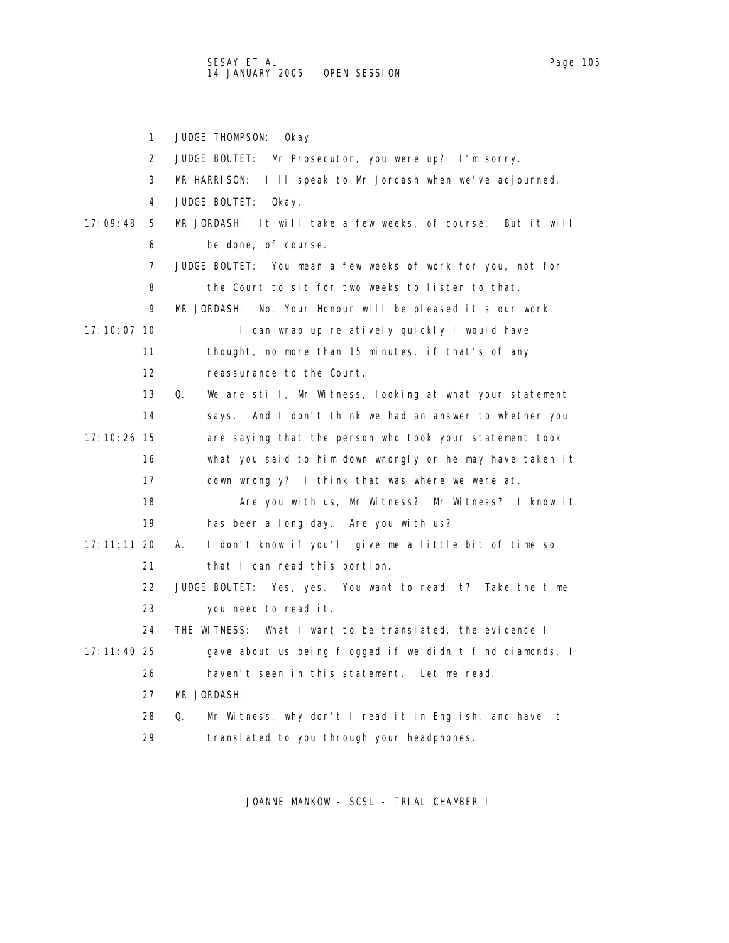1 JUDGE THOMPSON: Okay. 2 JUDGE BOUTET: Mr Prosecutor, you were up? I'm sorry. 3 MR HARRISON: I'll speak to Mr Jordash when we've adjourned. 4 JUDGE BOUTET: Okay. 17:09:48 5 MR JORDASH: It will take a few weeks, of course. But it will 6 be done, of course. 7 JUDGE BOUTET: You mean a few weeks of work for you, not for 8 the Court to sit for two weeks to listen to that. 9 MR JORDASH: No, Your Honour will be pleased it's our work. 17:10:07 10 I can wrap up relatively quickly I would have 11 thought, no more than 15 minutes, if that's of any 12 reassurance to the Court. 13 Q. We are still, Mr Witness, looking at what your statement 14 says. And I don't think we had an answer to whether you 17:10:26 15 are saying that the person who took your statement took 16 what you said to him down wrongly or he may have taken it 17 down wrongly? I think that was where we were at. 18 Are you with us, Mr Witness? Mr Witness? I know it 19 has been a long day. Are you with us? 17:11:11 20 A. I don't know if you'll give me a little bit of time so 21 that I can read this portion. 22 JUDGE BOUTET: Yes, yes. You want to read it? Take the time 23 you need to read it. 24 THE WITNESS: What I want to be translated, the evidence I 17:11:40 25 gave about us being flogged if we didn't find diamonds, I 26 haven't seen in this statement. Let me read. 27 MR JORDASH: 28 Q. Mr Witness, why don't I read it in English, and have it 29 translated to you through your headphones.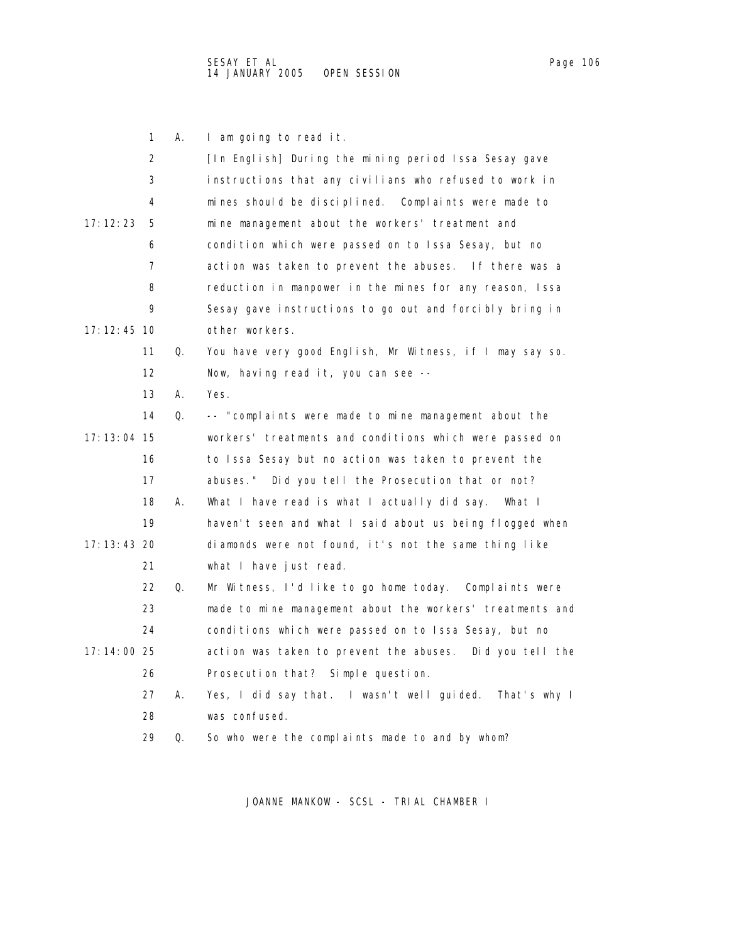|               | 1                 | Α. | I am going to read it.                                    |
|---------------|-------------------|----|-----------------------------------------------------------|
|               | 2                 |    | [In English] During the mining period Issa Sesay gave     |
|               | 3                 |    | instructions that any civilians who refused to work in    |
|               | 4                 |    | mines should be disciplined. Complaints were made to      |
| 17: 12: 23    | 5                 |    | mine management about the workers' treatment and          |
|               | 6                 |    | condition which were passed on to Issa Sesay, but no      |
|               | 7                 |    | action was taken to prevent the abuses. If there was a    |
|               | 8                 |    | reduction in manpower in the mines for any reason, Issa   |
|               | 9                 |    | Sesay gave instructions to go out and forcibly bring in   |
| 17: 12: 45 10 |                   |    | other workers.                                            |
|               | 11                | Q. | You have very good English, Mr Witness, if I may say so.  |
|               | $12 \overline{ }$ |    | Now, having read it, you can see --                       |
|               | 13                | А. | Yes.                                                      |
|               | 14                | Q. | -- "complaints were made to mine management about the     |
| 17: 13: 04 15 |                   |    | workers' treatments and conditions which were passed on   |
|               | 16                |    | to Issa Sesay but no action was taken to prevent the      |
|               | 17                |    | abuses." Did you tell the Prosecution that or not?        |
|               | 18                | А. | What I have read is what I actually did say. What I       |
|               | 19                |    | haven't seen and what I said about us being flogged when  |
| 17: 13: 43 20 |                   |    | diamonds were not found, it's not the same thing like     |
|               | 21                |    | what I have just read.                                    |
|               | 22                | Q. | Mr Witness, I'd like to go home today. Complaints were    |
|               | 23                |    | made to mine management about the workers' treatments and |
|               | 24                |    | conditions which were passed on to Issa Sesay, but no     |
| 17:14:00 25   |                   |    | action was taken to prevent the abuses. Did you tell the  |
|               | 26                |    | Prosecution that? Simple question.                        |
|               | 27                | А. | Yes, I did say that. I wasn't well guided. That's why I   |
|               | 28                |    | was confused.                                             |
|               | 29                | Q. | So who were the complaints made to and by whom?           |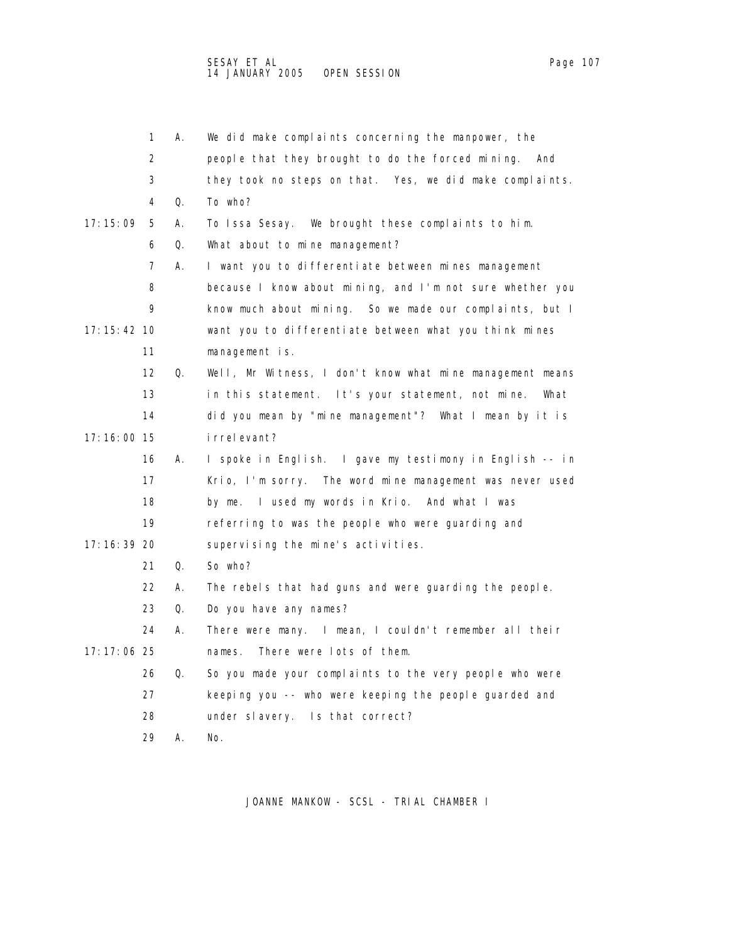|               | 1  | А. | We did make complaints concerning the manpower, the       |
|---------------|----|----|-----------------------------------------------------------|
|               | 2  |    | people that they brought to do the forced mining.<br>And  |
|               | 3  |    | they took no steps on that. Yes, we did make complaints.  |
|               | 4  | Q. | To who?                                                   |
| 17: 15: 09    | 5  | А. | To Issa Sesay. We brought these complaints to him.        |
|               | 6  | Q. | What about to mine management?                            |
|               | 7  | А. | I want you to differentiate between mines management      |
|               | 8  |    | because I know about mining, and I'm not sure whether you |
|               | 9  |    | know much about mining. So we made our complaints, but I  |
| 17: 15: 42 10 |    |    | want you to differentiate between what you think mines    |
|               | 11 |    | management is.                                            |
|               | 12 | Q. | Well, Mr Witness, I don't know what mine management means |
|               | 13 |    | in this statement. It's your statement, not mine.<br>What |
|               | 14 |    | did you mean by "mine management"? What I mean by it is   |
| 17:16:00 15   |    |    | i rrel evant?                                             |
|               | 16 | А. | I spoke in English. I gave my testimony in English -- in  |
|               | 17 |    | Krio, I'm sorry. The word mine management was never used  |
|               | 18 |    | by me. I used my words in Krio. And what I was            |
|               | 19 |    | referring to was the people who were guarding and         |
| 17: 16: 39 20 |    |    | supervising the mine's activities.                        |
|               | 21 | Q. | So who?                                                   |
|               | 22 | А. | The rebels that had guns and were guarding the people.    |
|               | 23 | Q. | Do you have any names?                                    |
|               | 24 | А. | There were many. I mean, I couldn't remember all their    |
| 17: 17: 06 25 |    |    | There were lots of them.<br>names.                        |
|               | 26 | Q. | So you made your complaints to the very people who were   |
|               | 27 |    | keeping you -- who were keeping the people guarded and    |
|               | 28 |    | under slavery. Is that correct?                           |
|               | 29 | А. | No.                                                       |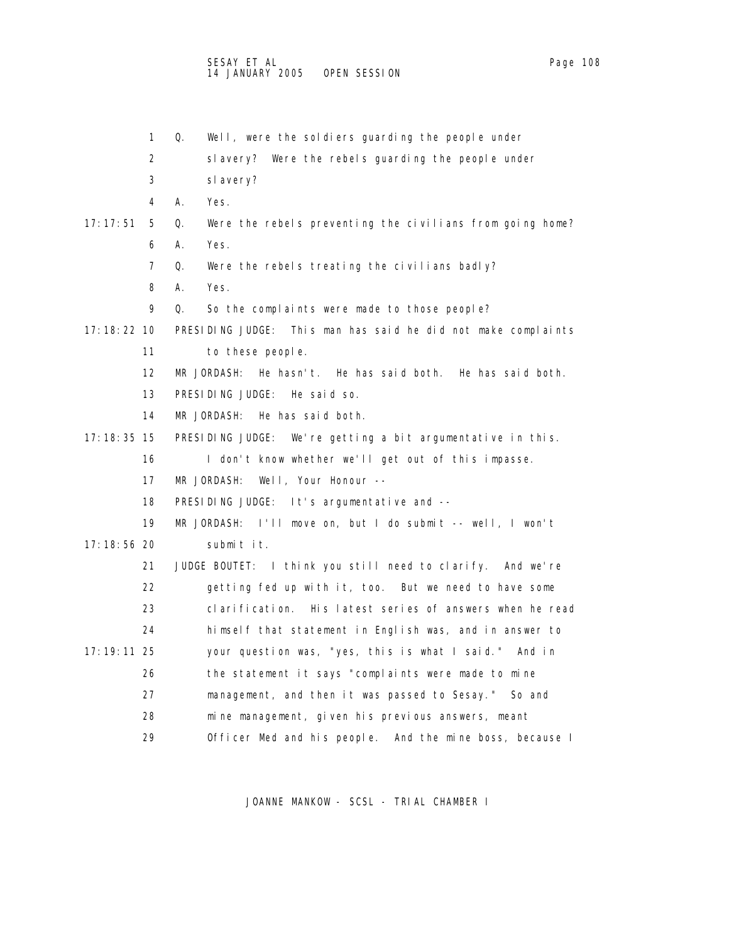- 1 Q. Well, were the soldiers guarding the people under
- 2 slavery? Were the rebels guarding the people under
- 3 slavery?
- 4 A. Yes.

## 17:17:51 5 Q. Were the rebels preventing the civilians from going home?

- 6 A. Yes.
- 7 Q. Were the rebels treating the civilians badly?
- 8 A. Yes.
- 9 Q. So the complaints were made to those people?

17:18:22 10 PRESIDING JUDGE: This man has said he did not make complaints

- 11 to these people.
- 12 MR JORDASH: He hasn't. He has said both. He has said both.
- 13 PRESIDING JUDGE: He said so.
- 14 MR JORDASH: He has said both.
- 17:18:35 15 PRESIDING JUDGE: We're getting a bit argumentative in this.

16 I don't know whether we'll get out of this impasse.

- 17 MR JORDASH: Well, Your Honour --
- 18 PRESIDING JUDGE: It's argumentative and --
- 19 MR JORDASH: I'll move on, but I do submit -- well, I won't 17:18:56 20 submit it.
	- 21 JUDGE BOUTET: I think you still need to clarify. And we're
		- 22 getting fed up with it, too. But we need to have some
		- 23 clarification. His latest series of answers when he read
		- 24 himself that statement in English was, and in answer to
- 17:19:11 25 your question was, "yes, this is what I said." And in
	- 26 the statement it says "complaints were made to mine
		- 27 management, and then it was passed to Sesay." So and
		- 28 mine management, given his previous answers, meant
		- 29 Officer Med and his people. And the mine boss, because I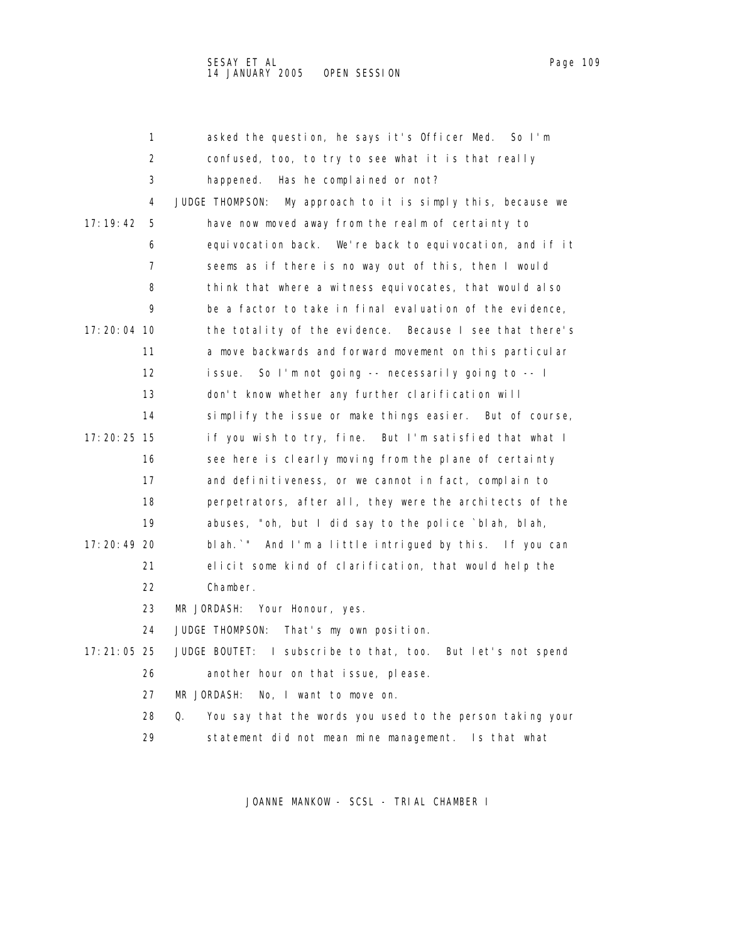|               | 1  | asked the question, he says it's Officer Med. So I'm            |
|---------------|----|-----------------------------------------------------------------|
|               | 2  | confused, too, to try to see what it is that really             |
|               | 3  | happened. Has he complained or not?                             |
|               | 4  | JUDGE THOMPSON:<br>My approach to it is simply this, because we |
| 17: 19: 42    | 5  | have now moved away from the realm of certainty to              |
|               | 6  | equivocation back. We're back to equivocation, and if it        |
|               | 7  | seems as if there is no way out of this, then I would           |
|               | 8  | think that where a witness equivocates, that would also         |
|               | 9  | be a factor to take in final evaluation of the evidence,        |
| 17: 20: 04 10 |    | the totality of the evidence. Because I see that there's        |
|               | 11 | a move backwards and forward movement on this particular        |
|               | 12 | So I'm not going -- necessarily going to -- I<br>i ssue.        |
|               | 13 | don't know whether any further clarification will               |
|               | 14 | simplify the issue or make things easier. But of course,        |
| 17: 20: 25 15 |    | if you wish to try, fine. But I'm satisfied that what I         |
|               | 16 | see here is clearly moving from the plane of certainty          |
|               | 17 | and definitiveness, or we cannot in fact, complain to           |
|               | 18 | perpetrators, after all, they were the architects of the        |
|               | 19 | abuses, "oh, but I did say to the police `blah, blah,           |
| 17: 20: 49 20 |    | blah. " And I'm a little intrigued by this. If you can          |
|               | 21 | elicit some kind of clarification, that would help the          |
|               | 22 | Chamber.                                                        |
|               | 23 | MR JORDASH: Your Honour, yes.                                   |
|               | 24 | JUDGE THOMPSON:<br>That's my own position.                      |
| 17: 21: 05 25 |    | JUDGE BOUTET: I subscribe to that, too.<br>But let's not spend  |
|               | 26 | another hour on that issue, please.                             |
|               | 27 | MR JORDASH:<br>No, I want to move on.                           |
|               |    |                                                                 |

28 Q. You say that the words you used to the person taking your

29 statement did not mean mine management. Is that what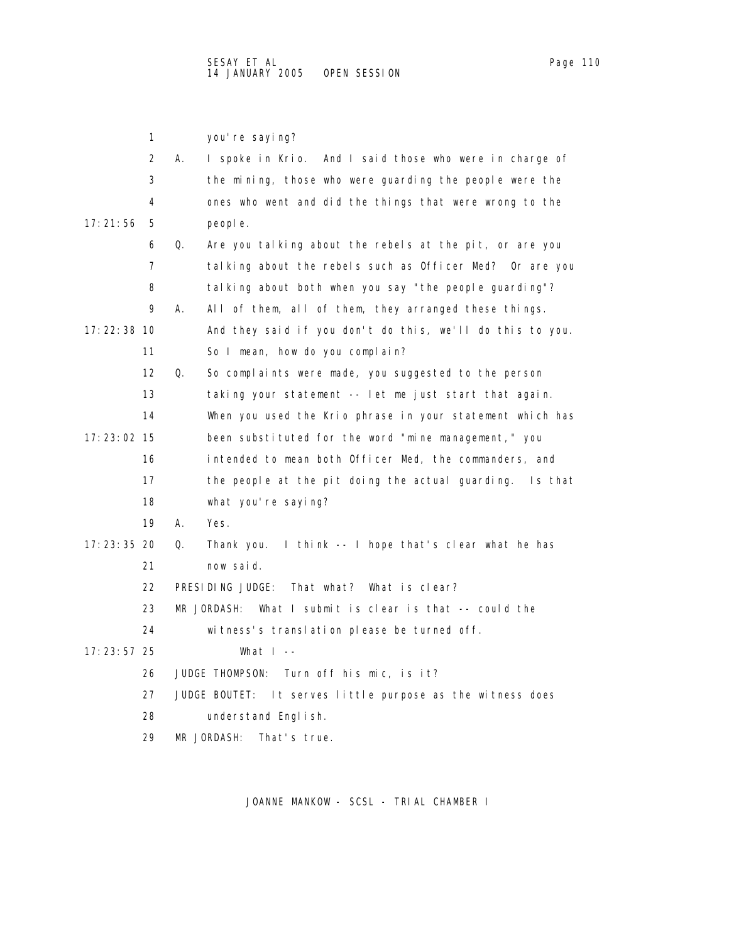|               | 1  | you're saying?                                                |
|---------------|----|---------------------------------------------------------------|
|               | 2  | А.<br>I spoke in Krio. And I said those who were in charge of |
|               | 3  | the mining, those who were guarding the people were the       |
|               | 4  | ones who went and did the things that were wrong to the       |
| 17:21:56      | 5  | people.                                                       |
|               | 6  | Q.<br>Are you talking about the rebels at the pit, or are you |
|               | 7  | talking about the rebels such as Officer Med? Or are you      |
|               | 8  | tal king about both when you say "the people guarding"?       |
|               | 9  | А.<br>All of them, all of them, they arranged these things.   |
| 17: 22: 38 10 |    | And they said if you don't do this, we'll do this to you.     |
|               | 11 | So I mean, how do you complain?                               |
|               | 12 | Q.<br>So complaints were made, you suggested to the person    |
|               | 13 | taking your statement -- let me just start that again.        |
|               | 14 | When you used the Krio phrase in your statement which has     |
| 17: 23: 02 15 |    | been substituted for the word "mine management," you          |
|               | 16 | intended to mean both Officer Med, the commanders, and        |
|               | 17 | the people at the pit doing the actual guarding. Is that      |
|               | 18 | what you're saying?                                           |
|               | 19 | А.<br>Yes.                                                    |
| 17: 23: 35 20 |    | Q.<br>Thank you. I think -- I hope that's clear what he has   |
|               | 21 | now said.                                                     |
|               | 22 | That what? What is clear?<br>PRESIDING JUDGE:                 |
|               | 23 | MR JORDASH:<br>What I submit is clear is that -- could the    |
|               | 24 | witness's translation please be turned off.                   |
| 17: 23: 57 25 |    | What $I -$                                                    |
|               | 26 | JUDGE THOMPSON:<br>Turn off his mic, is it?                   |
|               | 27 | JUDGE BOUTET: It serves little purpose as the witness does    |
|               | 28 | understand English.                                           |
|               | 29 | MR JORDASH:<br>That's true.                                   |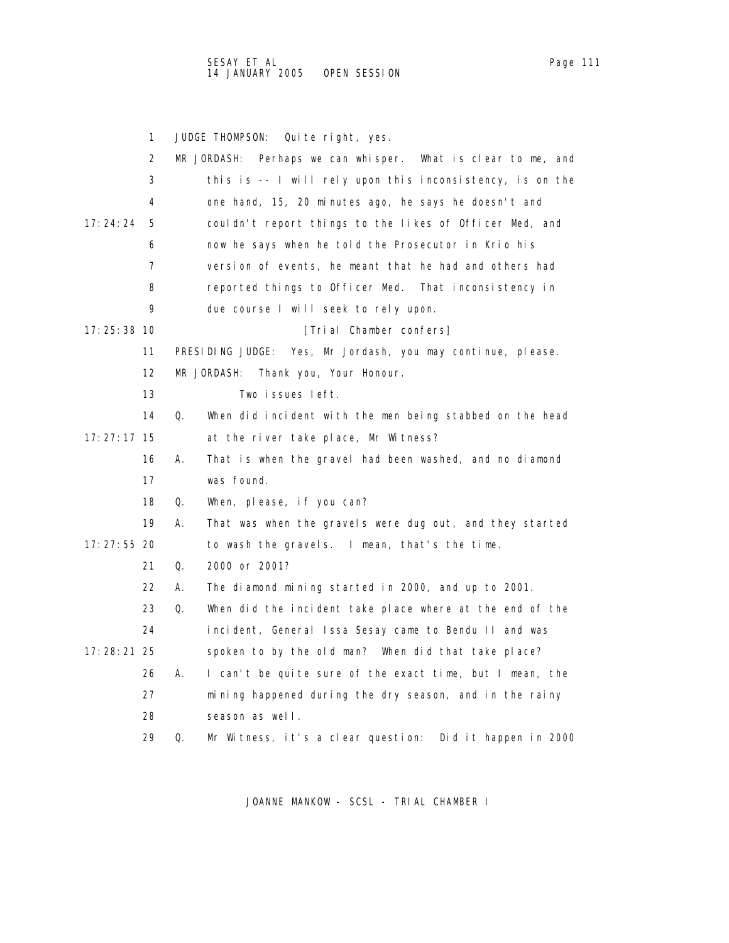1 JUDGE THOMPSON: Quite right, yes. 2 MR JORDASH: Perhaps we can whisper. What is clear to me, and 3 this is -- I will rely upon this inconsistency, is on the 4 one hand, 15, 20 minutes ago, he says he doesn't and 17:24:24 5 couldn't report things to the likes of Officer Med, and 6 now he says when he told the Prosecutor in Krio his 7 version of events, he meant that he had and others had 8 reported things to Officer Med. That inconsistency in 9 due course I will seek to rely upon. 17:25:38 10 **[Trial Chamber confers]**  11 PRESIDING JUDGE: Yes, Mr Jordash, you may continue, please. 12 MR JORDASH: Thank you, Your Honour. 13 Two issues left. 14 Q. When did incident with the men being stabbed on the head 17:27:17 15 at the river take place, Mr Witness? 16 A. That is when the gravel had been washed, and no diamond 17 was found. 18 Q. When, please, if you can? 19 A. That was when the gravels were dug out, and they started 17:27:55 20 to wash the gravels. I mean, that's the time. 21 Q. 2000 or 2001? 22 A. The diamond mining started in 2000, and up to 2001. 23 Q. When did the incident take place where at the end of the 24 incident, General Issa Sesay came to Bendu II and was 17:28:21 25 spoken to by the old man? When did that take place? 26 A. I can't be quite sure of the exact time, but I mean, the 27 mining happened during the dry season, and in the rainy 28 season as well. 29 Q. Mr Witness, it's a clear question: Did it happen in 2000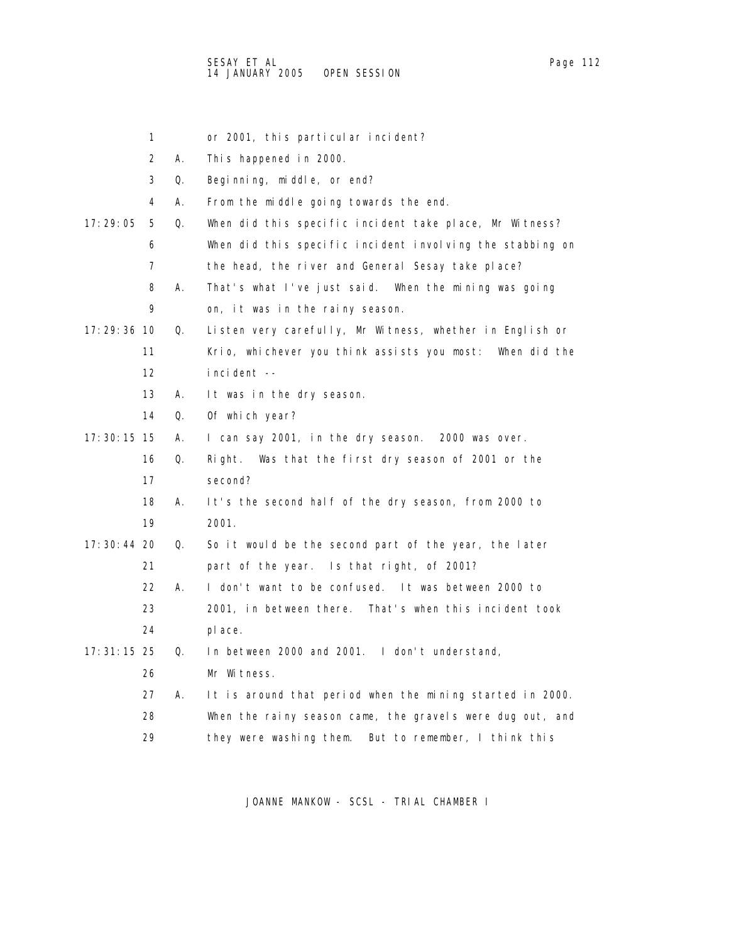|               | 1                 |    | or 2001, this particular incident?                        |
|---------------|-------------------|----|-----------------------------------------------------------|
|               | 2                 | А. | This happened in 2000.                                    |
|               | 3                 | Q. | Beginning, middle, or end?                                |
|               | 4                 | А. | From the middle going towards the end.                    |
| 17: 29: 05    | 5                 | Q. | When did this specific incident take place, Mr Witness?   |
|               | 6                 |    | When did this specific incident involving the stabbing on |
|               | 7                 |    | the head, the river and General Sesay take place?         |
|               | 8                 | А. | That's what I've just said. When the mining was going     |
|               | 9                 |    | on, it was in the rainy season.                           |
| 17:29:36 10   |                   | Q. | Listen very carefully, Mr Witness, whether in English or  |
|               | 11                |    | Krio, whichever you think assists you most: When did the  |
|               | $12 \overline{ }$ |    | incident --                                               |
|               | 13                | А. | It was in the dry season.                                 |
|               | 14                | Q. | Of which year?                                            |
| 17: 30: 15 15 |                   | А. | I can say 2001, in the dry season.<br>2000 was over.      |
|               | 16                | Q. | Was that the first dry season of 2001 or the<br>Right.    |
|               | 17                |    | second?                                                   |
|               | 18                | А. | It's the second half of the dry season, from 2000 to      |
|               | 19                |    | 2001.                                                     |
| 17: 30: 44 20 |                   | Q. | So it would be the second part of the year, the later     |
|               | 21                |    | part of the year. Is that right, of 2001?                 |
|               | 22                | А. | I don't want to be confused. It was between 2000 to       |
|               | 23                |    | 2001, in between there. That's when this incident took    |
|               | 24                |    | pl ace.                                                   |
| 17: 31: 15 25 |                   | Q. | In between 2000 and 2001. I don't understand,             |
|               | 26                |    | Mr Witness.                                               |
|               | 27                | А. | It is around that period when the mining started in 2000. |
|               | 28                |    | When the rainy season came, the gravels were dug out, and |
|               | 29                |    | But to remember, I think this<br>they were washing them.  |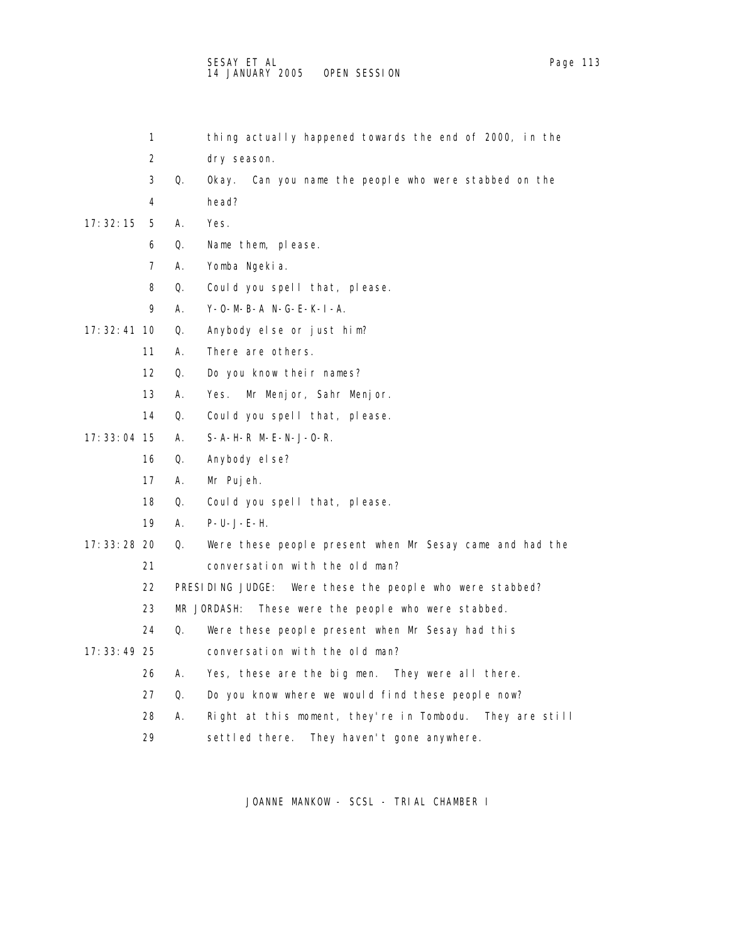|               | 1                 |    | thing actually happened towards the end of 2000, in the     |
|---------------|-------------------|----|-------------------------------------------------------------|
|               | 2                 |    | dry season.                                                 |
|               | 3                 | Q. | Can you name the people who were stabbed on the<br>0kay.    |
|               | 4                 |    | head?                                                       |
| 17:32:15      | 5                 | А. | Yes.                                                        |
|               | 6                 | Q. | Name them, please.                                          |
|               | 7                 | Α. | Yomba Ngekia.                                               |
|               | 8                 | Q. | Could you spell that, please.                               |
|               | 9                 | Α. | $Y$ -O-M-B-A N-G-E-K-I-A.                                   |
| 17: 32: 41 10 |                   | Q. | Anybody else or just him?                                   |
|               | 11                | А. | There are others.                                           |
|               | $12 \overline{ }$ | Q. | Do you know their names?                                    |
|               | 13                | А. | Mr Menjor, Sahr Menjor.<br>Yes.                             |
|               | 14                | Q. | Could you spell that, please.                               |
| 17: 33: 04 15 |                   | А. | $S-A-H-R$ $M-E-N-J-O-R$ .                                   |
|               | 16                | Q. | Anybody el se?                                              |
|               | 17                | А. | Mr Pujeh.                                                   |
|               | 18                | Q. | Could you spell that, please.                               |
|               | 19                | А. | $P-U-J-E-H.$                                                |
| 17: 33: 28 20 |                   | Q. | Were these people present when Mr Sesay came and had the    |
|               | 21                |    | conversation with the old man?                              |
|               | 22                |    | PRESIDING JUDGE:<br>Were these the people who were stabbed? |
|               | 23                |    | MR JORDASH:<br>These were the people who were stabbed.      |
|               | 24                | Q. | Were these people present when Mr Sesay had this            |
| 17: 33: 49 25 |                   |    | conversation with the old man?                              |
|               | 26                | А. | Yes, these are the big men. They were all there.            |
|               | 27                | Q. | Do you know where we would find these people now?           |
|               | 28                | А. | Right at this moment, they're in Tombodu. They are still    |
|               | 29                |    | settled there.<br>They haven't gone anywhere.               |
|               |                   |    |                                                             |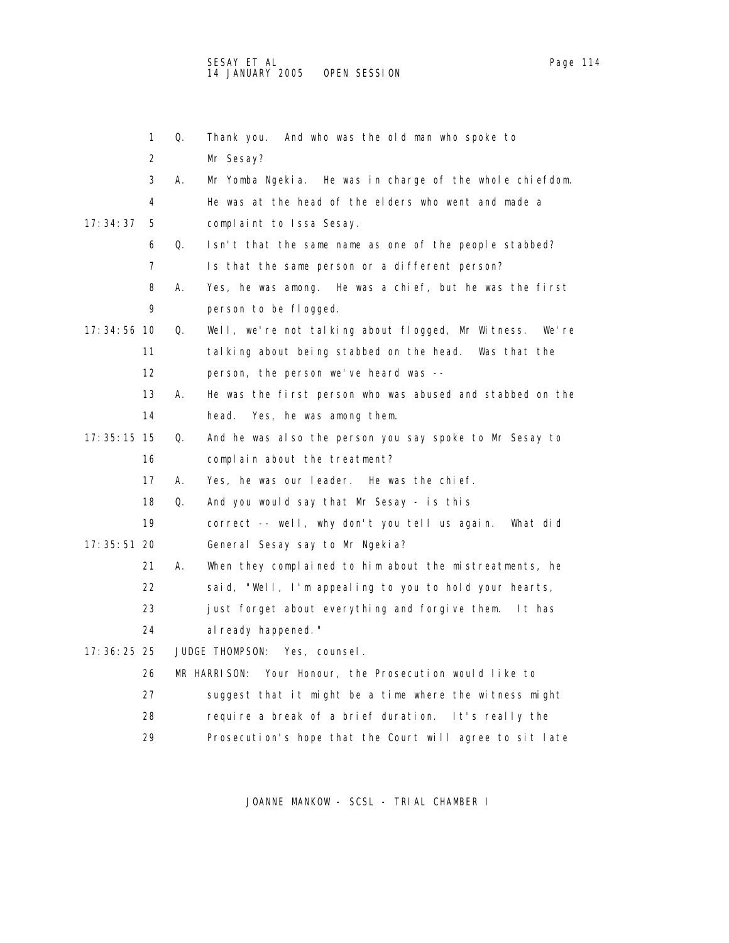|               | 1                 | Q. | Thank you.<br>And who was the old man who spoke to          |
|---------------|-------------------|----|-------------------------------------------------------------|
|               | 2                 |    | Mr Sesay?                                                   |
|               | 3                 | А. | Mr Yomba Ngekia. He was in charge of the whole chiefdom.    |
|               | 4                 |    | He was at the head of the elders who went and made a        |
| 17: 34: 37    | 5                 |    | complaint to Issa Sesay.                                    |
|               | 6                 | Q. | Isn't that the same name as one of the people stabbed?      |
|               | 7                 |    | Is that the same person or a different person?              |
|               | 8                 | А. | Yes, he was among. He was a chief, but he was the first     |
|               | 9                 |    | person to be flogged.                                       |
| 17: 34: 56 10 |                   | Q. | Well, we're not talking about flogged, Mr Witness.<br>We're |
|               | 11                |    | talking about being stabbed on the head. Was that the       |
|               | $12 \overline{ }$ |    | person, the person we've heard was --                       |
|               | 13                | А. | He was the first person who was abused and stabbed on the   |
|               | 14                |    | head.<br>Yes, he was among them.                            |
| 17: 35: 15 15 |                   | Q. | And he was also the person you say spoke to Mr Sesay to     |
|               | 16                |    | complain about the treatment?                               |
|               | 17                | А. | Yes, he was our leader. He was the chief.                   |
|               | 18                | Q. | And you would say that Mr Sesay - is this                   |
|               | 19                |    | correct -- well, why don't you tell us again.<br>What did   |
| 17: 35: 51 20 |                   |    | General Sesay say to Mr Ngekia?                             |
|               | 21                | А. | When they complained to him about the mistreatments, he     |
|               | 22                |    | said, "Well, I'm appealing to you to hold your hearts,      |
|               | 23                |    | just forget about everything and forgive them. It has       |
|               | 24                |    | al ready happened."                                         |
| 17: 36: 25 25 |                   |    | JUDGE THOMPSON: Yes, counsel.                               |
|               | 26                |    | MR HARRISON: Your Honour, the Prosecution would like to     |
|               | 27                |    | suggest that it might be a time where the witness might     |
|               | 28                |    | require a break of a brief duration. It's really the        |
|               | 29                |    | Prosecution's hope that the Court will agree to sit late    |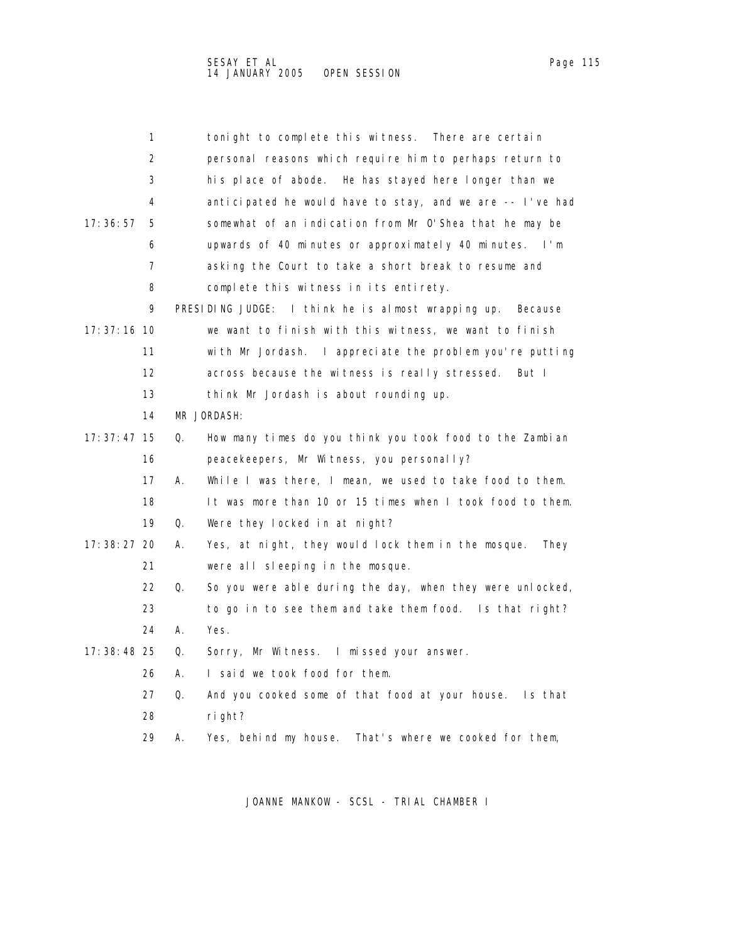| Page |  |
|------|--|
|      |  |

|               | 1                 |    | tonight to complete this witness. There are certain                            |
|---------------|-------------------|----|--------------------------------------------------------------------------------|
|               | 2                 |    | personal reasons which require him to perhaps return to                        |
|               | 3                 |    | his place of abode. He has stayed here longer than we                          |
|               | 4                 |    | anticipated he would have to stay, and we are -- I've had                      |
| 17:36:57      | 5                 |    | somewhat of an indication from Mr O'Shea that he may be                        |
|               | 6                 |    | upwards of 40 minutes or approximately 40 minutes. $\mathsf{I}^{\mathsf{I}}$ m |
|               | 7                 |    | asking the Court to take a short break to resume and                           |
|               | 8                 |    | complete this witness in its entirety.                                         |
|               | 9                 |    | PRESIDING JUDGE: I think he is almost wrapping up.<br>Because                  |
| $17:37:16$ 10 |                   |    | we want to finish with this witness, we want to finish                         |
|               | 11                |    | with Mr Jordash. I appreciate the problem you're putting                       |
|               | $12 \overline{ }$ |    | across because the witness is really stressed.<br>But I                        |
|               | 13                |    | think Mr Jordash is about rounding up.                                         |
|               | 14                |    | MR JORDASH:                                                                    |
| $17:37:47$ 15 |                   | Q. | How many times do you think you took food to the Zambian                       |
|               | 16                |    | peacekeepers, Mr Witness, you personally?                                      |
|               | 17                | А. | While I was there, I mean, we used to take food to them.                       |
|               | 18                |    | It was more than 10 or 15 times when I took food to them.                      |
|               | 19                | Q. | Were they locked in at night?                                                  |
| 17: 38: 27 20 |                   | А. | Yes, at night, they would lock them in the mosque.<br>They                     |
|               | 21                |    | were all sleeping in the mosque.                                               |
|               | 22                | Q. | So you were able during the day, when they were unlocked,                      |
|               | 23                |    | to go in to see them and take them food. Is that right?                        |
|               | 24                | А. | Yes.                                                                           |
| 17: 38: 48 25 |                   | Q. | Sorry, Mr Witness. I missed your answer.                                       |
|               | 26                | А. | I said we took food for them.                                                  |
|               | 27                | Q. | And you cooked some of that food at your house. Is that                        |
|               | 28                |    | ri ght?                                                                        |
|               | 29                | А. | That's where we cooked for them,<br>Yes, behind my house.                      |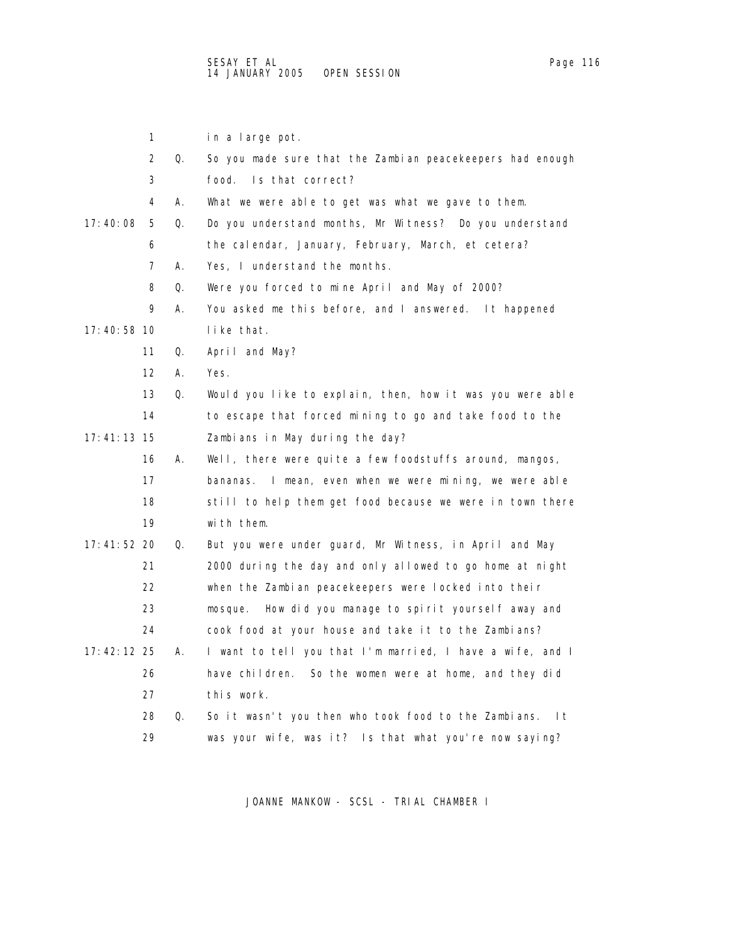the Zambian peacekeepers had enough

|    | in a large pot.               |
|----|-------------------------------|
|    | 2 Q. So you made sure that tl |
| -2 | food. Is that correct?        |

4 A. What we were able to get was what we gave to them.

 17:40:08 5 Q. Do you understand months, Mr Witness? Do you understand 6 the calendar, January, February, March, et cetera?

7 A. Yes, I understand the months.

8 Q. Were you forced to mine April and May of 2000?

9 A. You asked me this before, and I answered. It happened

17:40:58 10 like that.

- 11 Q. April and May?
- 12 A. Yes.

 13 Q. Would you like to explain, then, how it was you were able 14 to escape that forced mining to go and take food to the 17:41:13 15 Zambians in May during the day?

|     | 16 A. Well, there were quite a few foodstuffs around, mangos, |
|-----|---------------------------------------------------------------|
| 17  | bananas. I mean, even when we were mining, we were able       |
| 18. | still to help them get food because we were in town there     |
| 19  | with them.                                                    |

 17:41:52 20 Q. But you were under guard, Mr Witness, in April and May 21 2000 during the day and only allowed to go home at night 22 when the Zambian peacekeepers were locked into their 23 mosque. How did you manage to spirit yourself away and 24 cook food at your house and take it to the Zambians?

- 17:42:12 25 A. I want to tell you that I'm married, I have a wife, and I 26 have children. So the women were at home, and they did 27 this work.
	- 28 Q. So it wasn't you then who took food to the Zambians. It 29 was your wife, was it? Is that what you're now saying?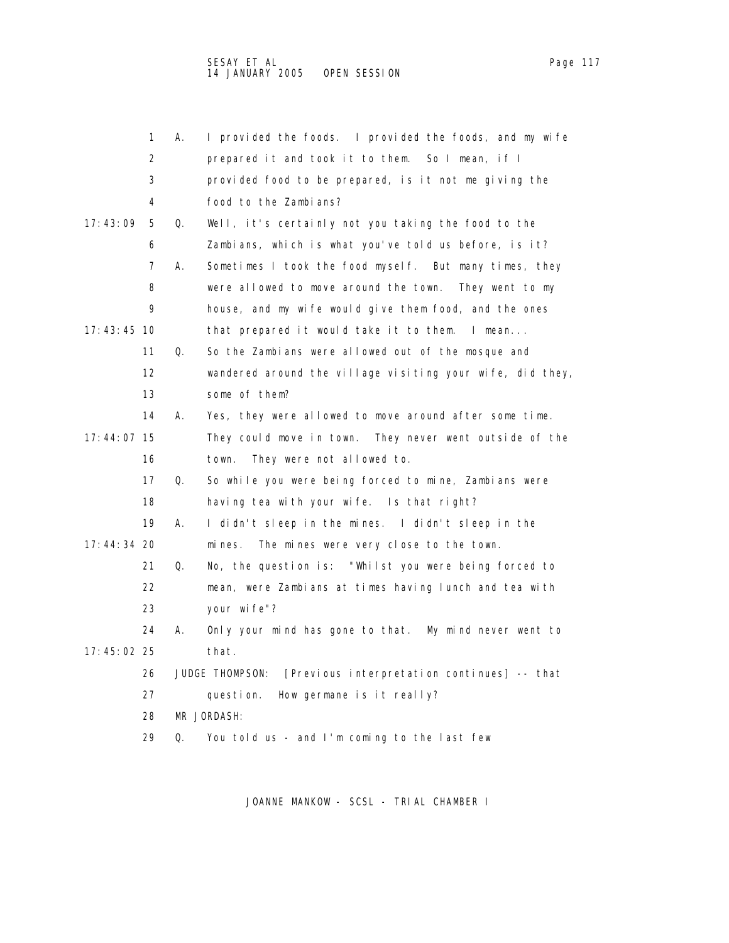|               | 1  | А. | I provided the foods. I provided the foods, and my wife     |
|---------------|----|----|-------------------------------------------------------------|
|               | 2  |    | prepared it and took it to them.<br>So I mean, if I         |
|               | 3  |    | provided food to be prepared, is it not me giving the       |
|               | 4  |    | food to the Zambians?                                       |
| 17: 43: 09    | 5  | Q. | Well, it's certainly not you taking the food to the         |
|               | 6  |    | Zambians, which is what you've told us before, is it?       |
|               | 7  | Α. | Sometimes I took the food myself. But many times, they      |
|               | 8  |    | were allowed to move around the town. They went to my       |
|               | 9  |    | house, and my wife would give them food, and the ones       |
| 17: 43: 45 10 |    |    | that prepared it would take it to them. I mean              |
|               | 11 | Q. | So the Zambians were allowed out of the mosque and          |
|               | 12 |    | wandered around the village visiting your wife, did they,   |
|               | 13 |    | some of them?                                               |
|               | 14 | А. | Yes, they were allowed to move around after some time.      |
| 17:44:07 15   |    |    | They could move in town. They never went outside of the     |
|               | 16 |    | They were not allowed to.<br>town.                          |
|               | 17 | Q. | So while you were being forced to mine, Zambians were       |
|               | 18 |    | having tea with your wife. Is that right?                   |
|               | 19 | А. | I didn't sleep in the mines. I didn't sleep in the          |
| 17:44:34 20   |    |    | mines.<br>The mines were very close to the town.            |
|               | 21 | Q. | No, the question is: "Whilst you were being forced to       |
|               | 22 |    | mean, were Zambians at times having lunch and tea with      |
|               | 23 |    | your wife"?                                                 |
|               | 24 | А. | Only your mind has gone to that. My mind never went to      |
| 17: 45: 02 25 |    |    | that.                                                       |
|               | 26 |    | JUDGE THOMPSON: [Previous interpretation continues] -- that |
|               | 27 |    | How germane is it really?<br>question.                      |
|               | 28 |    | MR JORDASH:                                                 |
|               | 29 | Q. | You told us - and I'm coming to the last few                |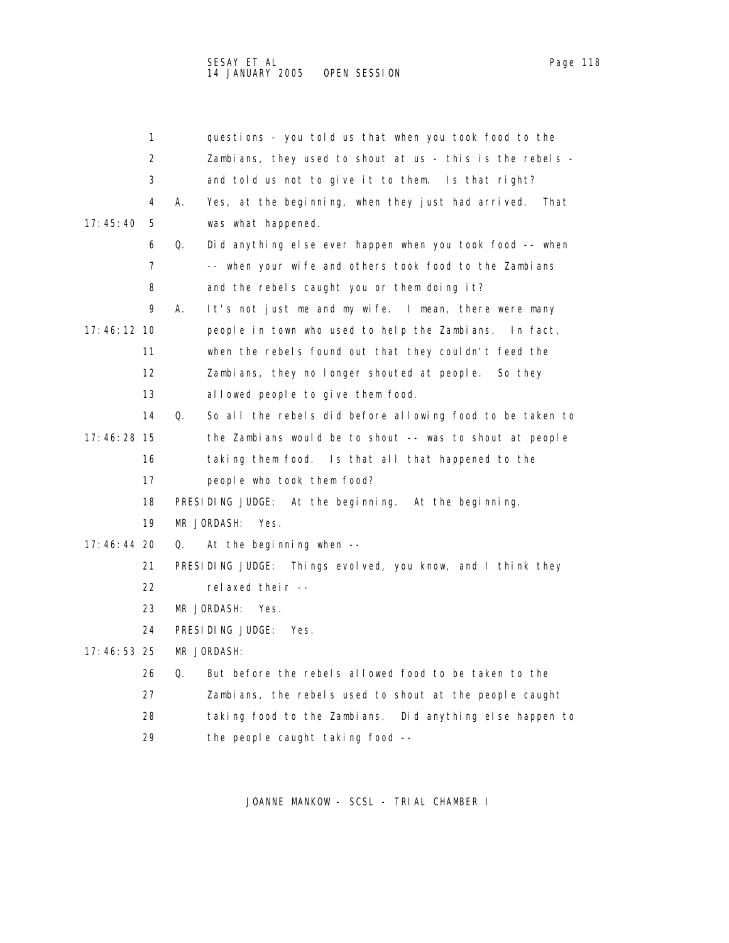|               | 1                 | questions - you told us that when you took food to the          |
|---------------|-------------------|-----------------------------------------------------------------|
|               | 2                 | Zambians, they used to shout at us - this is the rebels -       |
|               | 3                 | and told us not to give it to them. Is that right?              |
|               | 4                 | Yes, at the beginning, when they just had arrived. That<br>А.   |
| 17: 45: 40    | 5                 | was what happened.                                              |
|               | 6                 | Did anything else ever happen when you took food -- when<br>Q.  |
|               | 7                 | -- when your wife and others took food to the Zambians          |
|               | 8                 | and the rebels caught you or them doing it?                     |
|               | 9                 | It's not just me and my wife. I mean, there were many<br>А.     |
| 17:46:12 10   |                   | people in town who used to help the Zambians. In fact,          |
|               | 11                | when the rebels found out that they couldn't feed the           |
|               | $12 \overline{ }$ | Zambians, they no longer shouted at people.<br>So they          |
|               | 13                | allowed people to give them food.                               |
|               | 14                | Q.<br>So all the rebels did before allowing food to be taken to |
| 17:46:28 15   |                   | the Zambians would be to shout -- was to shout at people        |
|               | 16                | taking them food. Is that all that happened to the              |
|               | 17                | people who took them food?                                      |
|               | 18                | PRESIDING JUDGE:<br>At the beginning. At the beginning.         |
|               | 19                | MR JORDASH:<br>Yes.                                             |
| $17:46:44$ 20 |                   | At the beginning when $-$ -<br>Q.                               |
|               | 21                | PRESIDING JUDGE:<br>Things evolved, you know, and I think they  |
|               | 22                | relaxed their --                                                |
|               | 23                | MR JORDASH:<br>Yes.                                             |
|               | 24                | PRESIDING JUDGE:<br>Yes.                                        |
| $17:46:53$ 25 |                   | MR JORDASH:                                                     |
|               | 26                | But before the rebels allowed food to be taken to the<br>Q.     |
|               | 27                | Zambians, the rebels used to shout at the people caught         |
|               | 28                | taking food to the Zambians. Did anything else happen to        |
|               | 29                | the people caught taking food --                                |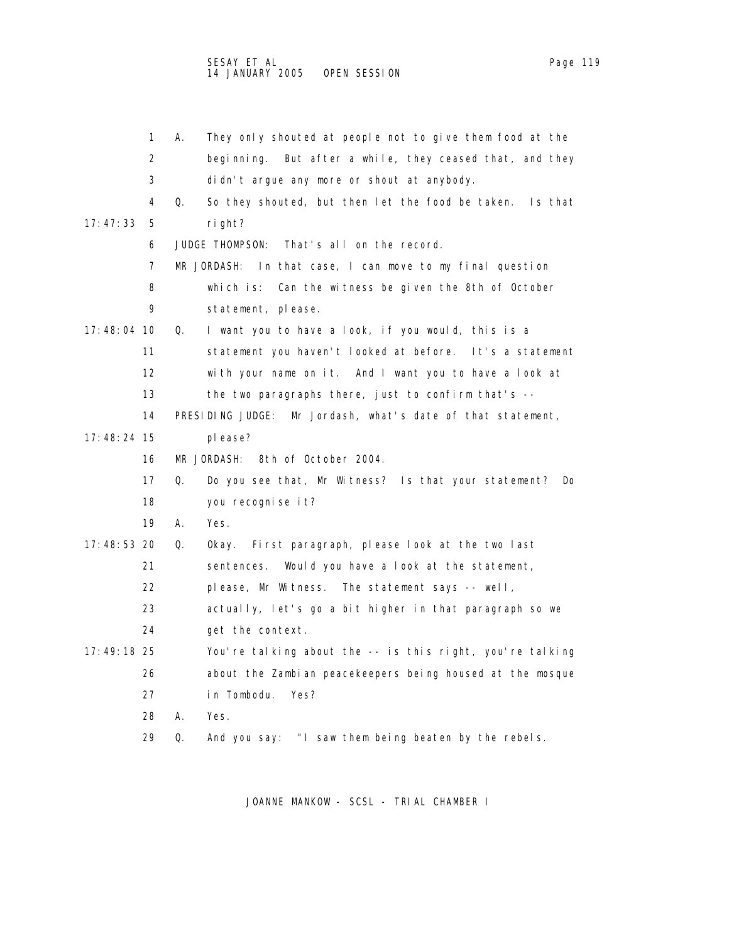|               | 1                 | А. | They only shouted at people not to give them food at the     |
|---------------|-------------------|----|--------------------------------------------------------------|
|               | 2                 |    | beginning. But after a while, they ceased that, and they     |
|               | 3                 |    | didn't argue any more or shout at anybody.                   |
|               | 4                 | Q. | So they shouted, but then let the food be taken. Is that     |
| 17:47:33      | 5                 |    | right?                                                       |
|               | 6                 |    | That's all on the record.<br>JUDGE THOMPSON:                 |
|               | 7                 |    | MR JORDASH:<br>In that case, I can move to my final question |
|               | 8                 |    | which is:<br>Can the witness be given the 8th of October     |
|               | 9                 |    | statement, please.                                           |
| 17:48:04 10   |                   | Q. | I want you to have a look, if you would, this is a           |
|               | 11                |    | statement you haven't looked at before. It's a statement     |
|               | $12 \overline{ }$ |    | with your name on it. And I want you to have a look at       |
|               | 13                |    | the two paragraphs there, just to confirm that's --          |
|               | 14                |    | PRESIDING JUDGE: Mr Jordash, what's date of that statement,  |
| 17:48:24 15   |                   |    | pl ease?                                                     |
|               | 16                |    | 8th of October 2004.<br>MR JORDASH:                          |
|               | 17                | Q. | Do you see that, Mr Witness? Is that your statement?<br>Do.  |
|               | 18                |    | you recognise it?                                            |
|               | 19                | А. | Yes.                                                         |
| 17: 48: 53 20 |                   | Q. | Okay. First paragraph, please look at the two last           |
|               | 21                |    | sentences. Would you have a look at the statement,           |
|               | 22                |    | please, Mr Witness. The statement says -- well,              |
|               | 23                |    | actually, let's go a bit higher in that paragraph so we      |
|               | 24                |    | get the context.                                             |
| 17:49:18 25   |                   |    | You're talking about the -- is this right, you're talking    |
|               | 26                |    | about the Zambian peacekeepers being housed at the mosque    |
|               | 27                |    | in Tombodu.<br>Yes?                                          |
|               | 28                | А. | Yes.                                                         |
|               | 29                | Q. | "I saw them being beaten by the rebels.<br>And you say:      |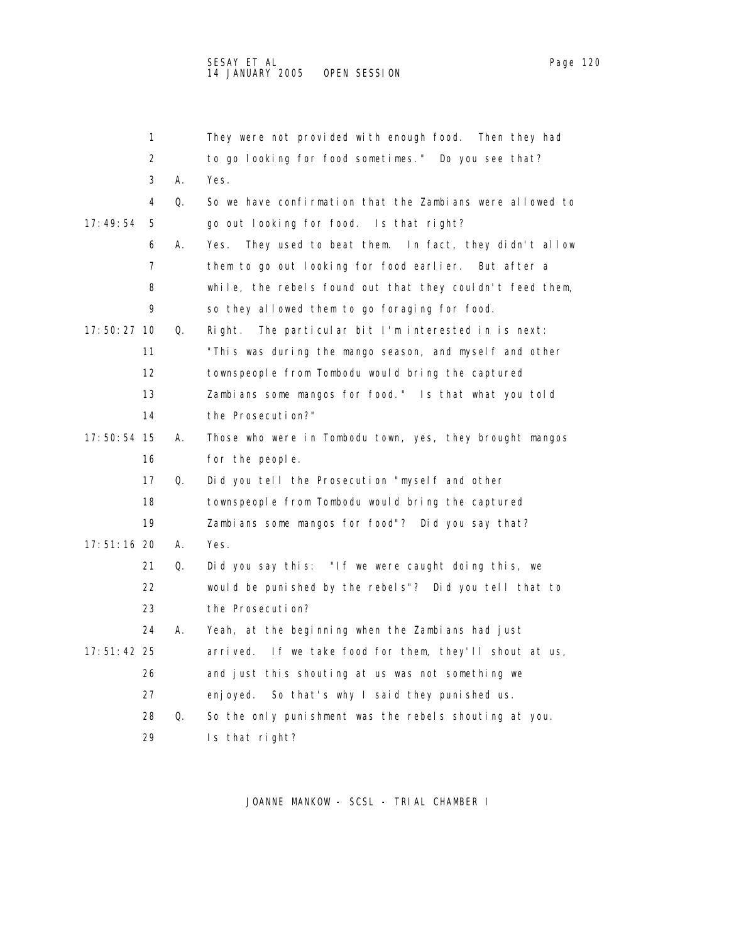|             | 1                 |    | They were not provided with enough food. Then they had      |
|-------------|-------------------|----|-------------------------------------------------------------|
|             | 2                 |    | to go looking for food sometimes." Do you see that?         |
|             | 3                 | А. | Yes.                                                        |
|             | 4                 | Q. | So we have confirmation that the Zambians were allowed to   |
| 17: 49: 54  | 5                 |    | go out looking for food. Is that right?                     |
|             | 6                 | А. | They used to beat them. In fact, they didn't allow<br>Yes.  |
|             | 7                 |    | them to go out looking for food earlier. But after a        |
|             | 8                 |    | while, the rebels found out that they couldn't feed them,   |
|             | 9                 |    | so they allowed them to go foraging for food.               |
| 17:50:27 10 |                   | Q. | The particular bit I'm interested in is next:<br>Right.     |
|             | 11                |    | "This was during the mango season, and myself and other     |
|             | $12 \overline{ }$ |    | townspeople from Tombodu would bring the captured           |
|             | 13                |    | Zambians some mangos for food." Is that what you told       |
|             | 14                |    | the Prosecution?"                                           |
| 17:50:54 15 |                   | А. | Those who were in Tombodu town, yes, they brought mangos    |
|             | 16                |    | for the people.                                             |
|             | 17                | Q. | Did you tell the Prosecution "myself and other              |
|             | 18                |    | townspeople from Tombodu would bring the captured           |
|             | 19                |    | Zambians some mangos for food"? Did you say that?           |
| 17:51:16 20 |                   | А. | Yes.                                                        |
|             | 21                | Q. | Did you say this: "If we were caught doing this, we         |
|             | 22                |    | would be punished by the rebels"? Did you tell that to      |
|             | 23                |    | the Prosecution?                                            |
|             | 24                | А. | Yeah, at the beginning when the Zambians had just           |
| 17:51:42 25 |                   |    | If we take food for them, they'll shout at us,<br>arri ved. |
|             | 26                |    | and just this shouting at us was not something we           |
|             | 27                |    | So that's why I said they punished us.<br>enj oyed.         |
|             | 28                | Q. | So the only punishment was the rebels shouting at you.      |
|             | 29                |    | Is that right?                                              |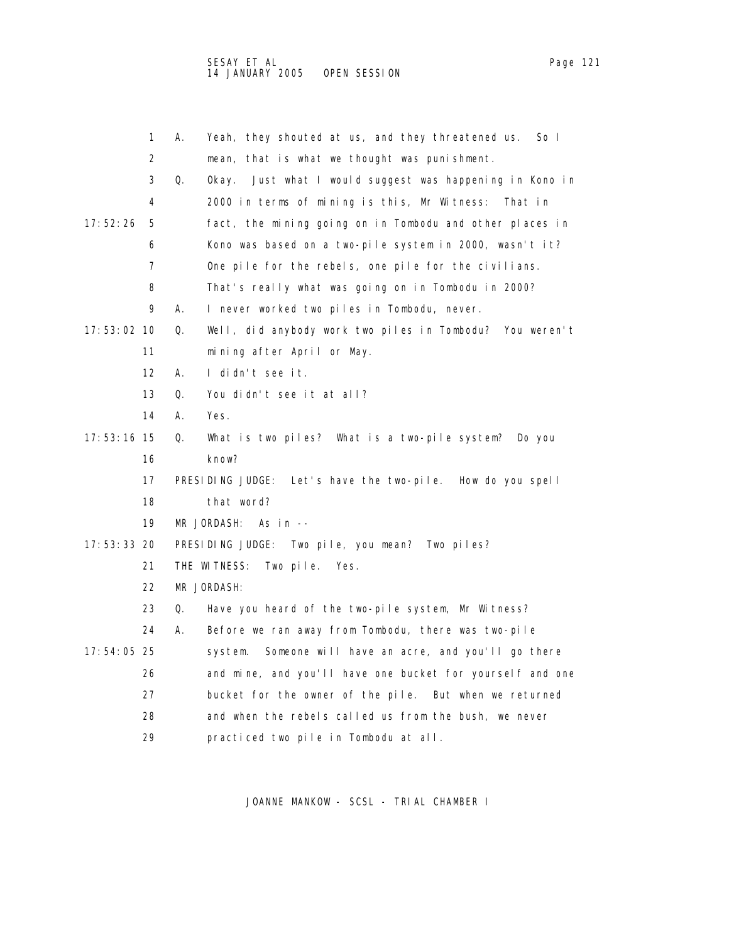|               | 1                 | А. | Yeah, they shouted at us, and they threatened us.<br>So I   |
|---------------|-------------------|----|-------------------------------------------------------------|
|               | 2                 |    | mean, that is what we thought was punishment.               |
|               | 3                 | Q. | Just what I would suggest was happening in Kono in<br>0kay. |
|               | 4                 |    | 2000 in terms of mining is this, Mr Witness:<br>That in     |
| 17:52:26      | 5                 |    | fact, the mining going on in Tombodu and other places in    |
|               | 6                 |    | Kono was based on a two-pile system in 2000, wasn't it?     |
|               | 7                 |    | One pile for the rebels, one pile for the civilians.        |
|               | 8                 |    | That's really what was going on in Tombodu in 2000?         |
|               | 9                 | А. | I never worked two piles in Tombodu, never.                 |
| 17:53:02 10   |                   | Q. | Well, did anybody work two piles in Tombodu? You weren't    |
|               | 11                |    | mining after April or May.                                  |
|               | $12 \overline{ }$ | А. | I didn't see it.                                            |
|               | 13                | Q. | You didn't see it at all?                                   |
|               | 14                | А. | Yes.                                                        |
| 17:53:16 15   |                   | 0. | What is two piles? What is a two-pile system? Do you        |
|               | 16                |    | know?                                                       |
|               | 17                |    | PRESIDING JUDGE: Let's have the two-pile. How do you spell  |
|               | 18                |    | that word?                                                  |
|               | 19                |    | MR JORDASH:<br>As $in -$                                    |
| 17: 53: 33 20 |                   |    | PRESIDING JUDGE: Two pile, you mean? Two piles?             |
|               | 21                |    | THE WITNESS:<br>Two pile.<br>Yes.                           |
|               | 22                |    | MR JORDASH:                                                 |
|               | 23                | Q. | Have you heard of the two-pile system, Mr Witness?          |
|               | 24                | А. | Before we ran away from Tombodu, there was two-pile         |
| 17:54:05 25   |                   |    | Someone will have an acre, and you'll go there<br>system.   |
|               | 26                |    | and mine, and you'll have one bucket for yourself and one   |
|               | 27                |    | bucket for the owner of the pile. But when we returned      |
|               | 28                |    | and when the rebels called us from the bush, we never       |
|               | 29                |    | practiced two pile in Tombodu at all.                       |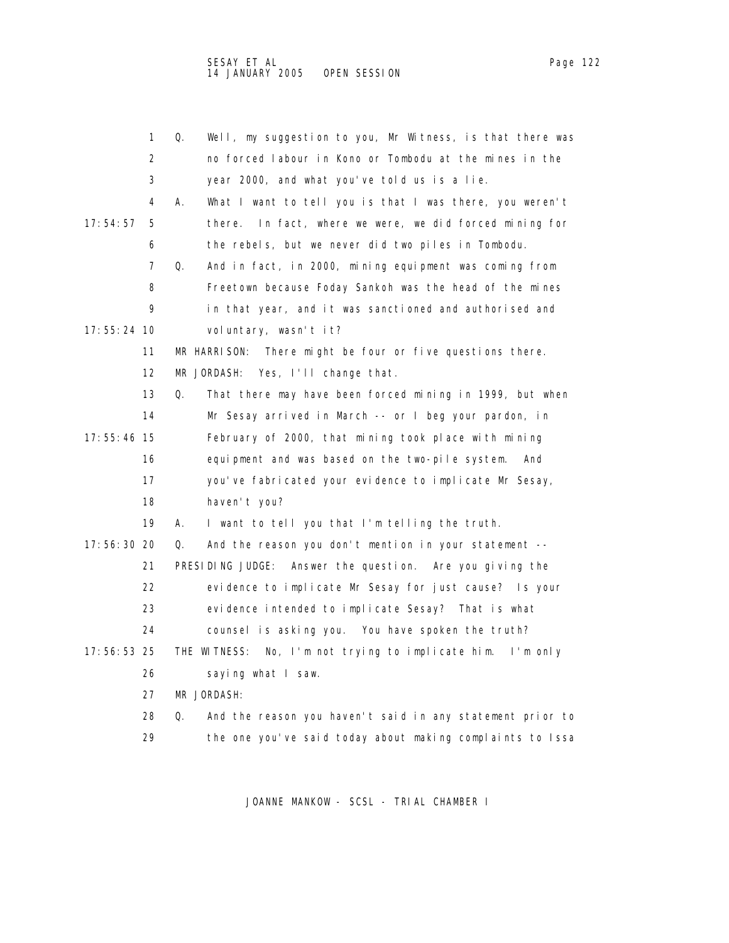|             | 1  | Q.<br>Well, my suggestion to you, Mr Witness, is that there was |
|-------------|----|-----------------------------------------------------------------|
|             | 2  | no forced labour in Kono or Tombodu at the mines in the         |
|             | 3  | year 2000, and what you've told us is a lie.                    |
|             | 4  | What I want to tell you is that I was there, you weren't<br>А.  |
| 17:54:57    | 5  | there.<br>In fact, where we were, we did forced mining for      |
|             | 6  | the rebels, but we never did two piles in Tombodu.              |
|             | 7  | Q.<br>And in fact, in 2000, mining equipment was coming from    |
|             | 8  | Freetown because Foday Sankoh was the head of the mines         |
|             | 9  | in that year, and it was sanctioned and authorised and          |
| 17:55:24 10 |    | voluntary, wasn't it?                                           |
|             | 11 | MR HARRISON: There might be four or five questions there.       |
|             | 12 | MR JORDASH:<br>Yes, I'll change that.                           |
|             | 13 | That there may have been forced mining in 1999, but when<br>Q.  |
|             | 14 | Mr Sesay arrived in March -- or I beg your pardon, in           |
| 17:55:46 15 |    | February of 2000, that mining took place with mining            |
|             | 16 | equipment and was based on the two-pile system.<br>And          |
|             | 17 | you've fabricated your evidence to implicate Mr Sesay,          |
|             | 18 | haven't you?                                                    |
|             | 19 | I want to tell you that I'm telling the truth.<br>А.            |
| 17:56:30 20 |    | Q.<br>And the reason you don't mention in your statement --     |
|             | 21 | PRESIDING JUDGE:<br>Answer the question. Are you giving the     |
|             | 22 | evidence to implicate Mr Sesay for just cause? Is your          |
|             | 23 | evidence intended to implicate Sesay? That is what              |
|             | 24 | counsel is asking you. You have spoken the truth?               |
| 17:56:53 25 |    | THE WITNESS:<br>No, I'm not trying to implicate him. I'm only   |
|             | 26 | saying what I saw.                                              |
|             | 27 | MR JORDASH:                                                     |
|             | 28 | And the reason you haven't said in any statement prior to<br>Q. |
|             | 29 | the one you've said today about making complaints to Issa       |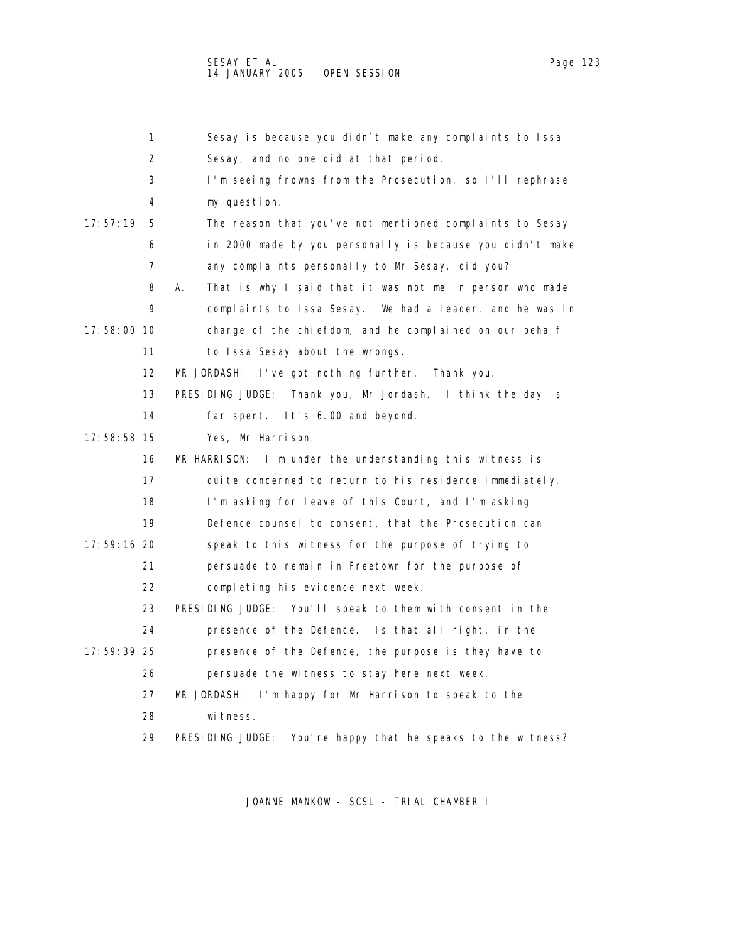| 1                 | Sesay is because you didn't make any complaints to Issa         |
|-------------------|-----------------------------------------------------------------|
| 2                 | Sesay, and no one did at that period.                           |
| 3                 | I'm seeing frowns from the Prosecution, so I'll rephrase        |
| 4                 | my question.                                                    |
| 17:57:19<br>5     | The reason that you've not mentioned complaints to Sesay        |
| 6                 | in 2000 made by you personally is because you didn't make       |
| 7                 | any complaints personally to Mr Sesay, did you?                 |
| 8                 | That is why I said that it was not me in person who made<br>А.  |
| 9                 | complaints to Issa Sesay. We had a leader, and he was in        |
| 17:58:00 10       | charge of the chiefdom, and he complained on our behalf         |
| 11                | to Issa Sesay about the wrongs.                                 |
| $12 \overline{ }$ | MR JORDASH:<br>I've got nothing further. Thank you.             |
| 13                | PRESIDING JUDGE: Thank you, Mr Jordash. I think the day is      |
| 14                | far spent. It's 6.00 and beyond.                                |
| 17:58:58 15       | Yes, Mr Harrison.                                               |
| 16                | I'm under the understanding this witness is<br>MR HARRISON:     |
| 17                | quite concerned to return to his residence immediately.         |
| 18                | I'm asking for leave of this Court, and I'm asking              |
| 19                | Defence counsel to consent, that the Prosecution can            |
| 17:59:16 20       | speak to this witness for the purpose of trying to              |
| 21                | persuade to remain in Freetown for the purpose of               |
| 22                | completing his evidence next week.                              |
| 23                | PRESIDING JUDGE: You'll speak to them with consent in the       |
| 24                | presence of the Defence. Is that all right, in the              |
| 17: 59: 39 25     | presence of the Defence, the purpose is they have to            |
| 26                | persuade the witness to stay here next week.                    |
| 27                | MR JORDASH:<br>I'm happy for Mr Harrison to speak to the        |
| 28                | witness.                                                        |
| 29                | PRESIDING JUDGE:<br>You're happy that he speaks to the witness? |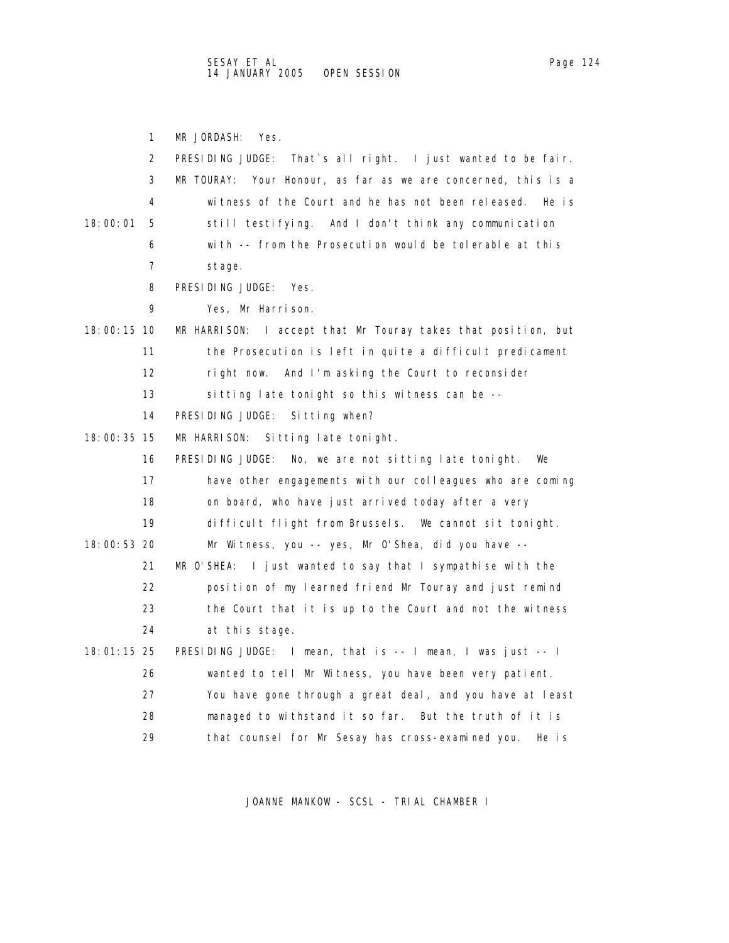1 MR JORDASH: Yes. 2 PRESIDING JUDGE: That`s all right. I just wanted to be fair. 3 MR TOURAY: Your Honour, as far as we are concerned, this is a 4 witness of the Court and he has not been released. He is 18:00:01 5 still testifying. And I don't think any communication 6 with -- from the Prosecution would be tolerable at this 7 stage. 8 PRESIDING JUDGE: Yes. 9 Yes, Mr Harrison. 18:00:15 10 MR HARRISON: I accept that Mr Touray takes that position, but 11 the Prosecution is left in quite a difficult predicament 12 right now. And I'm asking the Court to reconsider 13 sitting late tonight so this witness can be -- 14 PRESIDING JUDGE: Sitting when? 18:00:35 15 MR HARRISON: Sitting late tonight. 16 PRESIDING JUDGE: No, we are not sitting late tonight. We 17 have other engagements with our colleagues who are coming 18 on board, who have just arrived today after a very 19 difficult flight from Brussels. We cannot sit tonight. 18:00:53 20 Mr Witness, you -- yes, Mr O'Shea, did you have -- 21 MR O'SHEA: I just wanted to say that I sympathise with the 22 position of my learned friend Mr Touray and just remind 23 the Court that it is up to the Court and not the witness 24 at this stage. 18:01:15 25 PRESIDING JUDGE: I mean, that is -- I mean, I was just -- I 26 wanted to tell Mr Witness, you have been very patient. 27 You have gone through a great deal, and you have at least 28 managed to withstand it so far. But the truth of it is 29 that counsel for Mr Sesay has cross-examined you. He is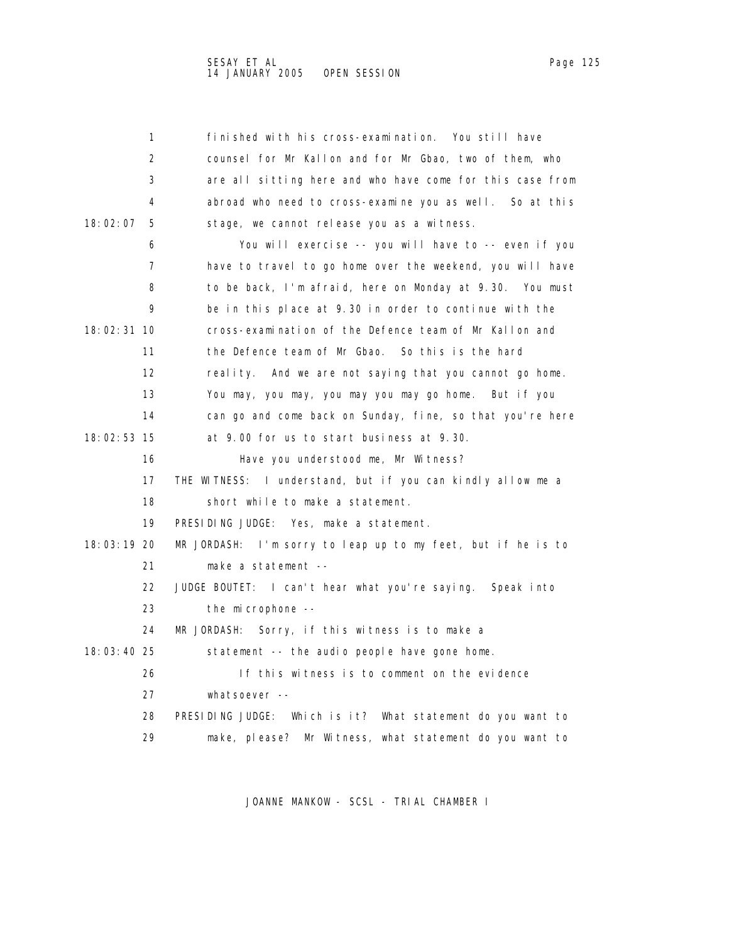| 1                 | finished with his cross-examination. You still have          |
|-------------------|--------------------------------------------------------------|
| 2                 | counsel for Mr Kallon and for Mr Gbao, two of them, who      |
| 3                 | are all sitting here and who have come for this case from    |
| 4                 | abroad who need to cross-examine you as well. So at this     |
| 18:02:07<br>5     | stage, we cannot release you as a witness.                   |
| 6                 | You will exercise -- you will have to -- even if you         |
| $\overline{7}$    | have to travel to go home over the weekend, you will have    |
| 8                 | to be back, I'm afraid, here on Monday at 9.30. You must     |
| 9                 | be in this place at 9.30 in order to continue with the       |
| 18:02:31 10       | cross-examination of the Defence team of Mr Kallon and       |
| 11                | the Defence team of Mr Gbao. So this is the hard             |
| $12 \overline{ }$ | reality. And we are not saying that you cannot go home.      |
| 13                | You may, you may, you may you may go home. But if you        |
| 14                | can go and come back on Sunday, fine, so that you're here    |
| 18:02:53 15       | at 9.00 for us to start business at 9.30.                    |
| 16                | Have you understood me, Mr Witness?                          |
| 17                | THE WITNESS: I understand, but if you can kindly allow me a  |
| 18                | short while to make a statement.                             |
| 19                | PRESIDING JUDGE: Yes, make a statement.                      |
| 18:03:19 20       | MR JORDASH: I'm sorry to leap up to my feet, but if he is to |
| 21                | make a statement --                                          |
| 22                | JUDGE BOUTET: I can't hear what you're saying. Speak into    |
| 23                | the microphone --                                            |
| 24                | MR JORDASH: Sorry, if this witness is to make a              |
| 18:03:40 25       | statement -- the audio people have gone home.                |
| 26                | If this witness is to comment on the evidence                |
| 27                | whatsoever $--$                                              |
| 28                | PRESIDING JUDGE: Which is it? What statement do you want to  |
| 29                | make, please? Mr Witness, what statement do you want to      |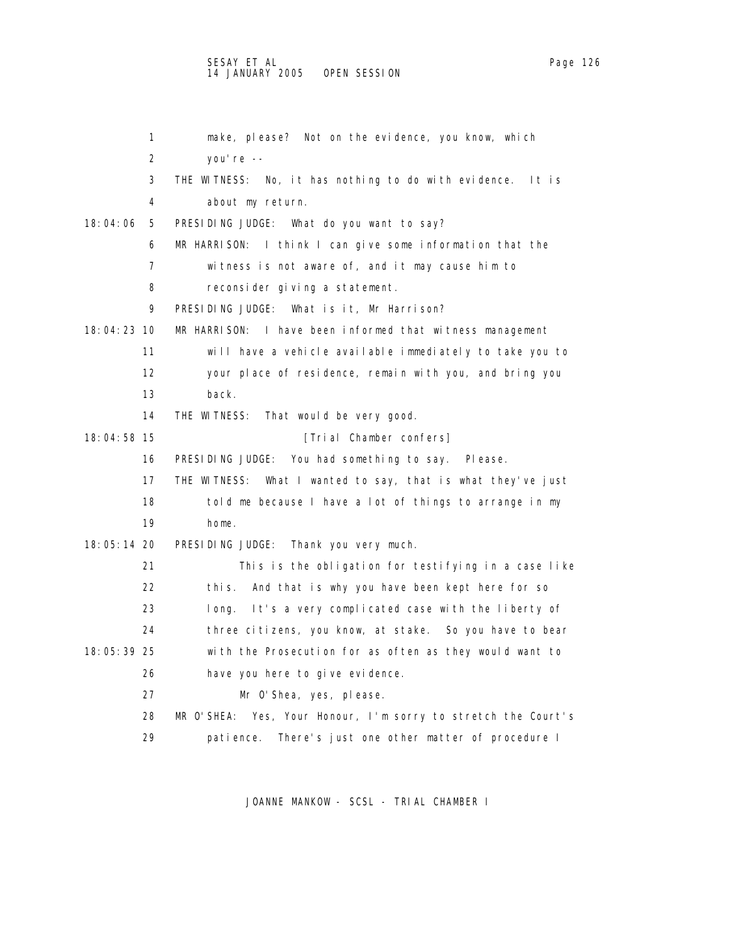## SESAY ET AL Page 126 14 JANUARY 2005 OPEN SESSION

|             | 1<br>make, please? Not on the evidence, you know, which          |
|-------------|------------------------------------------------------------------|
|             | 2<br>you're $-$                                                  |
|             | 3<br>THE WITNESS: No, it has nothing to do with evidence. It is  |
|             | 4<br>about my return.                                            |
| 18:04:06    | PRESIDING JUDGE: What do you want to say?<br>5                   |
|             | MR HARRISON: I think I can give some information that the<br>6   |
|             | 7<br>witness is not aware of, and it may cause him to            |
|             | reconsider giving a statement.<br>8                              |
|             | 9<br>PRESIDING JUDGE: What is it, Mr Harrison?                   |
| 18:04:23 10 | MR HARRISON: I have been informed that witness management        |
| 11          | will have a vehicle available immediately to take you to         |
| 12          | your place of residence, remain with you, and bring you          |
| 13          | back.                                                            |
| 14          | THE WITNESS:<br>That would be very good.                         |
| 18:04:58 15 | [Trial Chamber confers]                                          |
| 16          | PRESIDING JUDGE: You had something to say. Please.               |
| 17          | THE WITNESS:<br>What I wanted to say, that is what they've just  |
| 18          | told me because I have a lot of things to arrange in my          |
| 19          | home.                                                            |
| 18:05:14 20 | PRESIDING JUDGE:<br>Thank you very much.                         |
| 21          | This is the obligation for testifying in a case like             |
| 22          | And that is why you have been kept here for so<br>thi s.         |
| 23          | It's a very complicated case with the liberty of<br>I ong.       |
| 24          | three citizens, you know, at stake. So you have to bear          |
| 18:05:39 25 | with the Prosecution for as often as they would want to          |
| 26          | have you here to give evidence.                                  |
| 27          | Mr O'Shea, yes, please.                                          |
| 28          | MR O'SHEA:<br>Yes, Your Honour, I'm sorry to stretch the Court's |
| 29          | There's just one other matter of procedure I<br>pati ence.       |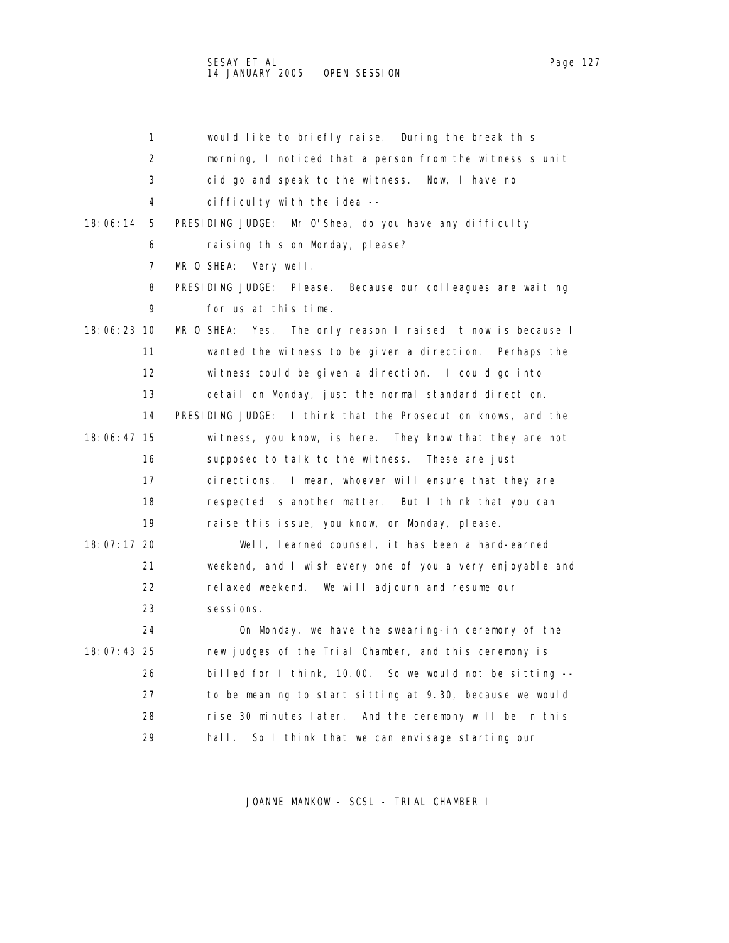1 would like to briefly raise. During the break this 2 morning, I noticed that a person from the witness's unit 3 did go and speak to the witness. Now, I have no 4 difficulty with the idea -- 18:06:14 5 PRESIDING JUDGE: Mr O'Shea, do you have any difficulty 6 raising this on Monday, please? 7 MR O'SHEA: Very well. 8 PRESIDING JUDGE: Please. Because our colleagues are waiting 9 for us at this time. 18:06:23 10 MR O'SHEA: Yes. The only reason I raised it now is because I 11 wanted the witness to be given a direction. Perhaps the 12 witness could be given a direction. I could go into 13 detail on Monday, just the normal standard direction. 14 PRESIDING JUDGE: I think that the Prosecution knows, and the 18:06:47 15 witness, you know, is here. They know that they are not 16 supposed to talk to the witness. These are just 17 directions. I mean, whoever will ensure that they are 18 respected is another matter. But I think that you can 19 raise this issue, you know, on Monday, please. 18:07:17 20 Well, learned counsel, it has been a hard-earned 21 weekend, and I wish every one of you a very enjoyable and 22 relaxed weekend. We will adjourn and resume our 23 sessions. 24 On Monday, we have the swearing-in ceremony of the 18:07:43 25 new judges of the Trial Chamber, and this ceremony is 26 billed for I think, 10.00. So we would not be sitting -- 27 to be meaning to start sitting at 9.30, because we would 28 rise 30 minutes later. And the ceremony will be in this 29 hall. So I think that we can envisage starting our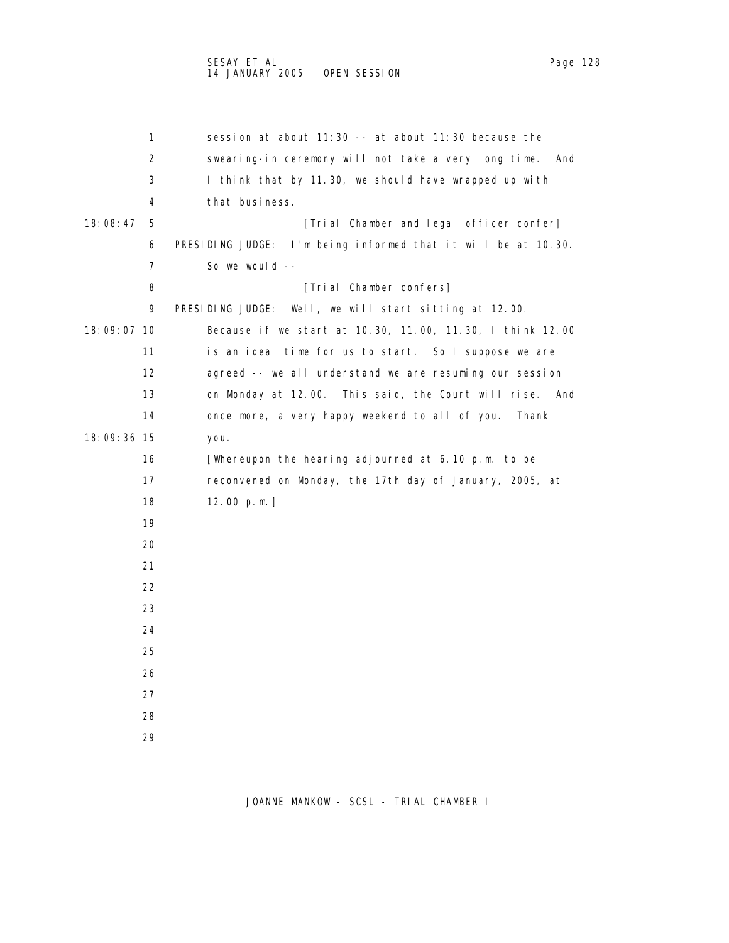SESAY ET AL **Page 128** 14 JANUARY 2005 OPEN SESSION

 1 session at about 11:30 -- at about 11:30 because the 2 swearing-in ceremony will not take a very long time. And 3 I think that by 11.30, we should have wrapped up with 4 that business. 18:08:47 5 [Trial Chamber and legal officer confer] 6 PRESIDING JUDGE: I'm being informed that it will be at 10.30. 7 So we would -- 8 [Trial Chamber confers] 9 PRESIDING JUDGE: Well, we will start sitting at 12.00. 18:09:07 10 Because if we start at 10.30, 11.00, 11.30, I think 12.00 11 is an ideal time for us to start. So I suppose we are 12 agreed -- we all understand we are resuming our session 13 on Monday at 12.00. This said, the Court will rise. And 14 once more, a very happy weekend to all of you. Thank 18:09:36 15 you. 16 [Whereupon the hearing adjourned at 6.10 p.m. to be 17 reconvened on Monday, the 17th day of January, 2005, at 18 12.00 p.m.] 19 20 21 22 23 24 25 26 27 28 29